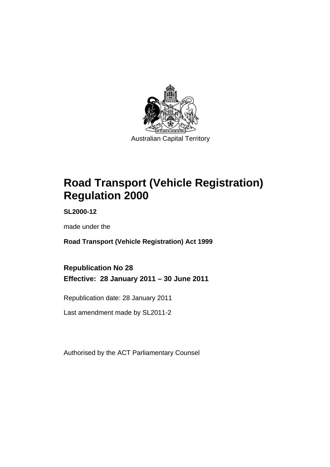

# **Road Transport (Vehicle Registration) Regulation 2000**

**SL2000-12** 

made under the

**Road Transport (Vehicle Registration) Act 1999** 

**Republication No 28 Effective: 28 January 2011 – 30 June 2011** 

Republication date: 28 January 2011

Last amendment made by SL2011-2

Authorised by the ACT Parliamentary Counsel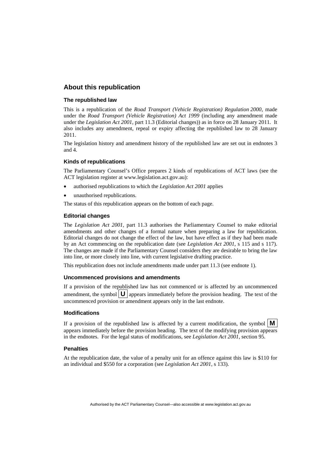#### **About this republication**

#### **The republished law**

This is a republication of the *Road Transport (Vehicle Registration) Regulation 2000*, made under the *Road Transport (Vehicle Registration) Act 1999* (including any amendment made under the *Legislation Act 2001*, part 11.3 (Editorial changes)) as in force on 28 January 2011*.* It also includes any amendment, repeal or expiry affecting the republished law to 28 January 2011.

The legislation history and amendment history of the republished law are set out in endnotes 3 and 4.

#### **Kinds of republications**

The Parliamentary Counsel's Office prepares 2 kinds of republications of ACT laws (see the ACT legislation register at www.legislation.act.gov.au):

- authorised republications to which the *Legislation Act 2001* applies
- unauthorised republications.

The status of this republication appears on the bottom of each page.

#### **Editorial changes**

The *Legislation Act 2001*, part 11.3 authorises the Parliamentary Counsel to make editorial amendments and other changes of a formal nature when preparing a law for republication. Editorial changes do not change the effect of the law, but have effect as if they had been made by an Act commencing on the republication date (see *Legislation Act 2001*, s 115 and s 117). The changes are made if the Parliamentary Counsel considers they are desirable to bring the law into line, or more closely into line, with current legislative drafting practice.

This republication does not include amendments made under part 11.3 (see endnote 1).

#### **Uncommenced provisions and amendments**

If a provision of the republished law has not commenced or is affected by an uncommenced amendment, the symbol  $|\mathbf{U}|$  appears immediately before the provision heading. The text of the uncommenced provision or amendment appears only in the last endnote.

#### **Modifications**

If a provision of the republished law is affected by a current modification, the symbol  $\mathbf{M}$ appears immediately before the provision heading. The text of the modifying provision appears in the endnotes. For the legal status of modifications, see *Legislation Act 2001*, section 95.

#### **Penalties**

At the republication date, the value of a penalty unit for an offence against this law is \$110 for an individual and \$550 for a corporation (see *Legislation Act 2001*, s 133).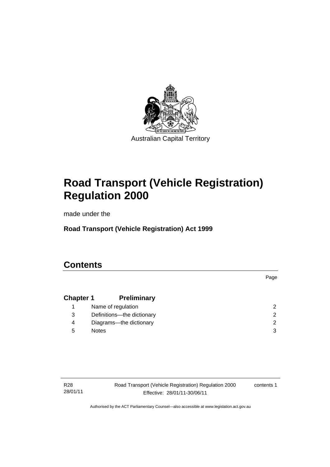

# **Road Transport (Vehicle Registration) Regulation 2000**

made under the

**Road Transport (Vehicle Registration) Act 1999** 

# **Contents**

## **Chapter 1 Preliminary** 1 Name of regulation 2 3 Definitions—the dictionary 2 4 Diagrams—the dictionary 2 5 Notes 3

R28 28/01/11 Road Transport (Vehicle Registration) Regulation 2000 Effective: 28/01/11-30/06/11

contents 1

Page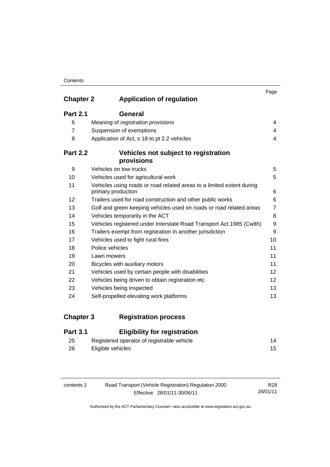#### **Contents**

|                  |                                                                                             | Page            |
|------------------|---------------------------------------------------------------------------------------------|-----------------|
| <b>Chapter 2</b> | <b>Application of regulation</b>                                                            |                 |
| <b>Part 2.1</b>  | <b>General</b>                                                                              |                 |
| 6                | Meaning of registration provisions                                                          | 4               |
| $\overline{7}$   | Suspension of exemptions                                                                    | 4               |
| 8                | Application of Act, s 18 to pt 2.2 vehicles                                                 | 4               |
| <b>Part 2.2</b>  | Vehicles not subject to registration<br>provisions                                          |                 |
| 9                | Vehicles on tow trucks                                                                      | 5               |
| 10               | Vehicles used for agricultural work                                                         | 5               |
| 11               | Vehicles using roads or road related areas to a limited extent during<br>primary production | 6               |
| 12               | Trailers used for road construction and other public works                                  | 6               |
| 13               | Golf and green keeping vehicles used on roads or road related areas                         | $\overline{7}$  |
| 14               | Vehicles temporarily in the ACT                                                             | 8               |
| 15               | Vehicles registered under Interstate Road Transport Act 1985 (Cwlth)                        | 9               |
| 16               | Trailers exempt from registration in another jurisdiction                                   | 9               |
| 17               | Vehicles used to fight rural fires                                                          | 10              |
| 18               | Police vehicles                                                                             | 11              |
| 19               | Lawn mowers                                                                                 | 11              |
| 20               | Bicycles with auxiliary motors                                                              | 11              |
| 21               | Vehicles used by certain people with disabilities                                           | 12 <sup>2</sup> |
| 22               | Vehicles being driven to obtain registration etc                                            | 12              |
| 23               | Vehicles being inspected                                                                    | 13              |
| 24               | Self-propelled elevating work platforms                                                     | 13              |

**Chapter 3 Registration process**

# **Part 3.1 Eligibility for registration**

| 25 | Registered operator of registrable vehicle | 14 |
|----|--------------------------------------------|----|
| 26 | Eligible vehicles                          |    |

| contents 2 | Road Transport (Vehicle Registration) Regulation 2000 | R28      |
|------------|-------------------------------------------------------|----------|
|            | Effective: 28/01/11-30/06/11                          | 28/01/11 |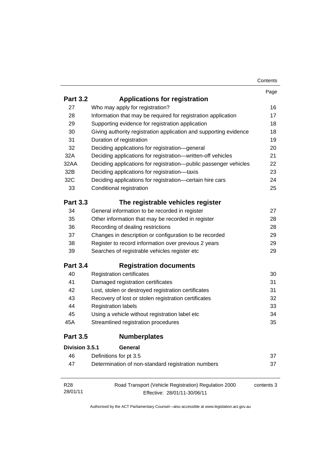| Contents |
|----------|
|----------|

|                 |                                                                   | Page       |
|-----------------|-------------------------------------------------------------------|------------|
| <b>Part 3.2</b> | <b>Applications for registration</b>                              |            |
| 27              | Who may apply for registration?                                   | 16         |
| 28              | Information that may be required for registration application     | 17         |
| 29              | Supporting evidence for registration application                  | 18         |
| 30              | Giving authority registration application and supporting evidence | 18         |
| 31              | Duration of registration                                          | 19         |
| 32              | Deciding applications for registration-general                    | 20         |
| 32A             | Deciding applications for registration-written-off vehicles       | 21         |
| 32AA            | Deciding applications for registration-public passenger vehicles  | 22         |
| 32B             | Deciding applications for registration-taxis                      | 23         |
| 32C             | Deciding applications for registration-certain hire cars          | 24         |
| 33              | Conditional registration                                          | 25         |
| <b>Part 3.3</b> | The registrable vehicles register                                 |            |
| 34              | General information to be recorded in register                    | 27         |
| 35              | Other information that may be recorded in register                | 28         |
| 36              | Recording of dealing restrictions                                 | 28         |
| 37              | Changes in description or configuration to be recorded            | 29         |
| 38              | Register to record information over previous 2 years              | 29         |
| 39              | Searches of registrable vehicles register etc                     | 29         |
| <b>Part 3.4</b> | <b>Registration documents</b>                                     |            |
| 40              | <b>Registration certificates</b>                                  | 30         |
| 41              | Damaged registration certificates                                 | 31         |
| 42              | Lost, stolen or destroyed registration certificates               | 31         |
| 43              | Recovery of lost or stolen registration certificates              | 32         |
| 44              | <b>Registration labels</b>                                        | 33         |
| 45              | Using a vehicle without registration label etc                    | 34         |
| 45A             | Streamlined registration procedures                               | 35         |
| <b>Part 3.5</b> | <b>Numberplates</b>                                               |            |
| Division 3.5.1  | General                                                           |            |
| 46              | Definitions for pt 3.5                                            | 37         |
| 47              | Determination of non-standard registration numbers                | 37         |
| R <sub>28</sub> | Road Transport (Vehicle Registration) Regulation 2000             | contents 3 |
| 28/01/11        | Effective: 28/01/11-30/06/11                                      |            |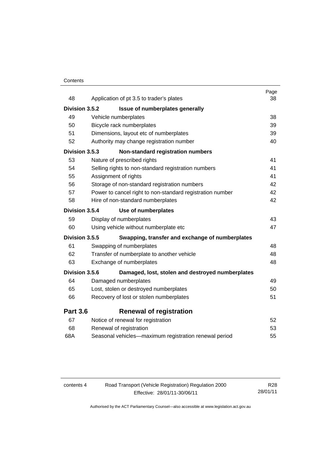#### **Contents**

| 48              | Application of pt 3.5 to trader's plates                  | Page<br>38 |
|-----------------|-----------------------------------------------------------|------------|
|                 |                                                           |            |
| Division 3.5.2  | Issue of numberplates generally                           |            |
| 49              | Vehicle numberplates                                      | 38         |
| 50              | Bicycle rack numberplates                                 | 39         |
| 51              | Dimensions, layout etc of numberplates                    | 39         |
| 52              | Authority may change registration number                  | 40         |
| Division 3.5.3  | Non-standard registration numbers                         |            |
| 53              | Nature of prescribed rights                               | 41         |
| 54              | Selling rights to non-standard registration numbers       | 41         |
| 55              | Assignment of rights                                      | 41         |
| 56              | Storage of non-standard registration numbers              | 42         |
| 57              | Power to cancel right to non-standard registration number | 42         |
| 58              | Hire of non-standard numberplates                         | 42         |
| Division 3.5.4  | Use of numberplates                                       |            |
| 59              | Display of numberplates                                   | 43         |
| 60              | Using vehicle without numberplate etc                     | 47         |
| Division 3.5.5  | Swapping, transfer and exchange of numberplates           |            |
| 61              | Swapping of numberplates                                  | 48         |
| 62              | Transfer of numberplate to another vehicle                | 48         |
| 63              | Exchange of numberplates                                  | 48         |
| Division 3.5.6  | Damaged, lost, stolen and destroyed numberplates          |            |
| 64              | Damaged numberplates                                      | 49         |
| 65              | Lost, stolen or destroyed numberplates                    | 50         |
| 66              | Recovery of lost or stolen numberplates                   | 51         |
| <b>Part 3.6</b> | <b>Renewal of registration</b>                            |            |
| 67              | Notice of renewal for registration                        | 52         |
| 68              | Renewal of registration                                   | 53         |
| 68A             | Seasonal vehicles-maximum registration renewal period     | 55         |
|                 |                                                           |            |

| contents 4 | Road Transport (Vehicle Registration) Regulation 2000 | R28      |
|------------|-------------------------------------------------------|----------|
|            | Effective: 28/01/11-30/06/11                          | 28/01/11 |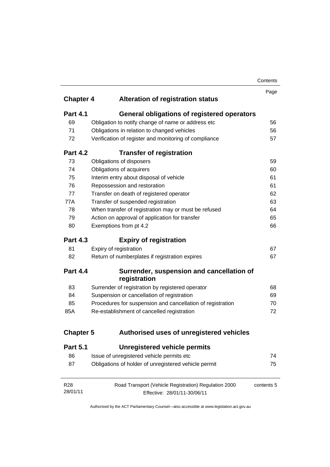| Contents |
|----------|
|----------|

|                  |                                                            | Contents |
|------------------|------------------------------------------------------------|----------|
|                  |                                                            | Page     |
| <b>Chapter 4</b> | <b>Alteration of registration status</b>                   |          |
| <b>Part 4.1</b>  | General obligations of registered operators                |          |
| 69               | Obligation to notify change of name or address etc         | 56       |
| 71               | Obligations in relation to changed vehicles                | 56       |
| 72               | Verification of register and monitoring of compliance      | 57       |
| <b>Part 4.2</b>  | <b>Transfer of registration</b>                            |          |
| 73               | Obligations of disposers                                   | 59       |
| 74               | Obligations of acquirers                                   | 60       |
| 75               | Interim entry about disposal of vehicle                    | 61       |
| 76               | Repossession and restoration                               | 61       |
| 77               | Transfer on death of registered operator                   | 62       |
| 77A              | Transfer of suspended registration                         | 63       |
| 78               | When transfer of registration may or must be refused       | 64       |
| 79               | Action on approval of application for transfer             | 65       |
| 80               | Exemptions from pt 4.2                                     | 66       |
| <b>Part 4.3</b>  | <b>Expiry of registration</b>                              |          |
| 81               | Expiry of registration                                     | 67       |
| 82               | Return of numberplates if registration expires             | 67       |
| <b>Part 4.4</b>  | Surrender, suspension and cancellation of<br>registration  |          |
| 83               | Surrender of registration by registered operator           | 68       |
| 84               | Suspension or cancellation of registration                 | 69       |
| 85               | Procedures for suspension and cancellation of registration | 70       |
| 85A              | Re-establishment of cancelled registration                 | 72       |
| <b>Chapter 5</b> | Authorised uses of unregistered vehicles                   |          |
| <b>Part 5.1</b>  | <b>Unregistered vehicle permits</b>                        |          |
| 86               | Issue of unregistered vehicle permits etc                  | 74       |
| 87               | Obligations of holder of unregistered vehicle permit       | 75       |
|                  |                                                            |          |
|                  |                                                            |          |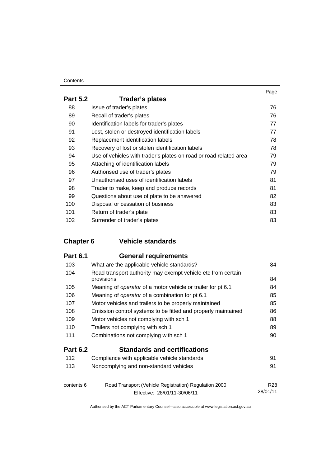#### **Contents**

| <b>Part 5.2</b> | <b>Trader's plates</b>                                            |    |
|-----------------|-------------------------------------------------------------------|----|
| 88              | Issue of trader's plates                                          | 76 |
| 89              | Recall of trader's plates                                         | 76 |
| 90              | Identification labels for trader's plates                         | 77 |
| 91              | Lost, stolen or destroyed identification labels                   | 77 |
| 92              | Replacement identification labels                                 | 78 |
| 93              | Recovery of lost or stolen identification labels                  | 78 |
| 94              | Use of vehicles with trader's plates on road or road related area | 79 |
| 95              | Attaching of identification labels                                | 79 |
| 96              | Authorised use of trader's plates                                 | 79 |
| 97              | Unauthorised uses of identification labels                        | 81 |
| 98              | Trader to make, keep and produce records                          | 81 |
| 99              | Questions about use of plate to be answered                       | 82 |
| 100             | Disposal or cessation of business                                 | 83 |
| 101             | Return of trader's plate                                          | 83 |
| 102             | Surrender of trader's plates                                      | 83 |

# **Chapter 6 Vehicle standards**

| <b>Part 6.1</b> | <b>General requirements</b>                                                |                 |
|-----------------|----------------------------------------------------------------------------|-----------------|
| 103             | What are the applicable vehicle standards?                                 | 84              |
| 104             | Road transport authority may exempt vehicle etc from certain<br>provisions | 84              |
| 105             | Meaning of operator of a motor vehicle or trailer for pt 6.1               | 84              |
| 106             | Meaning of <i>operator</i> of a combination for pt 6.1                     | 85              |
| 107             | Motor vehicles and trailers to be properly maintained                      | 85              |
| 108             | Emission control systems to be fitted and properly maintained              | 86              |
| 109             | Motor vehicles not complying with sch 1                                    | 88              |
| 110             | Trailers not complying with sch 1                                          | 89              |
| 111             | Combinations not complying with sch 1                                      | 90              |
| <b>Part 6.2</b> | <b>Standards and certifications</b>                                        |                 |
| 112             | Compliance with applicable vehicle standards                               | 91              |
| 113             | Noncomplying and non-standard vehicles                                     | 91              |
|                 |                                                                            |                 |
| contents 6      | Road Transport (Vehicle Registration) Regulation 2000                      | R <sub>28</sub> |
|                 | Effective: 28/01/11-30/06/11                                               | 28/01/11        |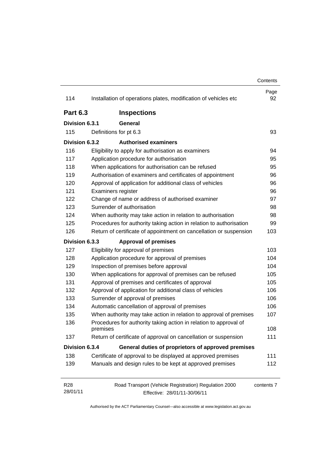|                             |                                                                                       | Contents   |
|-----------------------------|---------------------------------------------------------------------------------------|------------|
| 114                         | Installation of operations plates, modification of vehicles etc                       | Page<br>92 |
| <b>Part 6.3</b>             | <b>Inspections</b>                                                                    |            |
| Division 6.3.1              | General                                                                               |            |
| 115                         | Definitions for pt 6.3                                                                | 93         |
| Division 6.3.2              | <b>Authorised examiners</b>                                                           |            |
| 116                         | Eligibility to apply for authorisation as examiners                                   | 94         |
| 117                         | Application procedure for authorisation                                               | 95         |
| 118                         | When applications for authorisation can be refused                                    | 95         |
| 119                         | Authorisation of examiners and certificates of appointment                            | 96         |
| 120                         | Approval of application for additional class of vehicles                              | 96         |
| 121                         | Examiners register                                                                    | 96         |
| 122                         | Change of name or address of authorised examiner                                      | 97         |
| 123                         | Surrender of authorisation                                                            | 98         |
| 124                         | When authority may take action in relation to authorisation                           | 98         |
| 125                         | Procedures for authority taking action in relation to authorisation                   | 99         |
| 126                         | Return of certificate of appointment on cancellation or suspension                    | 103        |
| Division 6.3.3              | <b>Approval of premises</b>                                                           |            |
| 127                         | Eligibility for approval of premises                                                  | 103        |
| 128                         | Application procedure for approval of premises                                        | 104        |
| 129                         | Inspection of premises before approval                                                | 104        |
| 130                         | When applications for approval of premises can be refused                             | 105        |
| 131                         | Approval of premises and certificates of approval                                     | 105        |
| 132                         | Approval of application for additional class of vehicles                              | 106        |
| 133                         | Surrender of approval of premises                                                     | 106        |
| 134                         | Automatic cancellation of approval of premises                                        | 106        |
| 135                         | When authority may take action in relation to approval of premises                    | 107        |
| 136                         | Procedures for authority taking action in relation to approval of<br>premises         | 108        |
| 137                         | Return of certificate of approval on cancellation or suspension                       | 111        |
| Division 6.3.4              | General duties of proprietors of approved premises                                    |            |
| 138                         | Certificate of approval to be displayed at approved premises                          | 111        |
| 139                         | Manuals and design rules to be kept at approved premises                              | 112        |
| R <sub>28</sub><br>28/01/11 | Road Transport (Vehicle Registration) Regulation 2000<br>Effective: 28/01/11-30/06/11 | contents 7 |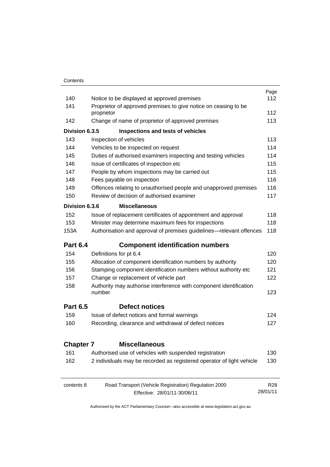|                  |                                                                              | Page            |  |
|------------------|------------------------------------------------------------------------------|-----------------|--|
| 140              | Notice to be displayed at approved premises                                  |                 |  |
| 141              | Proprietor of approved premises to give notice on ceasing to be              |                 |  |
|                  | proprietor                                                                   | 112             |  |
| 142              | Change of name of proprietor of approved premises                            | 113             |  |
| Division 6.3.5   | Inspections and tests of vehicles                                            |                 |  |
| 143              | Inspection of vehicles                                                       | 113             |  |
| 144              | Vehicles to be inspected on request                                          | 114             |  |
| 145              | Duties of authorised examiners inspecting and testing vehicles               | 114             |  |
| 146              | Issue of certificates of inspection etc                                      | 115             |  |
| 147              | People by whom inspections may be carried out                                | 115             |  |
| 148              | Fees payable on inspection                                                   | 116             |  |
| 149              | Offences relating to unauthorised people and unapproved premises             | 116             |  |
| 150              | Review of decision of authorised examiner                                    | 117             |  |
| Division 6.3.6   | <b>Miscellaneous</b>                                                         |                 |  |
| 152              | Issue of replacement certificates of appointment and approval                | 118             |  |
| 153              | Minister may determine maximum fees for inspections                          | 118             |  |
| 153A             | Authorisation and approval of premises guidelines—relevant offences          | 118             |  |
| <b>Part 6.4</b>  | <b>Component identification numbers</b>                                      |                 |  |
| 154              | Definitions for pt 6.4                                                       | 120             |  |
| 155              | Allocation of component identification numbers by authority                  | 120             |  |
| 156              | Stamping component identification numbers without authority etc              | 121             |  |
| 157              | Change or replacement of vehicle part                                        | 122             |  |
| 158              | Authority may authorise interference with component identification<br>number | 123             |  |
| <b>Part 6.5</b>  | <b>Defect notices</b>                                                        |                 |  |
| 159              | Issue of defect notices and formal warnings                                  | 124             |  |
| 160              | Recording, clearance and withdrawal of defect notices                        | 127             |  |
| <b>Chapter 7</b> | <b>Miscellaneous</b>                                                         |                 |  |
| 161              | Authorised use of vehicles with suspended registration                       | 130             |  |
| 162              | 2 individuals may be recorded as registered operator of light vehicle        | 130             |  |
| contents 8       | Road Transport (Vehicle Registration) Regulation 2000                        | R <sub>28</sub> |  |
|                  | Effective: 28/01/11-30/06/11                                                 | 28/01/11        |  |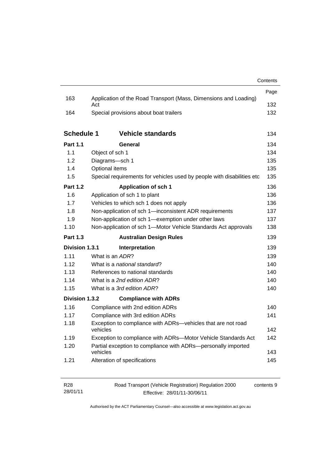|                   |                                                                           | Contents |
|-------------------|---------------------------------------------------------------------------|----------|
|                   |                                                                           | Page     |
| 163               | Application of the Road Transport (Mass, Dimensions and Loading)<br>Act   |          |
| 164               | Special provisions about boat trailers                                    |          |
| <b>Schedule 1</b> | <b>Vehicle standards</b>                                                  | 134      |
| <b>Part 1.1</b>   | General                                                                   | 134      |
| 1.1               | Object of sch 1                                                           | 134      |
| 1.2               | Diagrams-sch 1                                                            | 135      |
| 1.4               | Optional items                                                            | 135      |
| 1.5               | Special requirements for vehicles used by people with disabilities etc    | 135      |
| <b>Part 1.2</b>   | <b>Application of sch 1</b>                                               | 136      |
| 1.6               | Application of sch 1 to plant                                             | 136      |
| 1.7               | Vehicles to which sch 1 does not apply                                    | 136      |
| 1.8               | Non-application of sch 1-inconsistent ADR requirements                    | 137      |
| 1.9               | Non-application of sch 1-exemption under other laws                       | 137      |
| 1.10              | Non-application of sch 1-Motor Vehicle Standards Act approvals            | 138      |
| <b>Part 1.3</b>   | <b>Australian Design Rules</b>                                            | 139      |
| Division 1.3.1    | Interpretation                                                            | 139      |
| 1.11              | What is an ADR?                                                           | 139      |
| 1.12              | What is a national standard?                                              | 140      |
| 1.13              | References to national standards                                          | 140      |
| 1.14              | What is a 2nd edition ADR?                                                | 140      |
| 1.15              | What is a 3rd edition ADR?                                                | 140      |
| Division 1.3.2    | <b>Compliance with ADRs</b>                                               |          |
| 1.16              | Compliance with 2nd edition ADRs                                          | 140      |
| 1.17              | Compliance with 3rd edition ADRs                                          | 141      |
| 1.18              | Exception to compliance with ADRs-vehicles that are not road<br>vehicles  | 142      |
| 1.19              | Exception to compliance with ADRs-Motor Vehicle Standards Act             | 142      |
| 1.20              | Partial exception to compliance with ADRs-personally imported<br>vehicles | 143      |
| 1.21              | Alteration of specifications                                              | 145      |
|                   |                                                                           |          |
| D <sub>00</sub>   | anast (Vahiala Demistration) Demulation 2000                              |          |

| R <sub>28</sub> | Road Transport (Vehicle Registration) Regulation 2000 | contents 9 |
|-----------------|-------------------------------------------------------|------------|
| 28/01/11        | Effective: 28/01/11-30/06/11                          |            |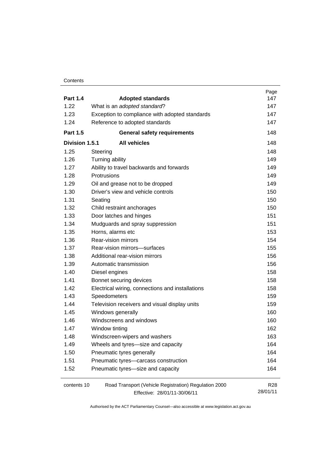#### **Contents**

|                 |                                                       | Page            |
|-----------------|-------------------------------------------------------|-----------------|
| <b>Part 1.4</b> | <b>Adopted standards</b>                              | 147             |
| 1.22            | What is an adopted standard?                          | 147             |
| 1.23            | Exception to compliance with adopted standards        | 147             |
| 1.24            | Reference to adopted standards                        | 147             |
| <b>Part 1.5</b> | <b>General safety requirements</b>                    | 148             |
| Division 1.5.1  | <b>All vehicles</b>                                   | 148             |
| 1.25            | Steering                                              | 148             |
| 1.26            | Turning ability                                       | 149             |
| 1.27            | Ability to travel backwards and forwards              | 149             |
| 1.28            | Protrusions                                           | 149             |
| 1.29            | Oil and grease not to be dropped                      | 149             |
| 1.30            | Driver's view and vehicle controls                    | 150             |
| 1.31            | Seating                                               | 150             |
| 1.32            | Child restraint anchorages                            | 150             |
| 1.33            | Door latches and hinges                               | 151             |
| 1.34            | Mudguards and spray suppression                       | 151             |
| 1.35            | Horns, alarms etc                                     | 153             |
| 1.36            | <b>Rear-vision mirrors</b>                            | 154             |
| 1.37            | Rear-vision mirrors-surfaces                          | 155             |
| 1.38            | Additional rear-vision mirrors                        | 156             |
| 1.39            | Automatic transmission                                | 156             |
| 1.40            | Diesel engines                                        | 158             |
| 1.41            | Bonnet securing devices                               | 158             |
| 1.42            | Electrical wiring, connections and installations      | 158             |
| 1.43            | Speedometers                                          | 159             |
| 1.44            | Television receivers and visual display units         | 159             |
| 1.45            | Windows generally                                     | 160             |
| 1.46            | Windscreens and windows                               | 160             |
| 1.47            | Window tinting                                        | 162             |
| 1.48            | Windscreen-wipers and washers                         | 163             |
| 1.49            | Wheels and tyres-size and capacity                    | 164             |
| 1.50            | Pneumatic tyres generally                             | 164             |
| 1.51            | Pneumatic tyres-carcass construction                  | 164             |
| 1.52            | Pneumatic tyres-size and capacity                     | 164             |
| contents 10     | Road Transport (Vehicle Registration) Regulation 2000 | R <sub>28</sub> |
|                 | Effective: 28/01/11-30/06/11                          | 28/01/11        |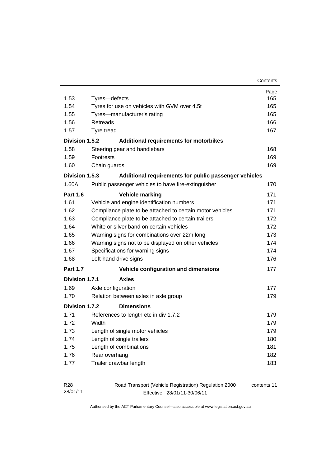| Contents |
|----------|
|----------|

| 1.53            | Tyres-defects                                       |                                                           | Page<br>165 |  |
|-----------------|-----------------------------------------------------|-----------------------------------------------------------|-------------|--|
| 1.54            | Tyres for use on vehicles with GVM over 4.5t        |                                                           |             |  |
| 1.55            |                                                     | Tyres-manufacturer's rating                               |             |  |
| 1.56            | <b>Retreads</b>                                     |                                                           |             |  |
| 1.57            | Tyre tread                                          |                                                           | 167         |  |
| Division 1.5.2  |                                                     | Additional requirements for motorbikes                    |             |  |
| 1.58            |                                                     | Steering gear and handlebars                              | 168         |  |
| 1.59            | Footrests                                           |                                                           | 169         |  |
| 1.60            | Chain guards                                        |                                                           | 169         |  |
| Division 1.5.3  |                                                     | Additional requirements for public passenger vehicles     |             |  |
| 1.60A           |                                                     | Public passenger vehicles to have fire-extinguisher       | 170         |  |
| <b>Part 1.6</b> |                                                     | <b>Vehicle marking</b>                                    | 171         |  |
| 1.61            |                                                     | Vehicle and engine identification numbers                 | 171         |  |
| 1.62            |                                                     | Compliance plate to be attached to certain motor vehicles | 171         |  |
| 1.63            | Compliance plate to be attached to certain trailers |                                                           |             |  |
| 1.64            | White or silver band on certain vehicles            |                                                           |             |  |
| 1.65            | Warning signs for combinations over 22m long        |                                                           |             |  |
| 1.66            | Warning signs not to be displayed on other vehicles |                                                           |             |  |
| 1.67            | Specifications for warning signs                    |                                                           | 174         |  |
| 1.68            | Left-hand drive signs                               |                                                           | 176         |  |
| <b>Part 1.7</b> |                                                     | Vehicle configuration and dimensions                      | 177         |  |
| Division 1.7.1  |                                                     | <b>Axles</b>                                              |             |  |
| 1.69            | Axle configuration                                  |                                                           | 177         |  |
| 1.70            |                                                     | Relation between axles in axle group                      | 179         |  |
| Division 1.7.2  |                                                     | <b>Dimensions</b>                                         |             |  |
| 1.71            |                                                     | References to length etc in div 1.7.2                     | 179         |  |
| 1.72            | Width                                               |                                                           | 179         |  |
| 1.73            | Length of single motor vehicles                     |                                                           | 179         |  |
| 1.74            | Length of single trailers                           |                                                           | 180         |  |
| 1.75            | Length of combinations                              |                                                           | 181         |  |
| 1.76            | Rear overhang                                       |                                                           | 182         |  |
| 1.77            | Trailer drawbar length                              |                                                           | 183         |  |

| R <sub>28</sub> | Road Transport (Vehicle Registration) Regulation 2000 | contents 11 |
|-----------------|-------------------------------------------------------|-------------|
| 28/01/11        | Effective: 28/01/11-30/06/11                          |             |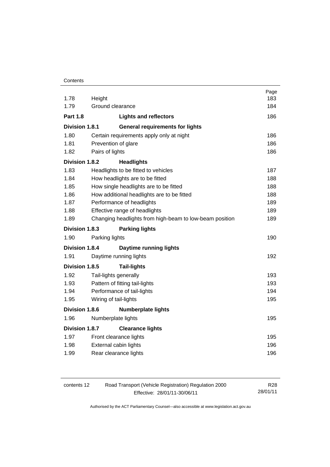| 1.78                  | Height                         |                                                         | Page<br>183 |
|-----------------------|--------------------------------|---------------------------------------------------------|-------------|
| 1.79                  | Ground clearance               |                                                         | 184         |
| <b>Part 1.8</b>       |                                | <b>Lights and reflectors</b>                            | 186         |
| Division 1.8.1        |                                | <b>General requirements for lights</b>                  |             |
| 1.80                  |                                | Certain requirements apply only at night                | 186         |
| 1.81                  | Prevention of glare            |                                                         | 186         |
| 1.82                  | Pairs of lights                |                                                         |             |
| Division 1.8.2        |                                | <b>Headlights</b>                                       |             |
| 1.83                  |                                | Headlights to be fitted to vehicles                     | 187         |
| 1.84                  |                                | How headlights are to be fitted                         | 188         |
| 1.85                  |                                | How single headlights are to be fitted                  | 188         |
| 1.86                  |                                | How additional headlights are to be fitted              | 188         |
| 1.87                  |                                | Performance of headlights                               | 189         |
| 1.88                  |                                | Effective range of headlights                           | 189         |
| 1.89                  |                                | Changing headlights from high-beam to low-beam position | 189         |
| Division 1.8.3        |                                | <b>Parking lights</b>                                   |             |
| 1.90                  | Parking lights                 |                                                         | 190         |
| Division 1.8.4        |                                | <b>Daytime running lights</b>                           |             |
| 1.91                  |                                | Daytime running lights                                  | 192         |
| Division 1.8.5        |                                | <b>Tail-lights</b>                                      |             |
| 1.92                  | Tail-lights generally          |                                                         | 193         |
| 1.93                  | Pattern of fitting tail-lights |                                                         | 193         |
| 1.94                  | Performance of tail-lights     |                                                         | 194         |
| 1.95                  | Wiring of tail-lights          |                                                         | 195         |
| <b>Division 1.8.6</b> |                                | <b>Numberplate lights</b>                               |             |
| 1.96                  | Numberplate lights             |                                                         | 195         |
| Division 1.8.7        |                                | <b>Clearance lights</b>                                 |             |
| 1.97                  |                                | Front clearance lights                                  | 195         |
| 1.98                  | External cabin lights          |                                                         | 196         |
| 1.99                  |                                | Rear clearance lights                                   | 196         |
|                       |                                |                                                         |             |

| contents 12 | Road Transport (Vehicle Registration) Regulation 2000 | R28      |
|-------------|-------------------------------------------------------|----------|
|             | Effective: 28/01/11-30/06/11                          | 28/01/11 |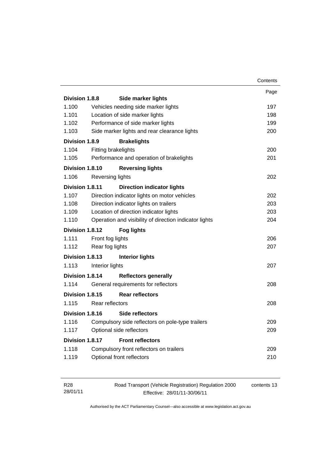|                 |                                        |                                                        | Contents |
|-----------------|----------------------------------------|--------------------------------------------------------|----------|
|                 |                                        |                                                        | Page     |
| Division 1.8.8  |                                        | <b>Side marker lights</b>                              |          |
| 1.100           |                                        | Vehicles needing side marker lights                    | 197      |
| 1.101           |                                        | Location of side marker lights                         | 198      |
| 1.102           |                                        | Performance of side marker lights                      | 199      |
| 1.103           |                                        | Side marker lights and rear clearance lights           | 200      |
| Division 1.8.9  |                                        | <b>Brakelights</b>                                     |          |
| 1.104           | Fitting brakelights                    |                                                        | 200      |
| 1.105           |                                        | Performance and operation of brakelights               | 201      |
| Division 1.8.10 |                                        | <b>Reversing lights</b>                                |          |
| 1.106           | Reversing lights                       |                                                        | 202      |
| Division 1.8.11 |                                        | <b>Direction indicator lights</b>                      |          |
| 1.107           |                                        | Direction indicator lights on motor vehicles           | 202      |
| 1.108           |                                        | Direction indicator lights on trailers                 | 203      |
| 1.109           | Location of direction indicator lights |                                                        | 203      |
| 1.110           |                                        | Operation and visibility of direction indicator lights | 204      |
| Division 1.8.12 |                                        | <b>Fog lights</b>                                      |          |
| 1.111           | Front fog lights                       |                                                        | 206      |
| 1.112           | Rear fog lights                        |                                                        | 207      |
| Division 1.8.13 |                                        | <b>Interior lights</b>                                 |          |
| 1.113           | Interior lights                        |                                                        | 207      |
| Division 1.8.14 |                                        | <b>Reflectors generally</b>                            |          |
| 1.114           |                                        | General requirements for reflectors                    | 208      |
| Division 1.8.15 |                                        | <b>Rear reflectors</b>                                 |          |
| 1.115           | Rear reflectors                        |                                                        | 208      |
| Division 1.8.16 |                                        | Side reflectors                                        |          |
| 1.116           |                                        | Compulsory side reflectors on pole-type trailers       | 209      |
| 1.117           |                                        | Optional side reflectors                               | 209      |
| Division 1.8.17 |                                        | <b>Front reflectors</b>                                |          |
| 1.118           |                                        | Compulsory front reflectors on trailers                | 209      |
| 1.119           |                                        | Optional front reflectors                              | 210      |
|                 |                                        |                                                        |          |

| R28      | Road Transport (Vehicle Registration) Regulation 2000 | contents 13 |
|----------|-------------------------------------------------------|-------------|
| 28/01/11 | Effective: 28/01/11-30/06/11                          |             |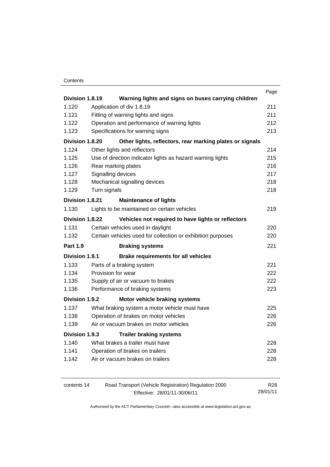#### **Contents**

|                 |                             |                                                             | Page |
|-----------------|-----------------------------|-------------------------------------------------------------|------|
| Division 1.8.19 |                             | Warning lights and signs on buses carrying children         |      |
| 1.120           | Application of div 1.8.19   |                                                             | 211  |
| 1.121           |                             | Fitting of warning lights and signs                         | 211  |
| 1.122           |                             | Operation and performance of warning lights                 | 212  |
| 1.123           |                             | Specifications for warning signs                            | 213  |
| Division 1.8.20 |                             | Other lights, reflectors, rear marking plates or signals    |      |
| 1.124           | Other lights and reflectors |                                                             | 214  |
| 1.125           |                             | Use of direction indicator lights as hazard warning lights  | 215  |
| 1.126           | Rear marking plates         |                                                             | 216  |
| 1.127           | Signalling devices          |                                                             | 217  |
| 1.128           |                             | Mechanical signalling devices                               | 218  |
| 1.129           | Turn signals                |                                                             | 218  |
| Division 1.8.21 |                             | <b>Maintenance of lights</b>                                |      |
| 1.130           |                             | Lights to be maintained on certain vehicles                 | 219  |
| Division 1.8.22 |                             | Vehicles not required to have lights or reflectors          |      |
| 1.131           |                             | Certain vehicles used in daylight                           | 220  |
| 1.132           |                             | Certain vehicles used for collection or exhibition purposes | 220  |
| <b>Part 1.9</b> |                             | <b>Braking systems</b>                                      | 221  |
| Division 1.9.1  |                             | <b>Brake requirements for all vehicles</b>                  |      |
| 1.133           | Parts of a braking system   |                                                             | 221  |
| 1.134           | Provision for wear          |                                                             | 222  |
| 1.135           |                             | Supply of air or vacuum to brakes                           | 222  |
| 1.136           |                             | Performance of braking systems                              | 223  |
| Division 1.9.2  |                             | Motor vehicle braking systems                               |      |
| 1.137           |                             | What braking system a motor vehicle must have               | 225  |
| 1.138           |                             | Operation of brakes on motor vehicles                       | 226  |
| 1.139           |                             | Air or vacuum brakes on motor vehicles                      | 226  |
| Division 1.9.3  |                             | <b>Trailer braking systems</b>                              |      |
| 1.140           |                             | What brakes a trailer must have                             | 228  |
| 1.141           |                             | Operation of brakes on trailers                             | 228  |
| 1.142           |                             | Air or vacuum brakes on trailers                            | 228  |
|                 |                             |                                                             |      |
|                 |                             |                                                             |      |

| contents 14 | Road Transport (Vehicle Registration) Regulation 2000 | R28      |
|-------------|-------------------------------------------------------|----------|
|             | Effective: 28/01/11-30/06/11                          | 28/01/11 |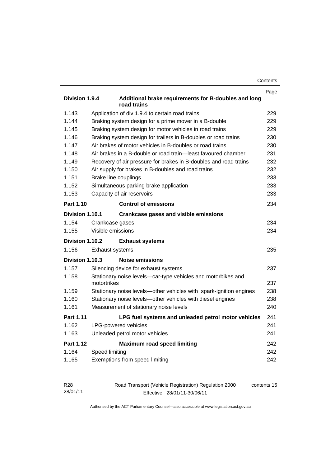| Contents |
|----------|
|----------|

|                  |                                                                             | Page       |
|------------------|-----------------------------------------------------------------------------|------------|
| Division 1.9.4   | Additional brake requirements for B-doubles and long<br>road trains         |            |
| 1.143            | Application of div 1.9.4 to certain road trains                             | 229        |
| 1.144            | Braking system design for a prime mover in a B-double                       | 229        |
| 1.145            | Braking system design for motor vehicles in road trains                     | 229        |
| 1.146            | Braking system design for trailers in B-doubles or road trains              | 230        |
| 1.147            | Air brakes of motor vehicles in B-doubles or road trains                    | 230        |
| 1.148            | Air brakes in a B-double or road train—least favoured chamber               | 231        |
| 1.149            | Recovery of air pressure for brakes in B-doubles and road trains            | 232        |
| 1.150            | Air supply for brakes in B-doubles and road trains                          | 232        |
| 1.151            | Brake line couplings                                                        | 233        |
| 1.152            | Simultaneous parking brake application                                      | 233        |
| 1.153            | Capacity of air reservoirs                                                  | 233        |
| Part 1.10        | <b>Control of emissions</b>                                                 | 234        |
| Division 1.10.1  | <b>Crankcase gases and visible emissions</b>                                |            |
| 1.154            | Crankcase gases                                                             | 234        |
| 1.155            | Visible emissions                                                           | 234        |
| Division 1.10.2  | <b>Exhaust systems</b>                                                      |            |
| 1.156            | <b>Exhaust systems</b>                                                      | 235        |
| Division 1.10.3  | Noise emissions                                                             |            |
| 1.157            | Silencing device for exhaust systems                                        | 237        |
| 1.158            | Stationary noise levels-car-type vehicles and motorbikes and<br>motortrikes |            |
| 1.159            | Stationary noise levels—other vehicles with spark-ignition engines          | 237<br>238 |
| 1.160            | Stationary noise levels-other vehicles with diesel engines                  |            |
| 1.161            | Measurement of stationary noise levels                                      | 238<br>240 |
| <b>Part 1.11</b> | LPG fuel systems and unleaded petrol motor vehicles                         | 241        |
| 1.162            | LPG-powered vehicles                                                        | 241        |
| 1.163            | Unleaded petrol motor vehicles                                              | 241        |
| <b>Part 1.12</b> | <b>Maximum road speed limiting</b>                                          | 242        |
| 1.164            | Speed limiting                                                              | 242        |
| 1.165            | Exemptions from speed limiting                                              | 242        |
|                  |                                                                             |            |

| R28      | Road Transport (Vehicle Registration) Regulation 2000 | contents 15 |
|----------|-------------------------------------------------------|-------------|
| 28/01/11 | Effective: 28/01/11-30/06/11                          |             |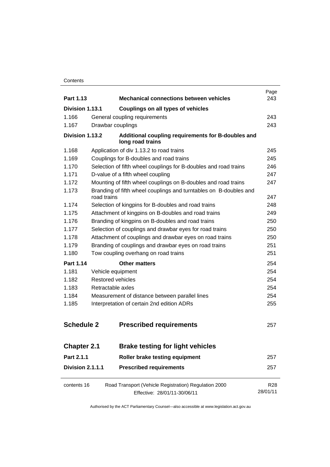#### **Contents**

| Part 1.13                                              |             | <b>Mechanical connections between vehicles</b>                                        | Page<br>243            |
|--------------------------------------------------------|-------------|---------------------------------------------------------------------------------------|------------------------|
|                                                        |             |                                                                                       |                        |
| Division 1.13.1<br>1.166<br>1.167<br>Drawbar couplings |             | Couplings on all types of vehicles                                                    |                        |
|                                                        |             | General coupling requirements                                                         | 243                    |
|                                                        |             |                                                                                       | 243                    |
| Division 1.13.2                                        |             | Additional coupling requirements for B-doubles and<br>long road trains                |                        |
| 1.168                                                  |             | Application of div 1.13.2 to road trains                                              | 245                    |
| 1.169                                                  |             | Couplings for B-doubles and road trains                                               | 245                    |
| 1.170                                                  |             | Selection of fifth wheel couplings for B-doubles and road trains                      | 246                    |
| 1.171                                                  |             | D-value of a fifth wheel coupling                                                     | 247                    |
| 1.172                                                  |             | Mounting of fifth wheel couplings on B-doubles and road trains                        | 247                    |
| 1.173                                                  | road trains | Branding of fifth wheel couplings and turntables on B-doubles and                     | 247                    |
| 1.174                                                  |             | Selection of kingpins for B-doubles and road trains                                   | 248                    |
| 1.175                                                  |             | Attachment of kingpins on B-doubles and road trains                                   | 249                    |
| 1.176                                                  |             | Branding of kingpins on B-doubles and road trains                                     | 250                    |
| 1.177                                                  |             | Selection of couplings and drawbar eyes for road trains                               | 250                    |
| 1.178                                                  |             | Attachment of couplings and drawbar eyes on road trains                               | 250                    |
| 1.179                                                  |             | Branding of couplings and drawbar eyes on road trains                                 | 251                    |
| 1.180                                                  |             | Tow coupling overhang on road trains                                                  | 251                    |
| Part 1.14                                              |             | <b>Other matters</b>                                                                  | 254                    |
| 1.181                                                  |             | Vehicle equipment                                                                     | 254                    |
| 1.182                                                  |             | <b>Restored vehicles</b>                                                              | 254                    |
| 1.183                                                  |             | Retractable axles                                                                     | 254                    |
| 1.184                                                  |             | Measurement of distance between parallel lines                                        | 254                    |
| 1.185                                                  |             | Interpretation of certain 2nd edition ADRs                                            | 255                    |
| <b>Schedule 2</b>                                      |             | <b>Prescribed requirements</b>                                                        | 257                    |
| <b>Chapter 2.1</b>                                     |             | <b>Brake testing for light vehicles</b>                                               |                        |
| Part 2.1.1                                             |             | Roller brake testing equipment                                                        | 257                    |
| Division 2.1.1.1                                       |             | <b>Prescribed requirements</b>                                                        | 257                    |
| contents 16                                            |             | Road Transport (Vehicle Registration) Regulation 2000<br>Effective: 28/01/11-30/06/11 | <b>R28</b><br>28/01/11 |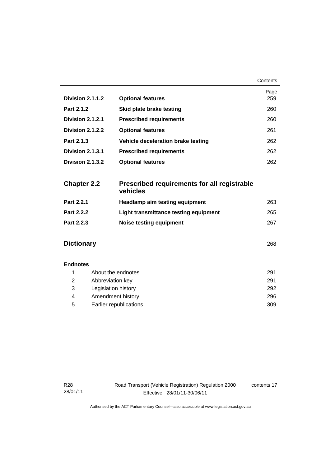|                    |                                                                | Contents |
|--------------------|----------------------------------------------------------------|----------|
|                    |                                                                | Page     |
| Division 2.1.1.2   | <b>Optional features</b>                                       | 259      |
| Part 2.1.2         | Skid plate brake testing                                       | 260      |
| Division 2.1.2.1   | <b>Prescribed requirements</b>                                 | 260      |
| Division 2.1.2.2   | <b>Optional features</b>                                       | 261      |
| Part 2.1.3         | Vehicle deceleration brake testing                             | 262      |
| Division 2.1.3.1   | <b>Prescribed requirements</b>                                 | 262      |
| Division 2.1.3.2   | <b>Optional features</b>                                       | 262      |
| <b>Chapter 2.2</b> | <b>Prescribed requirements for all registrable</b><br>vehicles |          |
| Part 2.2.1         | <b>Headlamp aim testing equipment</b>                          | 263      |
| Part 2.2.2         | Light transmittance testing equipment                          | 265      |
| Part 2.2.3         | <b>Noise testing equipment</b>                                 | 267      |
| <b>Dictionary</b>  |                                                                | 268      |
| <b>Endnotes</b>    |                                                                |          |
| 1                  | About the endnotes                                             |          |
| 2                  | Abbreviation key                                               | 291      |

 3 Legislation history 292 4 Amendment history 296 5 Earlier republications 309

contents 17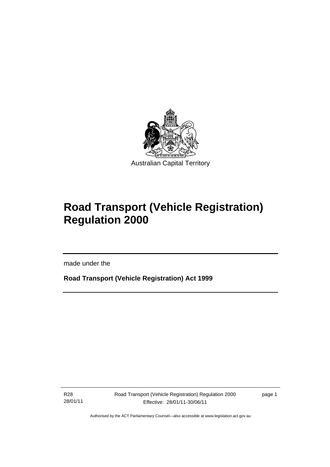

# **Road Transport (Vehicle Registration) Regulation 2000**

made under the

**Road Transport (Vehicle Registration) Act 1999** 

R28 28/01/11

l

page 1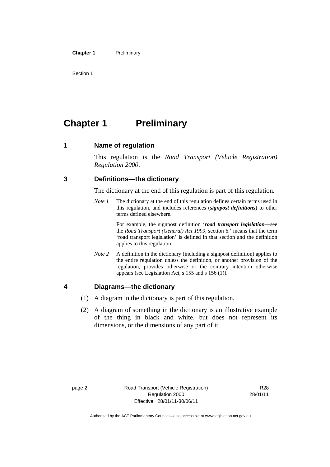#### **Chapter 1** Preliminary

Section 1

# **Chapter 1** Preliminary

#### **1 Name of regulation**

This regulation is the *Road Transport (Vehicle Registration) Regulation 2000*.

#### **3 Definitions—the dictionary**

The dictionary at the end of this regulation is part of this regulation.

*Note 1* The dictionary at the end of this regulation defines certain terms used in this regulation, and includes references (*signpost definitions*) to other terms defined elsewhere.

> For example, the signpost definition '*road transport legislation*—see the *Road Transport (General) Act 1999*, section 6.' means that the term 'road transport legislation' is defined in that section and the definition applies to this regulation.

*Note 2* A definition in the dictionary (including a signpost definition) applies to the entire regulation unless the definition, or another provision of the regulation, provides otherwise or the contrary intention otherwise appears (see Legislation Act, s 155 and s 156 (1)).

#### **4 Diagrams—the dictionary**

- (1) A diagram in the dictionary is part of this regulation.
- (2) A diagram of something in the dictionary is an illustrative example of the thing in black and white, but does not represent its dimensions, or the dimensions of any part of it.

R28 28/01/11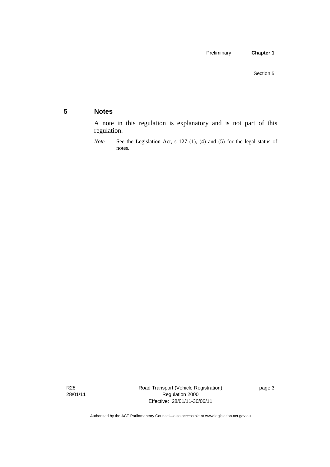### **5 Notes**

A note in this regulation is explanatory and is not part of this regulation.

R28 28/01/11 Road Transport (Vehicle Registration) Regulation 2000 Effective: 28/01/11-30/06/11

page 3

*Note* See the Legislation Act, s 127 (1), (4) and (5) for the legal status of notes.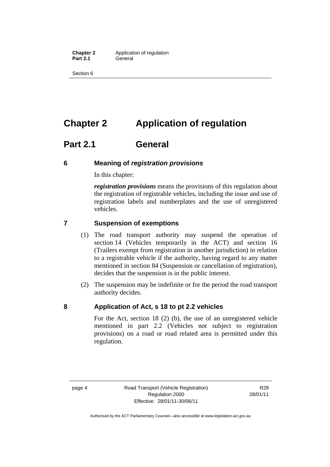**Chapter 2** Application of regulation Part 2.1 **General** 

Section 6

# **Chapter 2 Application of regulation**

# **Part 2.1 General**

#### **6 Meaning of** *registration provisions*

In this chapter:

*registration provisions* means the provisions of this regulation about the registration of registrable vehicles, including the issue and use of registration labels and numberplates and the use of unregistered vehicles.

### **7 Suspension of exemptions**

- (1) The road transport authority may suspend the operation of section 14 (Vehicles temporarily in the ACT) and section 16 (Trailers exempt from registration in another jurisdiction) in relation to a registrable vehicle if the authority, having regard to any matter mentioned in section 84 (Suspension or cancellation of registration), decides that the suspension is in the public interest.
- (2) The suspension may be indefinite or for the period the road transport authority decides.

### **8 Application of Act, s 18 to pt 2.2 vehicles**

For the Act, section 18 (2) (b), the use of an unregistered vehicle mentioned in part 2.2 (Vehicles not subject to registration provisions) on a road or road related area is permitted under this regulation.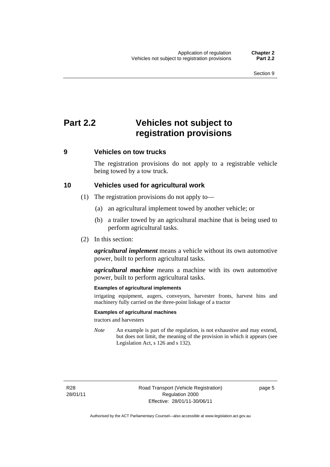# **Part 2.2 Vehicles not subject to registration provisions**

### **9 Vehicles on tow trucks**

The registration provisions do not apply to a registrable vehicle being towed by a tow truck.

#### **10 Vehicles used for agricultural work**

- (1) The registration provisions do not apply to—
	- (a) an agricultural implement towed by another vehicle; or
	- (b) a trailer towed by an agricultural machine that is being used to perform agricultural tasks.
- (2) In this section:

*agricultural implement* means a vehicle without its own automotive power, built to perform agricultural tasks.

*agricultural machine* means a machine with its own automotive power, built to perform agricultural tasks.

#### **Examples of agricultural implements**

irrigating equipment, augers, conveyors, harvester fronts, harvest bins and machinery fully carried on the three-point linkage of a tractor

#### **Examples of agricultural machines**

tractors and harvesters

*Note* An example is part of the regulation, is not exhaustive and may extend, but does not limit, the meaning of the provision in which it appears (see Legislation Act, s 126 and s 132).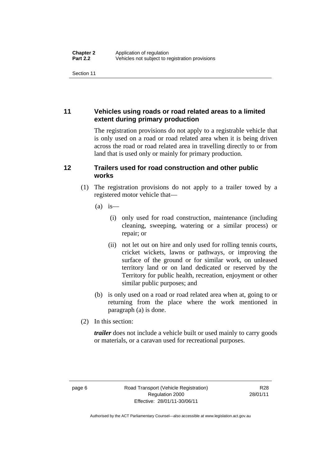Section 11

### **11 Vehicles using roads or road related areas to a limited extent during primary production**

The registration provisions do not apply to a registrable vehicle that is only used on a road or road related area when it is being driven across the road or road related area in travelling directly to or from land that is used only or mainly for primary production.

### **12 Trailers used for road construction and other public works**

- (1) The registration provisions do not apply to a trailer towed by a registered motor vehicle that—
	- $(a)$  is
		- (i) only used for road construction, maintenance (including cleaning, sweeping, watering or a similar process) or repair; or
		- (ii) not let out on hire and only used for rolling tennis courts, cricket wickets, lawns or pathways, or improving the surface of the ground or for similar work, on unleased territory land or on land dedicated or reserved by the Territory for public health, recreation, enjoyment or other similar public purposes; and
	- (b) is only used on a road or road related area when at, going to or returning from the place where the work mentioned in paragraph (a) is done.
- (2) In this section:

*trailer* does not include a vehicle built or used mainly to carry goods or materials, or a caravan used for recreational purposes.

R28 28/01/11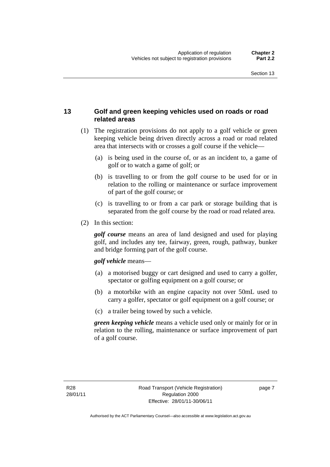### **13 Golf and green keeping vehicles used on roads or road related areas**

- (1) The registration provisions do not apply to a golf vehicle or green keeping vehicle being driven directly across a road or road related area that intersects with or crosses a golf course if the vehicle—
	- (a) is being used in the course of, or as an incident to, a game of golf or to watch a game of golf; or
	- (b) is travelling to or from the golf course to be used for or in relation to the rolling or maintenance or surface improvement of part of the golf course; or
	- (c) is travelling to or from a car park or storage building that is separated from the golf course by the road or road related area.
- (2) In this section:

*golf course* means an area of land designed and used for playing golf, and includes any tee, fairway, green, rough, pathway, bunker and bridge forming part of the golf course.

#### *golf vehicle* means—

- (a) a motorised buggy or cart designed and used to carry a golfer, spectator or golfing equipment on a golf course; or
- (b) a motorbike with an engine capacity not over 50mL used to carry a golfer, spectator or golf equipment on a golf course; or
- (c) a trailer being towed by such a vehicle.

*green keeping vehicle* means a vehicle used only or mainly for or in relation to the rolling, maintenance or surface improvement of part of a golf course.

page 7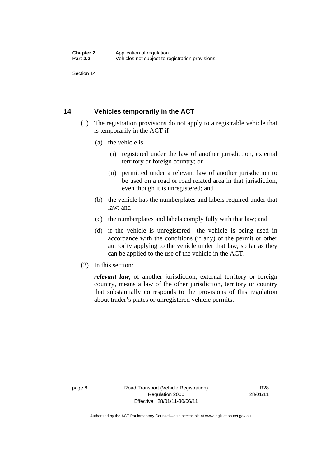Section 14

### **14 Vehicles temporarily in the ACT**

- (1) The registration provisions do not apply to a registrable vehicle that is temporarily in the ACT if—
	- (a) the vehicle is—
		- (i) registered under the law of another jurisdiction, external territory or foreign country; or
		- (ii) permitted under a relevant law of another jurisdiction to be used on a road or road related area in that jurisdiction, even though it is unregistered; and
	- (b) the vehicle has the numberplates and labels required under that law; and
	- (c) the numberplates and labels comply fully with that law; and
	- (d) if the vehicle is unregistered—the vehicle is being used in accordance with the conditions (if any) of the permit or other authority applying to the vehicle under that law, so far as they can be applied to the use of the vehicle in the ACT.
- (2) In this section:

*relevant law*, of another jurisdiction, external territory or foreign country, means a law of the other jurisdiction, territory or country that substantially corresponds to the provisions of this regulation about trader's plates or unregistered vehicle permits.

page 8 Road Transport (Vehicle Registration) Regulation 2000 Effective: 28/01/11-30/06/11

R28 28/01/11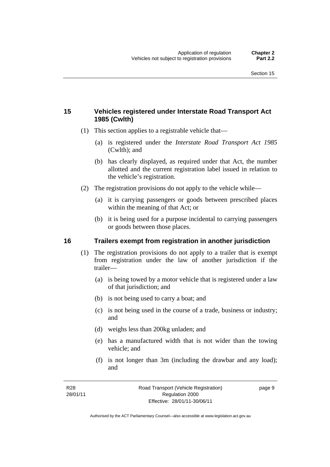### **15 Vehicles registered under Interstate Road Transport Act 1985 (Cwlth)**

- (1) This section applies to a registrable vehicle that—
	- (a) is registered under the *Interstate Road Transport Act 1985* (Cwlth); and
	- (b) has clearly displayed, as required under that Act, the number allotted and the current registration label issued in relation to the vehicle's registration.
- (2) The registration provisions do not apply to the vehicle while—
	- (a) it is carrying passengers or goods between prescribed places within the meaning of that Act; or
	- (b) it is being used for a purpose incidental to carrying passengers or goods between those places.

#### **16 Trailers exempt from registration in another jurisdiction**

- (1) The registration provisions do not apply to a trailer that is exempt from registration under the law of another jurisdiction if the trailer—
	- (a) is being towed by a motor vehicle that is registered under a law of that jurisdiction; and
	- (b) is not being used to carry a boat; and
	- (c) is not being used in the course of a trade, business or industry; and
	- (d) weighs less than 200kg unladen; and
	- (e) has a manufactured width that is not wider than the towing vehicle; and
	- (f) is not longer than 3m (including the drawbar and any load); and

page 9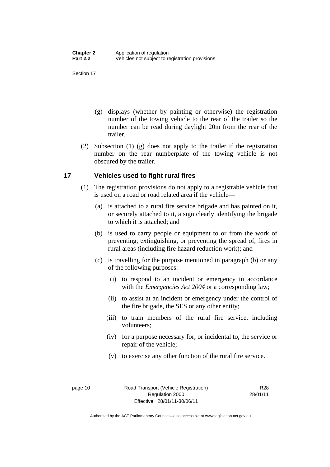Section 17

- (g) displays (whether by painting or otherwise) the registration number of the towing vehicle to the rear of the trailer so the number can be read during daylight 20m from the rear of the trailer.
- (2) Subsection (1) (g) does not apply to the trailer if the registration number on the rear numberplate of the towing vehicle is not obscured by the trailer.

### **17 Vehicles used to fight rural fires**

- (1) The registration provisions do not apply to a registrable vehicle that is used on a road or road related area if the vehicle—
	- (a) is attached to a rural fire service brigade and has painted on it, or securely attached to it, a sign clearly identifying the brigade to which it is attached; and
	- (b) is used to carry people or equipment to or from the work of preventing, extinguishing, or preventing the spread of, fires in rural areas (including fire hazard reduction work); and
	- (c) is travelling for the purpose mentioned in paragraph (b) or any of the following purposes:
		- (i) to respond to an incident or emergency in accordance with the *Emergencies Act 2004* or a corresponding law;
		- (ii) to assist at an incident or emergency under the control of the fire brigade, the SES or any other entity;
		- (iii) to train members of the rural fire service, including volunteers;
		- (iv) for a purpose necessary for, or incidental to, the service or repair of the vehicle;
		- (v) to exercise any other function of the rural fire service.

R28 28/01/11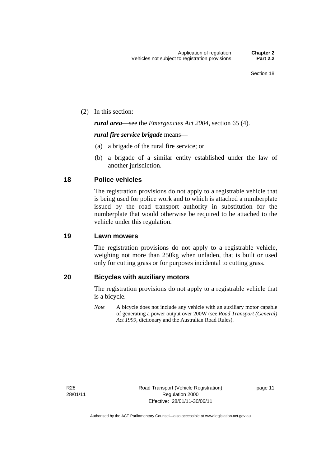(2) In this section:

*rural area*—see the *Emergencies Act 2004*, section 65 (4).

#### *rural fire service brigade* means—

- (a) a brigade of the rural fire service; or
- (b) a brigade of a similar entity established under the law of another jurisdiction.

### **18 Police vehicles**

The registration provisions do not apply to a registrable vehicle that is being used for police work and to which is attached a numberplate issued by the road transport authority in substitution for the numberplate that would otherwise be required to be attached to the vehicle under this regulation.

#### **19 Lawn mowers**

The registration provisions do not apply to a registrable vehicle, weighing not more than 250kg when unladen, that is built or used only for cutting grass or for purposes incidental to cutting grass.

#### **20 Bicycles with auxiliary motors**

The registration provisions do not apply to a registrable vehicle that is a bicycle.

*Note* A bicycle does not include any vehicle with an auxiliary motor capable of generating a power output over 200W (see *Road Transport (General) Act 1999*, dictionary and the Australian Road Rules).

R28 28/01/11 page 11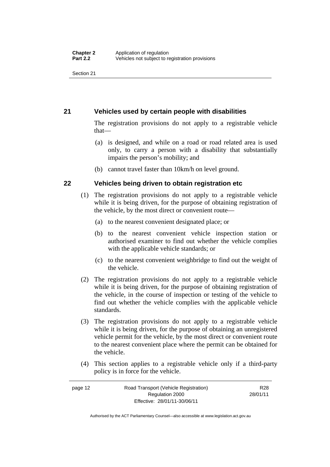Section 21

### **21 Vehicles used by certain people with disabilities**

The registration provisions do not apply to a registrable vehicle that—

- (a) is designed, and while on a road or road related area is used only, to carry a person with a disability that substantially impairs the person's mobility; and
- (b) cannot travel faster than 10km/h on level ground.

### **22 Vehicles being driven to obtain registration etc**

- (1) The registration provisions do not apply to a registrable vehicle while it is being driven, for the purpose of obtaining registration of the vehicle, by the most direct or convenient route—
	- (a) to the nearest convenient designated place; or
	- (b) to the nearest convenient vehicle inspection station or authorised examiner to find out whether the vehicle complies with the applicable vehicle standards; or
	- (c) to the nearest convenient weighbridge to find out the weight of the vehicle.
- (2) The registration provisions do not apply to a registrable vehicle while it is being driven, for the purpose of obtaining registration of the vehicle, in the course of inspection or testing of the vehicle to find out whether the vehicle complies with the applicable vehicle standards.
- (3) The registration provisions do not apply to a registrable vehicle while it is being driven, for the purpose of obtaining an unregistered vehicle permit for the vehicle, by the most direct or convenient route to the nearest convenient place where the permit can be obtained for the vehicle.
- (4) This section applies to a registrable vehicle only if a third-party policy is in force for the vehicle.

page 12 Road Transport (Vehicle Registration) Regulation 2000 Effective: 28/01/11-30/06/11 R28 28/01/11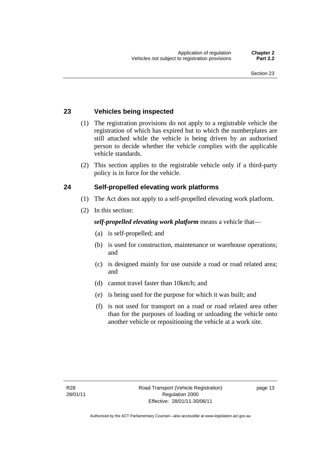### **23 Vehicles being inspected**

- (1) The registration provisions do not apply to a registrable vehicle the registration of which has expired but to which the numberplates are still attached while the vehicle is being driven by an authorised person to decide whether the vehicle complies with the applicable vehicle standards.
- (2) This section applies to the registrable vehicle only if a third-party policy is in force for the vehicle.

### **24 Self-propelled elevating work platforms**

- (1) The Act does not apply to a self-propelled elevating work platform.
- (2) In this section:

### *self-propelled elevating work platform* means a vehicle that—

- (a) is self-propelled; and
- (b) is used for construction, maintenance or warehouse operations; and
- (c) is designed mainly for use outside a road or road related area; and
- (d) cannot travel faster than 10km/h; and
- (e) is being used for the purpose for which it was built; and
- (f) is not used for transport on a road or road related area other than for the purposes of loading or unloading the vehicle onto another vehicle or repositioning the vehicle at a work site.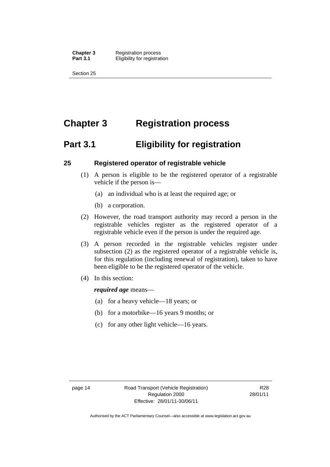**Chapter 3** Registration process **Part 3.1 Eligibility for registration** 

Section 25

# **Chapter 3 Registration process**

# **Part 3.1 Eligibility for registration**

### **25 Registered operator of registrable vehicle**

- (1) A person is eligible to be the registered operator of a registrable vehicle if the person is—
	- (a) an individual who is at least the required age; or
	- (b) a corporation.
- (2) However, the road transport authority may record a person in the registrable vehicles register as the registered operator of a registrable vehicle even if the person is under the required age.
- (3) A person recorded in the registrable vehicles register under subsection (2) as the registered operator of a registrable vehicle is, for this regulation (including renewal of registration), taken to have been eligible to be the registered operator of the vehicle.
- (4) In this section:

#### *required age* means—

- (a) for a heavy vehicle—18 years; or
- (b) for a motorbike—16 years 9 months; or
- (c) for any other light vehicle—16 years.

page 14 Road Transport (Vehicle Registration) Regulation 2000 Effective: 28/01/11-30/06/11

R28 28/01/11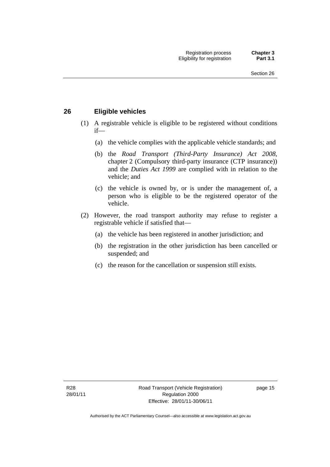### **26 Eligible vehicles**

- (1) A registrable vehicle is eligible to be registered without conditions if—
	- (a) the vehicle complies with the applicable vehicle standards; and
	- (b) the *Road Transport (Third-Party Insurance) Act 2008*, chapter 2 (Compulsory third-party insurance (CTP insurance)) and the *Duties Act 1999* are complied with in relation to the vehicle; and
	- (c) the vehicle is owned by, or is under the management of, a person who is eligible to be the registered operator of the vehicle.
- (2) However, the road transport authority may refuse to register a registrable vehicle if satisfied that—
	- (a) the vehicle has been registered in another jurisdiction; and
	- (b) the registration in the other jurisdiction has been cancelled or suspended; and
	- (c) the reason for the cancellation or suspension still exists.

page 15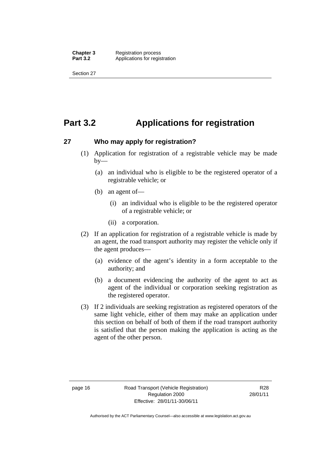# **Part 3.2 Applications for registration**

#### **27 Who may apply for registration?**

- (1) Application for registration of a registrable vehicle may be made  $by-$ 
	- (a) an individual who is eligible to be the registered operator of a registrable vehicle; or
	- (b) an agent of—
		- (i) an individual who is eligible to be the registered operator of a registrable vehicle; or
		- (ii) a corporation.
- (2) If an application for registration of a registrable vehicle is made by an agent, the road transport authority may register the vehicle only if the agent produces—
	- (a) evidence of the agent's identity in a form acceptable to the authority; and
	- (b) a document evidencing the authority of the agent to act as agent of the individual or corporation seeking registration as the registered operator.
- (3) If 2 individuals are seeking registration as registered operators of the same light vehicle, either of them may make an application under this section on behalf of both of them if the road transport authority is satisfied that the person making the application is acting as the agent of the other person.

R28 28/01/11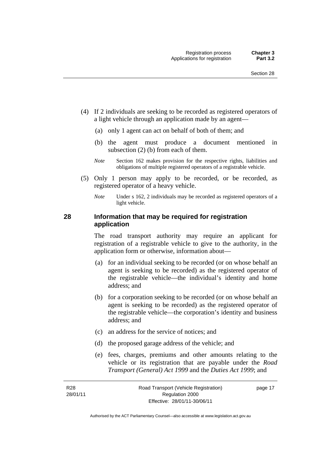- (4) If 2 individuals are seeking to be recorded as registered operators of a light vehicle through an application made by an agent—
	- (a) only 1 agent can act on behalf of both of them; and
	- (b) the agent must produce a document mentioned in subsection (2) (b) from each of them.
	- *Note* Section 162 makes provision for the respective rights, liabilities and obligations of multiple registered operators of a registrable vehicle.
- (5) Only 1 person may apply to be recorded, or be recorded, as registered operator of a heavy vehicle.
	- *Note* Under s 162, 2 individuals may be recorded as registered operators of a light vehicle.

## **28 Information that may be required for registration application**

The road transport authority may require an applicant for registration of a registrable vehicle to give to the authority, in the application form or otherwise, information about—

- (a) for an individual seeking to be recorded (or on whose behalf an agent is seeking to be recorded) as the registered operator of the registrable vehicle—the individual's identity and home address; and
- (b) for a corporation seeking to be recorded (or on whose behalf an agent is seeking to be recorded) as the registered operator of the registrable vehicle—the corporation's identity and business address; and
- (c) an address for the service of notices; and
- (d) the proposed garage address of the vehicle; and
- (e) fees, charges, premiums and other amounts relating to the vehicle or its registration that are payable under the *Road Transport (General) Act 1999* and the *Duties Act 1999*; and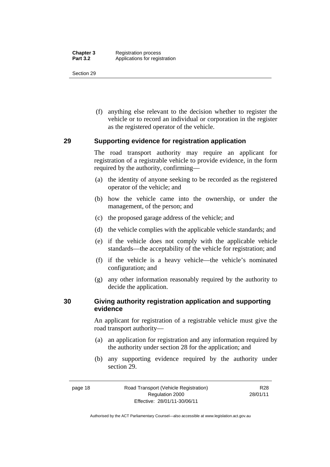(f) anything else relevant to the decision whether to register the vehicle or to record an individual or corporation in the register as the registered operator of the vehicle.

## **29 Supporting evidence for registration application**

The road transport authority may require an applicant for registration of a registrable vehicle to provide evidence, in the form required by the authority, confirming—

- (a) the identity of anyone seeking to be recorded as the registered operator of the vehicle; and
- (b) how the vehicle came into the ownership, or under the management, of the person; and
- (c) the proposed garage address of the vehicle; and
- (d) the vehicle complies with the applicable vehicle standards; and
- (e) if the vehicle does not comply with the applicable vehicle standards—the acceptability of the vehicle for registration; and
- (f) if the vehicle is a heavy vehicle—the vehicle's nominated configuration; and
- (g) any other information reasonably required by the authority to decide the application.

## **30 Giving authority registration application and supporting evidence**

An applicant for registration of a registrable vehicle must give the road transport authority—

- (a) an application for registration and any information required by the authority under section 28 for the application; and
- (b) any supporting evidence required by the authority under section 29.

page 18 Road Transport (Vehicle Registration) Regulation 2000 Effective: 28/01/11-30/06/11 R28 28/01/11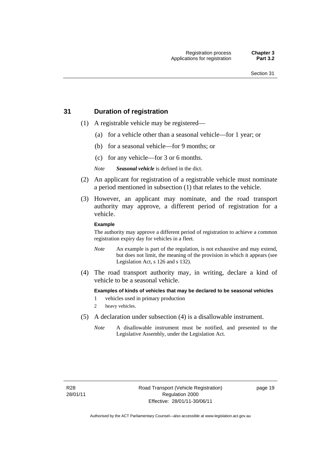## **31 Duration of registration**

- (1) A registrable vehicle may be registered—
	- (a) for a vehicle other than a seasonal vehicle—for 1 year; or
	- (b) for a seasonal vehicle—for 9 months; or
	- (c) for any vehicle—for 3 or 6 months.

*Note Seasonal vehicle* is defined in the dict.

- (2) An applicant for registration of a registrable vehicle must nominate a period mentioned in subsection (1) that relates to the vehicle.
- (3) However, an applicant may nominate, and the road transport authority may approve, a different period of registration for a vehicle.

#### **Example**

The authority may approve a different period of registration to achieve a common registration expiry day for vehicles in a fleet.

- *Note* An example is part of the regulation, is not exhaustive and may extend, but does not limit, the meaning of the provision in which it appears (see Legislation Act, s 126 and s 132).
- (4) The road transport authority may, in writing, declare a kind of vehicle to be a seasonal vehicle.

**Examples of kinds of vehicles that may be declared to be seasonal vehicles** 

- 1 vehicles used in primary production
- 2 heavy vehicles.
- (5) A declaration under subsection (4) is a disallowable instrument.
	- *Note* A disallowable instrument must be notified, and presented to the Legislative Assembly, under the Legislation Act.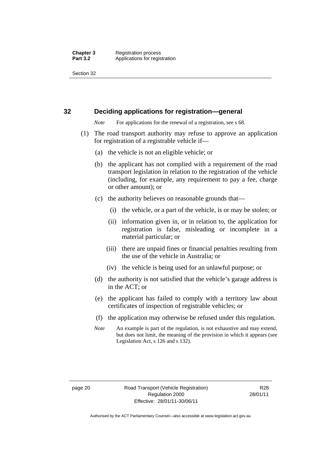#### **32 Deciding applications for registration—general**

*Note* For applications for the renewal of a registration, see s 68.

- (1) The road transport authority may refuse to approve an application for registration of a registrable vehicle if—
	- (a) the vehicle is not an eligible vehicle; or
	- (b) the applicant has not complied with a requirement of the road transport legislation in relation to the registration of the vehicle (including, for example, any requirement to pay a fee, charge or other amount); or
	- (c) the authority believes on reasonable grounds that—
		- (i) the vehicle, or a part of the vehicle, is or may be stolen; or
		- (ii) information given in, or in relation to, the application for registration is false, misleading or incomplete in a material particular; or
		- (iii) there are unpaid fines or financial penalties resulting from the use of the vehicle in Australia; or
		- (iv) the vehicle is being used for an unlawful purpose; or
	- (d) the authority is not satisfied that the vehicle's garage address is in the ACT; or
	- (e) the applicant has failed to comply with a territory law about certificates of inspection of registrable vehicles; or
	- (f) the application may otherwise be refused under this regulation.
	- *Note* An example is part of the regulation, is not exhaustive and may extend, but does not limit, the meaning of the provision in which it appears (see Legislation Act, s 126 and s 132).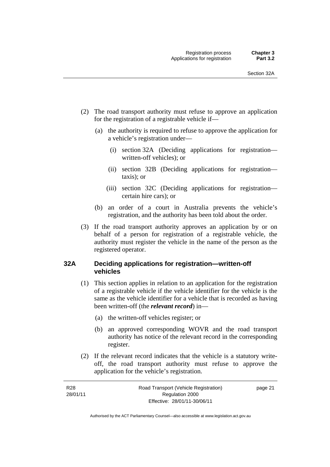- (2) The road transport authority must refuse to approve an application for the registration of a registrable vehicle if—
	- (a) the authority is required to refuse to approve the application for a vehicle's registration under—
		- (i) section 32A (Deciding applications for registration written-off vehicles); or
		- (ii) section 32B (Deciding applications for registration taxis); or
		- (iii) section 32C (Deciding applications for registration certain hire cars); or
	- (b) an order of a court in Australia prevents the vehicle's registration, and the authority has been told about the order.
- (3) If the road transport authority approves an application by or on behalf of a person for registration of a registrable vehicle, the authority must register the vehicle in the name of the person as the registered operator.

## **32A Deciding applications for registration—written-off vehicles**

- (1) This section applies in relation to an application for the registration of a registrable vehicle if the vehicle identifier for the vehicle is the same as the vehicle identifier for a vehicle that is recorded as having been written-off (the *relevant record*) in—
	- (a) the written-off vehicles register; or
	- (b) an approved corresponding WOVR and the road transport authority has notice of the relevant record in the corresponding register.
- (2) If the relevant record indicates that the vehicle is a statutory writeoff, the road transport authority must refuse to approve the application for the vehicle's registration.

| R <sub>28</sub> | Road Transport (Vehicle Registration) | page 21 |
|-----------------|---------------------------------------|---------|
| 28/01/11        | Regulation 2000                       |         |
|                 | Effective: 28/01/11-30/06/11          |         |

Authorised by the ACT Parliamentary Counsel—also accessible at www.legislation.act.gov.au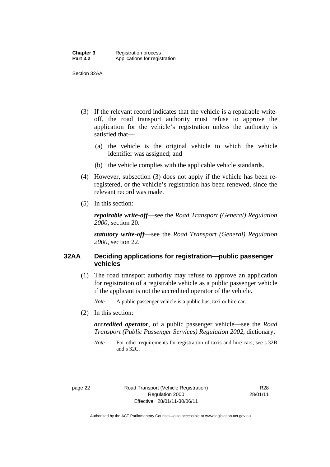Section 32AA

- (3) If the relevant record indicates that the vehicle is a repairable writeoff, the road transport authority must refuse to approve the application for the vehicle's registration unless the authority is satisfied that—
	- (a) the vehicle is the original vehicle to which the vehicle identifier was assigned; and
	- (b) the vehicle complies with the applicable vehicle standards.
- (4) However, subsection (3) does not apply if the vehicle has been reregistered, or the vehicle's registration has been renewed, since the relevant record was made.
- (5) In this section:

*repairable write-off*—see the *Road Transport (General) Regulation 2000*, section 20.

*statutory write-off*—see the *Road Transport (General) Regulation 2000*, section 22.

## **32AA Deciding applications for registration—public passenger vehicles**

(1) The road transport authority may refuse to approve an application for registration of a registrable vehicle as a public passenger vehicle if the applicant is not the accredited operator of the vehicle.

*Note* A public passenger vehicle is a public bus, taxi or hire car.

(2) In this section:

*accredited operator*, of a public passenger vehicle—see the *Road Transport (Public Passenger Services) Regulation 2002*, dictionary.

*Note* For other requirements for registration of taxis and hire cars, see s 32B and s 32C.

page 22 Road Transport (Vehicle Registration) Regulation 2000 Effective: 28/01/11-30/06/11

R28 28/01/11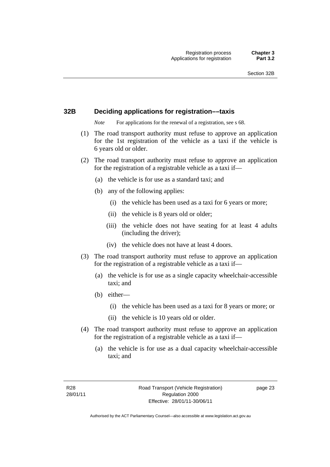## **32B Deciding applications for registration––taxis**

*Note* For applications for the renewal of a registration, see s 68.

- (1) The road transport authority must refuse to approve an application for the 1st registration of the vehicle as a taxi if the vehicle is 6 years old or older.
- (2) The road transport authority must refuse to approve an application for the registration of a registrable vehicle as a taxi if––
	- (a) the vehicle is for use as a standard taxi; and
	- (b) any of the following applies:
		- (i) the vehicle has been used as a taxi for 6 years or more;
		- (ii) the vehicle is 8 years old or older;
		- (iii) the vehicle does not have seating for at least 4 adults (including the driver);
		- (iv) the vehicle does not have at least 4 doors.
- (3) The road transport authority must refuse to approve an application for the registration of a registrable vehicle as a taxi if––
	- (a) the vehicle is for use as a single capacity wheelchair-accessible taxi; and
	- (b) either—
		- (i) the vehicle has been used as a taxi for 8 years or more; or
		- (ii) the vehicle is 10 years old or older.
- (4) The road transport authority must refuse to approve an application for the registration of a registrable vehicle as a taxi if—
	- (a) the vehicle is for use as a dual capacity wheelchair-accessible taxi; and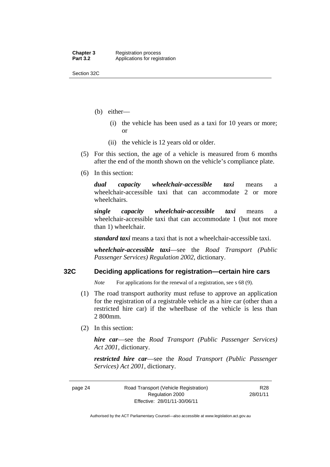Section 32C

- (b) either—
	- (i) the vehicle has been used as a taxi for 10 years or more; or
	- (ii) the vehicle is 12 years old or older.
- (5) For this section, the age of a vehicle is measured from 6 months after the end of the month shown on the vehicle's compliance plate.
- (6) In this section:

*dual capacity wheelchair-accessible taxi* means a wheelchair-accessible taxi that can accommodate 2 or more wheelchairs.

*single capacity wheelchair-accessible taxi* means a wheelchair-accessible taxi that can accommodate 1 (but not more than 1) wheelchair.

*standard taxi* means a taxi that is not a wheelchair-accessible taxi.

*wheelchair-accessible taxi*––see the *Road Transport (Public Passenger Services) Regulation 2002*, dictionary.

## **32C Deciding applications for registration—certain hire cars**

*Note* For applications for the renewal of a registration, see s 68 (9).

- (1) The road transport authority must refuse to approve an application for the registration of a registrable vehicle as a hire car (other than a restricted hire car) if the wheelbase of the vehicle is less than 2 800mm.
- (2) In this section:

*hire car*—see the *Road Transport (Public Passenger Services) Act 2001*, dictionary.

*restricted hire car*—see the *Road Transport (Public Passenger Services) Act 2001*, dictionary.

R28 28/01/11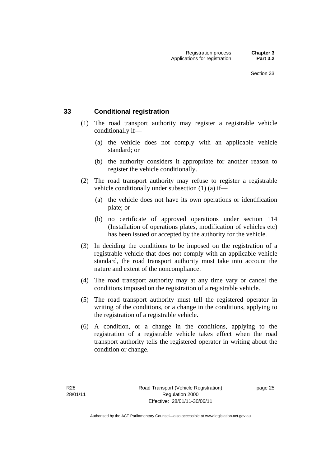## **33 Conditional registration**

- (1) The road transport authority may register a registrable vehicle conditionally if—
	- (a) the vehicle does not comply with an applicable vehicle standard; or
	- (b) the authority considers it appropriate for another reason to register the vehicle conditionally.
- (2) The road transport authority may refuse to register a registrable vehicle conditionally under subsection (1) (a) if—
	- (a) the vehicle does not have its own operations or identification plate; or
	- (b) no certificate of approved operations under section 114 (Installation of operations plates, modification of vehicles etc) has been issued or accepted by the authority for the vehicle.
- (3) In deciding the conditions to be imposed on the registration of a registrable vehicle that does not comply with an applicable vehicle standard, the road transport authority must take into account the nature and extent of the noncompliance.
- (4) The road transport authority may at any time vary or cancel the conditions imposed on the registration of a registrable vehicle.
- (5) The road transport authority must tell the registered operator in writing of the conditions, or a change in the conditions, applying to the registration of a registrable vehicle.
- (6) A condition, or a change in the conditions, applying to the registration of a registrable vehicle takes effect when the road transport authority tells the registered operator in writing about the condition or change.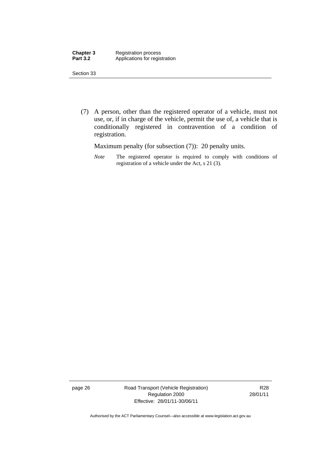| <b>Chapter 3</b> | <b>Registration process</b>   |
|------------------|-------------------------------|
| <b>Part 3.2</b>  | Applications for registration |

 (7) A person, other than the registered operator of a vehicle, must not use, or, if in charge of the vehicle, permit the use of, a vehicle that is conditionally registered in contravention of a condition of registration.

Maximum penalty (for subsection  $(7)$ ): 20 penalty units.

*Note* The registered operator is required to comply with conditions of registration of a vehicle under the Act, s 21 (3).

page 26 Road Transport (Vehicle Registration) Regulation 2000 Effective: 28/01/11-30/06/11

R28 28/01/11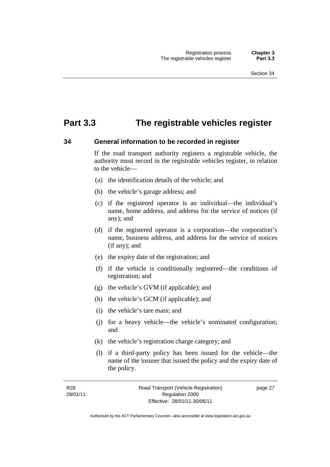# **Part 3.3 The registrable vehicles register**

#### **34 General information to be recorded in register**

If the road transport authority registers a registrable vehicle, the authority must record in the registrable vehicles register, in relation to the vehicle—

- (a) the identification details of the vehicle; and
- (b) the vehicle's garage address; and
- (c) if the registered operator is an individual—the individual's name, home address, and address for the service of notices (if any); and
- (d) if the registered operator is a corporation—the corporation's name, business address, and address for the service of notices (if any); and
- (e) the expiry date of the registration; and
- (f) if the vehicle is conditionally registered—the conditions of registration; and
- (g) the vehicle's GVM (if applicable); and
- (h) the vehicle's GCM (if applicable); and
- (i) the vehicle's tare mass; and
- (j) for a heavy vehicle—the vehicle's nominated configuration; and
- (k) the vehicle's registration charge category; and
- (l) if a third-party policy has been issued for the vehicle—the name of the insurer that issued the policy and the expiry date of the policy.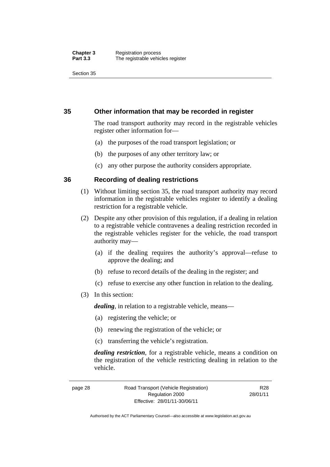## **35 Other information that may be recorded in register**

The road transport authority may record in the registrable vehicles register other information for—

- (a) the purposes of the road transport legislation; or
- (b) the purposes of any other territory law; or
- (c) any other purpose the authority considers appropriate.

## **36 Recording of dealing restrictions**

- (1) Without limiting section 35, the road transport authority may record information in the registrable vehicles register to identify a dealing restriction for a registrable vehicle.
- (2) Despite any other provision of this regulation, if a dealing in relation to a registrable vehicle contravenes a dealing restriction recorded in the registrable vehicles register for the vehicle, the road transport authority may—
	- (a) if the dealing requires the authority's approval—refuse to approve the dealing; and
	- (b) refuse to record details of the dealing in the register; and
	- (c) refuse to exercise any other function in relation to the dealing.
- (3) In this section:

*dealing*, in relation to a registrable vehicle, means—

- (a) registering the vehicle; or
- (b) renewing the registration of the vehicle; or
- (c) transferring the vehicle's registration.

*dealing restriction*, for a registrable vehicle, means a condition on the registration of the vehicle restricting dealing in relation to the vehicle.

page 28 Road Transport (Vehicle Registration) Regulation 2000 Effective: 28/01/11-30/06/11

R28 28/01/11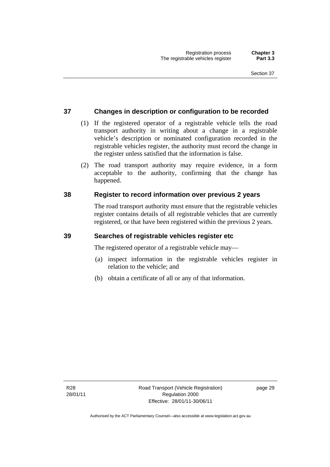## **37 Changes in description or configuration to be recorded**

- (1) If the registered operator of a registrable vehicle tells the road transport authority in writing about a change in a registrable vehicle's description or nominated configuration recorded in the registrable vehicles register, the authority must record the change in the register unless satisfied that the information is false.
- (2) The road transport authority may require evidence, in a form acceptable to the authority, confirming that the change has happened.

## **38 Register to record information over previous 2 years**

The road transport authority must ensure that the registrable vehicles register contains details of all registrable vehicles that are currently registered, or that have been registered within the previous 2 years.

#### **39 Searches of registrable vehicles register etc**

The registered operator of a registrable vehicle may—

- (a) inspect information in the registrable vehicles register in relation to the vehicle; and
- (b) obtain a certificate of all or any of that information.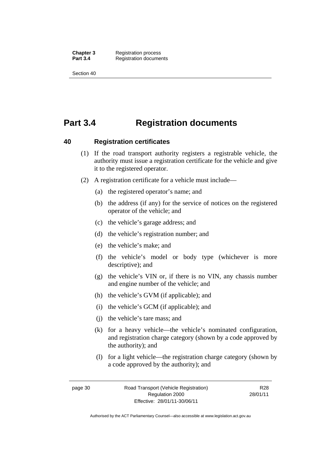**Chapter 3** Registration process<br>**Part 3.4** Registration docume **Registration documents** 

Section 40

# **Part 3.4 Registration documents**

#### **40 Registration certificates**

- (1) If the road transport authority registers a registrable vehicle, the authority must issue a registration certificate for the vehicle and give it to the registered operator.
- (2) A registration certificate for a vehicle must include—
	- (a) the registered operator's name; and
	- (b) the address (if any) for the service of notices on the registered operator of the vehicle; and
	- (c) the vehicle's garage address; and
	- (d) the vehicle's registration number; and
	- (e) the vehicle's make; and
	- (f) the vehicle's model or body type (whichever is more descriptive); and
	- (g) the vehicle's VIN or, if there is no VIN, any chassis number and engine number of the vehicle; and
	- (h) the vehicle's GVM (if applicable); and
	- (i) the vehicle's GCM (if applicable); and
	- (j) the vehicle's tare mass; and
	- (k) for a heavy vehicle—the vehicle's nominated configuration, and registration charge category (shown by a code approved by the authority); and
	- (l) for a light vehicle—the registration charge category (shown by a code approved by the authority); and

page 30 Road Transport (Vehicle Registration) Regulation 2000 Effective: 28/01/11-30/06/11

R28 28/01/11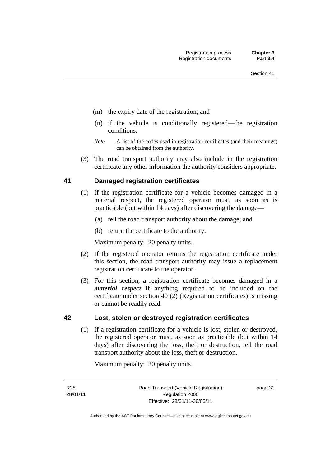- (m) the expiry date of the registration; and
- (n) if the vehicle is conditionally registered—the registration conditions.
- *Note* A list of the codes used in registration certificates (and their meanings) can be obtained from the authority.
- (3) The road transport authority may also include in the registration certificate any other information the authority considers appropriate.

## **41 Damaged registration certificates**

- (1) If the registration certificate for a vehicle becomes damaged in a material respect, the registered operator must, as soon as is practicable (but within 14 days) after discovering the damage—
	- (a) tell the road transport authority about the damage; and
	- (b) return the certificate to the authority.

Maximum penalty: 20 penalty units.

- (2) If the registered operator returns the registration certificate under this section, the road transport authority may issue a replacement registration certificate to the operator.
- (3) For this section, a registration certificate becomes damaged in a *material respect* if anything required to be included on the certificate under section 40 (2) (Registration certificates) is missing or cannot be readily read.

## **42 Lost, stolen or destroyed registration certificates**

(1) If a registration certificate for a vehicle is lost, stolen or destroyed, the registered operator must, as soon as practicable (but within 14 days) after discovering the loss, theft or destruction, tell the road transport authority about the loss, theft or destruction.

Maximum penalty: 20 penalty units.

R28 28/01/11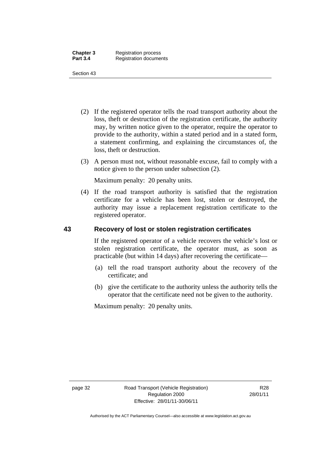- (2) If the registered operator tells the road transport authority about the loss, theft or destruction of the registration certificate, the authority may, by written notice given to the operator, require the operator to provide to the authority, within a stated period and in a stated form, a statement confirming, and explaining the circumstances of, the loss, theft or destruction.
- (3) A person must not, without reasonable excuse, fail to comply with a notice given to the person under subsection (2).

Maximum penalty: 20 penalty units.

 (4) If the road transport authority is satisfied that the registration certificate for a vehicle has been lost, stolen or destroyed, the authority may issue a replacement registration certificate to the registered operator.

## **43 Recovery of lost or stolen registration certificates**

If the registered operator of a vehicle recovers the vehicle's lost or stolen registration certificate, the operator must, as soon as practicable (but within 14 days) after recovering the certificate—

- (a) tell the road transport authority about the recovery of the certificate; and
- (b) give the certificate to the authority unless the authority tells the operator that the certificate need not be given to the authority.

Maximum penalty: 20 penalty units.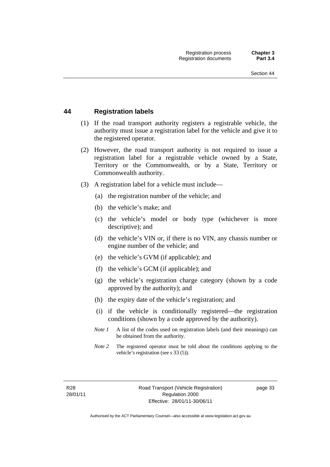## **44 Registration labels**

- (1) If the road transport authority registers a registrable vehicle, the authority must issue a registration label for the vehicle and give it to the registered operator.
- (2) However, the road transport authority is not required to issue a registration label for a registrable vehicle owned by a State, Territory or the Commonwealth, or by a State, Territory or Commonwealth authority.
- (3) A registration label for a vehicle must include—
	- (a) the registration number of the vehicle; and
	- (b) the vehicle's make; and
	- (c) the vehicle's model or body type (whichever is more descriptive); and
	- (d) the vehicle's VIN or, if there is no VIN, any chassis number or engine number of the vehicle; and
	- (e) the vehicle's GVM (if applicable); and
	- (f) the vehicle's GCM (if applicable); and
	- (g) the vehicle's registration charge category (shown by a code approved by the authority); and
	- (h) the expiry date of the vehicle's registration; and
	- (i) if the vehicle is conditionally registered—the registration conditions (shown by a code approved by the authority).
	- *Note 1* A list of the codes used on registration labels (and their meanings) can be obtained from the authority.
	- *Note* 2 The registered operator must be told about the conditions applying to the vehicle's registration (see s 33 (5)).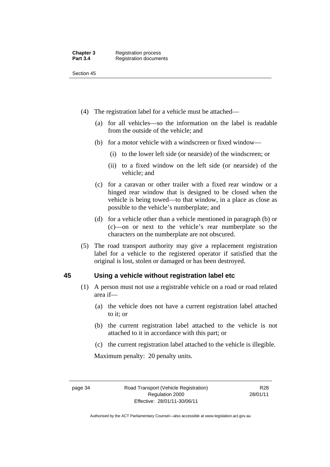- (4) The registration label for a vehicle must be attached—
	- (a) for all vehicles—so the information on the label is readable from the outside of the vehicle; and
	- (b) for a motor vehicle with a windscreen or fixed window—
		- (i) to the lower left side (or nearside) of the windscreen; or
		- (ii) to a fixed window on the left side (or nearside) of the vehicle; and
	- (c) for a caravan or other trailer with a fixed rear window or a hinged rear window that is designed to be closed when the vehicle is being towed—to that window, in a place as close as possible to the vehicle's numberplate; and
	- (d) for a vehicle other than a vehicle mentioned in paragraph (b) or (c)—on or next to the vehicle's rear numberplate so the characters on the numberplate are not obscured.
- (5) The road transport authority may give a replacement registration label for a vehicle to the registered operator if satisfied that the original is lost, stolen or damaged or has been destroyed.

#### **45 Using a vehicle without registration label etc**

- (1) A person must not use a registrable vehicle on a road or road related area if—
	- (a) the vehicle does not have a current registration label attached to it; or
	- (b) the current registration label attached to the vehicle is not attached to it in accordance with this part; or
	- (c) the current registration label attached to the vehicle is illegible.

Maximum penalty: 20 penalty units.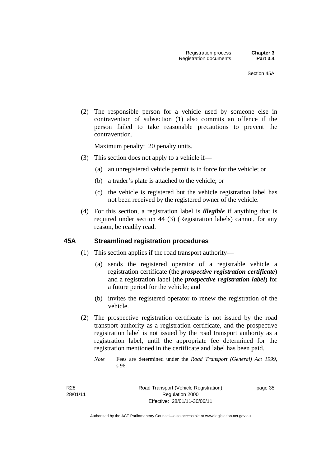(2) The responsible person for a vehicle used by someone else in contravention of subsection (1) also commits an offence if the person failed to take reasonable precautions to prevent the contravention.

Maximum penalty: 20 penalty units.

- (3) This section does not apply to a vehicle if—
	- (a) an unregistered vehicle permit is in force for the vehicle; or
	- (b) a trader's plate is attached to the vehicle; or
	- (c) the vehicle is registered but the vehicle registration label has not been received by the registered owner of the vehicle.
- (4) For this section, a registration label is *illegible* if anything that is required under section 44 (3) (Registration labels) cannot, for any reason, be readily read.

#### **45A Streamlined registration procedures**

- (1) This section applies if the road transport authority—
	- (a) sends the registered operator of a registrable vehicle a registration certificate (the *prospective registration certificate*) and a registration label (the *prospective registration label*) for a future period for the vehicle; and
	- (b) invites the registered operator to renew the registration of the vehicle.
- (2) The prospective registration certificate is not issued by the road transport authority as a registration certificate, and the prospective registration label is not issued by the road transport authority as a registration label, until the appropriate fee determined for the registration mentioned in the certificate and label has been paid.
	- *Note* Fees are determined under the *Road Transport (General) Act 1999*, s 96.

R28 28/01/11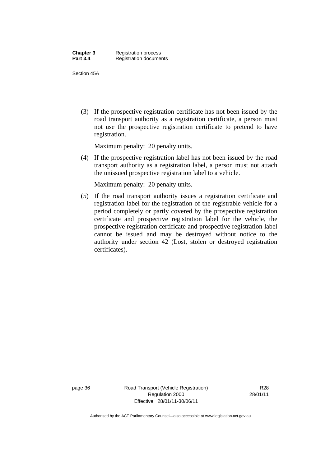Section 45A

 (3) If the prospective registration certificate has not been issued by the road transport authority as a registration certificate, a person must not use the prospective registration certificate to pretend to have registration.

Maximum penalty: 20 penalty units.

 (4) If the prospective registration label has not been issued by the road transport authority as a registration label, a person must not attach the unissued prospective registration label to a vehicle.

Maximum penalty: 20 penalty units.

 (5) If the road transport authority issues a registration certificate and registration label for the registration of the registrable vehicle for a period completely or partly covered by the prospective registration certificate and prospective registration label for the vehicle, the prospective registration certificate and prospective registration label cannot be issued and may be destroyed without notice to the authority under section 42 (Lost, stolen or destroyed registration certificates).

page 36 Road Transport (Vehicle Registration) Regulation 2000 Effective: 28/01/11-30/06/11

R28 28/01/11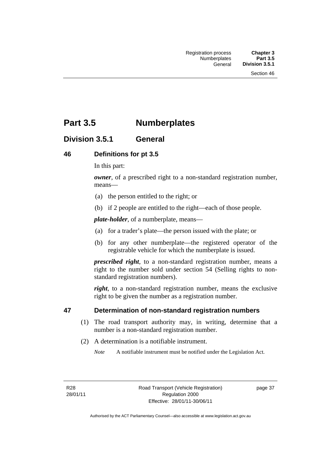# **Part 3.5 Numberplates**

## **Division 3.5.1 General**

#### **46 Definitions for pt 3.5**

In this part:

*owner*, of a prescribed right to a non-standard registration number, means—

- (a) the person entitled to the right; or
- (b) if 2 people are entitled to the right—each of those people.

*plate-holder*, of a numberplate, means—

- (a) for a trader's plate—the person issued with the plate; or
- (b) for any other numberplate—the registered operator of the registrable vehicle for which the numberplate is issued.

*prescribed right*, to a non-standard registration number, means a right to the number sold under section 54 (Selling rights to nonstandard registration numbers).

*right*, to a non-standard registration number, means the exclusive right to be given the number as a registration number.

#### **47 Determination of non-standard registration numbers**

- (1) The road transport authority may, in writing, determine that a number is a non-standard registration number.
- (2) A determination is a notifiable instrument.

*Note* A notifiable instrument must be notified under the Legislation Act.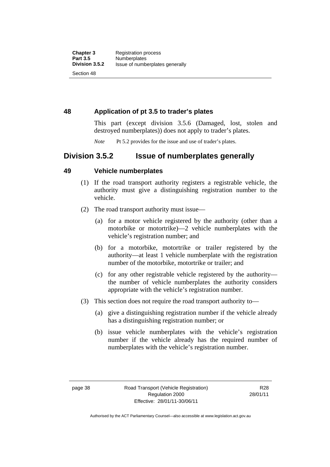**48 Application of pt 3.5 to trader's plates** 

This part (except division 3.5.6 (Damaged, lost, stolen and destroyed numberplates)) does not apply to trader's plates.

*Note* Pt 5.2 provides for the issue and use of trader's plates.

## **Division 3.5.2 Issue of numberplates generally**

## **49 Vehicle numberplates**

- (1) If the road transport authority registers a registrable vehicle, the authority must give a distinguishing registration number to the vehicle.
- (2) The road transport authority must issue—
	- (a) for a motor vehicle registered by the authority (other than a motorbike or motortrike)—2 vehicle numberplates with the vehicle's registration number; and
	- (b) for a motorbike, motortrike or trailer registered by the authority—at least 1 vehicle numberplate with the registration number of the motorbike, motortrike or trailer; and
	- (c) for any other registrable vehicle registered by the authority the number of vehicle numberplates the authority considers appropriate with the vehicle's registration number.
- (3) This section does not require the road transport authority to—
	- (a) give a distinguishing registration number if the vehicle already has a distinguishing registration number; or
	- (b) issue vehicle numberplates with the vehicle's registration number if the vehicle already has the required number of numberplates with the vehicle's registration number.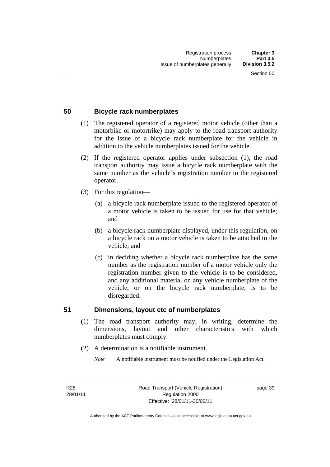## **50 Bicycle rack numberplates**

- (1) The registered operator of a registered motor vehicle (other than a motorbike or motortrike) may apply to the road transport authority for the issue of a bicycle rack numberplate for the vehicle in addition to the vehicle numberplates issued for the vehicle.
- (2) If the registered operator applies under subsection (1), the road transport authority may issue a bicycle rack numberplate with the same number as the vehicle's registration number to the registered operator.
- (3) For this regulation—
	- (a) a bicycle rack numberplate issued to the registered operator of a motor vehicle is taken to be issued for use for that vehicle; and
	- (b) a bicycle rack numberplate displayed, under this regulation, on a bicycle rack on a motor vehicle is taken to be attached to the vehicle; and
	- (c) in deciding whether a bicycle rack numberplate has the same number as the registration number of a motor vehicle only the registration number given to the vehicle is to be considered, and any additional material on any vehicle numberplate of the vehicle, or on the bicycle rack numberplate, is to be disregarded.

#### **51 Dimensions, layout etc of numberplates**

- (1) The road transport authority may, in writing, determine the dimensions, layout and other characteristics with which numberplates must comply.
- (2) A determination is a notifiable instrument.
	- *Note* A notifiable instrument must be notified under the Legislation Act.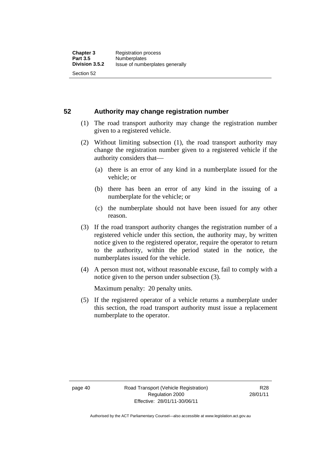**52 Authority may change registration number** 

- (1) The road transport authority may change the registration number given to a registered vehicle.
- (2) Without limiting subsection (1), the road transport authority may change the registration number given to a registered vehicle if the authority considers that
	- (a) there is an error of any kind in a numberplate issued for the vehicle; or
	- (b) there has been an error of any kind in the issuing of a numberplate for the vehicle; or
	- (c) the numberplate should not have been issued for any other reason.
- (3) If the road transport authority changes the registration number of a registered vehicle under this section, the authority may, by written notice given to the registered operator, require the operator to return to the authority, within the period stated in the notice, the numberplates issued for the vehicle.
- (4) A person must not, without reasonable excuse, fail to comply with a notice given to the person under subsection (3).

Maximum penalty: 20 penalty units.

 (5) If the registered operator of a vehicle returns a numberplate under this section, the road transport authority must issue a replacement numberplate to the operator.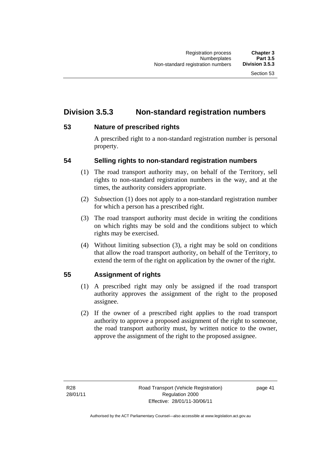# **Division 3.5.3 Non-standard registration numbers**

## **53 Nature of prescribed rights**

A prescribed right to a non-standard registration number is personal property.

## **54 Selling rights to non-standard registration numbers**

- (1) The road transport authority may, on behalf of the Territory, sell rights to non-standard registration numbers in the way, and at the times, the authority considers appropriate.
- (2) Subsection (1) does not apply to a non-standard registration number for which a person has a prescribed right.
- (3) The road transport authority must decide in writing the conditions on which rights may be sold and the conditions subject to which rights may be exercised.
- (4) Without limiting subsection (3), a right may be sold on conditions that allow the road transport authority, on behalf of the Territory, to extend the term of the right on application by the owner of the right.

## **55 Assignment of rights**

- (1) A prescribed right may only be assigned if the road transport authority approves the assignment of the right to the proposed assignee.
- (2) If the owner of a prescribed right applies to the road transport authority to approve a proposed assignment of the right to someone, the road transport authority must, by written notice to the owner, approve the assignment of the right to the proposed assignee.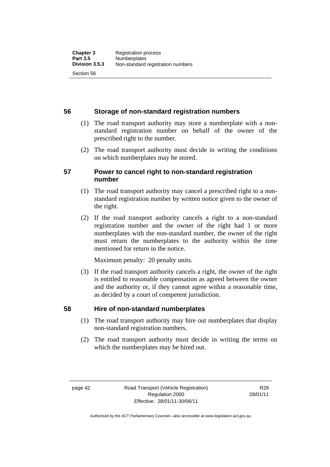## **56 Storage of non-standard registration numbers**

- (1) The road transport authority may store a numberplate with a nonstandard registration number on behalf of the owner of the prescribed right to the number.
- (2) The road transport authority must decide in writing the conditions on which numberplates may be stored.

## **57 Power to cancel right to non-standard registration number**

- (1) The road transport authority may cancel a prescribed right to a nonstandard registration number by written notice given to the owner of the right.
- (2) If the road transport authority cancels a right to a non-standard registration number and the owner of the right had 1 or more numberplates with the non-standard number, the owner of the right must return the numberplates to the authority within the time mentioned for return in the notice.

Maximum penalty: 20 penalty units.

 (3) If the road transport authority cancels a right, the owner of the right is entitled to reasonable compensation as agreed between the owner and the authority or, if they cannot agree within a reasonable time, as decided by a court of competent jurisdiction.

## **58 Hire of non-standard numberplates**

- (1) The road transport authority may hire out numberplates that display non-standard registration numbers.
- (2) The road transport authority must decide in writing the terms on which the numberplates may be hired out.

R28 28/01/11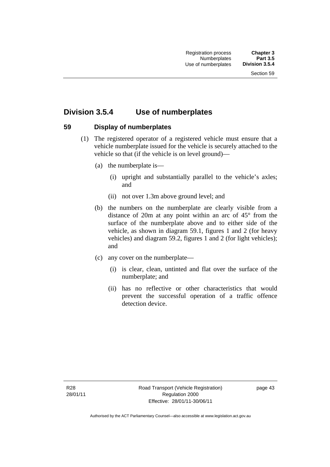## **Division 3.5.4 Use of numberplates**

## **59 Display of numberplates**

- (1) The registered operator of a registered vehicle must ensure that a vehicle numberplate issued for the vehicle is securely attached to the vehicle so that (if the vehicle is on level ground)—
	- (a) the numberplate is—
		- (i) upright and substantially parallel to the vehicle's axles; and
		- (ii) not over 1.3m above ground level; and
	- (b) the numbers on the numberplate are clearly visible from a distance of 20m at any point within an arc of 45° from the surface of the numberplate above and to either side of the vehicle, as shown in diagram 59.1, figures 1 and 2 (for heavy vehicles) and diagram 59.2, figures 1 and 2 (for light vehicles); and
	- (c) any cover on the numberplate—
		- (i) is clear, clean, untinted and flat over the surface of the numberplate; and
		- (ii) has no reflective or other characteristics that would prevent the successful operation of a traffic offence detection device.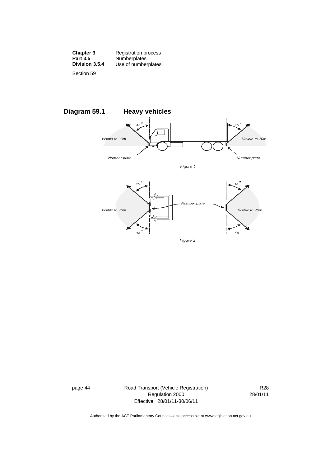| <b>Chapter 3</b> | <b>Registration process</b> |
|------------------|-----------------------------|
| <b>Part 3.5</b>  | Numberplates                |
| Division 3.5.4   | Use of numberplates         |
| Section 59       |                             |



page 44 Road Transport (Vehicle Registration) Regulation 2000 Effective: 28/01/11-30/06/11

R28 28/01/11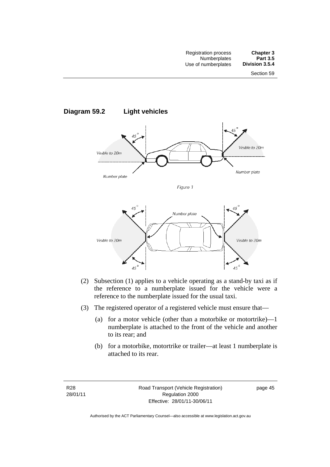



- (2) Subsection (1) applies to a vehicle operating as a stand-by taxi as if the reference to a numberplate issued for the vehicle were a reference to the numberplate issued for the usual taxi.
- (3) The registered operator of a registered vehicle must ensure that—
	- (a) for a motor vehicle (other than a motorbike or motortrike)—1 numberplate is attached to the front of the vehicle and another to its rear; and
	- (b) for a motorbike, motortrike or trailer—at least 1 numberplate is attached to its rear.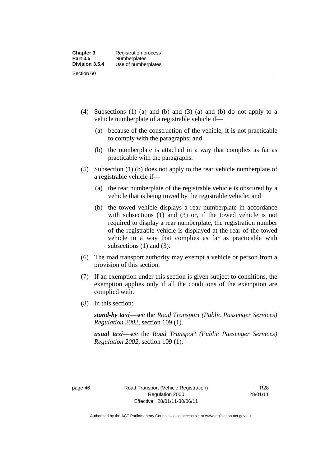- (4) Subsections (1) (a) and (b) and (3) (a) and (b) do not apply to a vehicle numberplate of a registrable vehicle if—
	- (a) because of the construction of the vehicle, it is not practicable to comply with the paragraphs; and
	- (b) the numberplate is attached in a way that complies as far as practicable with the paragraphs.
- (5) Subsection (1) (b) does not apply to the rear vehicle numberplate of a registrable vehicle if—
	- (a) the rear numberplate of the registrable vehicle is obscured by a vehicle that is being towed by the registrable vehicle; and
	- (b) the towed vehicle displays a rear numberplate in accordance with subsections (1) and (3) or, if the towed vehicle is not required to display a rear numberplate, the registration number of the registrable vehicle is displayed at the rear of the towed vehicle in a way that complies as far as practicable with subsections (1) and (3).
- (6) The road transport authority may exempt a vehicle or person from a provision of this section.
- (7) If an exemption under this section is given subject to conditions, the exemption applies only if all the conditions of the exemption are complied with.
- (8) In this section:

*stand-by taxi*—see the *Road Transport (Public Passenger Services) Regulation 2002*, section 109 (1).

*usual taxi*—see the *Road Transport (Public Passenger Services) Regulation 2002*, section 109 (1).

Authorised by the ACT Parliamentary Counsel—also accessible at www.legislation.act.gov.au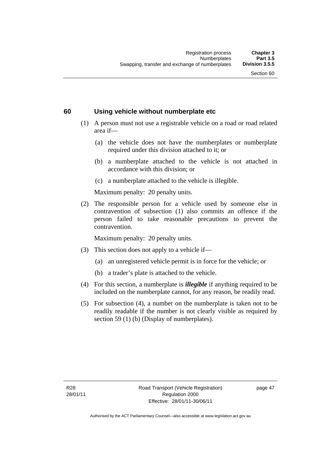#### **60 Using vehicle without numberplate etc**

- (1) A person must not use a registrable vehicle on a road or road related area if—
	- (a) the vehicle does not have the numberplates or numberplate required under this division attached to it; or
	- (b) a numberplate attached to the vehicle is not attached in accordance with this division; or
	- (c) a numberplate attached to the vehicle is illegible.

Maximum penalty: 20 penalty units.

 (2) The responsible person for a vehicle used by someone else in contravention of subsection (1) also commits an offence if the person failed to take reasonable precautions to prevent the contravention.

Maximum penalty: 20 penalty units.

- (3) This section does not apply to a vehicle if—
	- (a) an unregistered vehicle permit is in force for the vehicle; or
	- (b) a trader's plate is attached to the vehicle.
- (4) For this section, a numberplate is *illegible* if anything required to be included on the numberplate cannot, for any reason, be readily read.
- (5) For subsection (4), a number on the numberplate is taken not to be readily readable if the number is not clearly visible as required by section 59 (1) (b) (Display of numberplates).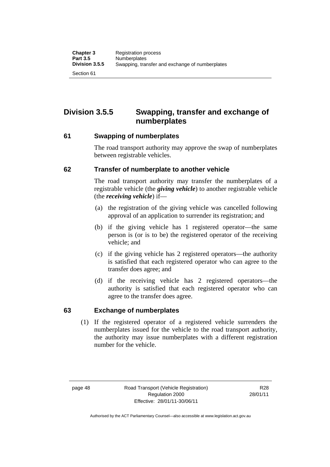**Division 3.5.5 Swapping, transfer and exchange of numberplates** 

#### **61 Swapping of numberplates**

The road transport authority may approve the swap of numberplates between registrable vehicles.

## **62 Transfer of numberplate to another vehicle**

The road transport authority may transfer the numberplates of a registrable vehicle (the *giving vehicle*) to another registrable vehicle (the *receiving vehicle*) if—

- (a) the registration of the giving vehicle was cancelled following approval of an application to surrender its registration; and
- (b) if the giving vehicle has 1 registered operator—the same person is (or is to be) the registered operator of the receiving vehicle; and
- (c) if the giving vehicle has 2 registered operators—the authority is satisfied that each registered operator who can agree to the transfer does agree; and
- (d) if the receiving vehicle has 2 registered operators—the authority is satisfied that each registered operator who can agree to the transfer does agree.

## **63 Exchange of numberplates**

(1) If the registered operator of a registered vehicle surrenders the numberplates issued for the vehicle to the road transport authority, the authority may issue numberplates with a different registration number for the vehicle.

R28 28/01/11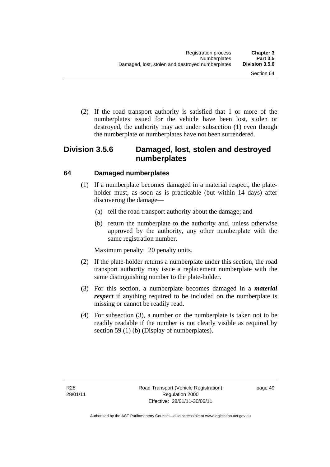(2) If the road transport authority is satisfied that 1 or more of the numberplates issued for the vehicle have been lost, stolen or destroyed, the authority may act under subsection (1) even though the numberplate or numberplates have not been surrendered.

## **Division 3.5.6 Damaged, lost, stolen and destroyed numberplates**

## **64 Damaged numberplates**

- (1) If a numberplate becomes damaged in a material respect, the plateholder must, as soon as is practicable (but within 14 days) after discovering the damage—
	- (a) tell the road transport authority about the damage; and
	- (b) return the numberplate to the authority and, unless otherwise approved by the authority, any other numberplate with the same registration number.

Maximum penalty: 20 penalty units.

- (2) If the plate-holder returns a numberplate under this section, the road transport authority may issue a replacement numberplate with the same distinguishing number to the plate-holder.
- (3) For this section, a numberplate becomes damaged in a *material respect* if anything required to be included on the numberplate is missing or cannot be readily read.
- (4) For subsection (3), a number on the numberplate is taken not to be readily readable if the number is not clearly visible as required by section 59 (1) (b) (Display of numberplates).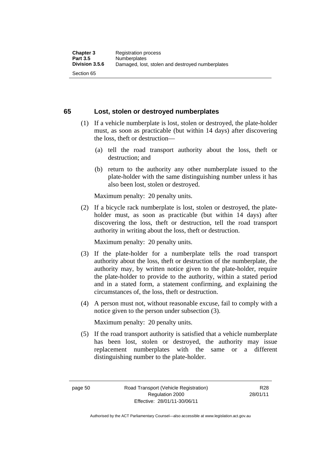## **65 Lost, stolen or destroyed numberplates**

- (1) If a vehicle numberplate is lost, stolen or destroyed, the plate-holder must, as soon as practicable (but within 14 days) after discovering the loss, theft or destruction—
	- (a) tell the road transport authority about the loss, theft or destruction; and
	- (b) return to the authority any other numberplate issued to the plate-holder with the same distinguishing number unless it has also been lost, stolen or destroyed.

Maximum penalty: 20 penalty units.

 (2) If a bicycle rack numberplate is lost, stolen or destroyed, the plateholder must, as soon as practicable (but within 14 days) after discovering the loss, theft or destruction, tell the road transport authority in writing about the loss, theft or destruction.

Maximum penalty: 20 penalty units.

- (3) If the plate-holder for a numberplate tells the road transport authority about the loss, theft or destruction of the numberplate, the authority may, by written notice given to the plate-holder, require the plate-holder to provide to the authority, within a stated period and in a stated form, a statement confirming, and explaining the circumstances of, the loss, theft or destruction.
- (4) A person must not, without reasonable excuse, fail to comply with a notice given to the person under subsection (3).

Maximum penalty: 20 penalty units.

 (5) If the road transport authority is satisfied that a vehicle numberplate has been lost, stolen or destroyed, the authority may issue replacement numberplates with the same or a different distinguishing number to the plate-holder.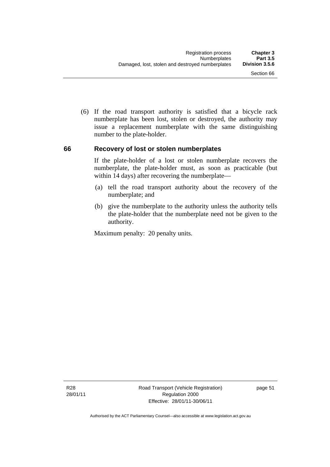(6) If the road transport authority is satisfied that a bicycle rack numberplate has been lost, stolen or destroyed, the authority may issue a replacement numberplate with the same distinguishing number to the plate-holder.

#### **66 Recovery of lost or stolen numberplates**

If the plate-holder of a lost or stolen numberplate recovers the numberplate, the plate-holder must, as soon as practicable (but within 14 days) after recovering the numberplate—

- (a) tell the road transport authority about the recovery of the numberplate; and
- (b) give the numberplate to the authority unless the authority tells the plate-holder that the numberplate need not be given to the authority.

Maximum penalty: 20 penalty units.

R28 28/01/11 Road Transport (Vehicle Registration) Regulation 2000 Effective: 28/01/11-30/06/11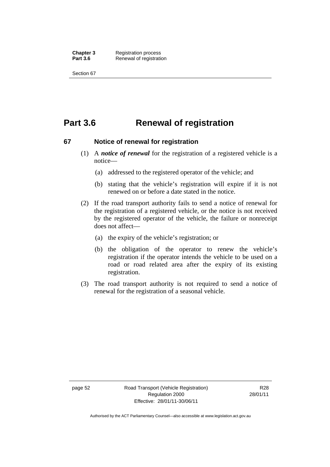**Chapter 3** Registration process<br>**Part 3.6** Renewal of registration **Renewal of registration** 

Section 67

# **Part 3.6 Renewal of registration**

#### **67 Notice of renewal for registration**

- (1) A *notice of renewal* for the registration of a registered vehicle is a notice—
	- (a) addressed to the registered operator of the vehicle; and
	- (b) stating that the vehicle's registration will expire if it is not renewed on or before a date stated in the notice.
- (2) If the road transport authority fails to send a notice of renewal for the registration of a registered vehicle, or the notice is not received by the registered operator of the vehicle, the failure or nonreceipt does not affect—
	- (a) the expiry of the vehicle's registration; or
	- (b) the obligation of the operator to renew the vehicle's registration if the operator intends the vehicle to be used on a road or road related area after the expiry of its existing registration.
- (3) The road transport authority is not required to send a notice of renewal for the registration of a seasonal vehicle.

page 52 Road Transport (Vehicle Registration) Regulation 2000 Effective: 28/01/11-30/06/11

R28 28/01/11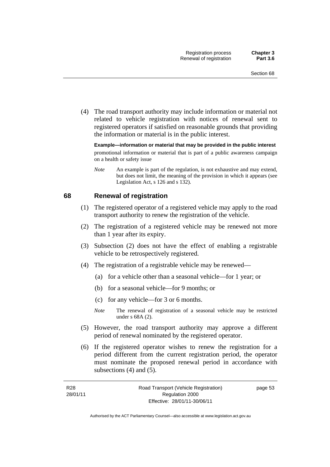(4) The road transport authority may include information or material not related to vehicle registration with notices of renewal sent to registered operators if satisfied on reasonable grounds that providing the information or material is in the public interest.

**Example—information or material that may be provided in the public interest**  promotional information or material that is part of a public awareness campaign on a health or safety issue

*Note* An example is part of the regulation, is not exhaustive and may extend, but does not limit, the meaning of the provision in which it appears (see Legislation Act, s 126 and s 132).

#### **68 Renewal of registration**

- (1) The registered operator of a registered vehicle may apply to the road transport authority to renew the registration of the vehicle.
- (2) The registration of a registered vehicle may be renewed not more than 1 year after its expiry.
- (3) Subsection (2) does not have the effect of enabling a registrable vehicle to be retrospectively registered.
- (4) The registration of a registrable vehicle may be renewed—
	- (a) for a vehicle other than a seasonal vehicle—for 1 year; or
	- (b) for a seasonal vehicle—for 9 months; or
	- (c) for any vehicle—for 3 or 6 months.
	- *Note* The renewal of registration of a seasonal vehicle may be restricted under s 68A (2).
- (5) However, the road transport authority may approve a different period of renewal nominated by the registered operator.
- (6) If the registered operator wishes to renew the registration for a period different from the current registration period, the operator must nominate the proposed renewal period in accordance with subsections (4) and (5).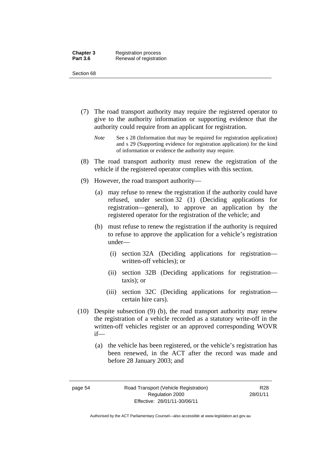- (7) The road transport authority may require the registered operator to give to the authority information or supporting evidence that the authority could require from an applicant for registration.
	- *Note* See s 28 (Information that may be required for registration application) and s 29 (Supporting evidence for registration application) for the kind of information or evidence the authority may require.
- (8) The road transport authority must renew the registration of the vehicle if the registered operator complies with this section.
- (9) However, the road transport authority—
	- (a) may refuse to renew the registration if the authority could have refused, under section 32 (1) (Deciding applications for registration—general), to approve an application by the registered operator for the registration of the vehicle; and
	- (b) must refuse to renew the registration if the authority is required to refuse to approve the application for a vehicle's registration under—
		- (i) section 32A (Deciding applications for registration written-off vehicles); or
		- (ii) section 32B (Deciding applications for registration taxis); or
		- (iii) section 32C (Deciding applications for registration certain hire cars).
- (10) Despite subsection (9) (b), the road transport authority may renew the registration of a vehicle recorded as a statutory write-off in the written-off vehicles register or an approved corresponding WOVR if—
	- (a) the vehicle has been registered, or the vehicle's registration has been renewed, in the ACT after the record was made and before 28 January 2003; and

R28 28/01/11

Authorised by the ACT Parliamentary Counsel—also accessible at www.legislation.act.gov.au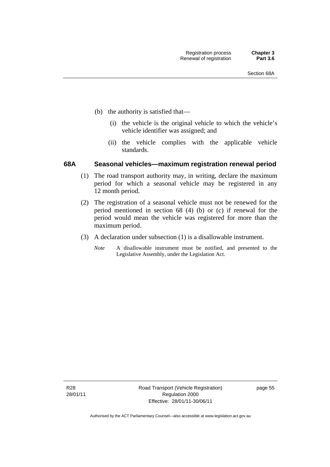- (b) the authority is satisfied that—
	- (i) the vehicle is the original vehicle to which the vehicle's vehicle identifier was assigned; and
	- (ii) the vehicle complies with the applicable vehicle standards.

#### **68A Seasonal vehicles—maximum registration renewal period**

- (1) The road transport authority may, in writing, declare the maximum period for which a seasonal vehicle may be registered in any 12 month period.
- (2) The registration of a seasonal vehicle must not be renewed for the period mentioned in section 68 (4) (b) or (c) if renewal for the period would mean the vehicle was registered for more than the maximum period.
- (3) A declaration under subsection (1) is a disallowable instrument.
	- *Note* A disallowable instrument must be notified, and presented to the Legislative Assembly, under the Legislation Act.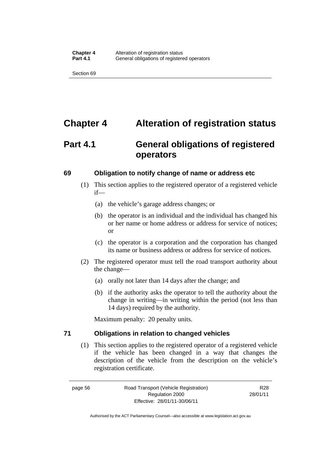# **Chapter 4 Alteration of registration status**

# **Part 4.1 General obligations of registered operators**

#### **69 Obligation to notify change of name or address etc**

- (1) This section applies to the registered operator of a registered vehicle if—
	- (a) the vehicle's garage address changes; or
	- (b) the operator is an individual and the individual has changed his or her name or home address or address for service of notices; or
	- (c) the operator is a corporation and the corporation has changed its name or business address or address for service of notices.
- (2) The registered operator must tell the road transport authority about the change—
	- (a) orally not later than 14 days after the change; and
	- (b) if the authority asks the operator to tell the authority about the change in writing—in writing within the period (not less than 14 days) required by the authority.

Maximum penalty: 20 penalty units.

#### **71 Obligations in relation to changed vehicles**

(1) This section applies to the registered operator of a registered vehicle if the vehicle has been changed in a way that changes the description of the vehicle from the description on the vehicle's registration certificate.

R28 28/01/11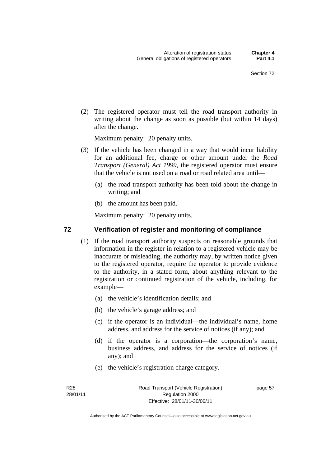(2) The registered operator must tell the road transport authority in writing about the change as soon as possible (but within 14 days) after the change.

Maximum penalty: 20 penalty units.

- (3) If the vehicle has been changed in a way that would incur liability for an additional fee, charge or other amount under the *Road Transport (General) Act 1999*, the registered operator must ensure that the vehicle is not used on a road or road related area until—
	- (a) the road transport authority has been told about the change in writing; and
	- (b) the amount has been paid.

Maximum penalty: 20 penalty units.

#### **72 Verification of register and monitoring of compliance**

- (1) If the road transport authority suspects on reasonable grounds that information in the register in relation to a registered vehicle may be inaccurate or misleading, the authority may, by written notice given to the registered operator, require the operator to provide evidence to the authority, in a stated form, about anything relevant to the registration or continued registration of the vehicle, including, for example—
	- (a) the vehicle's identification details; and
	- (b) the vehicle's garage address; and
	- (c) if the operator is an individual—the individual's name, home address, and address for the service of notices (if any); and
	- (d) if the operator is a corporation—the corporation's name, business address, and address for the service of notices (if any); and
	- (e) the vehicle's registration charge category.

R28 28/01/11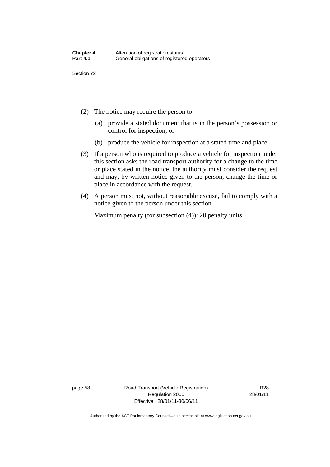- (2) The notice may require the person to—
	- (a) provide a stated document that is in the person's possession or control for inspection; or
	- (b) produce the vehicle for inspection at a stated time and place.
- (3) If a person who is required to produce a vehicle for inspection under this section asks the road transport authority for a change to the time or place stated in the notice, the authority must consider the request and may, by written notice given to the person, change the time or place in accordance with the request.
- (4) A person must not, without reasonable excuse, fail to comply with a notice given to the person under this section.

Maximum penalty (for subsection (4)): 20 penalty units.

page 58 Road Transport (Vehicle Registration) Regulation 2000 Effective: 28/01/11-30/06/11

R28 28/01/11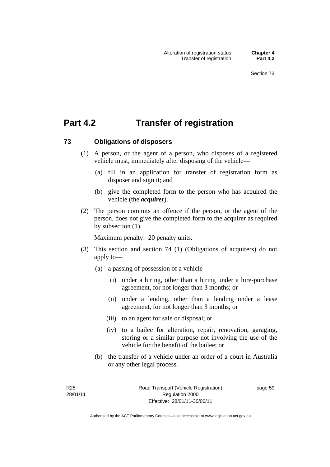# **Part 4.2 Transfer of registration**

#### **73 Obligations of disposers**

- (1) A person, or the agent of a person, who disposes of a registered vehicle must, immediately after disposing of the vehicle—
	- (a) fill in an application for transfer of registration form as disposer and sign it; and
	- (b) give the completed form to the person who has acquired the vehicle (the *acquirer*).
- (2) The person commits an offence if the person, or the agent of the person, does not give the completed form to the acquirer as required by subsection (1).

Maximum penalty: 20 penalty units.

- (3) This section and section 74 (1) (Obligations of acquirers) do not apply to—
	- (a) a passing of possession of a vehicle—
		- (i) under a hiring, other than a hiring under a hire-purchase agreement, for not longer than 3 months; or
		- (ii) under a lending, other than a lending under a lease agreement, for not longer than 3 months; or
		- (iii) to an agent for sale or disposal; or
		- (iv) to a bailee for alteration, repair, renovation, garaging, storing or a similar purpose not involving the use of the vehicle for the benefit of the bailee; or
	- (b) the transfer of a vehicle under an order of a court in Australia or any other legal process.

Authorised by the ACT Parliamentary Counsel—also accessible at www.legislation.act.gov.au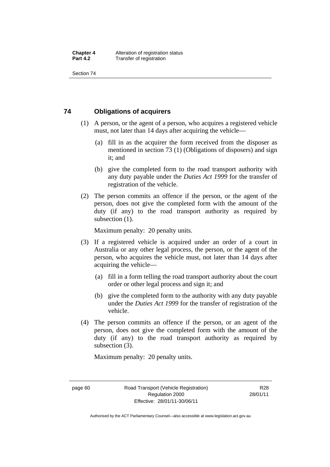# **74 Obligations of acquirers**

- (1) A person, or the agent of a person, who acquires a registered vehicle must, not later than 14 days after acquiring the vehicle—
	- (a) fill in as the acquirer the form received from the disposer as mentioned in section 73 (1) (Obligations of disposers) and sign it; and
	- (b) give the completed form to the road transport authority with any duty payable under the *Duties Act 1999* for the transfer of registration of the vehicle.
- (2) The person commits an offence if the person, or the agent of the person, does not give the completed form with the amount of the duty (if any) to the road transport authority as required by subsection  $(1)$ .

Maximum penalty: 20 penalty units.

- (3) If a registered vehicle is acquired under an order of a court in Australia or any other legal process, the person, or the agent of the person, who acquires the vehicle must, not later than 14 days after acquiring the vehicle—
	- (a) fill in a form telling the road transport authority about the court order or other legal process and sign it; and
	- (b) give the completed form to the authority with any duty payable under the *Duties Act 1999* for the transfer of registration of the vehicle.
- (4) The person commits an offence if the person, or an agent of the person, does not give the completed form with the amount of the duty (if any) to the road transport authority as required by subsection (3).

Maximum penalty: 20 penalty units.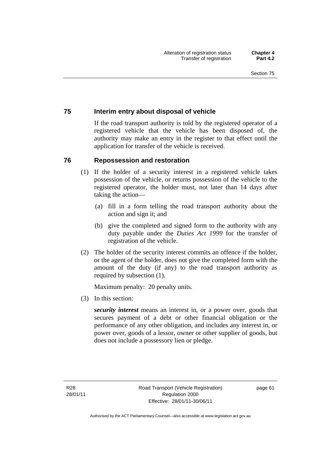# **75 Interim entry about disposal of vehicle**

If the road transport authority is told by the registered operator of a registered vehicle that the vehicle has been disposed of, the authority may make an entry in the register to that effect until the application for transfer of the vehicle is received.

#### **76 Repossession and restoration**

- (1) If the holder of a security interest in a registered vehicle takes possession of the vehicle, or returns possession of the vehicle to the registered operator, the holder must, not later than 14 days after taking the action—
	- (a) fill in a form telling the road transport authority about the action and sign it; and
	- (b) give the completed and signed form to the authority with any duty payable under the *Duties Act 1999* for the transfer of registration of the vehicle.
- (2) The holder of the security interest commits an offence if the holder, or the agent of the holder, does not give the completed form with the amount of the duty (if any) to the road transport authority as required by subsection (1).

Maximum penalty: 20 penalty units.

(3) In this section:

*security interest* means an interest in, or a power over, goods that secures payment of a debt or other financial obligation or the performance of any other obligation, and includes any interest in, or power over, goods of a lessor, owner or other supplier of goods, but does not include a possessory lien or pledge.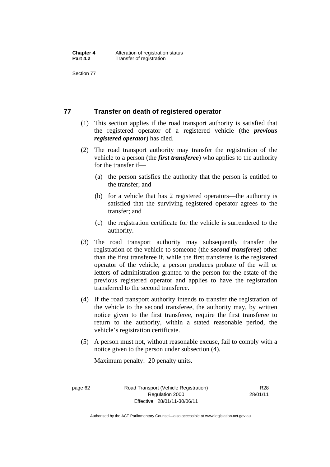# **77 Transfer on death of registered operator**

- (1) This section applies if the road transport authority is satisfied that the registered operator of a registered vehicle (the *previous registered operator*) has died.
- (2) The road transport authority may transfer the registration of the vehicle to a person (the *first transferee*) who applies to the authority for the transfer if—
	- (a) the person satisfies the authority that the person is entitled to the transfer; and
	- (b) for a vehicle that has 2 registered operators—the authority is satisfied that the surviving registered operator agrees to the transfer; and
	- (c) the registration certificate for the vehicle is surrendered to the authority.
- (3) The road transport authority may subsequently transfer the registration of the vehicle to someone (the *second transferee*) other than the first transferee if, while the first transferee is the registered operator of the vehicle, a person produces probate of the will or letters of administration granted to the person for the estate of the previous registered operator and applies to have the registration transferred to the second transferee.
- (4) If the road transport authority intends to transfer the registration of the vehicle to the second transferee, the authority may, by written notice given to the first transferee, require the first transferee to return to the authority, within a stated reasonable period, the vehicle's registration certificate.
- (5) A person must not, without reasonable excuse, fail to comply with a notice given to the person under subsection (4).

Maximum penalty: 20 penalty units.

R28 28/01/11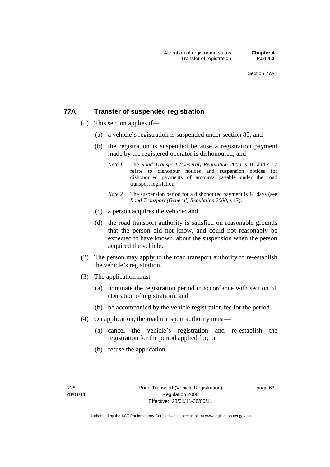# **77A Transfer of suspended registration**

- (1) This section applies if—
	- (a) a vehicle's registration is suspended under section 85; and
	- (b) the registration is suspended because a registration payment made by the registered operator is dishonoured; and
		- *Note 1* The *Road Transport (General) Regulation 2000*, s 16 and s 17 relate to dishonour notices and suspension notices for dishonoured payments of amounts payable under the road transport legislation.
		- *Note* 2 The suspension period for a dishonoured payment is 14 days (see *Road Transport (General) Regulation 2000*, s 17).
	- (c) a person acquires the vehicle; and
	- (d) the road transport authority is satisfied on reasonable grounds that the person did not know, and could not reasonably be expected to have known, about the suspension when the person acquired the vehicle.
- (2) The person may apply to the road transport authority to re-establish the vehicle's registration.
- (3) The application must—
	- (a) nominate the registration period in accordance with section 31 (Duration of registration); and
	- (b) be accompanied by the vehicle registration fee for the period.
- (4) On application, the road transport authority must—
	- (a) cancel the vehicle's registration and re-establish the registration for the period applied for; or
	- (b) refuse the application.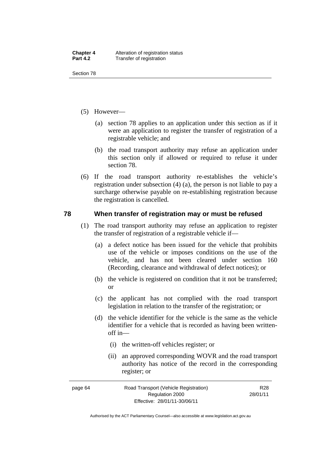- (5) However—
	- (a) section 78 applies to an application under this section as if it were an application to register the transfer of registration of a registrable vehicle; and
	- (b) the road transport authority may refuse an application under this section only if allowed or required to refuse it under section 78.
- (6) If the road transport authority re-establishes the vehicle's registration under subsection (4) (a), the person is not liable to pay a surcharge otherwise payable on re-establishing registration because the registration is cancelled.

# **78 When transfer of registration may or must be refused**

- (1) The road transport authority may refuse an application to register the transfer of registration of a registrable vehicle if—
	- (a) a defect notice has been issued for the vehicle that prohibits use of the vehicle or imposes conditions on the use of the vehicle, and has not been cleared under section 160 (Recording, clearance and withdrawal of defect notices); or
	- (b) the vehicle is registered on condition that it not be transferred; or
	- (c) the applicant has not complied with the road transport legislation in relation to the transfer of the registration; or
	- (d) the vehicle identifier for the vehicle is the same as the vehicle identifier for a vehicle that is recorded as having been writtenoff in—
		- (i) the written-off vehicles register; or
		- (ii) an approved corresponding WOVR and the road transport authority has notice of the record in the corresponding register; or

| page 64 | Road Transport (Vehicle Registration) | R <sub>28</sub> |
|---------|---------------------------------------|-----------------|
|         | Regulation 2000                       | 28/01/11        |
|         | Effective: 28/01/11-30/06/11          |                 |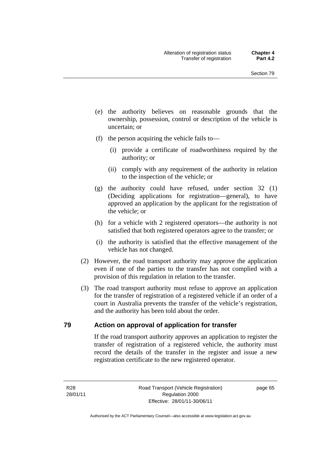- (e) the authority believes on reasonable grounds that the ownership, possession, control or description of the vehicle is uncertain; or
- (f) the person acquiring the vehicle fails to—
	- (i) provide a certificate of roadworthiness required by the authority; or
	- (ii) comply with any requirement of the authority in relation to the inspection of the vehicle; or
- (g) the authority could have refused, under section 32 (1) (Deciding applications for registration—general), to have approved an application by the applicant for the registration of the vehicle; or
- (h) for a vehicle with 2 registered operators—the authority is not satisfied that both registered operators agree to the transfer; or
- (i) the authority is satisfied that the effective management of the vehicle has not changed.
- (2) However, the road transport authority may approve the application even if one of the parties to the transfer has not complied with a provision of this regulation in relation to the transfer.
- (3) The road transport authority must refuse to approve an application for the transfer of registration of a registered vehicle if an order of a court in Australia prevents the transfer of the vehicle's registration, and the authority has been told about the order.

### **79 Action on approval of application for transfer**

If the road transport authority approves an application to register the transfer of registration of a registered vehicle, the authority must record the details of the transfer in the register and issue a new registration certificate to the new registered operator.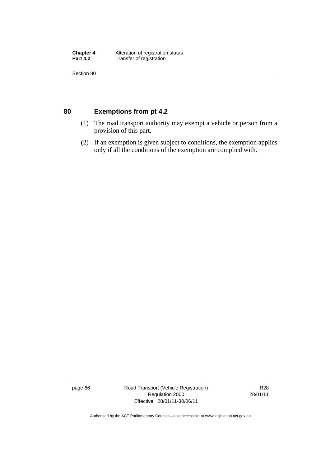**Chapter 4** Alteration of registration status<br> **Part 4.2** Transfer of registration **Transfer of registration** 

Section 80

# **80 Exemptions from pt 4.2**

- (1) The road transport authority may exempt a vehicle or person from a provision of this part.
- (2) If an exemption is given subject to conditions, the exemption applies only if all the conditions of the exemption are complied with.

page 66 Road Transport (Vehicle Registration) Regulation 2000 Effective: 28/01/11-30/06/11

R28 28/01/11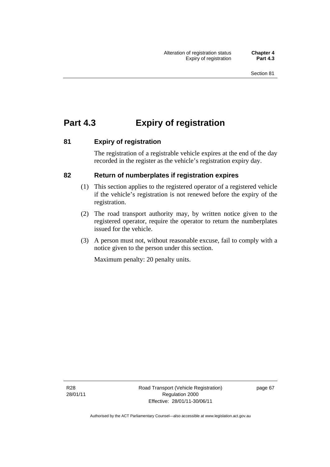# **Part 4.3 Expiry of registration**

## **81 Expiry of registration**

The registration of a registrable vehicle expires at the end of the day recorded in the register as the vehicle's registration expiry day.

## **82 Return of numberplates if registration expires**

- (1) This section applies to the registered operator of a registered vehicle if the vehicle's registration is not renewed before the expiry of the registration.
- (2) The road transport authority may, by written notice given to the registered operator, require the operator to return the numberplates issued for the vehicle.
- (3) A person must not, without reasonable excuse, fail to comply with a notice given to the person under this section.

Maximum penalty: 20 penalty units.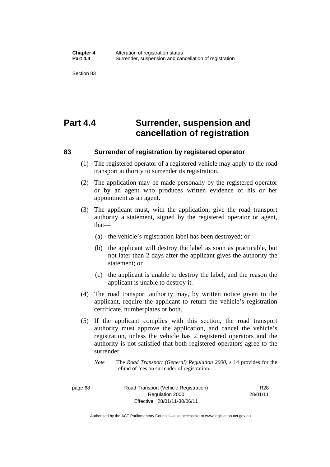# **Part 4.4 Surrender, suspension and cancellation of registration**

# **83 Surrender of registration by registered operator**

- (1) The registered operator of a registered vehicle may apply to the road transport authority to surrender its registration.
- (2) The application may be made personally by the registered operator or by an agent who produces written evidence of his or her appointment as an agent.
- (3) The applicant must, with the application, give the road transport authority a statement, signed by the registered operator or agent, that—
	- (a) the vehicle's registration label has been destroyed; or
	- (b) the applicant will destroy the label as soon as practicable, but not later than 2 days after the applicant gives the authority the statement; or
	- (c) the applicant is unable to destroy the label, and the reason the applicant is unable to destroy it.
- (4) The road transport authority may, by written notice given to the applicant, require the applicant to return the vehicle's registration certificate, numberplates or both.
- (5) If the applicant complies with this section, the road transport authority must approve the application, and cancel the vehicle's registration, unless the vehicle has 2 registered operators and the authority is not satisfied that both registered operators agree to the surrender.

page 68 Road Transport (Vehicle Registration) Regulation 2000 Effective: 28/01/11-30/06/11

R28 28/01/11

*Note* The *Road Transport (General) Regulation 2000*, s 14 provides for the refund of fees on surrender of registration.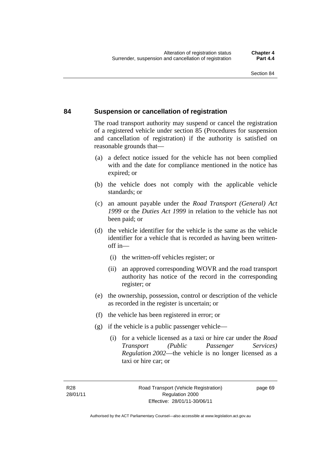#### **84 Suspension or cancellation of registration**

The road transport authority may suspend or cancel the registration of a registered vehicle under section 85 (Procedures for suspension and cancellation of registration) if the authority is satisfied on reasonable grounds that—

- (a) a defect notice issued for the vehicle has not been complied with and the date for compliance mentioned in the notice has expired; or
- (b) the vehicle does not comply with the applicable vehicle standards; or
- (c) an amount payable under the *Road Transport (General) Act 1999* or the *Duties Act 1999* in relation to the vehicle has not been paid; or
- (d) the vehicle identifier for the vehicle is the same as the vehicle identifier for a vehicle that is recorded as having been writtenoff in—
	- (i) the written-off vehicles register; or
	- (ii) an approved corresponding WOVR and the road transport authority has notice of the record in the corresponding register; or
- (e) the ownership, possession, control or description of the vehicle as recorded in the register is uncertain; or
- (f) the vehicle has been registered in error; or
- (g) if the vehicle is a public passenger vehicle—
	- (i) for a vehicle licensed as a taxi or hire car under the *Road Transport (Public Passenger Services) Regulation 2002*—the vehicle is no longer licensed as a taxi or hire car; or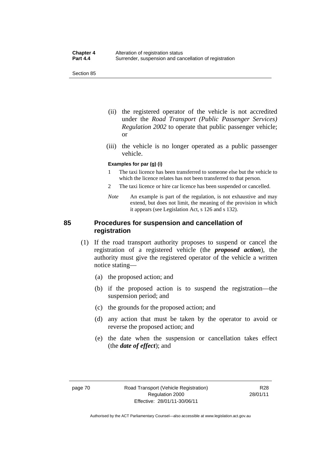- (ii) the registered operator of the vehicle is not accredited under the *Road Transport (Public Passenger Services) Regulation 2002* to operate that public passenger vehicle; or
- (iii) the vehicle is no longer operated as a public passenger vehicle.

#### **Examples for par (g) (i)**

- 1 The taxi licence has been transferred to someone else but the vehicle to which the licence relates has not been transferred to that person.
- 2 The taxi licence or hire car licence has been suspended or cancelled.
- *Note* An example is part of the regulation, is not exhaustive and may extend, but does not limit, the meaning of the provision in which it appears (see Legislation Act, s 126 and s 132).

#### **85 Procedures for suspension and cancellation of registration**

- (1) If the road transport authority proposes to suspend or cancel the registration of a registered vehicle (the *proposed action*), the authority must give the registered operator of the vehicle a written notice stating—
	- (a) the proposed action; and
	- (b) if the proposed action is to suspend the registration—the suspension period; and
	- (c) the grounds for the proposed action; and
	- (d) any action that must be taken by the operator to avoid or reverse the proposed action; and
	- (e) the date when the suspension or cancellation takes effect (the *date of effect*); and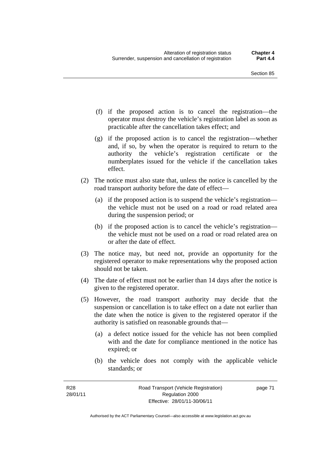- (f) if the proposed action is to cancel the registration—the operator must destroy the vehicle's registration label as soon as practicable after the cancellation takes effect; and
- (g) if the proposed action is to cancel the registration—whether and, if so, by when the operator is required to return to the authority the vehicle's registration certificate or the numberplates issued for the vehicle if the cancellation takes effect.
- (2) The notice must also state that, unless the notice is cancelled by the road transport authority before the date of effect—
	- (a) if the proposed action is to suspend the vehicle's registration the vehicle must not be used on a road or road related area during the suspension period; or
	- (b) if the proposed action is to cancel the vehicle's registration the vehicle must not be used on a road or road related area on or after the date of effect.
- (3) The notice may, but need not, provide an opportunity for the registered operator to make representations why the proposed action should not be taken.
- (4) The date of effect must not be earlier than 14 days after the notice is given to the registered operator.
- (5) However, the road transport authority may decide that the suspension or cancellation is to take effect on a date not earlier than the date when the notice is given to the registered operator if the authority is satisfied on reasonable grounds that—
	- (a) a defect notice issued for the vehicle has not been complied with and the date for compliance mentioned in the notice has expired; or
	- (b) the vehicle does not comply with the applicable vehicle standards; or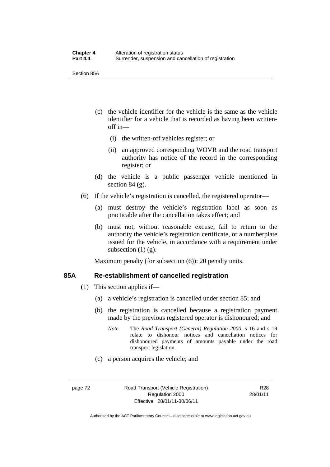Section 85A

- (c) the vehicle identifier for the vehicle is the same as the vehicle identifier for a vehicle that is recorded as having been writtenoff in—
	- (i) the written-off vehicles register; or
	- (ii) an approved corresponding WOVR and the road transport authority has notice of the record in the corresponding register; or
- (d) the vehicle is a public passenger vehicle mentioned in section 84 (g).
- (6) If the vehicle's registration is cancelled, the registered operator—
	- (a) must destroy the vehicle's registration label as soon as practicable after the cancellation takes effect; and
	- (b) must not, without reasonable excuse, fail to return to the authority the vehicle's registration certificate, or a numberplate issued for the vehicle, in accordance with a requirement under subsection  $(1)$   $(g)$ .

Maximum penalty (for subsection  $(6)$ ): 20 penalty units.

#### **85A Re-establishment of cancelled registration**

- (1) This section applies if—
	- (a) a vehicle's registration is cancelled under section 85; and
	- (b) the registration is cancelled because a registration payment made by the previous registered operator is dishonoured; and
		- *Note* The *Road Transport (General) Regulation 2000*, s 16 and s 19 relate to dishonour notices and cancellation notices for dishonoured payments of amounts payable under the road transport legislation.
	- (c) a person acquires the vehicle; and

R28 28/01/11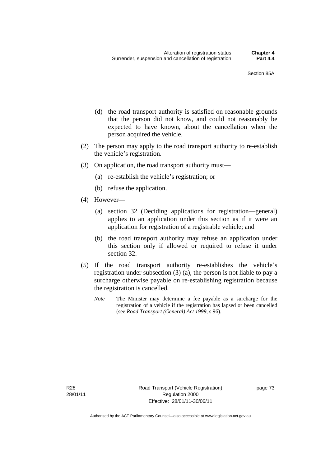- (d) the road transport authority is satisfied on reasonable grounds that the person did not know, and could not reasonably be expected to have known, about the cancellation when the person acquired the vehicle.
- (2) The person may apply to the road transport authority to re-establish the vehicle's registration.
- (3) On application, the road transport authority must—
	- (a) re-establish the vehicle's registration; or
	- (b) refuse the application.
- (4) However—
	- (a) section 32 (Deciding applications for registration—general) applies to an application under this section as if it were an application for registration of a registrable vehicle; and
	- (b) the road transport authority may refuse an application under this section only if allowed or required to refuse it under section 32.
- (5) If the road transport authority re-establishes the vehicle's registration under subsection (3) (a), the person is not liable to pay a surcharge otherwise payable on re-establishing registration because the registration is cancelled.
	- *Note* The Minister may determine a fee payable as a surcharge for the registration of a vehicle if the registration has lapsed or been cancelled (see *Road Transport (General) Act 1999*, s 96).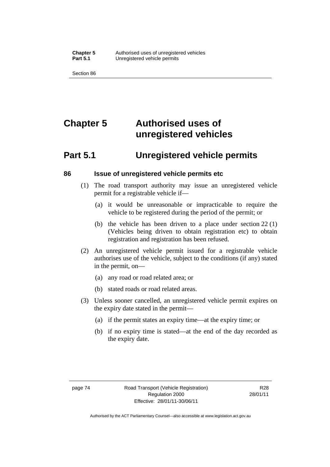# **Chapter 5 Authorised uses of unregistered vehicles**

# **Part 5.1 Unregistered vehicle permits**

#### **86 Issue of unregistered vehicle permits etc**

- (1) The road transport authority may issue an unregistered vehicle permit for a registrable vehicle if—
	- (a) it would be unreasonable or impracticable to require the vehicle to be registered during the period of the permit; or
	- (b) the vehicle has been driven to a place under section 22 (1) (Vehicles being driven to obtain registration etc) to obtain registration and registration has been refused.
- (2) An unregistered vehicle permit issued for a registrable vehicle authorises use of the vehicle, subject to the conditions (if any) stated in the permit, on—
	- (a) any road or road related area; or
	- (b) stated roads or road related areas.
- (3) Unless sooner cancelled, an unregistered vehicle permit expires on the expiry date stated in the permit—
	- (a) if the permit states an expiry time—at the expiry time; or
	- (b) if no expiry time is stated—at the end of the day recorded as the expiry date.

R28 28/01/11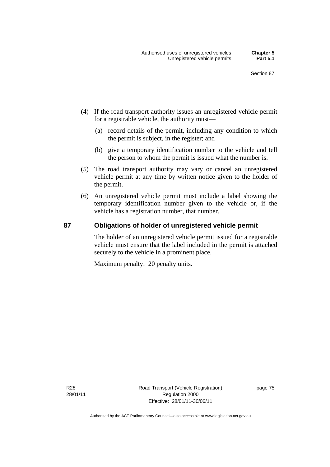- (4) If the road transport authority issues an unregistered vehicle permit for a registrable vehicle, the authority must—
	- (a) record details of the permit, including any condition to which the permit is subject, in the register; and
	- (b) give a temporary identification number to the vehicle and tell the person to whom the permit is issued what the number is.
- (5) The road transport authority may vary or cancel an unregistered vehicle permit at any time by written notice given to the holder of the permit.
- (6) An unregistered vehicle permit must include a label showing the temporary identification number given to the vehicle or, if the vehicle has a registration number, that number.

#### **87 Obligations of holder of unregistered vehicle permit**

The holder of an unregistered vehicle permit issued for a registrable vehicle must ensure that the label included in the permit is attached securely to the vehicle in a prominent place.

Maximum penalty: 20 penalty units.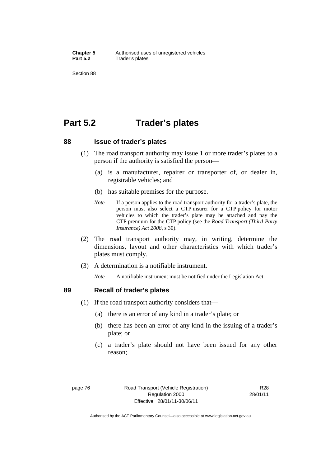# **Part 5.2 Trader's plates**

#### **88 Issue of trader's plates**

- (1) The road transport authority may issue 1 or more trader's plates to a person if the authority is satisfied the person—
	- (a) is a manufacturer, repairer or transporter of, or dealer in, registrable vehicles; and
	- (b) has suitable premises for the purpose.
	- *Note* If a person applies to the road transport authority for a trader's plate, the person must also select a CTP insurer for a CTP policy for motor vehicles to which the trader's plate may be attached and pay the CTP premium for the CTP policy (see the *Road Transport (Third-Party Insurance) Act 2008*, s 30).
- (2) The road transport authority may, in writing, determine the dimensions, layout and other characteristics with which trader's plates must comply.
- (3) A determination is a notifiable instrument.

*Note* A notifiable instrument must be notified under the Legislation Act.

#### **89 Recall of trader's plates**

- (1) If the road transport authority considers that
	- (a) there is an error of any kind in a trader's plate; or
	- (b) there has been an error of any kind in the issuing of a trader's plate; or
	- (c) a trader's plate should not have been issued for any other reason;

R28 28/01/11

Authorised by the ACT Parliamentary Counsel—also accessible at www.legislation.act.gov.au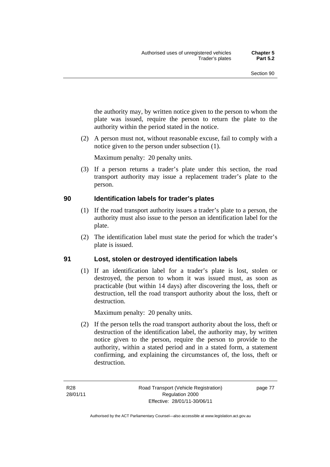the authority may, by written notice given to the person to whom the plate was issued, require the person to return the plate to the authority within the period stated in the notice.

 (2) A person must not, without reasonable excuse, fail to comply with a notice given to the person under subsection (1).

Maximum penalty: 20 penalty units.

 (3) If a person returns a trader's plate under this section, the road transport authority may issue a replacement trader's plate to the person.

#### **90 Identification labels for trader's plates**

- (1) If the road transport authority issues a trader's plate to a person, the authority must also issue to the person an identification label for the plate.
- (2) The identification label must state the period for which the trader's plate is issued.

# **91 Lost, stolen or destroyed identification labels**

(1) If an identification label for a trader's plate is lost, stolen or destroyed, the person to whom it was issued must, as soon as practicable (but within 14 days) after discovering the loss, theft or destruction, tell the road transport authority about the loss, theft or destruction.

Maximum penalty: 20 penalty units.

 (2) If the person tells the road transport authority about the loss, theft or destruction of the identification label, the authority may, by written notice given to the person, require the person to provide to the authority, within a stated period and in a stated form, a statement confirming, and explaining the circumstances of, the loss, theft or destruction.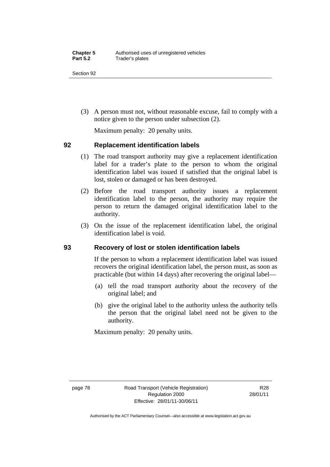(3) A person must not, without reasonable excuse, fail to comply with a notice given to the person under subsection (2).

Maximum penalty: 20 penalty units.

## **92 Replacement identification labels**

- (1) The road transport authority may give a replacement identification label for a trader's plate to the person to whom the original identification label was issued if satisfied that the original label is lost, stolen or damaged or has been destroyed.
- (2) Before the road transport authority issues a replacement identification label to the person, the authority may require the person to return the damaged original identification label to the authority.
- (3) On the issue of the replacement identification label, the original identification label is void.

# **93 Recovery of lost or stolen identification labels**

If the person to whom a replacement identification label was issued recovers the original identification label, the person must, as soon as practicable (but within 14 days) after recovering the original label—

- (a) tell the road transport authority about the recovery of the original label; and
- (b) give the original label to the authority unless the authority tells the person that the original label need not be given to the authority.

Maximum penalty: 20 penalty units.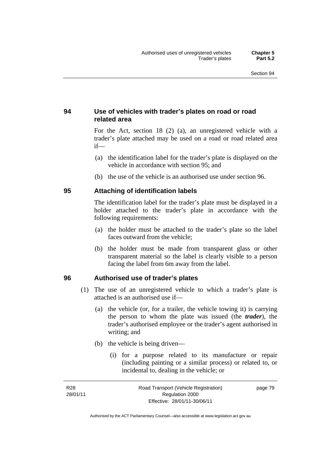# **94 Use of vehicles with trader's plates on road or road related area**

For the Act, section 18 (2) (a), an unregistered vehicle with a trader's plate attached may be used on a road or road related area if—

- (a) the identification label for the trader's plate is displayed on the vehicle in accordance with section 95; and
- (b) the use of the vehicle is an authorised use under section 96.

## **95 Attaching of identification labels**

The identification label for the trader's plate must be displayed in a holder attached to the trader's plate in accordance with the following requirements:

- (a) the holder must be attached to the trader's plate so the label faces outward from the vehicle;
- (b) the holder must be made from transparent glass or other transparent material so the label is clearly visible to a person facing the label from 6m away from the label.

#### **96 Authorised use of trader's plates**

- (1) The use of an unregistered vehicle to which a trader's plate is attached is an authorised use if—
	- (a) the vehicle (or, for a trailer, the vehicle towing it) is carrying the person to whom the plate was issued (the *trader*), the trader's authorised employee or the trader's agent authorised in writing; and
	- (b) the vehicle is being driven—
		- (i) for a purpose related to its manufacture or repair (including painting or a similar process) or related to, or incidental to, dealing in the vehicle; or

| R28      | Road Transport (Vehicle Registration) | page 79 |
|----------|---------------------------------------|---------|
| 28/01/11 | Regulation 2000                       |         |
|          | Effective: 28/01/11-30/06/11          |         |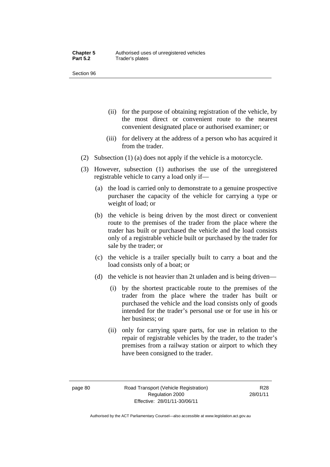- (ii) for the purpose of obtaining registration of the vehicle, by the most direct or convenient route to the nearest convenient designated place or authorised examiner; or
- (iii) for delivery at the address of a person who has acquired it from the trader.
- (2) Subsection (1) (a) does not apply if the vehicle is a motorcycle.
- (3) However, subsection (1) authorises the use of the unregistered registrable vehicle to carry a load only if—
	- (a) the load is carried only to demonstrate to a genuine prospective purchaser the capacity of the vehicle for carrying a type or weight of load; or
	- (b) the vehicle is being driven by the most direct or convenient route to the premises of the trader from the place where the trader has built or purchased the vehicle and the load consists only of a registrable vehicle built or purchased by the trader for sale by the trader; or
	- (c) the vehicle is a trailer specially built to carry a boat and the load consists only of a boat; or
	- (d) the vehicle is not heavier than 2t unladen and is being driven—
		- (i) by the shortest practicable route to the premises of the trader from the place where the trader has built or purchased the vehicle and the load consists only of goods intended for the trader's personal use or for use in his or her business; or
		- (ii) only for carrying spare parts, for use in relation to the repair of registrable vehicles by the trader, to the trader's premises from a railway station or airport to which they have been consigned to the trader.

R28 28/01/11

Authorised by the ACT Parliamentary Counsel—also accessible at www.legislation.act.gov.au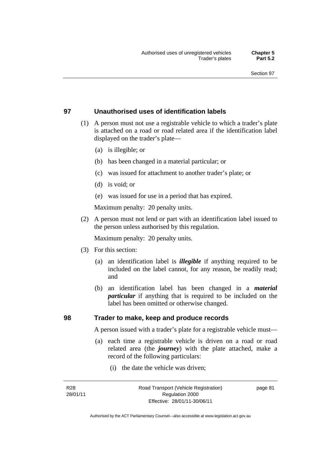### **97 Unauthorised uses of identification labels**

- (1) A person must not use a registrable vehicle to which a trader's plate is attached on a road or road related area if the identification label displayed on the trader's plate—
	- (a) is illegible; or
	- (b) has been changed in a material particular; or
	- (c) was issued for attachment to another trader's plate; or
	- (d) is void; or
	- (e) was issued for use in a period that has expired.

Maximum penalty: 20 penalty units.

 (2) A person must not lend or part with an identification label issued to the person unless authorised by this regulation.

Maximum penalty: 20 penalty units.

- (3) For this section:
	- (a) an identification label is *illegible* if anything required to be included on the label cannot, for any reason, be readily read; and
	- (b) an identification label has been changed in a *material particular* if anything that is required to be included on the label has been omitted or otherwise changed.

**98 Trader to make, keep and produce records** 

A person issued with a trader's plate for a registrable vehicle must—

- (a) each time a registrable vehicle is driven on a road or road related area (the *journey*) with the plate attached, make a record of the following particulars:
	- (i) the date the vehicle was driven;

R28 28/01/11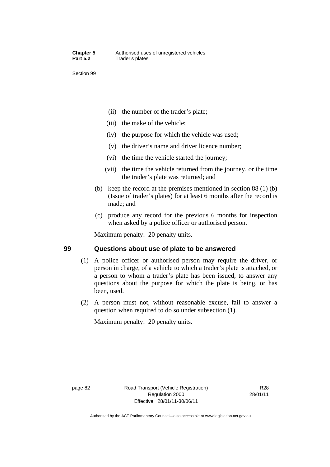- (ii) the number of the trader's plate;
- (iii) the make of the vehicle;
- (iv) the purpose for which the vehicle was used;
- (v) the driver's name and driver licence number;
- (vi) the time the vehicle started the journey;
- (vii) the time the vehicle returned from the journey, or the time the trader's plate was returned; and
- (b) keep the record at the premises mentioned in section 88 (1) (b) (Issue of trader's plates) for at least 6 months after the record is made; and
- (c) produce any record for the previous 6 months for inspection when asked by a police officer or authorised person.

Maximum penalty: 20 penalty units.

# **99 Questions about use of plate to be answered**

- (1) A police officer or authorised person may require the driver, or person in charge, of a vehicle to which a trader's plate is attached, or a person to whom a trader's plate has been issued, to answer any questions about the purpose for which the plate is being, or has been, used.
- (2) A person must not, without reasonable excuse, fail to answer a question when required to do so under subsection (1).

Maximum penalty: 20 penalty units.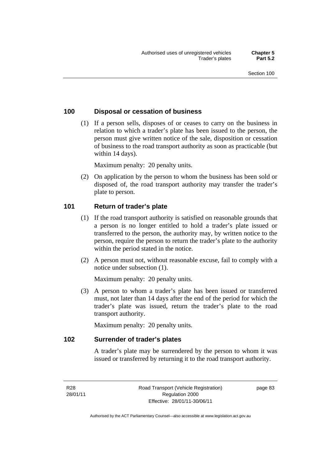## **100 Disposal or cessation of business**

 (1) If a person sells, disposes of or ceases to carry on the business in relation to which a trader's plate has been issued to the person, the person must give written notice of the sale, disposition or cessation of business to the road transport authority as soon as practicable (but within 14 days).

Maximum penalty: 20 penalty units.

 (2) On application by the person to whom the business has been sold or disposed of, the road transport authority may transfer the trader's plate to person.

#### **101 Return of trader's plate**

- (1) If the road transport authority is satisfied on reasonable grounds that a person is no longer entitled to hold a trader's plate issued or transferred to the person, the authority may, by written notice to the person, require the person to return the trader's plate to the authority within the period stated in the notice.
- (2) A person must not, without reasonable excuse, fail to comply with a notice under subsection (1).

Maximum penalty: 20 penalty units.

 (3) A person to whom a trader's plate has been issued or transferred must, not later than 14 days after the end of the period for which the trader's plate was issued, return the trader's plate to the road transport authority.

Maximum penalty: 20 penalty units.

#### **102 Surrender of trader's plates**

A trader's plate may be surrendered by the person to whom it was issued or transferred by returning it to the road transport authority.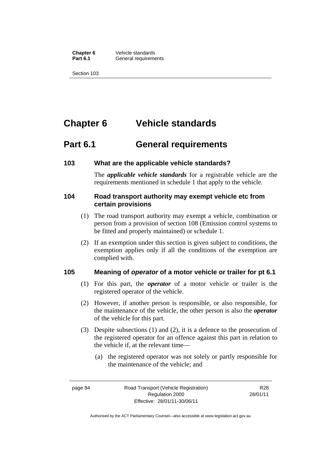**Chapter 6** Vehicle standards<br>**Part 6.1** General requirement **General requirements** 

Section 103

# **Chapter 6 Vehicle standards**

# **Part 6.1 General requirements**

## **103 What are the applicable vehicle standards?**

The *applicable vehicle standards* for a registrable vehicle are the requirements mentioned in schedule 1 that apply to the vehicle.

## **104 Road transport authority may exempt vehicle etc from certain provisions**

- (1) The road transport authority may exempt a vehicle, combination or person from a provision of section 108 (Emission control systems to be fitted and properly maintained) or schedule 1.
- (2) If an exemption under this section is given subject to conditions, the exemption applies only if all the conditions of the exemption are complied with.

# **105 Meaning of** *operator* **of a motor vehicle or trailer for pt 6.1**

- (1) For this part, the *operator* of a motor vehicle or trailer is the registered operator of the vehicle.
- (2) However, if another person is responsible, or also responsible, for the maintenance of the vehicle, the other person is also the *operator* of the vehicle for this part.
- (3) Despite subsections (1) and (2), it is a defence to the prosecution of the registered operator for an offence against this part in relation to the vehicle if, at the relevant time—
	- (a) the registered operator was not solely or partly responsible for the maintenance of the vehicle; and

R28 28/01/11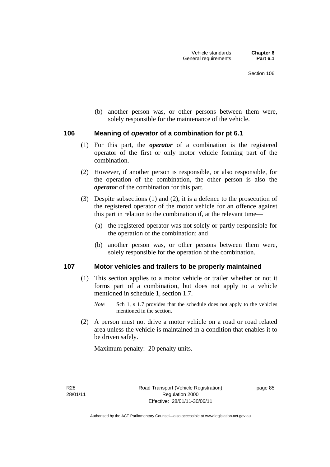(b) another person was, or other persons between them were, solely responsible for the maintenance of the vehicle.

#### **106 Meaning of** *operator* **of a combination for pt 6.1**

- (1) For this part, the *operator* of a combination is the registered operator of the first or only motor vehicle forming part of the combination.
- (2) However, if another person is responsible, or also responsible, for the operation of the combination, the other person is also the *operator* of the combination for this part.
- (3) Despite subsections (1) and (2), it is a defence to the prosecution of the registered operator of the motor vehicle for an offence against this part in relation to the combination if, at the relevant time—
	- (a) the registered operator was not solely or partly responsible for the operation of the combination; and
	- (b) another person was, or other persons between them were, solely responsible for the operation of the combination.

#### **107 Motor vehicles and trailers to be properly maintained**

- (1) This section applies to a motor vehicle or trailer whether or not it forms part of a combination, but does not apply to a vehicle mentioned in schedule 1, section 1.7.
	- *Note* Sch 1, s 1.7 provides that the schedule does not apply to the vehicles mentioned in the section.
- (2) A person must not drive a motor vehicle on a road or road related area unless the vehicle is maintained in a condition that enables it to be driven safely.

Maximum penalty: 20 penalty units.

R28 28/01/11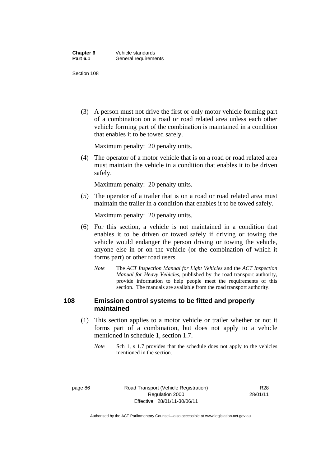(3) A person must not drive the first or only motor vehicle forming part of a combination on a road or road related area unless each other vehicle forming part of the combination is maintained in a condition that enables it to be towed safely.

Maximum penalty: 20 penalty units.

 (4) The operator of a motor vehicle that is on a road or road related area must maintain the vehicle in a condition that enables it to be driven safely.

Maximum penalty: 20 penalty units.

 (5) The operator of a trailer that is on a road or road related area must maintain the trailer in a condition that enables it to be towed safely.

Maximum penalty: 20 penalty units.

- (6) For this section, a vehicle is not maintained in a condition that enables it to be driven or towed safely if driving or towing the vehicle would endanger the person driving or towing the vehicle, anyone else in or on the vehicle (or the combination of which it forms part) or other road users.
	- *Note* The *ACT Inspection Manual for Light Vehicles* and the *ACT Inspection Manual for Heavy Vehicles*, published by the road transport authority, provide information to help people meet the requirements of this section. The manuals are available from the road transport authority.

### **108 Emission control systems to be fitted and properly maintained**

- (1) This section applies to a motor vehicle or trailer whether or not it forms part of a combination, but does not apply to a vehicle mentioned in schedule 1, section 1.7.
	- *Note* Sch 1, s 1.7 provides that the schedule does not apply to the vehicles mentioned in the section.

page 86 Road Transport (Vehicle Registration) Regulation 2000 Effective: 28/01/11-30/06/11

R28 28/01/11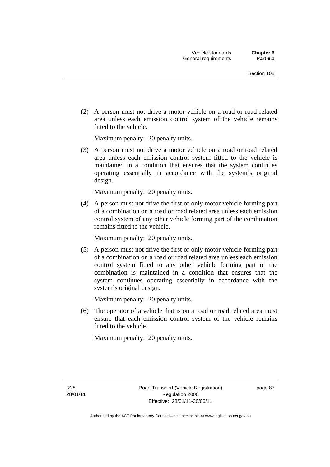(2) A person must not drive a motor vehicle on a road or road related area unless each emission control system of the vehicle remains fitted to the vehicle.

Maximum penalty: 20 penalty units.

 (3) A person must not drive a motor vehicle on a road or road related area unless each emission control system fitted to the vehicle is maintained in a condition that ensures that the system continues operating essentially in accordance with the system's original design.

Maximum penalty: 20 penalty units.

 (4) A person must not drive the first or only motor vehicle forming part of a combination on a road or road related area unless each emission control system of any other vehicle forming part of the combination remains fitted to the vehicle.

Maximum penalty: 20 penalty units.

 (5) A person must not drive the first or only motor vehicle forming part of a combination on a road or road related area unless each emission control system fitted to any other vehicle forming part of the combination is maintained in a condition that ensures that the system continues operating essentially in accordance with the system's original design.

Maximum penalty: 20 penalty units.

 (6) The operator of a vehicle that is on a road or road related area must ensure that each emission control system of the vehicle remains fitted to the vehicle.

Maximum penalty: 20 penalty units.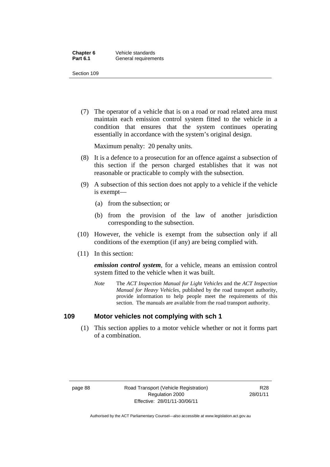(7) The operator of a vehicle that is on a road or road related area must maintain each emission control system fitted to the vehicle in a condition that ensures that the system continues operating essentially in accordance with the system's original design.

Maximum penalty: 20 penalty units.

- (8) It is a defence to a prosecution for an offence against a subsection of this section if the person charged establishes that it was not reasonable or practicable to comply with the subsection.
- (9) A subsection of this section does not apply to a vehicle if the vehicle is exempt—
	- (a) from the subsection; or
	- (b) from the provision of the law of another jurisdiction corresponding to the subsection.
- (10) However, the vehicle is exempt from the subsection only if all conditions of the exemption (if any) are being complied with.
- (11) In this section:

*emission control system*, for a vehicle, means an emission control system fitted to the vehicle when it was built.

*Note* The *ACT Inspection Manual for Light Vehicles* and the *ACT Inspection Manual for Heavy Vehicles*, published by the road transport authority, provide information to help people meet the requirements of this section. The manuals are available from the road transport authority.

#### **109 Motor vehicles not complying with sch 1**

 (1) This section applies to a motor vehicle whether or not it forms part of a combination.

page 88 Road Transport (Vehicle Registration) Regulation 2000 Effective: 28/01/11-30/06/11

R28 28/01/11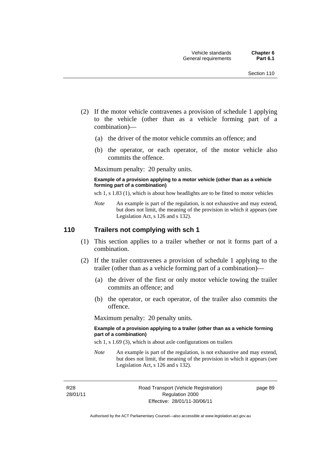- (2) If the motor vehicle contravenes a provision of schedule 1 applying to the vehicle (other than as a vehicle forming part of a combination)—
	- (a) the driver of the motor vehicle commits an offence; and
	- (b) the operator, or each operator, of the motor vehicle also commits the offence.

Maximum penalty: 20 penalty units.

#### **Example of a provision applying to a motor vehicle (other than as a vehicle forming part of a combination)**

sch 1, s 1.83 (1), which is about how headlights are to be fitted to motor vehicles

*Note* An example is part of the regulation, is not exhaustive and may extend, but does not limit, the meaning of the provision in which it appears (see Legislation Act, s 126 and s 132).

#### **110 Trailers not complying with sch 1**

- (1) This section applies to a trailer whether or not it forms part of a combination.
- (2) If the trailer contravenes a provision of schedule 1 applying to the trailer (other than as a vehicle forming part of a combination)—
	- (a) the driver of the first or only motor vehicle towing the trailer commits an offence; and
	- (b) the operator, or each operator, of the trailer also commits the offence.

Maximum penalty: 20 penalty units.

#### **Example of a provision applying to a trailer (other than as a vehicle forming part of a combination)**

sch 1, s 1.69 (3), which is about axle configurations on trailers

*Note* An example is part of the regulation, is not exhaustive and may extend, but does not limit, the meaning of the provision in which it appears (see Legislation Act, s 126 and s 132).

R28 28/01/11 Road Transport (Vehicle Registration) Regulation 2000 Effective: 28/01/11-30/06/11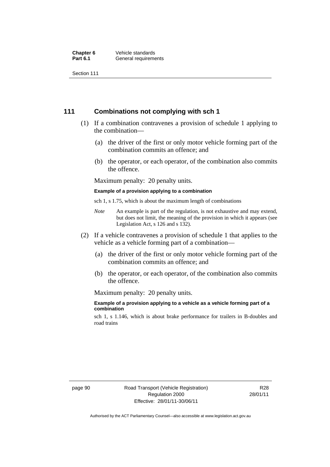**Chapter 6** Vehicle standards<br>**Part 6.1** General requirement **General requirements** 

Section 111

#### **111 Combinations not complying with sch 1**

- (1) If a combination contravenes a provision of schedule 1 applying to the combination—
	- (a) the driver of the first or only motor vehicle forming part of the combination commits an offence; and
	- (b) the operator, or each operator, of the combination also commits the offence.

Maximum penalty: 20 penalty units.

#### **Example of a provision applying to a combination**

sch 1, s 1.75, which is about the maximum length of combinations

- *Note* An example is part of the regulation, is not exhaustive and may extend, but does not limit, the meaning of the provision in which it appears (see Legislation Act, s 126 and s 132).
- (2) If a vehicle contravenes a provision of schedule 1 that applies to the vehicle as a vehicle forming part of a combination—
	- (a) the driver of the first or only motor vehicle forming part of the combination commits an offence; and
	- (b) the operator, or each operator, of the combination also commits the offence.

Maximum penalty: 20 penalty units.

#### **Example of a provision applying to a vehicle as a vehicle forming part of a combination**

sch 1, s 1.146, which is about brake performance for trailers in B-doubles and road trains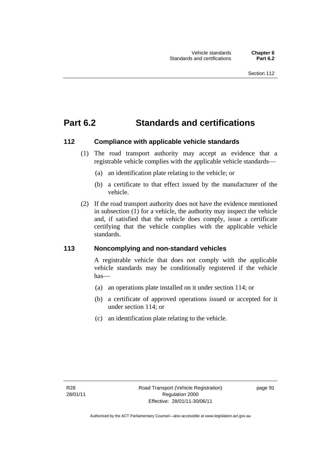# **Part 6.2 Standards and certifications**

# **112 Compliance with applicable vehicle standards**

- (1) The road transport authority may accept as evidence that a registrable vehicle complies with the applicable vehicle standards
	- (a) an identification plate relating to the vehicle; or
	- (b) a certificate to that effect issued by the manufacturer of the vehicle.
- (2) If the road transport authority does not have the evidence mentioned in subsection  $(1)$  for a vehicle, the authority may inspect the vehicle and, if satisfied that the vehicle does comply, issue a certificate certifying that the vehicle complies with the applicable vehicle standards.

# **113 Noncomplying and non-standard vehicles**

A registrable vehicle that does not comply with the applicable vehicle standards may be conditionally registered if the vehicle has

- (a) an operations plate installed on it under section 114; or
- (b) a certificate of approved operations issued or accepted for it under section 114; or
- (c) an identification plate relating to the vehicle.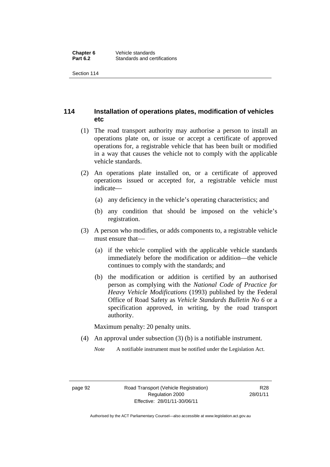Section 114

# **114 Installation of operations plates, modification of vehicles etc**

- (1) The road transport authority may authorise a person to install an operations plate on, or issue or accept a certificate of approved operations for, a registrable vehicle that has been built or modified in a way that causes the vehicle not to comply with the applicable vehicle standards.
- (2) An operations plate installed on, or a certificate of approved operations issued or accepted for, a registrable vehicle must indicate—
	- (a) any deficiency in the vehicle's operating characteristics; and
	- (b) any condition that should be imposed on the vehicle's registration.
- (3) A person who modifies, or adds components to, a registrable vehicle must ensure that
	- (a) if the vehicle complied with the applicable vehicle standards immediately before the modification or addition—the vehicle continues to comply with the standards; and
	- (b) the modification or addition is certified by an authorised person as complying with the *National Code of Practice for Heavy Vehicle Modifications* (1993) published by the Federal Office of Road Safety as *Vehicle Standards Bulletin No 6* or a specification approved, in writing, by the road transport authority.

Maximum penalty: 20 penalty units.

(4) An approval under subsection (3) (b) is a notifiable instrument.

*Note* A notifiable instrument must be notified under the Legislation Act.

R28 28/01/11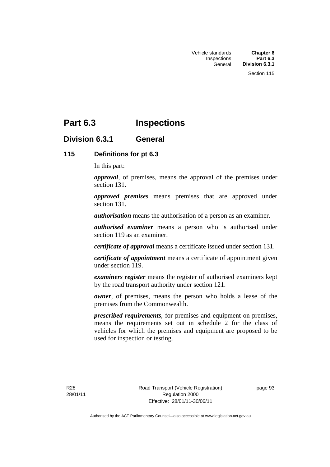# **Part 6.3 Inspections**

# **Division 6.3.1 General**

# **115 Definitions for pt 6.3**

In this part:

*approval*, of premises, means the approval of the premises under section 131.

*approved premises* means premises that are approved under section 131.

*authorisation* means the authorisation of a person as an examiner.

*authorised examiner* means a person who is authorised under section 119 as an examiner.

*certificate of approval* means a certificate issued under section 131.

*certificate of appointment* means a certificate of appointment given under section 119.

*examiners register* means the register of authorised examiners kept by the road transport authority under section 121.

*owner*, of premises, means the person who holds a lease of the premises from the Commonwealth.

*prescribed requirements*, for premises and equipment on premises, means the requirements set out in schedule 2 for the class of vehicles for which the premises and equipment are proposed to be used for inspection or testing.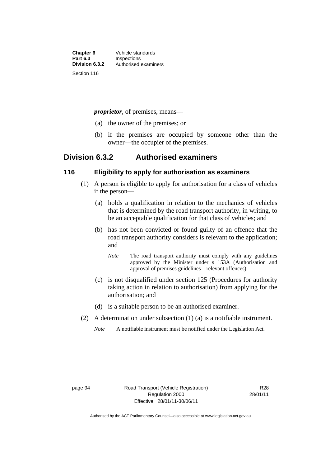**Chapter 6** Vehicle standards<br> **Part 6.3** Inspections **Part 6.3 Inspections**<br>**Division 6.3.2** Authorised 6 **Division 6.3.2** Authorised examiners Section 116

*proprietor*, of premises, means—

- (a) the owner of the premises; or
- (b) if the premises are occupied by someone other than the owner—the occupier of the premises.

# **Division 6.3.2 Authorised examiners**

### **116 Eligibility to apply for authorisation as examiners**

- (1) A person is eligible to apply for authorisation for a class of vehicles if the person—
	- (a) holds a qualification in relation to the mechanics of vehicles that is determined by the road transport authority, in writing, to be an acceptable qualification for that class of vehicles; and
	- (b) has not been convicted or found guilty of an offence that the road transport authority considers is relevant to the application; and
		- *Note* The road transport authority must comply with any guidelines approved by the Minister under s 153A (Authorisation and approval of premises guidelines—relevant offences).
	- (c) is not disqualified under section 125 (Procedures for authority taking action in relation to authorisation) from applying for the authorisation; and
	- (d) is a suitable person to be an authorised examiner.
- (2) A determination under subsection (1) (a) is a notifiable instrument.
	- *Note* A notifiable instrument must be notified under the Legislation Act.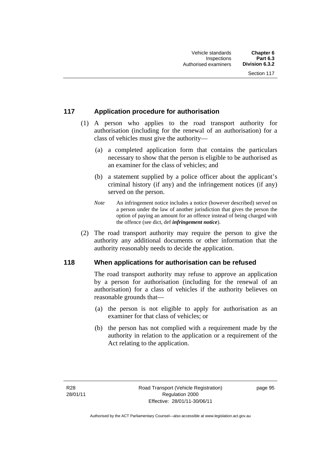# **117 Application procedure for authorisation**

- (1) A person who applies to the road transport authority for authorisation (including for the renewal of an authorisation) for a class of vehicles must give the authority—
	- (a) a completed application form that contains the particulars necessary to show that the person is eligible to be authorised as an examiner for the class of vehicles; and
	- (b) a statement supplied by a police officer about the applicant's criminal history (if any) and the infringement notices (if any) served on the person.
	- *Note* An infringement notice includes a notice (however described) served on a person under the law of another jurisdiction that gives the person the option of paying an amount for an offence instead of being charged with the offence (see dict, def *infringement notice*).
- (2) The road transport authority may require the person to give the authority any additional documents or other information that the authority reasonably needs to decide the application.

### **118 When applications for authorisation can be refused**

The road transport authority may refuse to approve an application by a person for authorisation (including for the renewal of an authorisation) for a class of vehicles if the authority believes on reasonable grounds that—

- (a) the person is not eligible to apply for authorisation as an examiner for that class of vehicles; or
- (b) the person has not complied with a requirement made by the authority in relation to the application or a requirement of the Act relating to the application.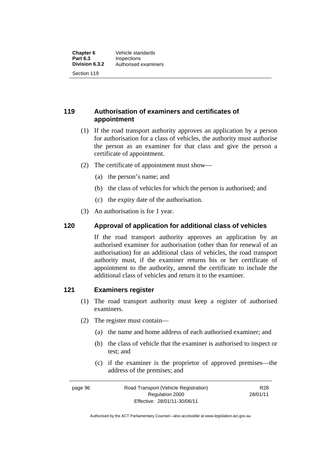**119 Authorisation of examiners and certificates of appointment** 

- (1) If the road transport authority approves an application by a person for authorisation for a class of vehicles, the authority must authorise the person as an examiner for that class and give the person a certificate of appointment.
- (2) The certificate of appointment must show—
	- (a) the person's name; and
	- (b) the class of vehicles for which the person is authorised; and
	- (c) the expiry date of the authorisation.
- (3) An authorisation is for 1 year.

# **120 Approval of application for additional class of vehicles**

If the road transport authority approves an application by an authorised examiner for authorisation (other than for renewal of an authorisation) for an additional class of vehicles, the road transport authority must, if the examiner returns his or her certificate of appointment to the authority, amend the certificate to include the additional class of vehicles and return it to the examiner.

# **121 Examiners register**

- (1) The road transport authority must keep a register of authorised examiners.
- (2) The register must contain—
	- (a) the name and home address of each authorised examiner; and
	- (b) the class of vehicle that the examiner is authorised to inspect or test; and
	- (c) if the examiner is the proprietor of approved premises—the address of the premises; and

| page 96 | Road Transport (Vehicle Registration) | R <sub>28</sub> |
|---------|---------------------------------------|-----------------|
|         | Regulation 2000                       | 28/01/11        |
|         | Effective: 28/01/11-30/06/11          |                 |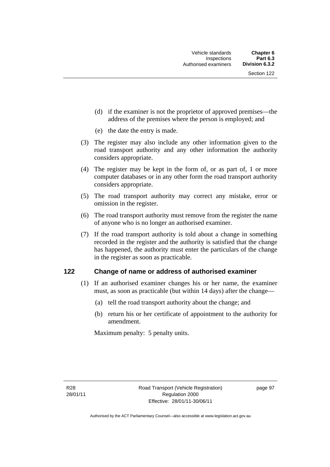- (d) if the examiner is not the proprietor of approved premises—the address of the premises where the person is employed; and
- (e) the date the entry is made.
- (3) The register may also include any other information given to the road transport authority and any other information the authority considers appropriate.
- (4) The register may be kept in the form of, or as part of, 1 or more computer databases or in any other form the road transport authority considers appropriate.
- (5) The road transport authority may correct any mistake, error or omission in the register.
- (6) The road transport authority must remove from the register the name of anyone who is no longer an authorised examiner.
- (7) If the road transport authority is told about a change in something recorded in the register and the authority is satisfied that the change has happened, the authority must enter the particulars of the change in the register as soon as practicable.

### **122 Change of name or address of authorised examiner**

- (1) If an authorised examiner changes his or her name, the examiner must, as soon as practicable (but within 14 days) after the change—
	- (a) tell the road transport authority about the change; and
	- (b) return his or her certificate of appointment to the authority for amendment.

Maximum penalty: 5 penalty units.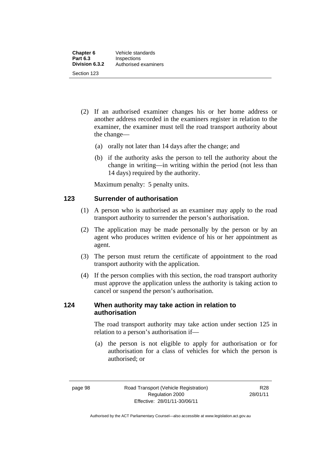- (2) If an authorised examiner changes his or her home address or another address recorded in the examiners register in relation to the examiner, the examiner must tell the road transport authority about the change—
	- (a) orally not later than 14 days after the change; and
	- (b) if the authority asks the person to tell the authority about the change in writing—in writing within the period (not less than 14 days) required by the authority.

Maximum penalty: 5 penalty units.

# **123 Surrender of authorisation**

- (1) A person who is authorised as an examiner may apply to the road transport authority to surrender the person's authorisation.
- (2) The application may be made personally by the person or by an agent who produces written evidence of his or her appointment as agent.
- (3) The person must return the certificate of appointment to the road transport authority with the application.
- (4) If the person complies with this section, the road transport authority must approve the application unless the authority is taking action to cancel or suspend the person's authorisation.

# **124 When authority may take action in relation to authorisation**

The road transport authority may take action under section 125 in relation to a person's authorisation if—

 (a) the person is not eligible to apply for authorisation or for authorisation for a class of vehicles for which the person is authorised; or

R28 28/01/11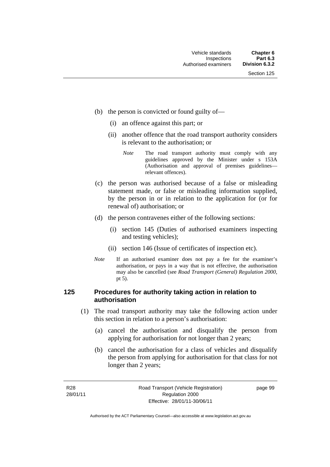- (b) the person is convicted or found guilty of—
	- (i) an offence against this part; or
	- (ii) another offence that the road transport authority considers is relevant to the authorisation; or
		- *Note* The road transport authority must comply with any guidelines approved by the Minister under s 153A (Authorisation and approval of premises guidelines relevant offences).
- (c) the person was authorised because of a false or misleading statement made, or false or misleading information supplied, by the person in or in relation to the application for (or for renewal of) authorisation; or
- (d) the person contravenes either of the following sections:
	- (i) section 145 (Duties of authorised examiners inspecting and testing vehicles);
	- (ii) section 146 (Issue of certificates of inspection etc).
- *Note* If an authorised examiner does not pay a fee for the examiner's authorisation, or pays in a way that is not effective, the authorisation may also be cancelled (see *Road Transport (General) Regulation 2000*, pt 5).

### **125 Procedures for authority taking action in relation to authorisation**

- (1) The road transport authority may take the following action under this section in relation to a person's authorisation:
	- (a) cancel the authorisation and disqualify the person from applying for authorisation for not longer than 2 years;
	- (b) cancel the authorisation for a class of vehicles and disqualify the person from applying for authorisation for that class for not longer than 2 years;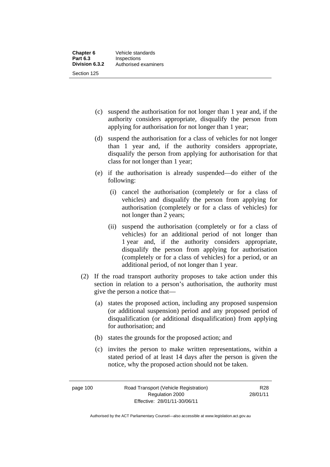- (c) suspend the authorisation for not longer than 1 year and, if the authority considers appropriate, disqualify the person from applying for authorisation for not longer than 1 year;
- (d) suspend the authorisation for a class of vehicles for not longer than 1 year and, if the authority considers appropriate, disqualify the person from applying for authorisation for that class for not longer than 1 year;
- (e) if the authorisation is already suspended—do either of the following:
	- (i) cancel the authorisation (completely or for a class of vehicles) and disqualify the person from applying for authorisation (completely or for a class of vehicles) for not longer than 2 years;
	- (ii) suspend the authorisation (completely or for a class of vehicles) for an additional period of not longer than 1 year and, if the authority considers appropriate, disqualify the person from applying for authorisation (completely or for a class of vehicles) for a period, or an additional period, of not longer than 1 year.
- (2) If the road transport authority proposes to take action under this section in relation to a person's authorisation, the authority must give the person a notice that—
	- (a) states the proposed action, including any proposed suspension (or additional suspension) period and any proposed period of disqualification (or additional disqualification) from applying for authorisation; and
	- (b) states the grounds for the proposed action; and
	- (c) invites the person to make written representations, within a stated period of at least 14 days after the person is given the notice, why the proposed action should not be taken.

page 100 Road Transport (Vehicle Registration) Regulation 2000 Effective: 28/01/11-30/06/11

R28 28/01/11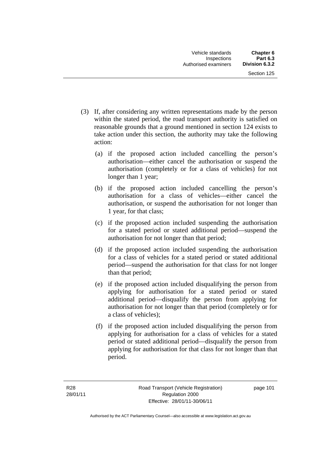- (3) If, after considering any written representations made by the person within the stated period, the road transport authority is satisfied on reasonable grounds that a ground mentioned in section 124 exists to take action under this section, the authority may take the following action:
	- (a) if the proposed action included cancelling the person's authorisation—either cancel the authorisation or suspend the authorisation (completely or for a class of vehicles) for not longer than 1 year;
	- (b) if the proposed action included cancelling the person's authorisation for a class of vehicles—either cancel the authorisation, or suspend the authorisation for not longer than 1 year, for that class;
	- (c) if the proposed action included suspending the authorisation for a stated period or stated additional period—suspend the authorisation for not longer than that period;
	- (d) if the proposed action included suspending the authorisation for a class of vehicles for a stated period or stated additional period—suspend the authorisation for that class for not longer than that period;
	- (e) if the proposed action included disqualifying the person from applying for authorisation for a stated period or stated additional period—disqualify the person from applying for authorisation for not longer than that period (completely or for a class of vehicles);
	- (f) if the proposed action included disqualifying the person from applying for authorisation for a class of vehicles for a stated period or stated additional period—disqualify the person from applying for authorisation for that class for not longer than that period.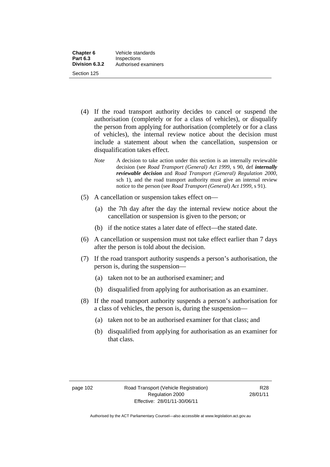- (4) If the road transport authority decides to cancel or suspend the authorisation (completely or for a class of vehicles), or disqualify the person from applying for authorisation (completely or for a class of vehicles), the internal review notice about the decision must include a statement about when the cancellation, suspension or disqualification takes effect.
	- *Note* A decision to take action under this section is an internally reviewable decision (see *Road Transport (General) Act 1999*, s 90, def *internally reviewable decision* and *Road Transport (General) Regulation 2000*, sch 1), and the road transport authority must give an internal review notice to the person (see *Road Transport (General) Act 1999*, s 91).
- (5) A cancellation or suspension takes effect on—
	- (a) the 7th day after the day the internal review notice about the cancellation or suspension is given to the person; or
	- (b) if the notice states a later date of effect—the stated date.
- (6) A cancellation or suspension must not take effect earlier than 7 days after the person is told about the decision.
- (7) If the road transport authority suspends a person's authorisation, the person is, during the suspension—
	- (a) taken not to be an authorised examiner; and
	- (b) disqualified from applying for authorisation as an examiner.
- (8) If the road transport authority suspends a person's authorisation for a class of vehicles, the person is, during the suspension—
	- (a) taken not to be an authorised examiner for that class; and
	- (b) disqualified from applying for authorisation as an examiner for that class.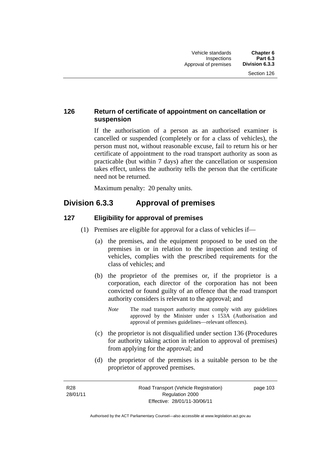# **126 Return of certificate of appointment on cancellation or suspension**

If the authorisation of a person as an authorised examiner is cancelled or suspended (completely or for a class of vehicles), the person must not, without reasonable excuse, fail to return his or her certificate of appointment to the road transport authority as soon as practicable (but within 7 days) after the cancellation or suspension takes effect, unless the authority tells the person that the certificate need not be returned.

Maximum penalty: 20 penalty units.

# **Division 6.3.3 Approval of premises**

# **127 Eligibility for approval of premises**

- (1) Premises are eligible for approval for a class of vehicles if—
	- (a) the premises, and the equipment proposed to be used on the premises in or in relation to the inspection and testing of vehicles, complies with the prescribed requirements for the class of vehicles; and
	- (b) the proprietor of the premises or, if the proprietor is a corporation, each director of the corporation has not been convicted or found guilty of an offence that the road transport authority considers is relevant to the approval; and
		- *Note* The road transport authority must comply with any guidelines approved by the Minister under s 153A (Authorisation and approval of premises guidelines—relevant offences).
	- (c) the proprietor is not disqualified under section 136 (Procedures for authority taking action in relation to approval of premises) from applying for the approval; and
	- (d) the proprietor of the premises is a suitable person to be the proprietor of approved premises.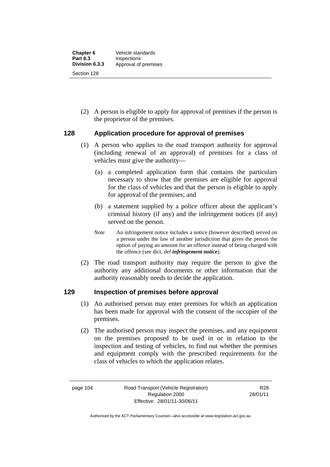(2) A person is eligible to apply for approval of premises if the person is the proprietor of the premises.

# **128 Application procedure for approval of premises**

- (1) A person who applies to the road transport authority for approval (including renewal of an approval) of premises for a class of vehicles must give the authority—
	- (a) a completed application form that contains the particulars necessary to show that the premises are eligible for approval for the class of vehicles and that the person is eligible to apply for approval of the premises; and
	- (b) a statement supplied by a police officer about the applicant's criminal history (if any) and the infringement notices (if any) served on the person.
	- *Note* An infringement notice includes a notice (however described) served on a person under the law of another jurisdiction that gives the person the option of paying an amount for an offence instead of being charged with the offence (see dict, def *infringement notice*).
- (2) The road transport authority may require the person to give the authority any additional documents or other information that the authority reasonably needs to decide the application.

### **129 Inspection of premises before approval**

- (1) An authorised person may enter premises for which an application has been made for approval with the consent of the occupier of the premises.
- (2) The authorised person may inspect the premises, and any equipment on the premises proposed to be used in or in relation to the inspection and testing of vehicles, to find out whether the premises and equipment comply with the prescribed requirements for the class of vehicles to which the application relates.

page 104 Road Transport (Vehicle Registration) Regulation 2000 Effective: 28/01/11-30/06/11

R28 28/01/11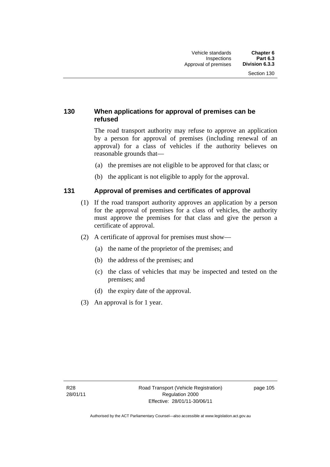# **130 When applications for approval of premises can be refused**

The road transport authority may refuse to approve an application by a person for approval of premises (including renewal of an approval) for a class of vehicles if the authority believes on reasonable grounds that—

- (a) the premises are not eligible to be approved for that class; or
- (b) the applicant is not eligible to apply for the approval.

# **131 Approval of premises and certificates of approval**

- (1) If the road transport authority approves an application by a person for the approval of premises for a class of vehicles, the authority must approve the premises for that class and give the person a certificate of approval.
- (2) A certificate of approval for premises must show—
	- (a) the name of the proprietor of the premises; and
	- (b) the address of the premises; and
	- (c) the class of vehicles that may be inspected and tested on the premises; and
	- (d) the expiry date of the approval.
- (3) An approval is for 1 year.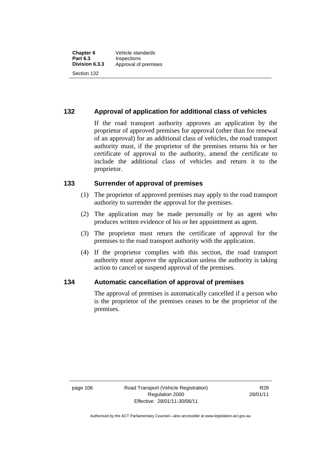# **132 Approval of application for additional class of vehicles**

If the road transport authority approves an application by the proprietor of approved premises for approval (other than for renewal of an approval) for an additional class of vehicles, the road transport authority must, if the proprietor of the premises returns his or her certificate of approval to the authority, amend the certificate to include the additional class of vehicles and return it to the proprietor.

### **133 Surrender of approval of premises**

- (1) The proprietor of approved premises may apply to the road transport authority to surrender the approval for the premises.
- (2) The application may be made personally or by an agent who produces written evidence of his or her appointment as agent.
- (3) The proprietor must return the certificate of approval for the premises to the road transport authority with the application.
- (4) If the proprietor complies with this section, the road transport authority must approve the application unless the authority is taking action to cancel or suspend approval of the premises.

### **134 Automatic cancellation of approval of premises**

The approval of premises is automatically cancelled if a person who is the proprietor of the premises ceases to be the proprietor of the premises.

page 106 Road Transport (Vehicle Registration) Regulation 2000 Effective: 28/01/11-30/06/11

R28 28/01/11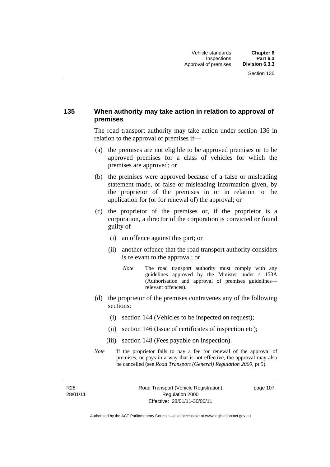# **135 When authority may take action in relation to approval of premises**

The road transport authority may take action under section 136 in relation to the approval of premises if—

- (a) the premises are not eligible to be approved premises or to be approved premises for a class of vehicles for which the premises are approved; or
- (b) the premises were approved because of a false or misleading statement made, or false or misleading information given, by the proprietor of the premises in or in relation to the application for (or for renewal of) the approval; or
- (c) the proprietor of the premises or, if the proprietor is a corporation, a director of the corporation is convicted or found guilty of—
	- (i) an offence against this part; or
	- (ii) another offence that the road transport authority considers is relevant to the approval; or
		- *Note* The road transport authority must comply with any guidelines approved by the Minister under s 153A (Authorisation and approval of premises guidelines relevant offences).
- (d) the proprietor of the premises contravenes any of the following sections:
	- (i) section 144 (Vehicles to be inspected on request);
	- (ii) section 146 (Issue of certificates of inspection etc);
	- (iii) section 148 (Fees payable on inspection).
- *Note* If the proprietor fails to pay a fee for renewal of the approval of premises, or pays in a way that is not effective, the approval may also be cancelled (see *Road Transport (General) Regulation 2000*, pt 5).

R28 28/01/11 Road Transport (Vehicle Registration) Regulation 2000 Effective: 28/01/11-30/06/11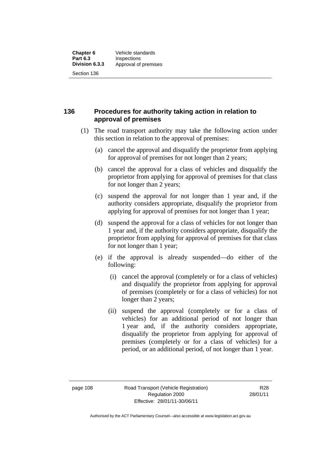**136 Procedures for authority taking action in relation to approval of premises** 

- (1) The road transport authority may take the following action under this section in relation to the approval of premises:
	- (a) cancel the approval and disqualify the proprietor from applying for approval of premises for not longer than 2 years;
	- (b) cancel the approval for a class of vehicles and disqualify the proprietor from applying for approval of premises for that class for not longer than 2 years;
	- (c) suspend the approval for not longer than 1 year and, if the authority considers appropriate, disqualify the proprietor from applying for approval of premises for not longer than 1 year;
	- (d) suspend the approval for a class of vehicles for not longer than 1 year and, if the authority considers appropriate, disqualify the proprietor from applying for approval of premises for that class for not longer than 1 year;
	- (e) if the approval is already suspended—do either of the following:
		- (i) cancel the approval (completely or for a class of vehicles) and disqualify the proprietor from applying for approval of premises (completely or for a class of vehicles) for not longer than 2 years;
		- (ii) suspend the approval (completely or for a class of vehicles) for an additional period of not longer than 1 year and, if the authority considers appropriate, disqualify the proprietor from applying for approval of premises (completely or for a class of vehicles) for a period, or an additional period, of not longer than 1 year.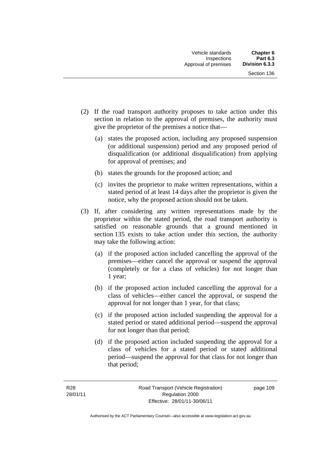- (2) If the road transport authority proposes to take action under this section in relation to the approval of premises, the authority must give the proprietor of the premises a notice that—
	- (a) states the proposed action, including any proposed suspension (or additional suspension) period and any proposed period of disqualification (or additional disqualification) from applying for approval of premises; and
	- (b) states the grounds for the proposed action; and
	- (c) invites the proprietor to make written representations, within a stated period of at least 14 days after the proprietor is given the notice, why the proposed action should not be taken.
- (3) If, after considering any written representations made by the proprietor within the stated period, the road transport authority is satisfied on reasonable grounds that a ground mentioned in section 135 exists to take action under this section, the authority may take the following action:
	- (a) if the proposed action included cancelling the approval of the premises—either cancel the approval or suspend the approval (completely or for a class of vehicles) for not longer than 1 year;
	- (b) if the proposed action included cancelling the approval for a class of vehicles—either cancel the approval, or suspend the approval for not longer than 1 year, for that class;
	- (c) if the proposed action included suspending the approval for a stated period or stated additional period—suspend the approval for not longer than that period;
	- (d) if the proposed action included suspending the approval for a class of vehicles for a stated period or stated additional period—suspend the approval for that class for not longer than that period;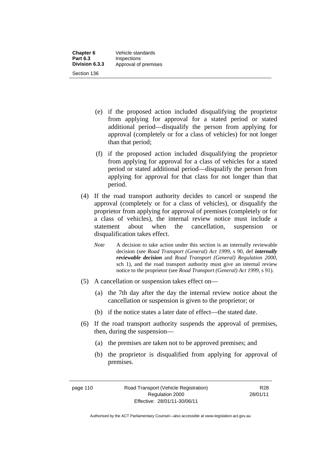| <b>Chapter 6</b> | Vehicle standards    |
|------------------|----------------------|
| <b>Part 6.3</b>  | Inspections          |
| Division 6.3.3   | Approval of premises |
| Section 136      |                      |

- (e) if the proposed action included disqualifying the proprietor from applying for approval for a stated period or stated additional period—disqualify the person from applying for approval (completely or for a class of vehicles) for not longer than that period;
- (f) if the proposed action included disqualifying the proprietor from applying for approval for a class of vehicles for a stated period or stated additional period—disqualify the person from applying for approval for that class for not longer than that period.
- (4) If the road transport authority decides to cancel or suspend the approval (completely or for a class of vehicles), or disqualify the proprietor from applying for approval of premises (completely or for a class of vehicles), the internal review notice must include a statement about when the cancellation, suspension or disqualification takes effect.
	- *Note* A decision to take action under this section is an internally reviewable decision (see *Road Transport (General) Act 1999*, s 90, def *internally reviewable decision* and *Road Transport (General) Regulation 2000*, sch 1), and the road transport authority must give an internal review notice to the proprietor (see *Road Transport (General) Act 1999*, s 91).
- (5) A cancellation or suspension takes effect on—
	- (a) the 7th day after the day the internal review notice about the cancellation or suspension is given to the proprietor; or
	- (b) if the notice states a later date of effect—the stated date.
- (6) If the road transport authority suspends the approval of premises, then, during the suspension—
	- (a) the premises are taken not to be approved premises; and
	- (b) the proprietor is disqualified from applying for approval of premises.

Authorised by the ACT Parliamentary Counsel—also accessible at www.legislation.act.gov.au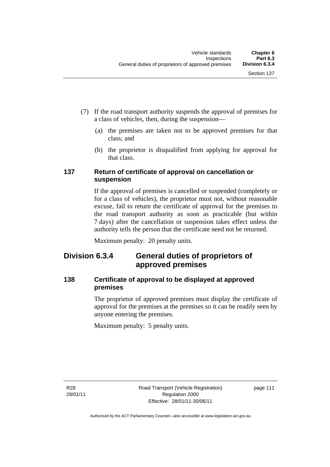- (7) If the road transport authority suspends the approval of premises for a class of vehicles, then, during the suspension—
	- (a) the premises are taken not to be approved premises for that class; and
	- (b) the proprietor is disqualified from applying for approval for that class.

# **137 Return of certificate of approval on cancellation or suspension**

If the approval of premises is cancelled or suspended (completely or for a class of vehicles), the proprietor must not, without reasonable excuse, fail to return the certificate of approval for the premises to the road transport authority as soon as practicable (but within 7 days) after the cancellation or suspension takes effect unless the authority tells the person that the certificate need not be returned.

Maximum penalty: 20 penalty units.

# **Division 6.3.4 General duties of proprietors of approved premises**

# **138 Certificate of approval to be displayed at approved premises**

The proprietor of approved premises must display the certificate of approval for the premises at the premises so it can be readily seen by anyone entering the premises.

Maximum penalty: 5 penalty units.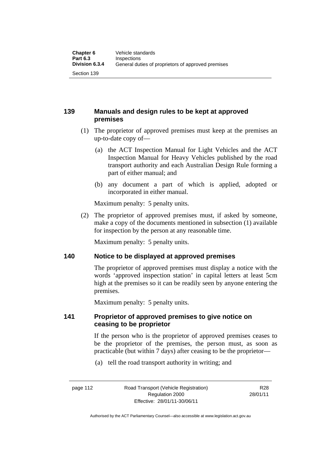# **139 Manuals and design rules to be kept at approved premises**

- (1) The proprietor of approved premises must keep at the premises an up-to-date copy of—
	- (a) the ACT Inspection Manual for Light Vehicles and the ACT Inspection Manual for Heavy Vehicles published by the road transport authority and each Australian Design Rule forming a part of either manual; and
	- (b) any document a part of which is applied, adopted or incorporated in either manual.

Maximum penalty: 5 penalty units.

 (2) The proprietor of approved premises must, if asked by someone, make a copy of the documents mentioned in subsection (1) available for inspection by the person at any reasonable time.

Maximum penalty: 5 penalty units.

### **140 Notice to be displayed at approved premises**

The proprietor of approved premises must display a notice with the words 'approved inspection station' in capital letters at least 5cm high at the premises so it can be readily seen by anyone entering the premises.

Maximum penalty: 5 penalty units.

### **141 Proprietor of approved premises to give notice on ceasing to be proprietor**

If the person who is the proprietor of approved premises ceases to be the proprietor of the premises, the person must, as soon as practicable (but within 7 days) after ceasing to be the proprietor—

(a) tell the road transport authority in writing; and

R28 28/01/11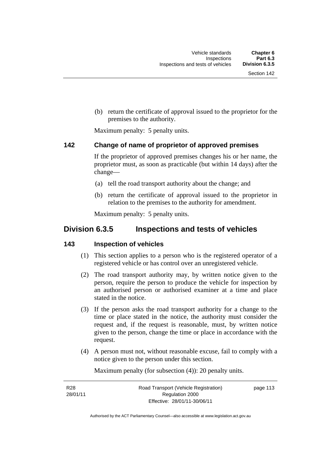(b) return the certificate of approval issued to the proprietor for the premises to the authority.

Maximum penalty: 5 penalty units.

### **142 Change of name of proprietor of approved premises**

If the proprietor of approved premises changes his or her name, the proprietor must, as soon as practicable (but within 14 days) after the change—

- (a) tell the road transport authority about the change; and
- (b) return the certificate of approval issued to the proprietor in relation to the premises to the authority for amendment.

Maximum penalty: 5 penalty units.

# **Division 6.3.5 Inspections and tests of vehicles**

#### **143 Inspection of vehicles**

- (1) This section applies to a person who is the registered operator of a registered vehicle or has control over an unregistered vehicle.
- (2) The road transport authority may, by written notice given to the person, require the person to produce the vehicle for inspection by an authorised person or authorised examiner at a time and place stated in the notice.
- (3) If the person asks the road transport authority for a change to the time or place stated in the notice, the authority must consider the request and, if the request is reasonable, must, by written notice given to the person, change the time or place in accordance with the request.
- (4) A person must not, without reasonable excuse, fail to comply with a notice given to the person under this section.

Maximum penalty (for subsection (4)): 20 penalty units.

| R <sub>28</sub> | Road Transport (Vehicle Registration) | page 113 |
|-----------------|---------------------------------------|----------|
| 28/01/11        | Regulation 2000                       |          |
|                 | Effective: 28/01/11-30/06/11          |          |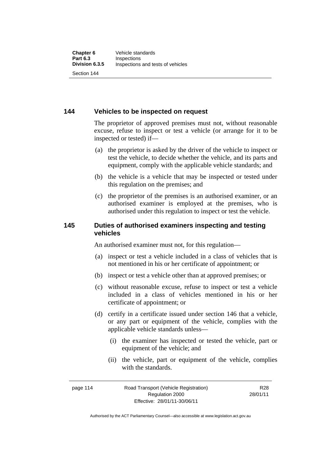Section 144

# **144 Vehicles to be inspected on request**

The proprietor of approved premises must not, without reasonable excuse, refuse to inspect or test a vehicle (or arrange for it to be inspected or tested) if—

- (a) the proprietor is asked by the driver of the vehicle to inspect or test the vehicle, to decide whether the vehicle, and its parts and equipment, comply with the applicable vehicle standards; and
- (b) the vehicle is a vehicle that may be inspected or tested under this regulation on the premises; and
- (c) the proprietor of the premises is an authorised examiner, or an authorised examiner is employed at the premises, who is authorised under this regulation to inspect or test the vehicle.

# **145 Duties of authorised examiners inspecting and testing vehicles**

An authorised examiner must not, for this regulation—

- (a) inspect or test a vehicle included in a class of vehicles that is not mentioned in his or her certificate of appointment; or
- (b) inspect or test a vehicle other than at approved premises; or
- (c) without reasonable excuse, refuse to inspect or test a vehicle included in a class of vehicles mentioned in his or her certificate of appointment; or
- (d) certify in a certificate issued under section 146 that a vehicle, or any part or equipment of the vehicle, complies with the applicable vehicle standards unless—
	- (i) the examiner has inspected or tested the vehicle, part or equipment of the vehicle; and
	- (ii) the vehicle, part or equipment of the vehicle, complies with the standards.

| page 114 | Road Transport (Vehicle Registration) | R <sub>28</sub> |
|----------|---------------------------------------|-----------------|
|          | Regulation 2000                       |                 |
|          | Effective: 28/01/11-30/06/11          |                 |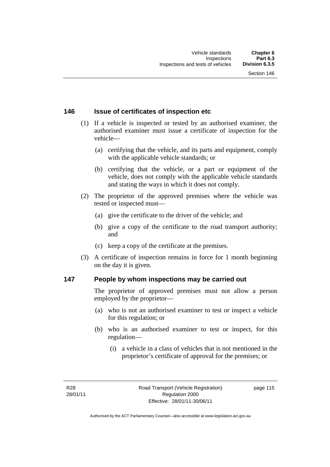### **146 Issue of certificates of inspection etc**

- (1) If a vehicle is inspected or tested by an authorised examiner, the authorised examiner must issue a certificate of inspection for the vehicle—
	- (a) certifying that the vehicle, and its parts and equipment, comply with the applicable vehicle standards; or
	- (b) certifying that the vehicle, or a part or equipment of the vehicle, does not comply with the applicable vehicle standards and stating the ways in which it does not comply.
- (2) The proprietor of the approved premises where the vehicle was tested or inspected must—
	- (a) give the certificate to the driver of the vehicle; and
	- (b) give a copy of the certificate to the road transport authority; and
	- (c) keep a copy of the certificate at the premises.
- (3) A certificate of inspection remains in force for 1 month beginning on the day it is given.

### **147 People by whom inspections may be carried out**

The proprietor of approved premises must not allow a person employed by the proprietor—

- (a) who is not an authorised examiner to test or inspect a vehicle for this regulation; or
- (b) who is an authorised examiner to test or inspect, for this regulation—
	- (i) a vehicle in a class of vehicles that is not mentioned in the proprietor's certificate of approval for the premises; or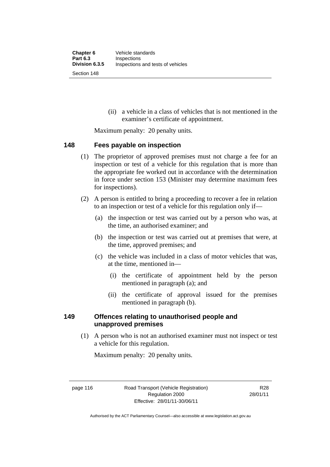(ii) a vehicle in a class of vehicles that is not mentioned in the examiner's certificate of appointment.

Maximum penalty: 20 penalty units.

### **148 Fees payable on inspection**

- (1) The proprietor of approved premises must not charge a fee for an inspection or test of a vehicle for this regulation that is more than the appropriate fee worked out in accordance with the determination in force under section 153 (Minister may determine maximum fees for inspections).
- (2) A person is entitled to bring a proceeding to recover a fee in relation to an inspection or test of a vehicle for this regulation only if—
	- (a) the inspection or test was carried out by a person who was, at the time, an authorised examiner; and
	- (b) the inspection or test was carried out at premises that were, at the time, approved premises; and
	- (c) the vehicle was included in a class of motor vehicles that was, at the time, mentioned in—
		- (i) the certificate of appointment held by the person mentioned in paragraph (a); and
		- (ii) the certificate of approval issued for the premises mentioned in paragraph (b).

### **149 Offences relating to unauthorised people and unapproved premises**

(1) A person who is not an authorised examiner must not inspect or test a vehicle for this regulation.

Maximum penalty: 20 penalty units.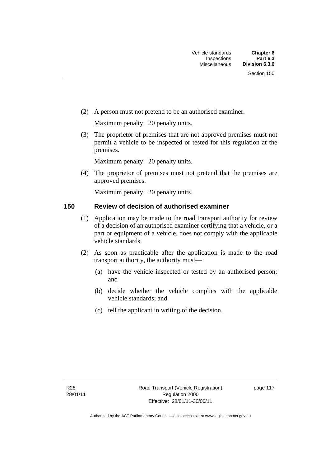(2) A person must not pretend to be an authorised examiner.

Maximum penalty: 20 penalty units.

 (3) The proprietor of premises that are not approved premises must not permit a vehicle to be inspected or tested for this regulation at the premises.

Maximum penalty: 20 penalty units.

 (4) The proprietor of premises must not pretend that the premises are approved premises.

Maximum penalty: 20 penalty units.

# **150 Review of decision of authorised examiner**

- (1) Application may be made to the road transport authority for review of a decision of an authorised examiner certifying that a vehicle, or a part or equipment of a vehicle, does not comply with the applicable vehicle standards.
- (2) As soon as practicable after the application is made to the road transport authority, the authority must—
	- (a) have the vehicle inspected or tested by an authorised person; and
	- (b) decide whether the vehicle complies with the applicable vehicle standards; and
	- (c) tell the applicant in writing of the decision.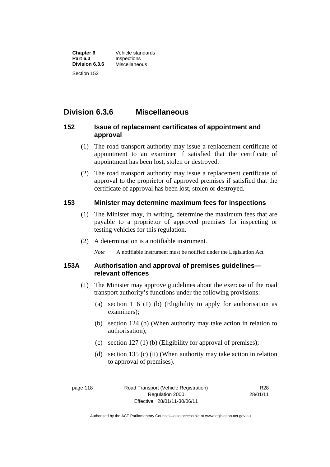**Chapter 6** Vehicle standards<br> **Part 6.3** Inspections **Inspections**<br>Miscellaneous **Division 6.3.6** Section 152

# **Division 6.3.6 Miscellaneous**

# **152 Issue of replacement certificates of appointment and approval**

- (1) The road transport authority may issue a replacement certificate of appointment to an examiner if satisfied that the certificate of appointment has been lost, stolen or destroyed.
- (2) The road transport authority may issue a replacement certificate of approval to the proprietor of approved premises if satisfied that the certificate of approval has been lost, stolen or destroyed.

# **153 Minister may determine maximum fees for inspections**

- (1) The Minister may, in writing, determine the maximum fees that are payable to a proprietor of approved premises for inspecting or testing vehicles for this regulation.
- (2) A determination is a notifiable instrument.

*Note* A notifiable instrument must be notified under the Legislation Act.

# **153A Authorisation and approval of premises guidelines relevant offences**

- (1) The Minister may approve guidelines about the exercise of the road transport authority's functions under the following provisions:
	- (a) section 116 (1) (b) (Eligibility to apply for authorisation as examiners);
	- (b) section 124 (b) (When authority may take action in relation to authorisation);
	- (c) section 127 (1) (b) (Eligibility for approval of premises);
	- (d) section 135 (c) (ii) (When authority may take action in relation to approval of premises).

R28 28/01/11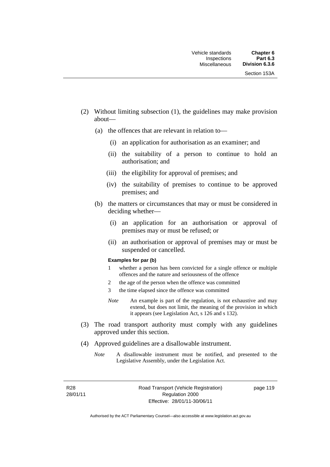- (2) Without limiting subsection (1), the guidelines may make provision about—
	- (a) the offences that are relevant in relation to—
		- (i) an application for authorisation as an examiner; and
		- (ii) the suitability of a person to continue to hold an authorisation; and
		- (iii) the eligibility for approval of premises; and
		- (iv) the suitability of premises to continue to be approved premises; and
	- (b) the matters or circumstances that may or must be considered in deciding whether—
		- (i) an application for an authorisation or approval of premises may or must be refused; or
		- (ii) an authorisation or approval of premises may or must be suspended or cancelled.

#### **Examples for par (b)**

- 1 whether a person has been convicted for a single offence or multiple offences and the nature and seriousness of the offence
- 2 the age of the person when the offence was committed
- 3 the time elapsed since the offence was committed
- *Note* An example is part of the regulation, is not exhaustive and may extend, but does not limit, the meaning of the provision in which it appears (see Legislation Act, s 126 and s 132).
- (3) The road transport authority must comply with any guidelines approved under this section.
- (4) Approved guidelines are a disallowable instrument.
	- *Note* A disallowable instrument must be notified, and presented to the Legislative Assembly, under the Legislation Act.

R28 28/01/11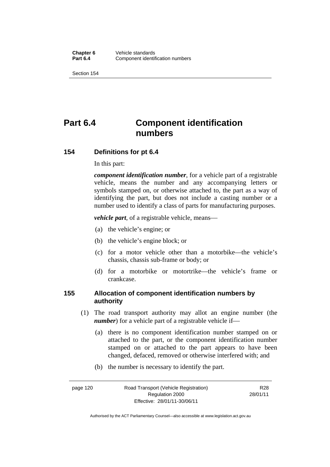Section 154

# **Part 6.4 Component identification numbers**

### **154 Definitions for pt 6.4**

In this part:

*component identification number*, for a vehicle part of a registrable vehicle, means the number and any accompanying letters or symbols stamped on, or otherwise attached to, the part as a way of identifying the part, but does not include a casting number or a number used to identify a class of parts for manufacturing purposes.

*vehicle part*, of a registrable vehicle, means—

- (a) the vehicle's engine; or
- (b) the vehicle's engine block; or
- (c) for a motor vehicle other than a motorbike—the vehicle's chassis, chassis sub-frame or body; or
- (d) for a motorbike or motortrike—the vehicle's frame or crankcase.

### **155 Allocation of component identification numbers by authority**

- (1) The road transport authority may allot an engine number (the *number*) for a vehicle part of a registrable vehicle if-
	- (a) there is no component identification number stamped on or attached to the part, or the component identification number stamped on or attached to the part appears to have been changed, defaced, removed or otherwise interfered with; and
	- (b) the number is necessary to identify the part.

page 120 Road Transport (Vehicle Registration) Regulation 2000 Effective: 28/01/11-30/06/11 R28 28/01/11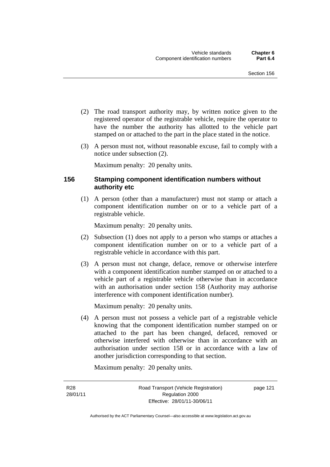- (2) The road transport authority may, by written notice given to the registered operator of the registrable vehicle, require the operator to have the number the authority has allotted to the vehicle part stamped on or attached to the part in the place stated in the notice.
- (3) A person must not, without reasonable excuse, fail to comply with a notice under subsection (2).

Maximum penalty: 20 penalty units.

# **156 Stamping component identification numbers without authority etc**

 (1) A person (other than a manufacturer) must not stamp or attach a component identification number on or to a vehicle part of a registrable vehicle.

Maximum penalty: 20 penalty units.

- (2) Subsection (1) does not apply to a person who stamps or attaches a component identification number on or to a vehicle part of a registrable vehicle in accordance with this part.
- (3) A person must not change, deface, remove or otherwise interfere with a component identification number stamped on or attached to a vehicle part of a registrable vehicle otherwise than in accordance with an authorisation under section 158 (Authority may authorise interference with component identification number).

Maximum penalty: 20 penalty units.

 (4) A person must not possess a vehicle part of a registrable vehicle knowing that the component identification number stamped on or attached to the part has been changed, defaced, removed or otherwise interfered with otherwise than in accordance with an authorisation under section 158 or in accordance with a law of another jurisdiction corresponding to that section.

Maximum penalty: 20 penalty units.

R28 28/01/11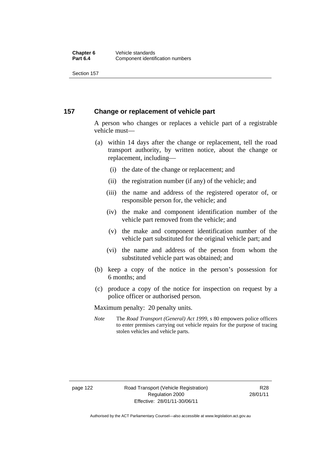Section 157

#### **157 Change or replacement of vehicle part**

A person who changes or replaces a vehicle part of a registrable vehicle must—

- (a) within 14 days after the change or replacement, tell the road transport authority, by written notice, about the change or replacement, including
	- (i) the date of the change or replacement; and
	- (ii) the registration number (if any) of the vehicle; and
	- (iii) the name and address of the registered operator of, or responsible person for, the vehicle; and
	- (iv) the make and component identification number of the vehicle part removed from the vehicle; and
	- (v) the make and component identification number of the vehicle part substituted for the original vehicle part; and
	- (vi) the name and address of the person from whom the substituted vehicle part was obtained; and
- (b) keep a copy of the notice in the person's possession for 6 months; and
- (c) produce a copy of the notice for inspection on request by a police officer or authorised person.

Maximum penalty: 20 penalty units.

*Note* The *Road Transport (General) Act 1999*, s 80 empowers police officers to enter premises carrying out vehicle repairs for the purpose of tracing stolen vehicles and vehicle parts.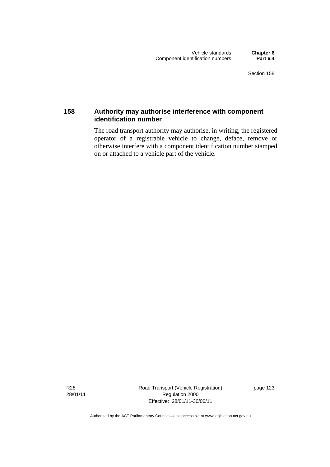# **158 Authority may authorise interference with component identification number**

The road transport authority may authorise, in writing, the registered operator of a registrable vehicle to change, deface, remove or otherwise interfere with a component identification number stamped on or attached to a vehicle part of the vehicle.

R28 28/01/11 Road Transport (Vehicle Registration) Regulation 2000 Effective: 28/01/11-30/06/11

page 123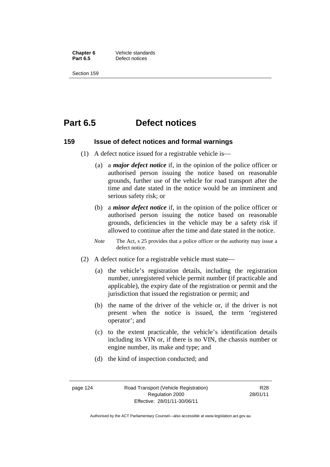**Chapter 6 Vehicle standards**<br>**Part 6.5 Defect notices Defect notices** 

Section 159

# **Part 6.5 Defect notices**

#### **159 Issue of defect notices and formal warnings**

- (1) A defect notice issued for a registrable vehicle is
	- (a) a *major defect notice* if, in the opinion of the police officer or authorised person issuing the notice based on reasonable grounds, further use of the vehicle for road transport after the time and date stated in the notice would be an imminent and serious safety risk; or
	- (b) a *minor defect notice* if, in the opinion of the police officer or authorised person issuing the notice based on reasonable grounds, deficiencies in the vehicle may be a safety risk if allowed to continue after the time and date stated in the notice.
	- *Note* The Act, s 25 provides that a police officer or the authority may issue a defect notice.
- (2) A defect notice for a registrable vehicle must state
	- (a) the vehicle's registration details, including the registration number, unregistered vehicle permit number (if practicable and applicable), the expiry date of the registration or permit and the jurisdiction that issued the registration or permit; and
	- (b) the name of the driver of the vehicle or, if the driver is not present when the notice is issued, the term 'registered operator'; and
	- (c) to the extent practicable, the vehicle's identification details including its VIN or, if there is no VIN, the chassis number or engine number, its make and type; and
	- (d) the kind of inspection conducted; and

R28 28/01/11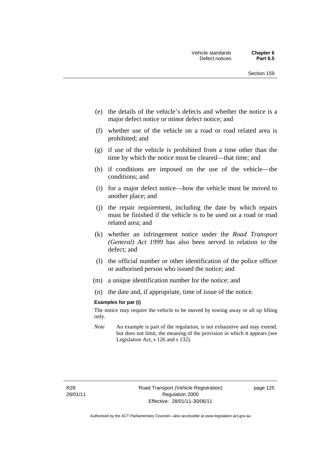- (e) the details of the vehicle's defects and whether the notice is a major defect notice or minor defect notice; and
- (f) whether use of the vehicle on a road or road related area is prohibited; and
- (g) if use of the vehicle is prohibited from a time other than the time by which the notice must be cleared—that time; and
- (h) if conditions are imposed on the use of the vehicle—the conditions; and
- (i) for a major defect notice—how the vehicle must be moved to another place; and
- (j) the repair requirement, including the date by which repairs must be finished if the vehicle is to be used on a road or road related area; and
- (k) whether an infringement notice under the *Road Transport (General) Act 1999* has also been served in relation to the defect; and
- (l) the official number or other identification of the police officer or authorised person who issued the notice; and
- (m) a unique identification number for the notice; and
- (n) the date and, if appropriate, time of issue of the notice.

#### **Examples for par (i)**

The notice may require the vehicle to be moved by towing away or all up lifting only.

*Note* An example is part of the regulation, is not exhaustive and may extend, but does not limit, the meaning of the provision in which it appears (see Legislation Act, s 126 and s 132).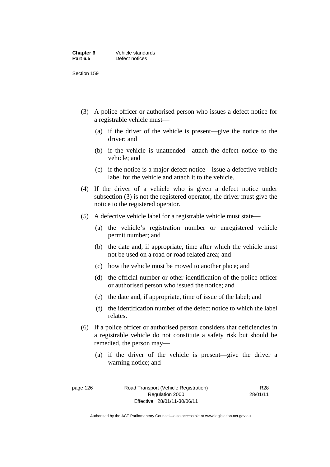#### **Chapter 6 Vehicle standards**<br>**Part 6.5 Defect notices Defect notices**

Section 159

- (3) A police officer or authorised person who issues a defect notice for a registrable vehicle must
	- (a) if the driver of the vehicle is present—give the notice to the driver; and
	- (b) if the vehicle is unattended—attach the defect notice to the vehicle; and
	- (c) if the notice is a major defect notice—issue a defective vehicle label for the vehicle and attach it to the vehicle.
- (4) If the driver of a vehicle who is given a defect notice under subsection (3) is not the registered operator, the driver must give the notice to the registered operator.
- (5) A defective vehicle label for a registrable vehicle must state
	- (a) the vehicle's registration number or unregistered vehicle permit number; and
	- (b) the date and, if appropriate, time after which the vehicle must not be used on a road or road related area; and
	- (c) how the vehicle must be moved to another place; and
	- (d) the official number or other identification of the police officer or authorised person who issued the notice; and
	- (e) the date and, if appropriate, time of issue of the label; and
	- (f) the identification number of the defect notice to which the label relates.
- (6) If a police officer or authorised person considers that deficiencies in a registrable vehicle do not constitute a safety risk but should be remedied, the person may
	- (a) if the driver of the vehicle is present—give the driver a warning notice; and

R28 28/01/11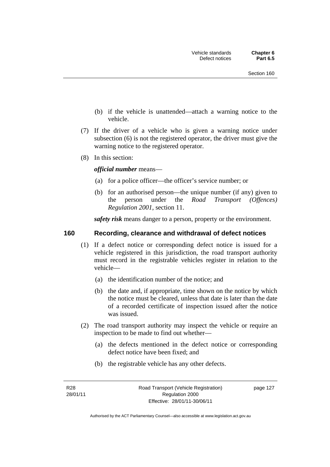- (b) if the vehicle is unattended—attach a warning notice to the vehicle.
- (7) If the driver of a vehicle who is given a warning notice under subsection (6) is not the registered operator, the driver must give the warning notice to the registered operator.
- (8) In this section:

#### *official number* means—

- (a) for a police officer—the officer's service number; or
- (b) for an authorised person—the unique number (if any) given to the person under the *Road Transport (Offences) Regulation 2001*, section 11.

*safety risk* means danger to a person, property or the environment.

#### **160 Recording, clearance and withdrawal of defect notices**

- (1) If a defect notice or corresponding defect notice is issued for a vehicle registered in this jurisdiction, the road transport authority must record in the registrable vehicles register in relation to the vehicle—
	- (a) the identification number of the notice; and
	- (b) the date and, if appropriate, time shown on the notice by which the notice must be cleared, unless that date is later than the date of a recorded certificate of inspection issued after the notice was issued.
- (2) The road transport authority may inspect the vehicle or require an inspection to be made to find out whether—
	- (a) the defects mentioned in the defect notice or corresponding defect notice have been fixed; and
	- (b) the registrable vehicle has any other defects.

R28 28/01/11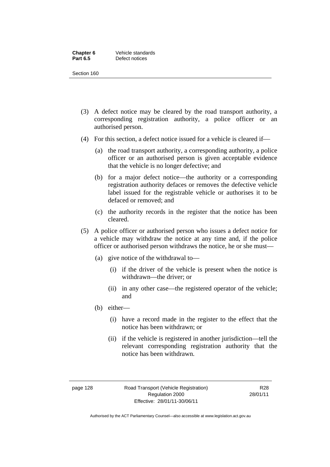#### **Chapter 6 Vehicle standards**<br>**Part 6.5 Defect notices Defect notices**

Section 160

- (3) A defect notice may be cleared by the road transport authority, a corresponding registration authority, a police officer or an authorised person.
- (4) For this section, a defect notice issued for a vehicle is cleared if
	- (a) the road transport authority, a corresponding authority, a police officer or an authorised person is given acceptable evidence that the vehicle is no longer defective; and
	- (b) for a major defect notice—the authority or a corresponding registration authority defaces or removes the defective vehicle label issued for the registrable vehicle or authorises it to be defaced or removed; and
	- (c) the authority records in the register that the notice has been cleared.
- (5) A police officer or authorised person who issues a defect notice for a vehicle may withdraw the notice at any time and, if the police officer or authorised person withdraws the notice, he or she must—
	- (a) give notice of the withdrawal to—
		- (i) if the driver of the vehicle is present when the notice is withdrawn—the driver; or
		- (ii) in any other case—the registered operator of the vehicle; and
	- (b) either—
		- (i) have a record made in the register to the effect that the notice has been withdrawn; or
		- (ii) if the vehicle is registered in another jurisdiction—tell the relevant corresponding registration authority that the notice has been withdrawn.

page 128 Road Transport (Vehicle Registration) Regulation 2000 Effective: 28/01/11-30/06/11

R28 28/01/11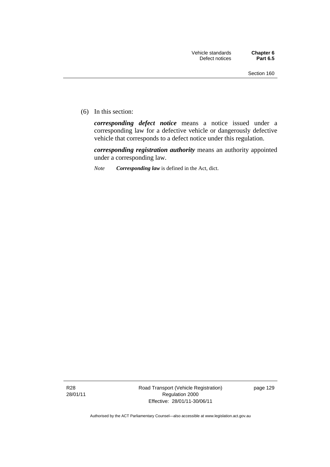(6) In this section:

*corresponding defect notice* means a notice issued under a corresponding law for a defective vehicle or dangerously defective vehicle that corresponds to a defect notice under this regulation.

*corresponding registration authority* means an authority appointed under a corresponding law.

*Note Corresponding law* is defined in the Act, dict.

R28 28/01/11 Road Transport (Vehicle Registration) Regulation 2000 Effective: 28/01/11-30/06/11

page 129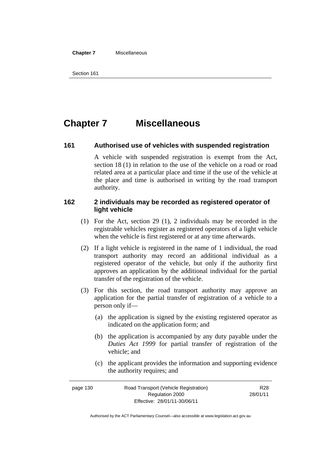#### **Chapter 7** Miscellaneous

```
Section 161
```
# **Chapter 7 Miscellaneous**

### **161 Authorised use of vehicles with suspended registration**

A vehicle with suspended registration is exempt from the Act, section 18 (1) in relation to the use of the vehicle on a road or road related area at a particular place and time if the use of the vehicle at the place and time is authorised in writing by the road transport authority.

# **162 2 individuals may be recorded as registered operator of light vehicle**

- (1) For the Act, section 29 (1), 2 individuals may be recorded in the registrable vehicles register as registered operators of a light vehicle when the vehicle is first registered or at any time afterwards.
- (2) If a light vehicle is registered in the name of 1 individual, the road transport authority may record an additional individual as a registered operator of the vehicle, but only if the authority first approves an application by the additional individual for the partial transfer of the registration of the vehicle.
- (3) For this section, the road transport authority may approve an application for the partial transfer of registration of a vehicle to a person only if—
	- (a) the application is signed by the existing registered operator as indicated on the application form; and
	- (b) the application is accompanied by any duty payable under the *Duties Act 1999* for partial transfer of registration of the vehicle; and
	- (c) the applicant provides the information and supporting evidence the authority requires; and

| page 130 | Road Transport (Vehicle Registration) | R <sub>28</sub> |
|----------|---------------------------------------|-----------------|
|          | Regulation 2000                       | 28/01/11        |
|          | Effective: 28/01/11-30/06/11          |                 |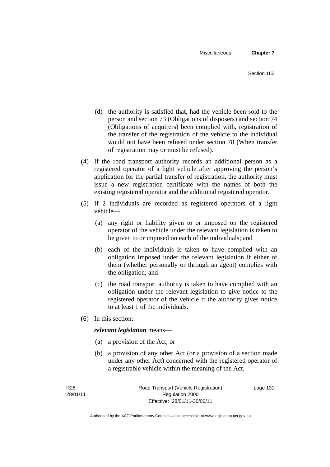- (d) the authority is satisfied that, had the vehicle been sold to the person and section 73 (Obligations of disposers) and section 74 (Obligations of acquirers) been complied with, registration of the transfer of the registration of the vehicle to the individual would not have been refused under section 78 (When transfer of registration may or must be refused).
- (4) If the road transport authority records an additional person as a registered operator of a light vehicle after approving the person's application for the partial transfer of registration, the authority must issue a new registration certificate with the names of both the existing registered operator and the additional registered operator.
- (5) If 2 individuals are recorded as registered operators of a light vehicle—
	- (a) any right or liability given to or imposed on the registered operator of the vehicle under the relevant legislation is taken to be given to or imposed on each of the individuals; and
	- (b) each of the individuals is taken to have complied with an obligation imposed under the relevant legislation if either of them (whether personally or through an agent) complies with the obligation; and
	- (c) the road transport authority is taken to have complied with an obligation under the relevant legislation to give notice to the registered operator of the vehicle if the authority gives notice to at least 1 of the individuals.
- (6) In this section:

#### *relevant legislation* means—

- (a) a provision of the Act; or
- (b) a provision of any other Act (or a provision of a section made under any other Act) concerned with the registered operator of a registrable vehicle within the meaning of the Act.

page 131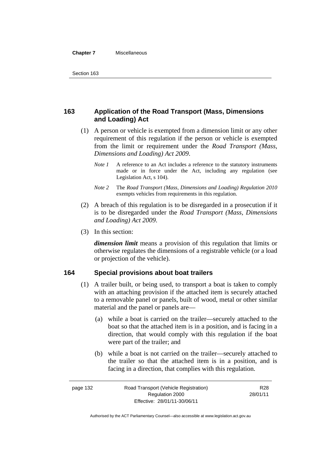#### **Chapter 7** Miscellaneous

# **163 Application of the Road Transport (Mass, Dimensions and Loading) Act**

- (1) A person or vehicle is exempted from a dimension limit or any other requirement of this regulation if the person or vehicle is exempted from the limit or requirement under the *Road Transport (Mass, Dimensions and Loading) Act 2009*.
	- *Note 1* A reference to an Act includes a reference to the statutory instruments made or in force under the Act, including any regulation (see Legislation Act, s 104).
	- *Note 2* The *Road Transport (Mass, Dimensions and Loading) Regulation 2010*  exempts vehicles from requirements in this regulation.
- (2) A breach of this regulation is to be disregarded in a prosecution if it is to be disregarded under the *Road Transport (Mass, Dimensions and Loading) Act 2009*.
- (3) In this section:

*dimension limit* means a provision of this regulation that limits or otherwise regulates the dimensions of a registrable vehicle (or a load or projection of the vehicle).

#### **164 Special provisions about boat trailers**

- (1) A trailer built, or being used, to transport a boat is taken to comply with an attaching provision if the attached item is securely attached to a removable panel or panels, built of wood, metal or other similar material and the panel or panels are—
	- (a) while a boat is carried on the trailer—securely attached to the boat so that the attached item is in a position, and is facing in a direction, that would comply with this regulation if the boat were part of the trailer; and
	- (b) while a boat is not carried on the trailer—securely attached to the trailer so that the attached item is in a position, and is facing in a direction, that complies with this regulation.

| Road Transport (Vehicle Registration)<br>page 132 |                              | R <sub>28</sub> |
|---------------------------------------------------|------------------------------|-----------------|
|                                                   | Regulation 2000              | 28/01/11        |
|                                                   | Effective: 28/01/11-30/06/11 |                 |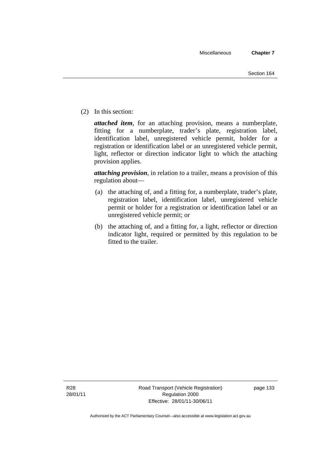(2) In this section:

*attached item*, for an attaching provision, means a numberplate, fitting for a numberplate, trader's plate, registration label, identification label, unregistered vehicle permit, holder for a registration or identification label or an unregistered vehicle permit, light, reflector or direction indicator light to which the attaching provision applies.

*attaching provision*, in relation to a trailer, means a provision of this regulation about—

- (a) the attaching of, and a fitting for, a numberplate, trader's plate, registration label, identification label, unregistered vehicle permit or holder for a registration or identification label or an unregistered vehicle permit; or
- (b) the attaching of, and a fitting for, a light, reflector or direction indicator light, required or permitted by this regulation to be fitted to the trailer.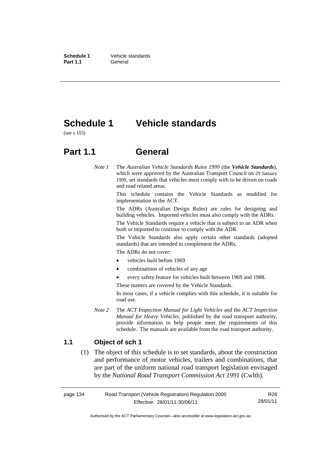**Schedule 1** Vehicle standards Part 1.1 **General** 

# **Schedule 1 Vehicle standards**

(see s 103)

# **Part 1.1 General**

*Note 1* The *Australian Vehicle Standards Rules 1999* (the *Vehicle Standards*), which were approved by the Australian Transport Council on 29 January 1999, set standards that vehicles must comply with to be driven on roads and road related areas.

> This schedule contains the Vehicle Standards as modified for implementation in the ACT.

> The ADRs (Australian Design Rules) are rules for designing and building vehicles. Imported vehicles must also comply with the ADRs.

> The Vehicle Standards require a vehicle that is subject to an ADR when built or imported to continue to comply with the ADR.

> The Vehicle Standards also apply certain other standards (adopted standards) that are intended to complement the ADRs.

The ADRs do not cover:

- vehicles built before 1969
- combinations of vehicles of any age
- every safety feature for vehicles built between 1969 and 1988.

These matters are covered by the Vehicle Standards.

In most cases, if a vehicle complies with this schedule, it is suitable for road use.

*Note 2* The *ACT Inspection Manual for Light Vehicles* and the *ACT Inspection Manual for Heavy Vehicles*, published by the road transport authority, provide information to help people meet the requirements of this schedule. The manuals are available from the road transport authority.

### **1.1 Object of sch 1**

 (1) The object of this schedule is to set standards, about the construction and performance of motor vehicles, trailers and combinations, that are part of the uniform national road transport legislation envisaged by the *National Road Transport Commission Act 1991* (Cwlth).

page 134 Road Transport (Vehicle Registration) Regulation 2000 Effective: 28/01/11-30/06/11 R28 28/01/11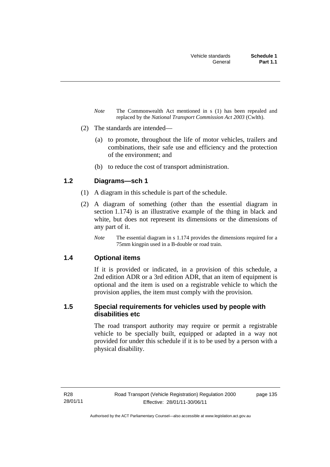- *Note* The Commonwealth Act mentioned in s (1) has been repealed and replaced by the *National Transport Commission Act 2003* (Cwlth).
- (2) The standards are intended—
	- (a) to promote, throughout the life of motor vehicles, trailers and combinations, their safe use and efficiency and the protection of the environment; and
	- (b) to reduce the cost of transport administration.

# **1.2 Diagrams—sch 1**

- (1) A diagram in this schedule is part of the schedule.
- (2) A diagram of something (other than the essential diagram in section 1.174) is an illustrative example of the thing in black and white, but does not represent its dimensions or the dimensions of any part of it.
	- *Note* The essential diagram in s 1.174 provides the dimensions required for a 75mm kingpin used in a B-double or road train.

# **1.4 Optional items**

If it is provided or indicated, in a provision of this schedule, a 2nd edition ADR or a 3rd edition ADR, that an item of equipment is optional and the item is used on a registrable vehicle to which the provision applies, the item must comply with the provision.

# **1.5 Special requirements for vehicles used by people with disabilities etc**

The road transport authority may require or permit a registrable vehicle to be specially built, equipped or adapted in a way not provided for under this schedule if it is to be used by a person with a physical disability.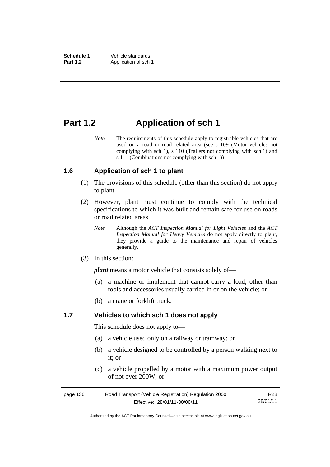# **Part 1.2 Application of sch 1**

*Note* The requirements of this schedule apply to registrable vehicles that are used on a road or road related area (see s 109 (Motor vehicles not complying with sch 1), s 110 (Trailers not complying with sch 1) and s 111 (Combinations not complying with sch 1))

# **1.6 Application of sch 1 to plant**

- (1) The provisions of this schedule (other than this section) do not apply to plant.
- (2) However, plant must continue to comply with the technical specifications to which it was built and remain safe for use on roads or road related areas.
	- *Note* Although the *ACT Inspection Manual for Light Vehicles* and the *ACT Inspection Manual for Heavy Vehicles* do not apply directly to plant, they provide a guide to the maintenance and repair of vehicles generally.
- (3) In this section:

*plant* means a motor vehicle that consists solely of—

- (a) a machine or implement that cannot carry a load, other than tools and accessories usually carried in or on the vehicle; or
- (b) a crane or forklift truck.

#### **1.7 Vehicles to which sch 1 does not apply**

This schedule does not apply to—

- (a) a vehicle used only on a railway or tramway; or
- (b) a vehicle designed to be controlled by a person walking next to it; or
- (c) a vehicle propelled by a motor with a maximum power output of not over 200W; or

| page 136 | Road Transport (Vehicle Registration) Regulation 2000 | R28      |
|----------|-------------------------------------------------------|----------|
|          | Effective: 28/01/11-30/06/11                          | 28/01/11 |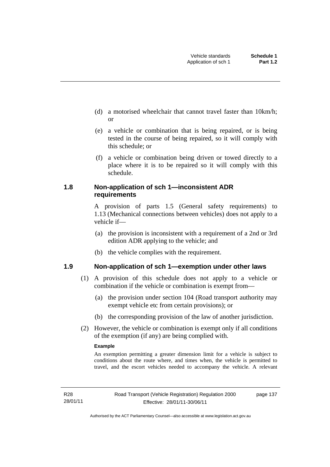- (d) a motorised wheelchair that cannot travel faster than 10km/h; or
- (e) a vehicle or combination that is being repaired, or is being tested in the course of being repaired, so it will comply with this schedule; or
- (f) a vehicle or combination being driven or towed directly to a place where it is to be repaired so it will comply with this schedule.

### **1.8 Non-application of sch 1—inconsistent ADR requirements**

A provision of parts 1.5 (General safety requirements) to 1.13 (Mechanical connections between vehicles) does not apply to a vehicle if—

- (a) the provision is inconsistent with a requirement of a 2nd or 3rd edition ADR applying to the vehicle; and
- (b) the vehicle complies with the requirement.

# **1.9 Non-application of sch 1—exemption under other laws**

- (1) A provision of this schedule does not apply to a vehicle or combination if the vehicle or combination is exempt from—
	- (a) the provision under section 104 (Road transport authority may exempt vehicle etc from certain provisions); or
	- (b) the corresponding provision of the law of another jurisdiction.
- (2) However, the vehicle or combination is exempt only if all conditions of the exemption (if any) are being complied with.

#### **Example**

An exemption permitting a greater dimension limit for a vehicle is subject to conditions about the route where, and times when, the vehicle is permitted to travel, and the escort vehicles needed to accompany the vehicle. A relevant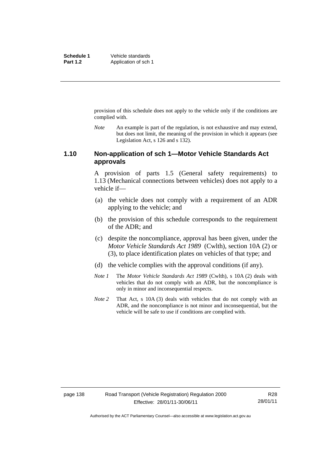provision of this schedule does not apply to the vehicle only if the conditions are complied with.

*Note* An example is part of the regulation, is not exhaustive and may extend, but does not limit, the meaning of the provision in which it appears (see Legislation Act, s 126 and s 132).

#### **1.10 Non-application of sch 1—Motor Vehicle Standards Act approvals**

A provision of parts 1.5 (General safety requirements) to 1.13 (Mechanical connections between vehicles) does not apply to a vehicle if—

- (a) the vehicle does not comply with a requirement of an ADR applying to the vehicle; and
- (b) the provision of this schedule corresponds to the requirement of the ADR; and
- (c) despite the noncompliance, approval has been given, under the *Motor Vehicle Standards Act 1989* (Cwlth), section 10A (2) or (3), to place identification plates on vehicles of that type; and
- (d) the vehicle complies with the approval conditions (if any).
- *Note 1* The *Motor Vehicle Standards Act 1989* (Cwlth), s 10A (2) deals with vehicles that do not comply with an ADR, but the noncompliance is only in minor and inconsequential respects.
- *Note 2* That Act, s 10A (3) deals with vehicles that do not comply with an ADR, and the noncompliance is not minor and inconsequential, but the vehicle will be safe to use if conditions are complied with.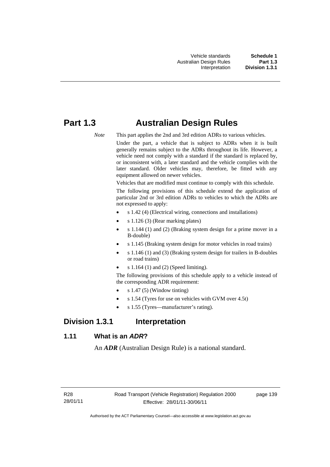# **Part 1.3 Australian Design Rules**

*Note* This part applies the 2nd and 3rd edition ADRs to various vehicles.

Under the part, a vehicle that is subject to ADRs when it is built generally remains subject to the ADRs throughout its life. However, a vehicle need not comply with a standard if the standard is replaced by, or inconsistent with, a later standard and the vehicle complies with the later standard. Older vehicles may, therefore, be fitted with any equipment allowed on newer vehicles.

Vehicles that are modified must continue to comply with this schedule.

The following provisions of this schedule extend the application of particular 2nd or 3rd edition ADRs to vehicles to which the ADRs are not expressed to apply:

- s 1.42 (4) (Electrical wiring, connections and installations)
- s 1.126 (3) (Rear marking plates)
- s 1.144 (1) and (2) (Braking system design for a prime mover in a B-double)
- s 1.145 (Braking system design for motor vehicles in road trains)
- s 1.146 (1) and (3) (Braking system design for trailers in B-doubles or road trains)
- s 1.164 (1) and (2) (Speed limiting).

The following provisions of this schedule apply to a vehicle instead of the corresponding ADR requirement:

- s 1.47 (5) (Window tinting)
- s 1.54 (Tyres for use on vehicles with GVM over 4.5t)
- s 1.55 (Tyres—manufacturer's rating).

# **Division 1.3.1 Interpretation**

# **1.11 What is an** *ADR***?**

An *ADR* (Australian Design Rule) is a national standard.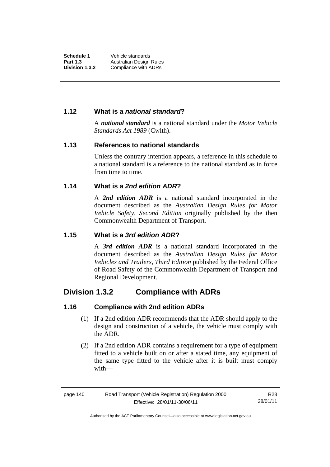## **1.12 What is a** *national standard***?**

A *national standard* is a national standard under the *Motor Vehicle Standards Act 1989* (Cwlth).

### **1.13 References to national standards**

Unless the contrary intention appears, a reference in this schedule to a national standard is a reference to the national standard as in force from time to time.

# **1.14 What is a** *2nd edition ADR***?**

A *2nd edition ADR* is a national standard incorporated in the document described as the *Australian Design Rules for Motor Vehicle Safety, Second Edition* originally published by the then Commonwealth Department of Transport.

# **1.15 What is a** *3rd edition ADR***?**

A *3rd edition ADR* is a national standard incorporated in the document described as the *Australian Design Rules for Motor Vehicles and Trailers, Third Edition* published by the Federal Office of Road Safety of the Commonwealth Department of Transport and Regional Development.

# **Division 1.3.2 Compliance with ADRs**

# **1.16 Compliance with 2nd edition ADRs**

- (1) If a 2nd edition ADR recommends that the ADR should apply to the design and construction of a vehicle, the vehicle must comply with the ADR.
- (2) If a 2nd edition ADR contains a requirement for a type of equipment fitted to a vehicle built on or after a stated time, any equipment of the same type fitted to the vehicle after it is built must comply with—

Authorised by the ACT Parliamentary Counsel—also accessible at www.legislation.act.gov.au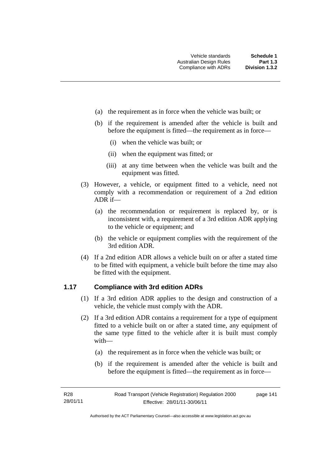- (a) the requirement as in force when the vehicle was built; or
- (b) if the requirement is amended after the vehicle is built and before the equipment is fitted—the requirement as in force—
	- (i) when the vehicle was built; or
	- (ii) when the equipment was fitted; or
	- (iii) at any time between when the vehicle was built and the equipment was fitted.
- (3) However, a vehicle, or equipment fitted to a vehicle, need not comply with a recommendation or requirement of a 2nd edition ADR if—
	- (a) the recommendation or requirement is replaced by, or is inconsistent with, a requirement of a 3rd edition ADR applying to the vehicle or equipment; and
	- (b) the vehicle or equipment complies with the requirement of the 3rd edition ADR.
- (4) If a 2nd edition ADR allows a vehicle built on or after a stated time to be fitted with equipment, a vehicle built before the time may also be fitted with the equipment.

# **1.17 Compliance with 3rd edition ADRs**

- (1) If a 3rd edition ADR applies to the design and construction of a vehicle, the vehicle must comply with the ADR.
- (2) If a 3rd edition ADR contains a requirement for a type of equipment fitted to a vehicle built on or after a stated time, any equipment of the same type fitted to the vehicle after it is built must comply with—
	- (a) the requirement as in force when the vehicle was built; or
	- (b) if the requirement is amended after the vehicle is built and before the equipment is fitted—the requirement as in force—

page 141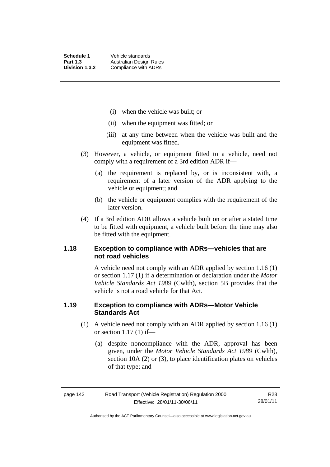- (i) when the vehicle was built; or
- (ii) when the equipment was fitted; or
- (iii) at any time between when the vehicle was built and the equipment was fitted.
- (3) However, a vehicle, or equipment fitted to a vehicle, need not comply with a requirement of a 3rd edition ADR if—
	- (a) the requirement is replaced by, or is inconsistent with, a requirement of a later version of the ADR applying to the vehicle or equipment; and
	- (b) the vehicle or equipment complies with the requirement of the later version.
- (4) If a 3rd edition ADR allows a vehicle built on or after a stated time to be fitted with equipment, a vehicle built before the time may also be fitted with the equipment.

### **1.18 Exception to compliance with ADRs—vehicles that are not road vehicles**

A vehicle need not comply with an ADR applied by section 1.16 (1) or section 1.17 (1) if a determination or declaration under the *Motor Vehicle Standards Act 1989* (Cwlth), section 5B provides that the vehicle is not a road vehicle for that Act.

### **1.19 Exception to compliance with ADRs—Motor Vehicle Standards Act**

- (1) A vehicle need not comply with an ADR applied by section 1.16 (1) or section  $1.17(1)$  if—
	- (a) despite noncompliance with the ADR, approval has been given, under the *Motor Vehicle Standards Act 1989* (Cwlth), section 10A (2) or (3), to place identification plates on vehicles of that type; and

R28 28/01/11

Authorised by the ACT Parliamentary Counsel—also accessible at www.legislation.act.gov.au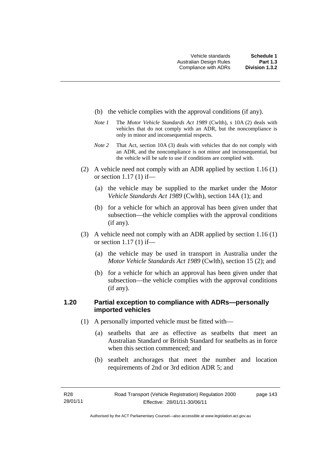- (b) the vehicle complies with the approval conditions (if any).
- *Note 1* The *Motor Vehicle Standards Act 1989* (Cwlth), s 10A (2) deals with vehicles that do not comply with an ADR, but the noncompliance is only in minor and inconsequential respects.
- *Note 2* That Act, section 10A (3) deals with vehicles that do not comply with an ADR, and the noncompliance is not minor and inconsequential, but the vehicle will be safe to use if conditions are complied with.
- (2) A vehicle need not comply with an ADR applied by section 1.16 (1) or section 1.17 (1) if—
	- (a) the vehicle may be supplied to the market under the *Motor Vehicle Standards Act 1989* (Cwlth), section 14A (1); and
	- (b) for a vehicle for which an approval has been given under that subsection—the vehicle complies with the approval conditions (if any).
- (3) A vehicle need not comply with an ADR applied by section 1.16 (1) or section 1.17 (1) if—
	- (a) the vehicle may be used in transport in Australia under the *Motor Vehicle Standards Act 1989* (Cwlth), section 15 (2); and
	- (b) for a vehicle for which an approval has been given under that subsection—the vehicle complies with the approval conditions (if any).

# **1.20 Partial exception to compliance with ADRs—personally imported vehicles**

- (1) A personally imported vehicle must be fitted with—
	- (a) seatbelts that are as effective as seatbelts that meet an Australian Standard or British Standard for seatbelts as in force when this section commenced; and
	- (b) seatbelt anchorages that meet the number and location requirements of 2nd or 3rd edition ADR 5; and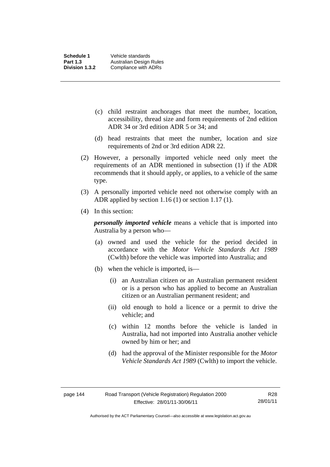- (c) child restraint anchorages that meet the number, location, accessibility, thread size and form requirements of 2nd edition ADR 34 or 3rd edition ADR 5 or 34; and
- (d) head restraints that meet the number, location and size requirements of 2nd or 3rd edition ADR 22.
- (2) However, a personally imported vehicle need only meet the requirements of an ADR mentioned in subsection (1) if the ADR recommends that it should apply, or applies, to a vehicle of the same type.
- (3) A personally imported vehicle need not otherwise comply with an ADR applied by section 1.16 (1) or section 1.17 (1).
- (4) In this section:

*personally imported vehicle* means a vehicle that is imported into Australia by a person who—

- (a) owned and used the vehicle for the period decided in accordance with the *Motor Vehicle Standards Act 1989*  (Cwlth) before the vehicle was imported into Australia; and
- (b) when the vehicle is imported, is—
	- (i) an Australian citizen or an Australian permanent resident or is a person who has applied to become an Australian citizen or an Australian permanent resident; and
	- (ii) old enough to hold a licence or a permit to drive the vehicle; and
	- (c) within 12 months before the vehicle is landed in Australia, had not imported into Australia another vehicle owned by him or her; and
	- (d) had the approval of the Minister responsible for the *Motor Vehicle Standards Act 1989* (Cwlth) to import the vehicle.

Authorised by the ACT Parliamentary Counsel—also accessible at www.legislation.act.gov.au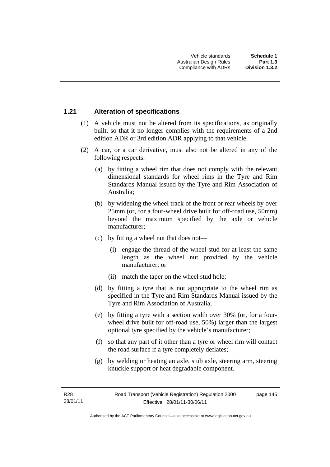# **1.21 Alteration of specifications**

- (1) A vehicle must not be altered from its specifications, as originally built, so that it no longer complies with the requirements of a 2nd edition ADR or 3rd edition ADR applying to that vehicle.
- (2) A car, or a car derivative, must also not be altered in any of the following respects:
	- (a) by fitting a wheel rim that does not comply with the relevant dimensional standards for wheel rims in the Tyre and Rim Standards Manual issued by the Tyre and Rim Association of Australia;
	- (b) by widening the wheel track of the front or rear wheels by over 25mm (or, for a four-wheel drive built for off-road use, 50mm) beyond the maximum specified by the axle or vehicle manufacturer;
	- (c) by fitting a wheel nut that does not—
		- (i) engage the thread of the wheel stud for at least the same length as the wheel nut provided by the vehicle manufacturer; or
		- (ii) match the taper on the wheel stud hole;
	- (d) by fitting a tyre that is not appropriate to the wheel rim as specified in the Tyre and Rim Standards Manual issued by the Tyre and Rim Association of Australia;
	- (e) by fitting a tyre with a section width over 30% (or, for a fourwheel drive built for off-road use, 50%) larger than the largest optional tyre specified by the vehicle's manufacturer;
	- (f) so that any part of it other than a tyre or wheel rim will contact the road surface if a tyre completely deflates;
	- (g) by welding or heating an axle, stub axle, steering arm, steering knuckle support or heat degradable component.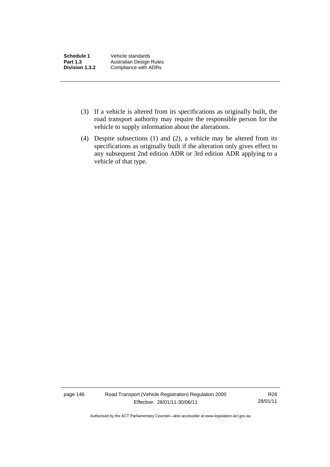| Schedule 1            | Vehicle standards       |
|-----------------------|-------------------------|
| <b>Part 1.3</b>       | Australian Design Rules |
| <b>Division 1.3.2</b> | Compliance with ADRs    |

- (3) If a vehicle is altered from its specifications as originally built, the road transport authority may require the responsible person for the vehicle to supply information about the alterations.
- (4) Despite subsections (1) and (2), a vehicle may be altered from its specifications as originally built if the alteration only gives effect to any subsequent 2nd edition ADR or 3rd edition ADR applying to a vehicle of that type.

page 146 Road Transport (Vehicle Registration) Regulation 2000 Effective: 28/01/11-30/06/11

R28 28/01/11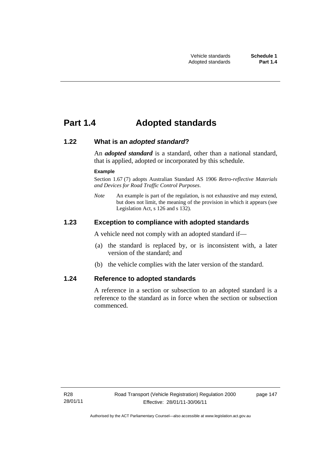# **Part 1.4 Adopted standards**

### **1.22 What is an** *adopted standard***?**

An *adopted standard* is a standard, other than a national standard, that is applied, adopted or incorporated by this schedule.

#### **Example**

Section 1.67 (7) adopts Australian Standard AS 1906 *Retro-reflective Materials and Devices for Road Traffic Control Purposes*.

*Note* An example is part of the regulation, is not exhaustive and may extend, but does not limit, the meaning of the provision in which it appears (see Legislation Act, s 126 and s 132).

## **1.23 Exception to compliance with adopted standards**

A vehicle need not comply with an adopted standard if—

- (a) the standard is replaced by, or is inconsistent with, a later version of the standard; and
- (b) the vehicle complies with the later version of the standard.

#### **1.24 Reference to adopted standards**

A reference in a section or subsection to an adopted standard is a reference to the standard as in force when the section or subsection commenced.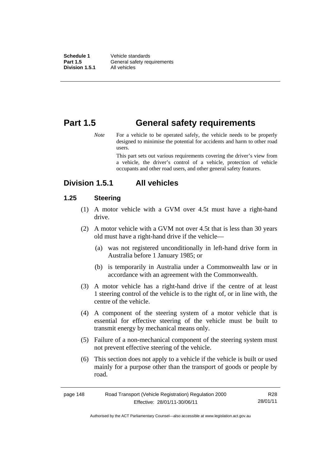**Schedule 1** Vehicle standards **Part 1.5 General safety requirements Division 1.5.1** All vehicles

# **Part 1.5 General safety requirements**

*Note* For a vehicle to be operated safely, the vehicle needs to be properly designed to minimise the potential for accidents and harm to other road users.

> This part sets out various requirements covering the driver's view from a vehicle, the driver's control of a vehicle, protection of vehicle occupants and other road users, and other general safety features.

# **Division 1.5.1 All vehicles**

# **1.25 Steering**

- (1) A motor vehicle with a GVM over 4.5t must have a right-hand drive.
- (2) A motor vehicle with a GVM not over 4.5t that is less than 30 years old must have a right-hand drive if the vehicle—
	- (a) was not registered unconditionally in left-hand drive form in Australia before 1 January 1985; or
	- (b) is temporarily in Australia under a Commonwealth law or in accordance with an agreement with the Commonwealth.
- (3) A motor vehicle has a right-hand drive if the centre of at least 1 steering control of the vehicle is to the right of, or in line with, the centre of the vehicle.
- (4) A component of the steering system of a motor vehicle that is essential for effective steering of the vehicle must be built to transmit energy by mechanical means only.
- (5) Failure of a non-mechanical component of the steering system must not prevent effective steering of the vehicle.
- (6) This section does not apply to a vehicle if the vehicle is built or used mainly for a purpose other than the transport of goods or people by road.

| page 148 | Road Transport (Vehicle Registration) Regulation 2000 | R28      |
|----------|-------------------------------------------------------|----------|
|          | Effective: 28/01/11-30/06/11                          | 28/01/11 |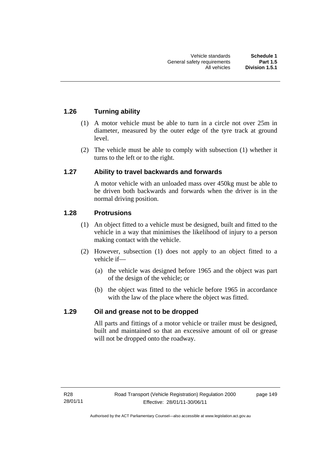# **1.26 Turning ability**

- (1) A motor vehicle must be able to turn in a circle not over 25m in diameter, measured by the outer edge of the tyre track at ground level.
- (2) The vehicle must be able to comply with subsection (1) whether it turns to the left or to the right.

# **1.27 Ability to travel backwards and forwards**

A motor vehicle with an unloaded mass over 450kg must be able to be driven both backwards and forwards when the driver is in the normal driving position.

# **1.28 Protrusions**

- (1) An object fitted to a vehicle must be designed, built and fitted to the vehicle in a way that minimises the likelihood of injury to a person making contact with the vehicle.
- (2) However, subsection (1) does not apply to an object fitted to a vehicle if—
	- (a) the vehicle was designed before 1965 and the object was part of the design of the vehicle; or
	- (b) the object was fitted to the vehicle before 1965 in accordance with the law of the place where the object was fitted.

# **1.29 Oil and grease not to be dropped**

All parts and fittings of a motor vehicle or trailer must be designed, built and maintained so that an excessive amount of oil or grease will not be dropped onto the roadway.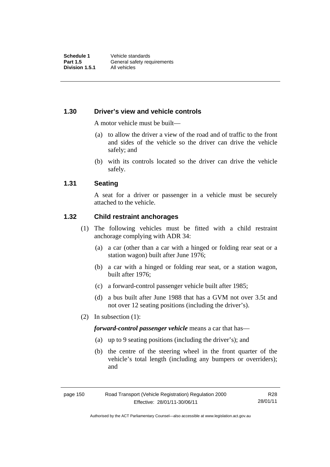### **1.30 Driver's view and vehicle controls**

A motor vehicle must be built—

- (a) to allow the driver a view of the road and of traffic to the front and sides of the vehicle so the driver can drive the vehicle safely; and
- (b) with its controls located so the driver can drive the vehicle safely.

#### **1.31 Seating**

A seat for a driver or passenger in a vehicle must be securely attached to the vehicle.

#### **1.32 Child restraint anchorages**

- (1) The following vehicles must be fitted with a child restraint anchorage complying with ADR 34:
	- (a) a car (other than a car with a hinged or folding rear seat or a station wagon) built after June 1976;
	- (b) a car with a hinged or folding rear seat, or a station wagon, built after 1976;
	- (c) a forward-control passenger vehicle built after 1985;
	- (d) a bus built after June 1988 that has a GVM not over 3.5t and not over 12 seating positions (including the driver's).
- (2) In subsection (1):

*forward-control passenger vehicle* means a car that has—

- (a) up to 9 seating positions (including the driver's); and
- (b) the centre of the steering wheel in the front quarter of the vehicle's total length (including any bumpers or overriders); and

Authorised by the ACT Parliamentary Counsel—also accessible at www.legislation.act.gov.au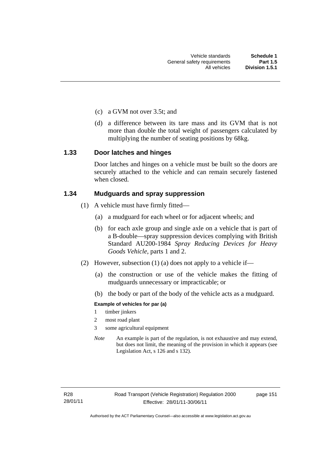- (c) a GVM not over 3.5t; and
- (d) a difference between its tare mass and its GVM that is not more than double the total weight of passengers calculated by multiplying the number of seating positions by 68kg.

#### **1.33 Door latches and hinges**

Door latches and hinges on a vehicle must be built so the doors are securely attached to the vehicle and can remain securely fastened when closed.

#### **1.34 Mudguards and spray suppression**

- (1) A vehicle must have firmly fitted—
	- (a) a mudguard for each wheel or for adjacent wheels; and
	- (b) for each axle group and single axle on a vehicle that is part of a B-double—spray suppression devices complying with British Standard AU200-1984 *Spray Reducing Devices for Heavy Goods Vehicle*, parts 1 and 2.
- (2) However, subsection (1) (a) does not apply to a vehicle if—
	- (a) the construction or use of the vehicle makes the fitting of mudguards unnecessary or impracticable; or
	- (b) the body or part of the body of the vehicle acts as a mudguard.

#### **Example of vehicles for par (a)**

- 1 timber jinkers
- 2 most road plant
- 3 some agricultural equipment
- *Note* An example is part of the regulation, is not exhaustive and may extend, but does not limit, the meaning of the provision in which it appears (see Legislation Act, s 126 and s 132).

page 151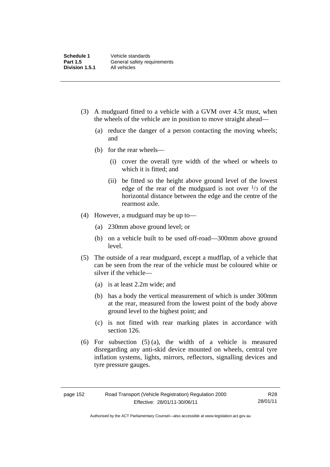- (3) A mudguard fitted to a vehicle with a GVM over 4.5t must, when the wheels of the vehicle are in position to move straight ahead—
	- (a) reduce the danger of a person contacting the moving wheels; and
	- (b) for the rear wheels—
		- (i) cover the overall tyre width of the wheel or wheels to which it is fitted; and
		- (ii) be fitted so the height above ground level of the lowest edge of the rear of the mudguard is not over  $\frac{1}{3}$  of the horizontal distance between the edge and the centre of the rearmost axle.
- (4) However, a mudguard may be up to—
	- (a) 230mm above ground level; or
	- (b) on a vehicle built to be used off-road—300mm above ground level.
- (5) The outside of a rear mudguard, except a mudflap, of a vehicle that can be seen from the rear of the vehicle must be coloured white or silver if the vehicle—
	- (a) is at least 2.2m wide; and
	- (b) has a body the vertical measurement of which is under 300mm at the rear, measured from the lowest point of the body above ground level to the highest point; and
	- (c) is not fitted with rear marking plates in accordance with section 126.
- (6) For subsection  $(5)$  (a), the width of a vehicle is measured disregarding any anti-skid device mounted on wheels, central tyre inflation systems, lights, mirrors, reflectors, signalling devices and tyre pressure gauges.

R28 28/01/11

Authorised by the ACT Parliamentary Counsel—also accessible at www.legislation.act.gov.au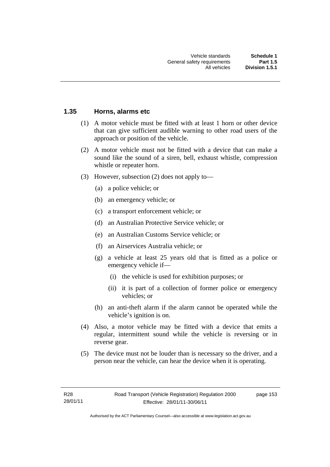### **1.35 Horns, alarms etc**

- (1) A motor vehicle must be fitted with at least 1 horn or other device that can give sufficient audible warning to other road users of the approach or position of the vehicle.
- (2) A motor vehicle must not be fitted with a device that can make a sound like the sound of a siren, bell, exhaust whistle, compression whistle or repeater horn.
- (3) However, subsection (2) does not apply to—
	- (a) a police vehicle; or
	- (b) an emergency vehicle; or
	- (c) a transport enforcement vehicle; or
	- (d) an Australian Protective Service vehicle; or
	- (e) an Australian Customs Service vehicle; or
	- (f) an Airservices Australia vehicle; or
	- (g) a vehicle at least 25 years old that is fitted as a police or emergency vehicle if—
		- (i) the vehicle is used for exhibition purposes; or
		- (ii) it is part of a collection of former police or emergency vehicles; or
	- (h) an anti-theft alarm if the alarm cannot be operated while the vehicle's ignition is on.
- (4) Also, a motor vehicle may be fitted with a device that emits a regular, intermittent sound while the vehicle is reversing or in reverse gear.
- (5) The device must not be louder than is necessary so the driver, and a person near the vehicle, can hear the device when it is operating.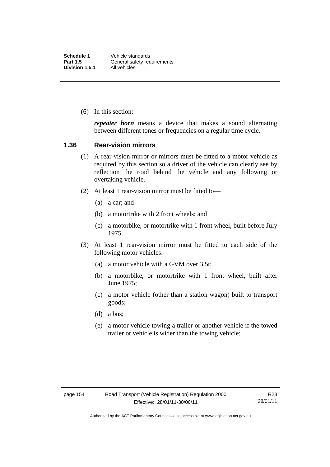(6) In this section:

*repeater horn* means a device that makes a sound alternating between different tones or frequencies on a regular time cycle.

#### **1.36 Rear-vision mirrors**

- (1) A rear-vision mirror or mirrors must be fitted to a motor vehicle as required by this section so a driver of the vehicle can clearly see by reflection the road behind the vehicle and any following or overtaking vehicle.
- (2) At least 1 rear-vision mirror must be fitted to—
	- (a) a car; and
	- (b) a motortrike with 2 front wheels; and
	- (c) a motorbike, or motortrike with 1 front wheel, built before July 1975.
- (3) At least 1 rear-vision mirror must be fitted to each side of the following motor vehicles:
	- (a) a motor vehicle with a GVM over 3.5t;
	- (b) a motorbike, or motortrike with 1 front wheel, built after June 1975;
	- (c) a motor vehicle (other than a station wagon) built to transport goods;
	- (d) a bus;
	- (e) a motor vehicle towing a trailer or another vehicle if the towed trailer or vehicle is wider than the towing vehicle;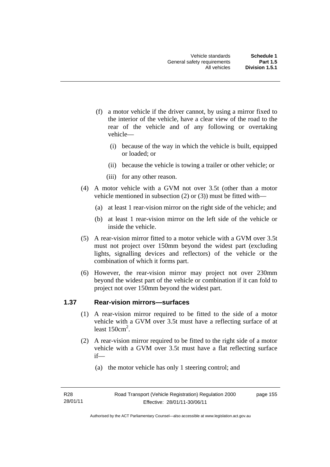- (f) a motor vehicle if the driver cannot, by using a mirror fixed to the interior of the vehicle, have a clear view of the road to the rear of the vehicle and of any following or overtaking vehicle—
	- (i) because of the way in which the vehicle is built, equipped or loaded; or
	- (ii) because the vehicle is towing a trailer or other vehicle; or
	- (iii) for any other reason.
- (4) A motor vehicle with a GVM not over 3.5t (other than a motor vehicle mentioned in subsection (2) or (3)) must be fitted with—
	- (a) at least 1 rear-vision mirror on the right side of the vehicle; and
	- (b) at least 1 rear-vision mirror on the left side of the vehicle or inside the vehicle.
- (5) A rear-vision mirror fitted to a motor vehicle with a GVM over 3.5t must not project over 150mm beyond the widest part (excluding lights, signalling devices and reflectors) of the vehicle or the combination of which it forms part.
- (6) However, the rear-vision mirror may project not over 230mm beyond the widest part of the vehicle or combination if it can fold to project not over 150mm beyond the widest part.

# **1.37 Rear-vision mirrors—surfaces**

- (1) A rear-vision mirror required to be fitted to the side of a motor vehicle with a GVM over 3.5t must have a reflecting surface of at least  $150 \text{cm}^2$ .
- (2) A rear-vision mirror required to be fitted to the right side of a motor vehicle with a GVM over 3.5t must have a flat reflecting surface if—
	- (a) the motor vehicle has only 1 steering control; and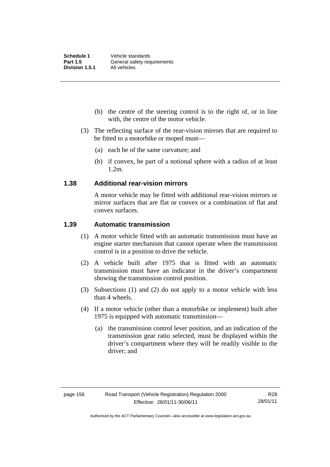- (b) the centre of the steering control is to the right of, or in line with, the centre of the motor vehicle.
- (3) The reflecting surface of the rear-vision mirrors that are required to be fitted to a motorbike or moped must—
	- (a) each be of the same curvature; and
	- (b) if convex, be part of a notional sphere with a radius of at least 1.2m.

#### **1.38 Additional rear-vision mirrors**

A motor vehicle may be fitted with additional rear-vision mirrors or mirror surfaces that are flat or convex or a combination of flat and convex surfaces.

## **1.39 Automatic transmission**

- (1) A motor vehicle fitted with an automatic transmission must have an engine starter mechanism that cannot operate when the transmission control is in a position to drive the vehicle.
- (2) A vehicle built after 1975 that is fitted with an automatic transmission must have an indicator in the driver's compartment showing the transmission control position.
- (3) Subsections (1) and (2) do not apply to a motor vehicle with less than 4 wheels.
- (4) If a motor vehicle (other than a motorbike or implement) built after 1975 is equipped with automatic transmission—
	- (a) the transmission control lever position, and an indication of the transmission gear ratio selected, must be displayed within the driver's compartment where they will be readily visible to the driver; and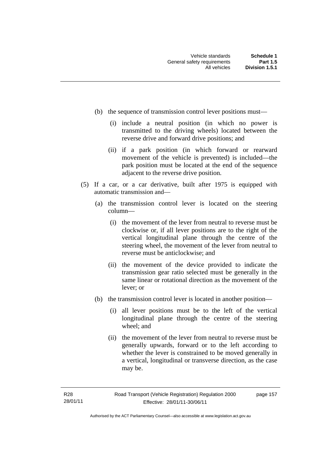- (b) the sequence of transmission control lever positions must—
	- (i) include a neutral position (in which no power is transmitted to the driving wheels) located between the reverse drive and forward drive positions; and
	- (ii) if a park position (in which forward or rearward movement of the vehicle is prevented) is included—the park position must be located at the end of the sequence adjacent to the reverse drive position.
- (5) If a car, or a car derivative, built after 1975 is equipped with automatic transmission and—
	- (a) the transmission control lever is located on the steering column—
		- (i) the movement of the lever from neutral to reverse must be clockwise or, if all lever positions are to the right of the vertical longitudinal plane through the centre of the steering wheel, the movement of the lever from neutral to reverse must be anticlockwise; and
		- (ii) the movement of the device provided to indicate the transmission gear ratio selected must be generally in the same linear or rotational direction as the movement of the lever; or
	- (b) the transmission control lever is located in another position—
		- (i) all lever positions must be to the left of the vertical longitudinal plane through the centre of the steering wheel; and
		- (ii) the movement of the lever from neutral to reverse must be generally upwards, forward or to the left according to whether the lever is constrained to be moved generally in a vertical, longitudinal or transverse direction, as the case may be.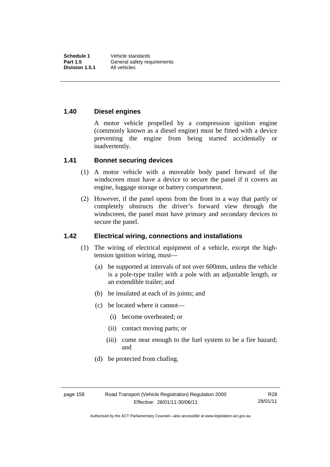## **1.40 Diesel engines**

A motor vehicle propelled by a compression ignition engine (commonly known as a diesel engine) must be fitted with a device preventing the engine from being started accidentally or inadvertently.

#### **1.41 Bonnet securing devices**

- (1) A motor vehicle with a moveable body panel forward of the windscreen must have a device to secure the panel if it covers an engine, luggage storage or battery compartment.
- (2) However, if the panel opens from the front in a way that partly or completely obstructs the driver's forward view through the windscreen, the panel must have primary and secondary devices to secure the panel.

# **1.42 Electrical wiring, connections and installations**

- (1) The wiring of electrical equipment of a vehicle, except the hightension ignition wiring, must—
	- (a) be supported at intervals of not over 600mm, unless the vehicle is a pole-type trailer with a pole with an adjustable length, or an extendible trailer; and
	- (b) be insulated at each of its joints; and
	- (c) be located where it cannot—
		- (i) become overheated; or
		- (ii) contact moving parts; or
		- (iii) come near enough to the fuel system to be a fire hazard; and
	- (d) be protected from chafing.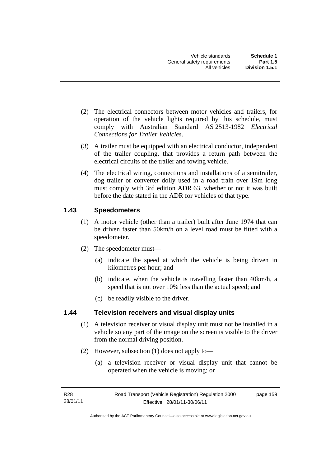- (2) The electrical connectors between motor vehicles and trailers, for operation of the vehicle lights required by this schedule, must comply with Australian Standard AS 2513-1982 *Electrical Connections for Trailer Vehicles*.
- (3) A trailer must be equipped with an electrical conductor, independent of the trailer coupling, that provides a return path between the electrical circuits of the trailer and towing vehicle.
- (4) The electrical wiring, connections and installations of a semitrailer, dog trailer or converter dolly used in a road train over 19m long must comply with 3rd edition ADR 63, whether or not it was built before the date stated in the ADR for vehicles of that type.

# **1.43 Speedometers**

- (1) A motor vehicle (other than a trailer) built after June 1974 that can be driven faster than 50km/h on a level road must be fitted with a speedometer.
- (2) The speedometer must—
	- (a) indicate the speed at which the vehicle is being driven in kilometres per hour; and
	- (b) indicate, when the vehicle is travelling faster than 40km/h, a speed that is not over 10% less than the actual speed; and
	- (c) be readily visible to the driver.

# **1.44 Television receivers and visual display units**

- (1) A television receiver or visual display unit must not be installed in a vehicle so any part of the image on the screen is visible to the driver from the normal driving position.
- (2) However, subsection (1) does not apply to—
	- (a) a television receiver or visual display unit that cannot be operated when the vehicle is moving; or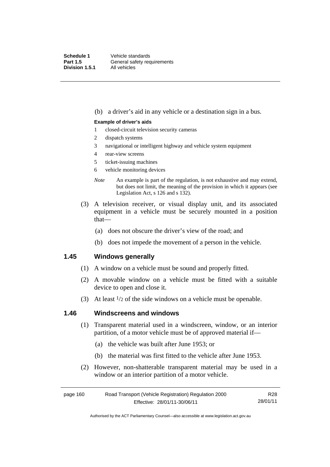(b) a driver's aid in any vehicle or a destination sign in a bus.

#### **Example of driver's aids**

- 1 closed-circuit television security cameras
- 2 dispatch systems
- 3 navigational or intelligent highway and vehicle system equipment
- 4 rear-view screens
- 5 ticket-issuing machines
- 6 vehicle monitoring devices
- *Note* An example is part of the regulation, is not exhaustive and may extend, but does not limit, the meaning of the provision in which it appears (see Legislation Act, s 126 and s 132).
- (3) A television receiver, or visual display unit, and its associated equipment in a vehicle must be securely mounted in a position that—
	- (a) does not obscure the driver's view of the road; and
	- (b) does not impede the movement of a person in the vehicle.

#### **1.45 Windows generally**

- (1) A window on a vehicle must be sound and properly fitted.
- (2) A movable window on a vehicle must be fitted with a suitable device to open and close it.
- (3) At least  $\frac{1}{2}$  of the side windows on a vehicle must be openable.

#### **1.46 Windscreens and windows**

- (1) Transparent material used in a windscreen, window, or an interior partition, of a motor vehicle must be of approved material if—
	- (a) the vehicle was built after June 1953; or
	- (b) the material was first fitted to the vehicle after June 1953.
- (2) However, non-shatterable transparent material may be used in a window or an interior partition of a motor vehicle.

| page 160 | Road Transport (Vehicle Registration) Regulation 2000 | R28      |
|----------|-------------------------------------------------------|----------|
|          | Effective: 28/01/11-30/06/11                          | 28/01/11 |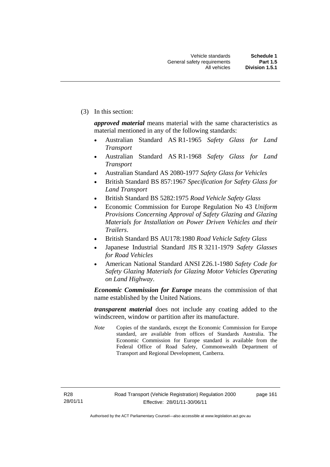(3) In this section:

*approved material* means material with the same characteristics as material mentioned in any of the following standards:

- Australian Standard AS R1-1965 *Safety Glass for Land Transport*
- Australian Standard AS R1-1968 *Safety Glass for Land Transport*
- Australian Standard AS 2080-1977 *Safety Glass for Vehicles*
- British Standard BS 857:1967 *Specification for Safety Glass for Land Transport*
- British Standard BS 5282:1975 *Road Vehicle Safety Glass*
- Economic Commission for Europe Regulation No 43 *Uniform Provisions Concerning Approval of Safety Glazing and Glazing Materials for Installation on Power Driven Vehicles and their Trailers*.
- British Standard BS AU178:1980 *Road Vehicle Safety Glass*
- Japanese Industrial Standard JIS R 3211-1979 *Safety Glasses for Road Vehicles*
- American National Standard ANSI Z26.1-1980 *Safety Code for Safety Glazing Materials for Glazing Motor Vehicles Operating on Land Highway*.

*Economic Commission for Europe* means the commission of that name established by the United Nations.

*transparent material* does not include any coating added to the windscreen, window or partition after its manufacture.

*Note* Copies of the standards, except the Economic Commission for Europe standard, are available from offices of Standards Australia. The Economic Commission for Europe standard is available from the Federal Office of Road Safety, Commonwealth Department of Transport and Regional Development, Canberra.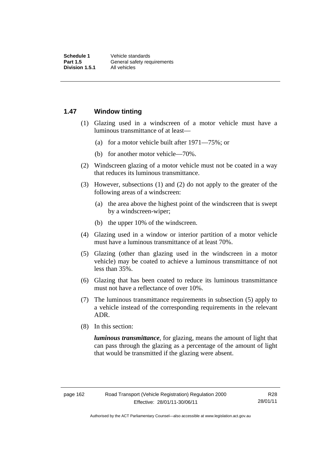#### **1.47 Window tinting**

- (1) Glazing used in a windscreen of a motor vehicle must have a luminous transmittance of at least—
	- (a) for a motor vehicle built after 1971—75%; or
	- (b) for another motor vehicle—70%.
- (2) Windscreen glazing of a motor vehicle must not be coated in a way that reduces its luminous transmittance.
- (3) However, subsections (1) and (2) do not apply to the greater of the following areas of a windscreen:
	- (a) the area above the highest point of the windscreen that is swept by a windscreen-wiper;
	- (b) the upper 10% of the windscreen.
- (4) Glazing used in a window or interior partition of a motor vehicle must have a luminous transmittance of at least 70%.
- (5) Glazing (other than glazing used in the windscreen in a motor vehicle) may be coated to achieve a luminous transmittance of not less than 35%.
- (6) Glazing that has been coated to reduce its luminous transmittance must not have a reflectance of over 10%.
- (7) The luminous transmittance requirements in subsection (5) apply to a vehicle instead of the corresponding requirements in the relevant ADR.
- (8) In this section:

*luminous transmittance*, for glazing, means the amount of light that can pass through the glazing as a percentage of the amount of light that would be transmitted if the glazing were absent.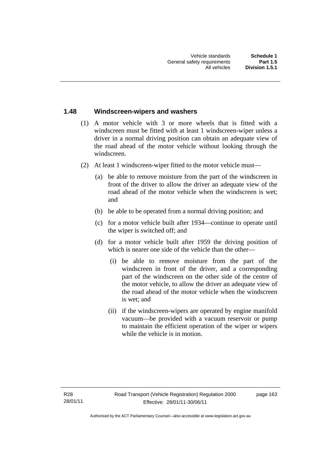#### **1.48 Windscreen-wipers and washers**

- (1) A motor vehicle with 3 or more wheels that is fitted with a windscreen must be fitted with at least 1 windscreen-wiper unless a driver in a normal driving position can obtain an adequate view of the road ahead of the motor vehicle without looking through the windscreen.
- (2) At least 1 windscreen-wiper fitted to the motor vehicle must—
	- (a) be able to remove moisture from the part of the windscreen in front of the driver to allow the driver an adequate view of the road ahead of the motor vehicle when the windscreen is wet; and
	- (b) be able to be operated from a normal driving position; and
	- (c) for a motor vehicle built after 1934—continue to operate until the wiper is switched off; and
	- (d) for a motor vehicle built after 1959 the driving position of which is nearer one side of the vehicle than the other—
		- (i) be able to remove moisture from the part of the windscreen in front of the driver, and a corresponding part of the windscreen on the other side of the centre of the motor vehicle, to allow the driver an adequate view of the road ahead of the motor vehicle when the windscreen is wet; and
		- (ii) if the windscreen-wipers are operated by engine manifold vacuum—be provided with a vacuum reservoir or pump to maintain the efficient operation of the wiper or wipers while the vehicle is in motion.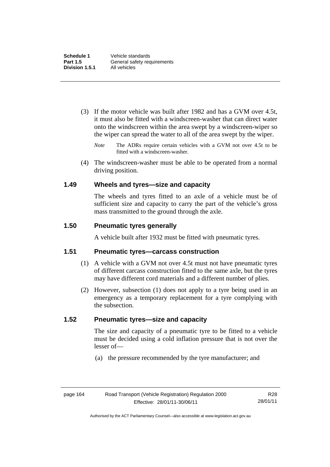- (3) If the motor vehicle was built after 1982 and has a GVM over 4.5t, it must also be fitted with a windscreen-washer that can direct water onto the windscreen within the area swept by a windscreen-wiper so the wiper can spread the water to all of the area swept by the wiper.
	- *Note* The ADRs require certain vehicles with a GVM not over 4.5t to be fitted with a windscreen-washer.
- (4) The windscreen-washer must be able to be operated from a normal driving position.

#### **1.49 Wheels and tyres—size and capacity**

The wheels and tyres fitted to an axle of a vehicle must be of sufficient size and capacity to carry the part of the vehicle's gross mass transmitted to the ground through the axle.

#### **1.50 Pneumatic tyres generally**

A vehicle built after 1932 must be fitted with pneumatic tyres.

### **1.51 Pneumatic tyres—carcass construction**

- (1) A vehicle with a GVM not over 4.5t must not have pneumatic tyres of different carcass construction fitted to the same axle, but the tyres may have different cord materials and a different number of plies.
- (2) However, subsection (1) does not apply to a tyre being used in an emergency as a temporary replacement for a tyre complying with the subsection.

#### **1.52 Pneumatic tyres—size and capacity**

The size and capacity of a pneumatic tyre to be fitted to a vehicle must be decided using a cold inflation pressure that is not over the lesser of—

(a) the pressure recommended by the tyre manufacturer; and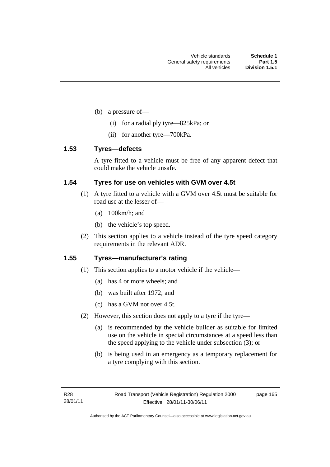- (b) a pressure of—
	- (i) for a radial ply tyre—825kPa; or
	- (ii) for another tyre—700kPa.

### **1.53 Tyres—defects**

A tyre fitted to a vehicle must be free of any apparent defect that could make the vehicle unsafe.

### **1.54 Tyres for use on vehicles with GVM over 4.5t**

- (1) A tyre fitted to a vehicle with a GVM over 4.5t must be suitable for road use at the lesser of—
	- (a) 100km/h; and
	- (b) the vehicle's top speed.
- (2) This section applies to a vehicle instead of the tyre speed category requirements in the relevant ADR.

### **1.55 Tyres—manufacturer's rating**

- (1) This section applies to a motor vehicle if the vehicle—
	- (a) has 4 or more wheels; and
	- (b) was built after 1972; and
	- (c) has a GVM not over 4.5t.
- (2) However, this section does not apply to a tyre if the tyre—
	- (a) is recommended by the vehicle builder as suitable for limited use on the vehicle in special circumstances at a speed less than the speed applying to the vehicle under subsection (3); or
	- (b) is being used in an emergency as a temporary replacement for a tyre complying with this section.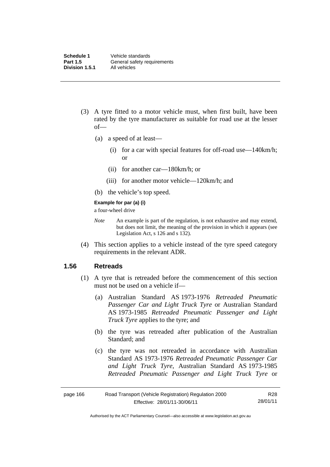- (3) A tyre fitted to a motor vehicle must, when first built, have been rated by the tyre manufacturer as suitable for road use at the lesser of—
	- (a) a speed of at least—
		- (i) for a car with special features for off-road use—140km/h; or
		- (ii) for another car—180km/h; or
		- (iii) for another motor vehicle—120km/h; and
	- (b) the vehicle's top speed.

#### **Example for par (a) (i)**

a four-wheel drive

- *Note* An example is part of the regulation, is not exhaustive and may extend, but does not limit, the meaning of the provision in which it appears (see Legislation Act, s 126 and s 132).
- (4) This section applies to a vehicle instead of the tyre speed category requirements in the relevant ADR.

#### **1.56 Retreads**

- (1) A tyre that is retreaded before the commencement of this section must not be used on a vehicle if—
	- (a) Australian Standard AS 1973-1976 *Retreaded Pneumatic Passenger Car and Light Truck Tyre* or Australian Standard AS 1973-1985 *Retreaded Pneumatic Passenger and Light Truck Tyre* applies to the tyre; and
	- (b) the tyre was retreaded after publication of the Australian Standard; and
	- (c) the tyre was not retreaded in accordance with Australian Standard AS 1973-1976 *Retreaded Pneumatic Passenger Car and Light Truck Tyre*, Australian Standard AS 1973-1985 *Retreaded Pneumatic Passenger and Light Truck Tyre* or

| page 166 | Road Transport (Vehicle Registration) Regulation 2000 | R28      |
|----------|-------------------------------------------------------|----------|
|          | Effective: 28/01/11-30/06/11                          | 28/01/11 |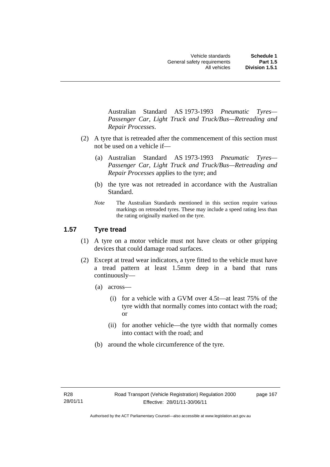Australian Standard AS 1973-1993 *Pneumatic Tyres— Passenger Car, Light Truck and Truck/Bus—Retreading and Repair Processes*.

- (2) A tyre that is retreaded after the commencement of this section must not be used on a vehicle if—
	- (a) Australian Standard AS 1973-1993 *Pneumatic Tyres— Passenger Car, Light Truck and Truck/Bus—Retreading and Repair Processes* applies to the tyre; and
	- (b) the tyre was not retreaded in accordance with the Australian Standard.
	- *Note* The Australian Standards mentioned in this section require various markings on retreaded tyres. These may include a speed rating less than the rating originally marked on the tyre.

# **1.57 Tyre tread**

- (1) A tyre on a motor vehicle must not have cleats or other gripping devices that could damage road surfaces.
- (2) Except at tread wear indicators, a tyre fitted to the vehicle must have a tread pattern at least 1.5mm deep in a band that runs continuously—
	- (a) across—
		- (i) for a vehicle with a GVM over 4.5t—at least 75% of the tyre width that normally comes into contact with the road; or
		- (ii) for another vehicle—the tyre width that normally comes into contact with the road; and
	- (b) around the whole circumference of the tyre.

page 167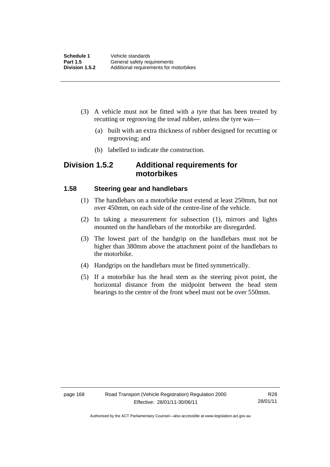- (3) A vehicle must not be fitted with a tyre that has been treated by recutting or regrooving the tread rubber, unless the tyre was—
	- (a) built with an extra thickness of rubber designed for recutting or regrooving; and
	- (b) labelled to indicate the construction.

# **Division 1.5.2 Additional requirements for motorbikes**

#### **1.58 Steering gear and handlebars**

- (1) The handlebars on a motorbike must extend at least 250mm, but not over 450mm, on each side of the centre-line of the vehicle.
- (2) In taking a measurement for subsection (1), mirrors and lights mounted on the handlebars of the motorbike are disregarded.
- (3) The lowest part of the handgrip on the handlebars must not be higher than 380mm above the attachment point of the handlebars to the motorbike.
- (4) Handgrips on the handlebars must be fitted symmetrically.
- (5) If a motorbike has the head stem as the steering pivot point, the horizontal distance from the midpoint between the head stem bearings to the centre of the front wheel must not be over 550mm.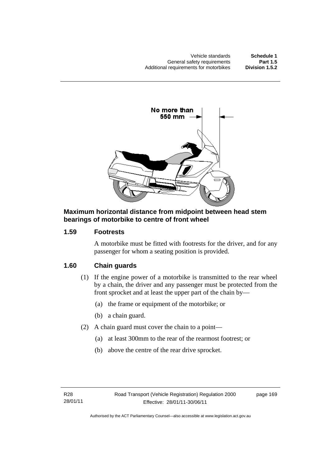

#### **Maximum horizontal distance from midpoint between head stem bearings of motorbike to centre of front wheel**

## **1.59 Footrests**

A motorbike must be fitted with footrests for the driver, and for any passenger for whom a seating position is provided.

# **1.60 Chain guards**

- (1) If the engine power of a motorbike is transmitted to the rear wheel by a chain, the driver and any passenger must be protected from the front sprocket and at least the upper part of the chain by—
	- (a) the frame or equipment of the motorbike; or
	- (b) a chain guard.
- (2) A chain guard must cover the chain to a point—
	- (a) at least 300mm to the rear of the rearmost footrest; or
	- (b) above the centre of the rear drive sprocket.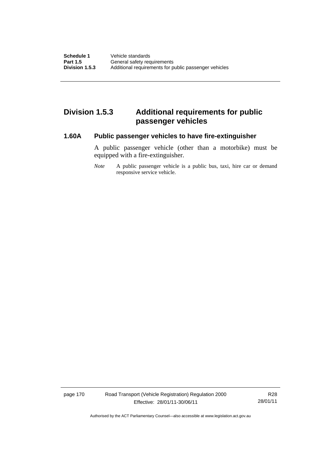# **Division 1.5.3 Additional requirements for public passenger vehicles**

#### **1.60A Public passenger vehicles to have fire-extinguisher**

A public passenger vehicle (other than a motorbike) must be equipped with a fire-extinguisher.

*Note* A public passenger vehicle is a public bus, taxi, hire car or demand responsive service vehicle.

page 170 Road Transport (Vehicle Registration) Regulation 2000 Effective: 28/01/11-30/06/11

R28 28/01/11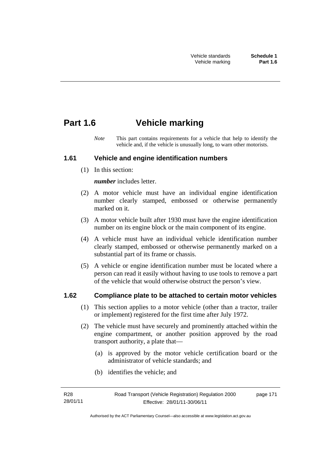# **Part 1.6 Vehicle marking**

*Note* This part contains requirements for a vehicle that help to identify the vehicle and, if the vehicle is unusually long, to warn other motorists.

### **1.61 Vehicle and engine identification numbers**

(1) In this section:

*number* includes letter.

- (2) A motor vehicle must have an individual engine identification number clearly stamped, embossed or otherwise permanently marked on it.
- (3) A motor vehicle built after 1930 must have the engine identification number on its engine block or the main component of its engine.
- (4) A vehicle must have an individual vehicle identification number clearly stamped, embossed or otherwise permanently marked on a substantial part of its frame or chassis.
- (5) A vehicle or engine identification number must be located where a person can read it easily without having to use tools to remove a part of the vehicle that would otherwise obstruct the person's view.

## **1.62 Compliance plate to be attached to certain motor vehicles**

- (1) This section applies to a motor vehicle (other than a tractor, trailer or implement) registered for the first time after July 1972.
- (2) The vehicle must have securely and prominently attached within the engine compartment, or another position approved by the road transport authority, a plate that—
	- (a) is approved by the motor vehicle certification board or the administrator of vehicle standards; and
	- (b) identifies the vehicle; and

page 171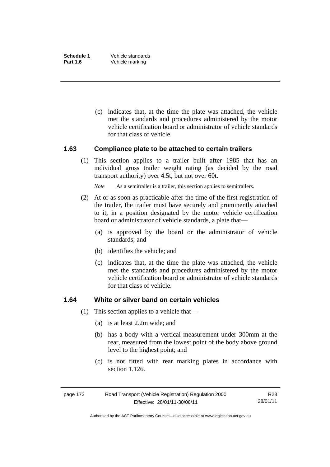(c) indicates that, at the time the plate was attached, the vehicle met the standards and procedures administered by the motor vehicle certification board or administrator of vehicle standards for that class of vehicle.

#### **1.63 Compliance plate to be attached to certain trailers**

(1) This section applies to a trailer built after 1985 that has an individual gross trailer weight rating (as decided by the road transport authority) over 4.5t, but not over 60t.

*Note* As a semitrailer is a trailer, this section applies to semitrailers.

- (2) At or as soon as practicable after the time of the first registration of the trailer, the trailer must have securely and prominently attached to it, in a position designated by the motor vehicle certification board or administrator of vehicle standards, a plate that—
	- (a) is approved by the board or the administrator of vehicle standards; and
	- (b) identifies the vehicle; and
	- (c) indicates that, at the time the plate was attached, the vehicle met the standards and procedures administered by the motor vehicle certification board or administrator of vehicle standards for that class of vehicle.

#### **1.64 White or silver band on certain vehicles**

- (1) This section applies to a vehicle that—
	- (a) is at least 2.2m wide; and
	- (b) has a body with a vertical measurement under 300mm at the rear, measured from the lowest point of the body above ground level to the highest point; and
	- (c) is not fitted with rear marking plates in accordance with section 1.126.

| page 172 | Road Transport (Vehicle Registration) Regulation 2000 | R28      |
|----------|-------------------------------------------------------|----------|
|          | Effective: 28/01/11-30/06/11                          | 28/01/11 |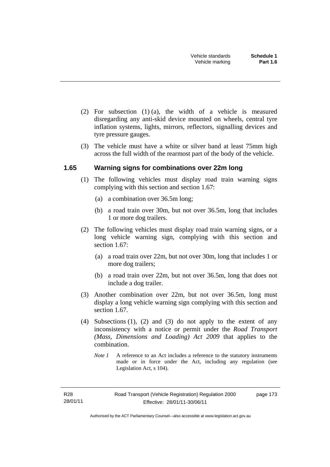- (2) For subsection (1) (a), the width of a vehicle is measured disregarding any anti-skid device mounted on wheels, central tyre inflation systems, lights, mirrors, reflectors, signalling devices and tyre pressure gauges.
- (3) The vehicle must have a white or silver band at least 75mm high across the full width of the rearmost part of the body of the vehicle.

### **1.65 Warning signs for combinations over 22m long**

- (1) The following vehicles must display road train warning signs complying with this section and section 1.67:
	- (a) a combination over 36.5m long;
	- (b) a road train over 30m, but not over 36.5m, long that includes 1 or more dog trailers.
- (2) The following vehicles must display road train warning signs, or a long vehicle warning sign, complying with this section and section 1.67:
	- (a) a road train over 22m, but not over 30m, long that includes 1 or more dog trailers;
	- (b) a road train over 22m, but not over 36.5m, long that does not include a dog trailer.
- (3) Another combination over 22m, but not over 36.5m, long must display a long vehicle warning sign complying with this section and section 1.67.
- (4) Subsections (1), (2) and (3) do not apply to the extent of any inconsistency with a notice or permit under the *Road Transport (Mass, Dimensions and Loading) Act 2009* that applies to the combination.
	- *Note 1* A reference to an Act includes a reference to the statutory instruments made or in force under the Act, including any regulation (see Legislation Act, s 104).

page 173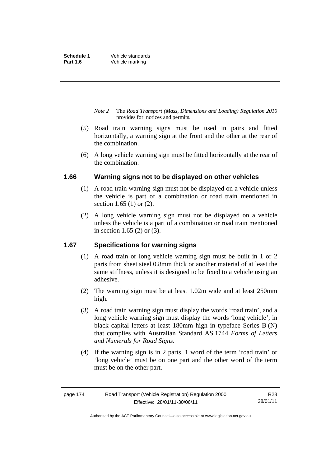- *Note 2* The *Road Transport (Mass, Dimensions and Loading) Regulation 2010*  provides for notices and permits.
- (5) Road train warning signs must be used in pairs and fitted horizontally, a warning sign at the front and the other at the rear of the combination.
- (6) A long vehicle warning sign must be fitted horizontally at the rear of the combination.

### **1.66 Warning signs not to be displayed on other vehicles**

- (1) A road train warning sign must not be displayed on a vehicle unless the vehicle is part of a combination or road train mentioned in section 1.65 (1) or (2).
- (2) A long vehicle warning sign must not be displayed on a vehicle unless the vehicle is a part of a combination or road train mentioned in section 1.65 (2) or (3).

### **1.67 Specifications for warning signs**

- (1) A road train or long vehicle warning sign must be built in 1 or 2 parts from sheet steel 0.8mm thick or another material of at least the same stiffness, unless it is designed to be fixed to a vehicle using an adhesive.
- (2) The warning sign must be at least 1.02m wide and at least 250mm high.
- (3) A road train warning sign must display the words 'road train', and a long vehicle warning sign must display the words 'long vehicle', in black capital letters at least 180mm high in typeface Series B (N) that complies with Australian Standard AS 1744 *Forms of Letters and Numerals for Road Signs*.
- (4) If the warning sign is in 2 parts, 1 word of the term 'road train' or 'long vehicle' must be on one part and the other word of the term must be on the other part.

| page 174 | Road Transport (Vehicle Registration) Regulation 2000 | R28      |
|----------|-------------------------------------------------------|----------|
|          | Effective: 28/01/11-30/06/11                          | 28/01/11 |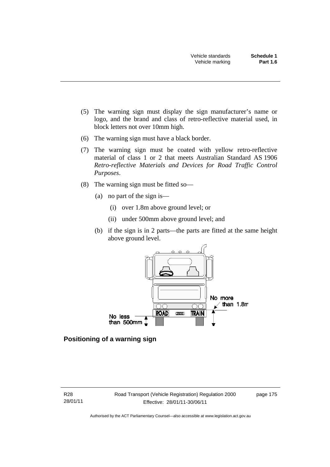- (5) The warning sign must display the sign manufacturer's name or logo, and the brand and class of retro-reflective material used, in block letters not over 10mm high.
- (6) The warning sign must have a black border.
- (7) The warning sign must be coated with yellow retro-reflective material of class 1 or 2 that meets Australian Standard AS 1906 *Retro-reflective Materials and Devices for Road Traffic Control Purposes*.
- (8) The warning sign must be fitted so—
	- (a) no part of the sign is—
		- (i) over 1.8m above ground level; or
		- (ii) under 500mm above ground level; and
	- (b) if the sign is in 2 parts—the parts are fitted at the same height above ground level.



### **Positioning of a warning sign**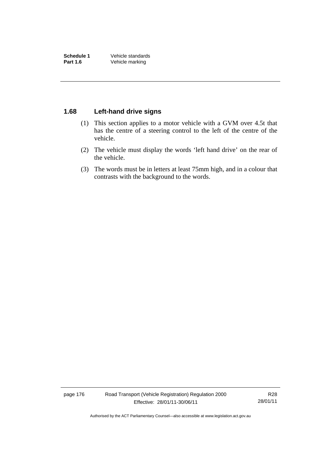### **1.68 Left-hand drive signs**

- (1) This section applies to a motor vehicle with a GVM over 4.5t that has the centre of a steering control to the left of the centre of the vehicle.
- (2) The vehicle must display the words 'left hand drive' on the rear of the vehicle.
- (3) The words must be in letters at least 75mm high, and in a colour that contrasts with the background to the words.

page 176 Road Transport (Vehicle Registration) Regulation 2000 Effective: 28/01/11-30/06/11

R28 28/01/11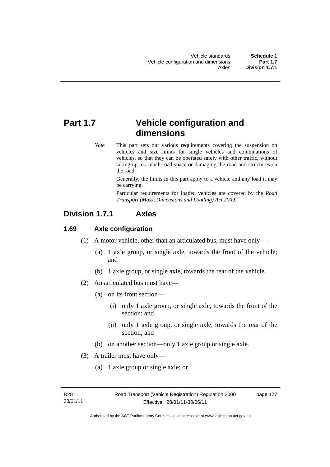# **Part 1.7 Vehicle configuration and dimensions**

*Note* This part sets out various requirements covering the suspension on vehicles and size limits for single vehicles and combinations of vehicles, so that they can be operated safely with other traffic, without taking up too much road space or damaging the road and structures on the road.

> Generally, the limits in this part apply to a vehicle and any load it may be carrying.

> Particular requirements for loaded vehicles are covered by the *Road Transport (Mass, Dimensions and Loading) Act 2009*.

# **Division 1.7.1 Axles**

### **1.69 Axle configuration**

- (1) A motor vehicle, other than an articulated bus, must have only—
	- (a) 1 axle group, or single axle, towards the front of the vehicle; and
	- (b) 1 axle group, or single axle, towards the rear of the vehicle.
- (2) An articulated bus must have—
	- (a) on its front section—
		- (i) only 1 axle group, or single axle, towards the front of the section; and
		- (ii) only 1 axle group, or single axle, towards the rear of the section; and
	- (b) on another section—only 1 axle group or single axle.
- (3) A trailer must have only—
	- (a) 1 axle group or single axle; or

page 177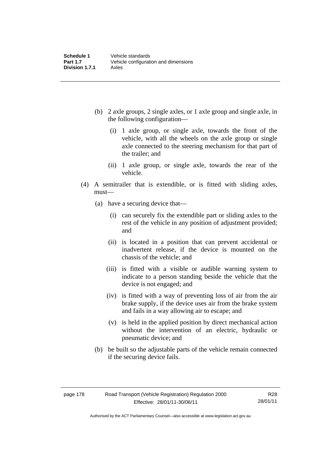- (b) 2 axle groups, 2 single axles, or 1 axle group and single axle, in the following configuration—
	- (i) 1 axle group, or single axle, towards the front of the vehicle, with all the wheels on the axle group or single axle connected to the steering mechanism for that part of the trailer; and
	- (ii) 1 axle group, or single axle, towards the rear of the vehicle.
- (4) A semitrailer that is extendible, or is fitted with sliding axles, must—
	- (a) have a securing device that—
		- (i) can securely fix the extendible part or sliding axles to the rest of the vehicle in any position of adjustment provided; and
		- (ii) is located in a position that can prevent accidental or inadvertent release, if the device is mounted on the chassis of the vehicle; and
		- (iii) is fitted with a visible or audible warning system to indicate to a person standing beside the vehicle that the device is not engaged; and
		- (iv) is fitted with a way of preventing loss of air from the air brake supply, if the device uses air from the brake system and fails in a way allowing air to escape; and
		- (v) is held in the applied position by direct mechanical action without the intervention of an electric, hydraulic or pneumatic device; and
	- (b) be built so the adjustable parts of the vehicle remain connected if the securing device fails.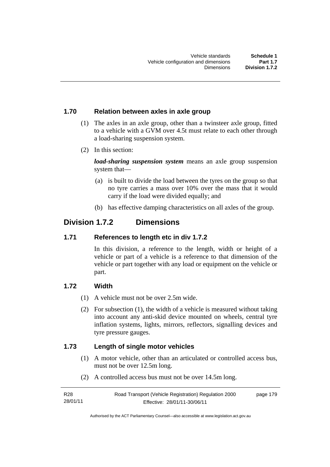#### **1.70 Relation between axles in axle group**

- (1) The axles in an axle group, other than a twinsteer axle group, fitted to a vehicle with a GVM over 4.5t must relate to each other through a load-sharing suspension system.
- (2) In this section:

*load-sharing suspension system* means an axle group suspension system that—

- (a) is built to divide the load between the tyres on the group so that no tyre carries a mass over 10% over the mass that it would carry if the load were divided equally; and
- (b) has effective damping characteristics on all axles of the group.

# **Division 1.7.2 Dimensions**

#### **1.71 References to length etc in div 1.7.2**

In this division, a reference to the length, width or height of a vehicle or part of a vehicle is a reference to that dimension of the vehicle or part together with any load or equipment on the vehicle or part.

#### **1.72 Width**

- (1) A vehicle must not be over 2.5m wide.
- (2) For subsection (1), the width of a vehicle is measured without taking into account any anti-skid device mounted on wheels, central tyre inflation systems, lights, mirrors, reflectors, signalling devices and tyre pressure gauges.

#### **1.73 Length of single motor vehicles**

- (1) A motor vehicle, other than an articulated or controlled access bus, must not be over 12.5m long.
- (2) A controlled access bus must not be over 14.5m long.

| R <sub>28</sub> | Road Transport (Vehicle Registration) Regulation 2000 | page 179 |
|-----------------|-------------------------------------------------------|----------|
| 28/01/11        | Effective: 28/01/11-30/06/11                          |          |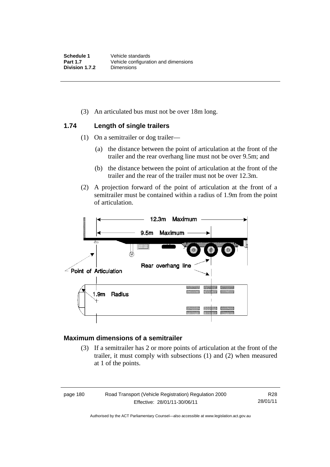(3) An articulated bus must not be over 18m long.

#### **1.74 Length of single trailers**

- (1) On a semitrailer or dog trailer—
	- (a) the distance between the point of articulation at the front of the trailer and the rear overhang line must not be over 9.5m; and
	- (b) the distance between the point of articulation at the front of the trailer and the rear of the trailer must not be over 12.3m.
- (2) A projection forward of the point of articulation at the front of a semitrailer must be contained within a radius of 1.9m from the point of articulation.



#### **Maximum dimensions of a semitrailer**

 (3) If a semitrailer has 2 or more points of articulation at the front of the trailer, it must comply with subsections (1) and (2) when measured at 1 of the points.

| page 180 |  |
|----------|--|
|----------|--|

Road Transport (Vehicle Registration) Regulation 2000 Effective: 28/01/11-30/06/11

R28 28/01/11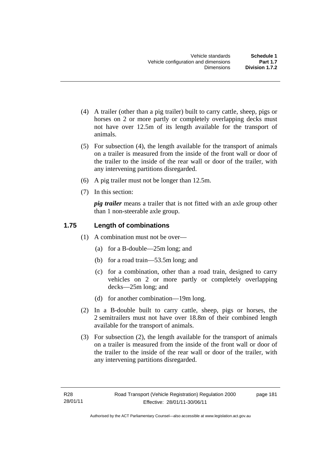- (4) A trailer (other than a pig trailer) built to carry cattle, sheep, pigs or horses on 2 or more partly or completely overlapping decks must not have over 12.5m of its length available for the transport of animals.
- (5) For subsection (4), the length available for the transport of animals on a trailer is measured from the inside of the front wall or door of the trailer to the inside of the rear wall or door of the trailer, with any intervening partitions disregarded.
- (6) A pig trailer must not be longer than 12.5m.
- (7) In this section:

*pig trailer* means a trailer that is not fitted with an axle group other than 1 non-steerable axle group.

## **1.75 Length of combinations**

- (1) A combination must not be over—
	- (a) for a B-double—25m long; and
	- (b) for a road train—53.5m long; and
	- (c) for a combination, other than a road train, designed to carry vehicles on 2 or more partly or completely overlapping decks—25m long; and
	- (d) for another combination—19m long.
- (2) In a B-double built to carry cattle, sheep, pigs or horses, the 2 semitrailers must not have over 18.8m of their combined length available for the transport of animals.
- (3) For subsection (2), the length available for the transport of animals on a trailer is measured from the inside of the front wall or door of the trailer to the inside of the rear wall or door of the trailer, with any intervening partitions disregarded.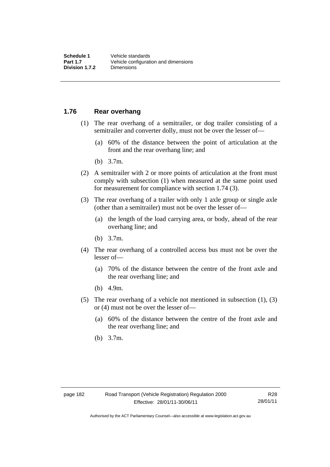### **1.76 Rear overhang**

- (1) The rear overhang of a semitrailer, or dog trailer consisting of a semitrailer and converter dolly, must not be over the lesser of—
	- (a) 60% of the distance between the point of articulation at the front and the rear overhang line; and
	- (b) 3.7m.
- (2) A semitrailer with 2 or more points of articulation at the front must comply with subsection (1) when measured at the same point used for measurement for compliance with section 1.74 (3).
- (3) The rear overhang of a trailer with only 1 axle group or single axle (other than a semitrailer) must not be over the lesser of—
	- (a) the length of the load carrying area, or body, ahead of the rear overhang line; and
	- (b) 3.7m.
- (4) The rear overhang of a controlled access bus must not be over the lesser of—
	- (a) 70% of the distance between the centre of the front axle and the rear overhang line; and
	- (b) 4.9m.
- (5) The rear overhang of a vehicle not mentioned in subsection (1), (3) or (4) must not be over the lesser of—
	- (a) 60% of the distance between the centre of the front axle and the rear overhang line; and
	- (b) 3.7m.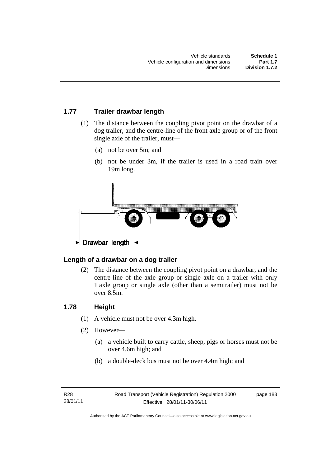## **1.77 Trailer drawbar length**

- (1) The distance between the coupling pivot point on the drawbar of a dog trailer, and the centre-line of the front axle group or of the front single axle of the trailer, must—
	- (a) not be over 5m; and
	- (b) not be under 3m, if the trailer is used in a road train over 19m long.



## **Length of a drawbar on a dog trailer**

 (2) The distance between the coupling pivot point on a drawbar, and the centre-line of the axle group or single axle on a trailer with only 1 axle group or single axle (other than a semitrailer) must not be over 8.5m.

### **1.78 Height**

- (1) A vehicle must not be over 4.3m high.
- (2) However—
	- (a) a vehicle built to carry cattle, sheep, pigs or horses must not be over 4.6m high; and
	- (b) a double-deck bus must not be over 4.4m high; and

page 183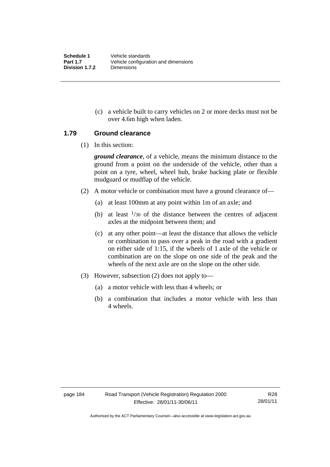(c) a vehicle built to carry vehicles on 2 or more decks must not be over 4.6m high when laden.

#### **1.79 Ground clearance**

(1) In this section:

*ground clearance*, of a vehicle, means the minimum distance to the ground from a point on the underside of the vehicle, other than a point on a tyre, wheel, wheel hub, brake backing plate or flexible mudguard or mudflap of the vehicle.

- (2) A motor vehicle or combination must have a ground clearance of—
	- (a) at least 100mm at any point within 1m of an axle; and
	- (b) at least  $\frac{1}{30}$  of the distance between the centres of adjacent axles at the midpoint between them; and
	- (c) at any other point—at least the distance that allows the vehicle or combination to pass over a peak in the road with a gradient on either side of 1:15, if the wheels of 1 axle of the vehicle or combination are on the slope on one side of the peak and the wheels of the next axle are on the slope on the other side.
- (3) However, subsection (2) does not apply to—
	- (a) a motor vehicle with less than 4 wheels; or
	- (b) a combination that includes a motor vehicle with less than 4 wheels.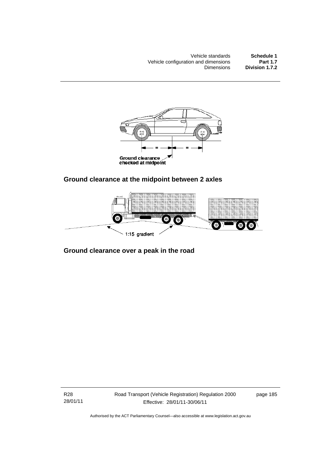Vehicle standards<br> **Schedule 1**<br> **Part 1.7** Vehicle configuration and dimensions<br>Dimensions Division 1.7.2



# **Ground clearance at the midpoint between 2 axles**



# **Ground clearance over a peak in the road**

R28 28/01/11 Road Transport (Vehicle Registration) Regulation 2000 Effective: 28/01/11-30/06/11

page 185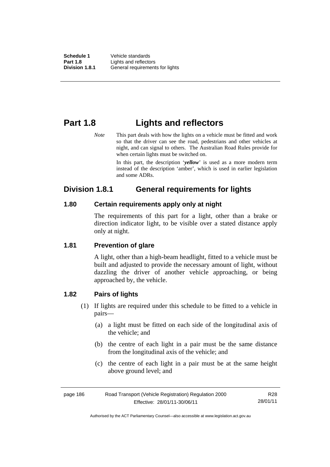# **Part 1.8 Lights and reflectors**

*Note* This part deals with how the lights on a vehicle must be fitted and work so that the driver can see the road, pedestrians and other vehicles at night, and can signal to others. The Australian Road Rules provide for when certain lights must be switched on.

> In this part, the description '*yellow*' is used as a more modern term instead of the description 'amber', which is used in earlier legislation and some ADRs.

# **Division 1.8.1 General requirements for lights**

### **1.80 Certain requirements apply only at night**

The requirements of this part for a light, other than a brake or direction indicator light, to be visible over a stated distance apply only at night.

# **1.81 Prevention of glare**

A light, other than a high-beam headlight, fitted to a vehicle must be built and adjusted to provide the necessary amount of light, without dazzling the driver of another vehicle approaching, or being approached by, the vehicle.

# **1.82 Pairs of lights**

- (1) If lights are required under this schedule to be fitted to a vehicle in pairs—
	- (a) a light must be fitted on each side of the longitudinal axis of the vehicle; and
	- (b) the centre of each light in a pair must be the same distance from the longitudinal axis of the vehicle; and
	- (c) the centre of each light in a pair must be at the same height above ground level; and

| page 186 | Road Transport (Vehicle Registration) Regulation 2000 | R28      |
|----------|-------------------------------------------------------|----------|
|          | Effective: 28/01/11-30/06/11                          | 28/01/11 |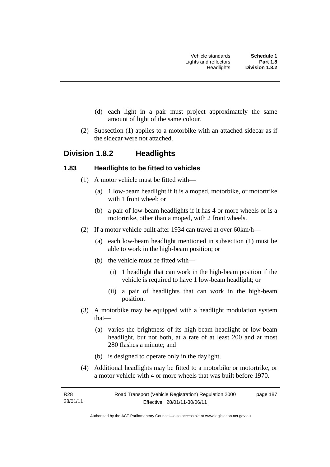- (d) each light in a pair must project approximately the same amount of light of the same colour.
- (2) Subsection (1) applies to a motorbike with an attached sidecar as if the sidecar were not attached.

# **Division 1.8.2 Headlights**

#### **1.83 Headlights to be fitted to vehicles**

- (1) A motor vehicle must be fitted with—
	- (a) 1 low-beam headlight if it is a moped, motorbike, or motortrike with 1 front wheel; or
	- (b) a pair of low-beam headlights if it has 4 or more wheels or is a motortrike, other than a moped, with 2 front wheels.
- (2) If a motor vehicle built after 1934 can travel at over 60km/h—
	- (a) each low-beam headlight mentioned in subsection (1) must be able to work in the high-beam position; or
	- (b) the vehicle must be fitted with—
		- (i) 1 headlight that can work in the high-beam position if the vehicle is required to have 1 low-beam headlight; or
		- (ii) a pair of headlights that can work in the high-beam position.
- (3) A motorbike may be equipped with a headlight modulation system that—
	- (a) varies the brightness of its high-beam headlight or low-beam headlight, but not both, at a rate of at least 200 and at most 280 flashes a minute; and
	- (b) is designed to operate only in the daylight.
- (4) Additional headlights may be fitted to a motorbike or motortrike, or a motor vehicle with 4 or more wheels that was built before 1970.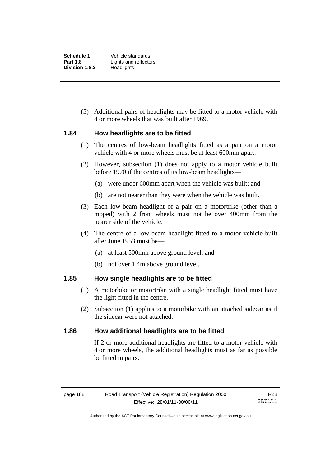(5) Additional pairs of headlights may be fitted to a motor vehicle with 4 or more wheels that was built after 1969.

#### **1.84 How headlights are to be fitted**

- (1) The centres of low-beam headlights fitted as a pair on a motor vehicle with 4 or more wheels must be at least 600mm apart.
- (2) However, subsection (1) does not apply to a motor vehicle built before 1970 if the centres of its low-beam headlights—
	- (a) were under 600mm apart when the vehicle was built; and
	- (b) are not nearer than they were when the vehicle was built.
- (3) Each low-beam headlight of a pair on a motortrike (other than a moped) with 2 front wheels must not be over 400mm from the nearer side of the vehicle.
- (4) The centre of a low-beam headlight fitted to a motor vehicle built after June 1953 must be—
	- (a) at least 500mm above ground level; and
	- (b) not over 1.4m above ground level.

#### **1.85 How single headlights are to be fitted**

- (1) A motorbike or motortrike with a single headlight fitted must have the light fitted in the centre.
- (2) Subsection (1) applies to a motorbike with an attached sidecar as if the sidecar were not attached.

#### **1.86 How additional headlights are to be fitted**

If 2 or more additional headlights are fitted to a motor vehicle with 4 or more wheels, the additional headlights must as far as possible be fitted in pairs.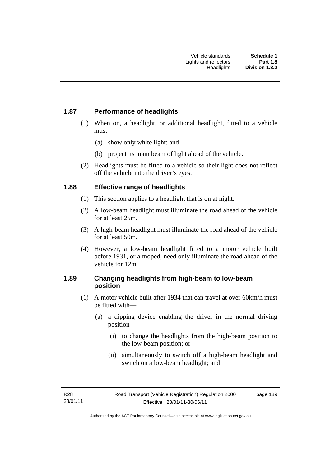## **1.87 Performance of headlights**

- (1) When on, a headlight, or additional headlight, fitted to a vehicle must—
	- (a) show only white light; and
	- (b) project its main beam of light ahead of the vehicle.
- (2) Headlights must be fitted to a vehicle so their light does not reflect off the vehicle into the driver's eyes.

## **1.88 Effective range of headlights**

- (1) This section applies to a headlight that is on at night.
- (2) A low-beam headlight must illuminate the road ahead of the vehicle for at least 25m.
- (3) A high-beam headlight must illuminate the road ahead of the vehicle for at least 50m.
- (4) However, a low-beam headlight fitted to a motor vehicle built before 1931, or a moped, need only illuminate the road ahead of the vehicle for 12m.

## **1.89 Changing headlights from high-beam to low-beam position**

- (1) A motor vehicle built after 1934 that can travel at over 60km/h must be fitted with—
	- (a) a dipping device enabling the driver in the normal driving position—
		- (i) to change the headlights from the high-beam position to the low-beam position; or
		- (ii) simultaneously to switch off a high-beam headlight and switch on a low-beam headlight; and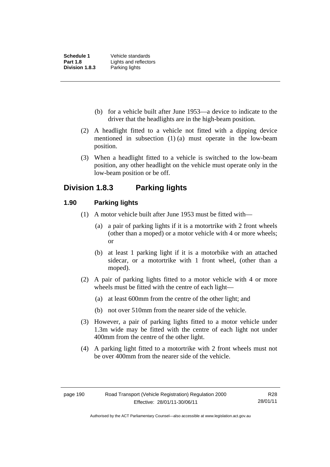- (b) for a vehicle built after June 1953—a device to indicate to the driver that the headlights are in the high-beam position.
- (2) A headlight fitted to a vehicle not fitted with a dipping device mentioned in subsection (1) (a) must operate in the low-beam position.
- (3) When a headlight fitted to a vehicle is switched to the low-beam position, any other headlight on the vehicle must operate only in the low-beam position or be off.

# **Division 1.8.3 Parking lights**

### **1.90 Parking lights**

- (1) A motor vehicle built after June 1953 must be fitted with—
	- (a) a pair of parking lights if it is a motortrike with 2 front wheels (other than a moped) or a motor vehicle with 4 or more wheels; or
	- (b) at least 1 parking light if it is a motorbike with an attached sidecar, or a motortrike with 1 front wheel, (other than a moped).
- (2) A pair of parking lights fitted to a motor vehicle with 4 or more wheels must be fitted with the centre of each light—
	- (a) at least 600mm from the centre of the other light; and
	- (b) not over 510mm from the nearer side of the vehicle.
- (3) However, a pair of parking lights fitted to a motor vehicle under 1.3m wide may be fitted with the centre of each light not under 400mm from the centre of the other light.
- (4) A parking light fitted to a motortrike with 2 front wheels must not be over 400mm from the nearer side of the vehicle.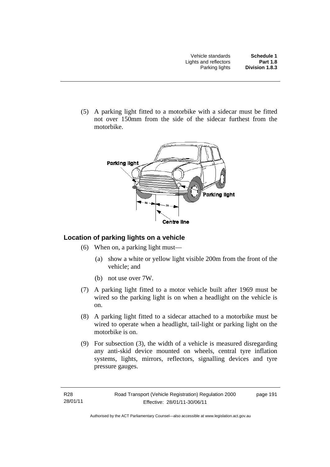(5) A parking light fitted to a motorbike with a sidecar must be fitted not over 150mm from the side of the sidecar furthest from the motorbike.



# **Location of parking lights on a vehicle**

- (6) When on, a parking light must—
	- (a) show a white or yellow light visible 200m from the front of the vehicle; and
	- (b) not use over 7W.
- (7) A parking light fitted to a motor vehicle built after 1969 must be wired so the parking light is on when a headlight on the vehicle is on.
- (8) A parking light fitted to a sidecar attached to a motorbike must be wired to operate when a headlight, tail-light or parking light on the motorbike is on.
- (9) For subsection (3), the width of a vehicle is measured disregarding any anti-skid device mounted on wheels, central tyre inflation systems, lights, mirrors, reflectors, signalling devices and tyre pressure gauges.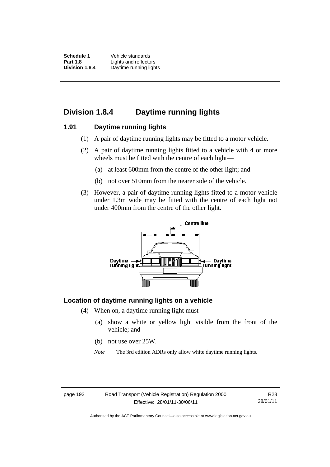**Schedule 1** Vehicle standards **Part 1.8** Lights and reflectors<br>**Division 1.8.4** Davtime running ligh **Daytime running lights** 

# **Division 1.8.4 Daytime running lights**

#### **1.91 Daytime running lights**

- (1) A pair of daytime running lights may be fitted to a motor vehicle.
- (2) A pair of daytime running lights fitted to a vehicle with 4 or more wheels must be fitted with the centre of each light—
	- (a) at least 600mm from the centre of the other light; and
	- (b) not over 510mm from the nearer side of the vehicle.
- (3) However, a pair of daytime running lights fitted to a motor vehicle under 1.3m wide may be fitted with the centre of each light not under 400mm from the centre of the other light.



### **Location of daytime running lights on a vehicle**

- (4) When on, a daytime running light must—
	- (a) show a white or yellow light visible from the front of the vehicle; and
	- (b) not use over 25W.
	- *Note* The 3rd edition ADRs only allow white daytime running lights.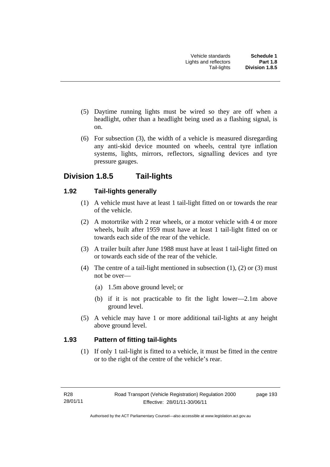- (5) Daytime running lights must be wired so they are off when a headlight, other than a headlight being used as a flashing signal, is on.
- (6) For subsection (3), the width of a vehicle is measured disregarding any anti-skid device mounted on wheels, central tyre inflation systems, lights, mirrors, reflectors, signalling devices and tyre pressure gauges.

# **Division 1.8.5 Tail-lights**

## **1.92 Tail-lights generally**

- (1) A vehicle must have at least 1 tail-light fitted on or towards the rear of the vehicle.
- (2) A motortrike with 2 rear wheels, or a motor vehicle with 4 or more wheels, built after 1959 must have at least 1 tail-light fitted on or towards each side of the rear of the vehicle.
- (3) A trailer built after June 1988 must have at least 1 tail-light fitted on or towards each side of the rear of the vehicle.
- (4) The centre of a tail-light mentioned in subsection  $(1)$ ,  $(2)$  or  $(3)$  must not be over—
	- (a) 1.5m above ground level; or
	- (b) if it is not practicable to fit the light lower—2.1m above ground level.
- (5) A vehicle may have 1 or more additional tail-lights at any height above ground level.

### **1.93 Pattern of fitting tail-lights**

(1) If only 1 tail-light is fitted to a vehicle, it must be fitted in the centre or to the right of the centre of the vehicle's rear.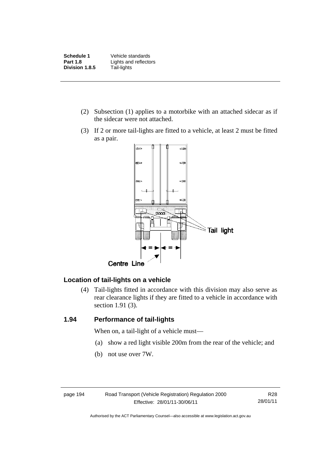**Schedule 1** Vehicle standards **Part 1.8 Lights and reflectors Division 1.8.5** Tail-lights

- (2) Subsection (1) applies to a motorbike with an attached sidecar as if the sidecar were not attached.
- (3) If 2 or more tail-lights are fitted to a vehicle, at least 2 must be fitted as a pair.



### **Location of tail-lights on a vehicle**

 (4) Tail-lights fitted in accordance with this division may also serve as rear clearance lights if they are fitted to a vehicle in accordance with section 1.91 (3).

### **1.94 Performance of tail-lights**

When on, a tail-light of a vehicle must—

- (a) show a red light visible 200m from the rear of the vehicle; and
- (b) not use over 7W.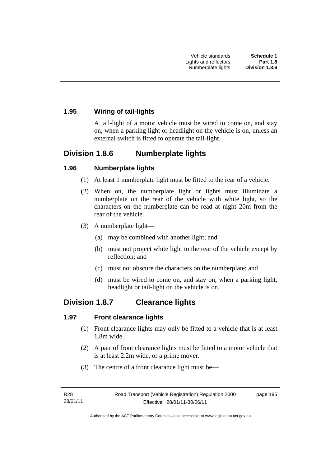## **1.95 Wiring of tail-lights**

A tail-light of a motor vehicle must be wired to come on, and stay on, when a parking light or headlight on the vehicle is on, unless an external switch is fitted to operate the tail-light.

# **Division 1.8.6 Numberplate lights**

### **1.96 Numberplate lights**

- (1) At least 1 numberplate light must be fitted to the rear of a vehicle.
- (2) When on, the numberplate light or lights must illuminate a numberplate on the rear of the vehicle with white light, so the characters on the numberplate can be read at night 20m from the rear of the vehicle.
- (3) A numberplate light—
	- (a) may be combined with another light; and
	- (b) must not project white light to the rear of the vehicle except by reflection; and
	- (c) must not obscure the characters on the numberplate; and
	- (d) must be wired to come on, and stay on, when a parking light, headlight or tail-light on the vehicle is on.

# **Division 1.8.7 Clearance lights**

### **1.97 Front clearance lights**

- (1) Front clearance lights may only be fitted to a vehicle that is at least 1.8m wide.
- (2) A pair of front clearance lights must be fitted to a motor vehicle that is at least 2.2m wide, or a prime mover.
- (3) The centre of a front clearance light must be—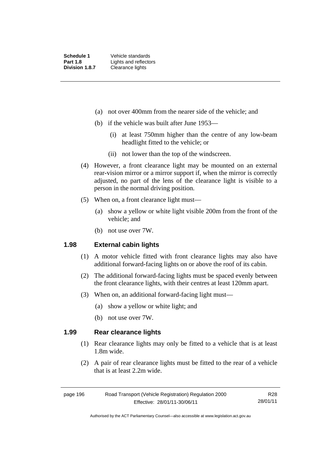- (a) not over 400mm from the nearer side of the vehicle; and
- (b) if the vehicle was built after June 1953—
	- (i) at least 750mm higher than the centre of any low-beam headlight fitted to the vehicle; or
	- (ii) not lower than the top of the windscreen.
- (4) However, a front clearance light may be mounted on an external rear-vision mirror or a mirror support if, when the mirror is correctly adjusted, no part of the lens of the clearance light is visible to a person in the normal driving position.
- (5) When on, a front clearance light must—
	- (a) show a yellow or white light visible 200m from the front of the vehicle; and
	- (b) not use over 7W.

#### **1.98 External cabin lights**

- (1) A motor vehicle fitted with front clearance lights may also have additional forward-facing lights on or above the roof of its cabin.
- (2) The additional forward-facing lights must be spaced evenly between the front clearance lights, with their centres at least 120mm apart.
- (3) When on, an additional forward-facing light must—
	- (a) show a yellow or white light; and
	- (b) not use over 7W.

#### **1.99 Rear clearance lights**

- (1) Rear clearance lights may only be fitted to a vehicle that is at least 1.8m wide.
- (2) A pair of rear clearance lights must be fitted to the rear of a vehicle that is at least 2.2m wide.

| page 196 | Road Transport (Vehicle Registration) Regulation 2000 | R28      |
|----------|-------------------------------------------------------|----------|
|          | Effective: 28/01/11-30/06/11                          | 28/01/11 |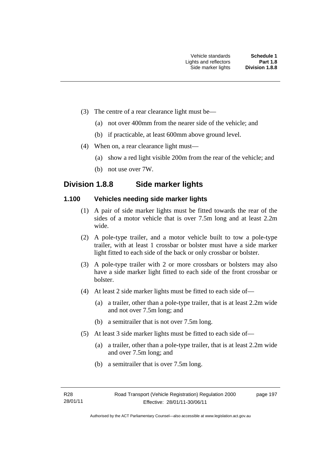- (3) The centre of a rear clearance light must be—
	- (a) not over 400mm from the nearer side of the vehicle; and
	- (b) if practicable, at least 600mm above ground level.
- (4) When on, a rear clearance light must—
	- (a) show a red light visible 200m from the rear of the vehicle; and
	- (b) not use over 7W.

# **Division 1.8.8 Side marker lights**

### **1.100 Vehicles needing side marker lights**

- (1) A pair of side marker lights must be fitted towards the rear of the sides of a motor vehicle that is over 7.5m long and at least 2.2m wide.
- (2) A pole-type trailer, and a motor vehicle built to tow a pole-type trailer, with at least 1 crossbar or bolster must have a side marker light fitted to each side of the back or only crossbar or bolster.
- (3) A pole-type trailer with 2 or more crossbars or bolsters may also have a side marker light fitted to each side of the front crossbar or bolster.
- (4) At least 2 side marker lights must be fitted to each side of—
	- (a) a trailer, other than a pole-type trailer, that is at least 2.2m wide and not over 7.5m long; and
	- (b) a semitrailer that is not over 7.5m long.
- (5) At least 3 side marker lights must be fitted to each side of—
	- (a) a trailer, other than a pole-type trailer, that is at least 2.2m wide and over 7.5m long; and
	- (b) a semitrailer that is over 7.5m long.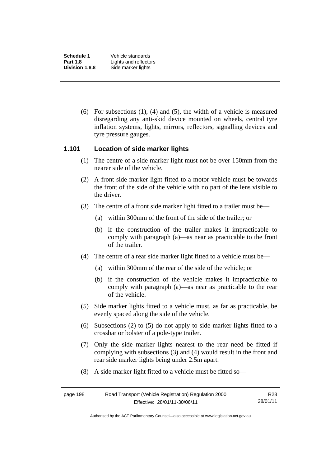**Schedule 1** Vehicle standards **Part 1.8** Lights and reflectors<br>**Division 1.8.8** Side marker lights **Side marker lights** 

> (6) For subsections (1), (4) and (5), the width of a vehicle is measured disregarding any anti-skid device mounted on wheels, central tyre inflation systems, lights, mirrors, reflectors, signalling devices and tyre pressure gauges.

#### **1.101 Location of side marker lights**

- (1) The centre of a side marker light must not be over 150mm from the nearer side of the vehicle.
- (2) A front side marker light fitted to a motor vehicle must be towards the front of the side of the vehicle with no part of the lens visible to the driver.
- (3) The centre of a front side marker light fitted to a trailer must be—
	- (a) within 300mm of the front of the side of the trailer; or
	- (b) if the construction of the trailer makes it impracticable to comply with paragraph (a)—as near as practicable to the front of the trailer.
- (4) The centre of a rear side marker light fitted to a vehicle must be—
	- (a) within 300mm of the rear of the side of the vehicle; or
	- (b) if the construction of the vehicle makes it impracticable to comply with paragraph (a)—as near as practicable to the rear of the vehicle.
- (5) Side marker lights fitted to a vehicle must, as far as practicable, be evenly spaced along the side of the vehicle.
- (6) Subsections (2) to (5) do not apply to side marker lights fitted to a crossbar or bolster of a pole-type trailer.
- (7) Only the side marker lights nearest to the rear need be fitted if complying with subsections (3) and (4) would result in the front and rear side marker lights being under 2.5m apart.
- (8) A side marker light fitted to a vehicle must be fitted so—

| page 198 | R28                          |          |
|----------|------------------------------|----------|
|          | Effective: 28/01/11-30/06/11 | 28/01/11 |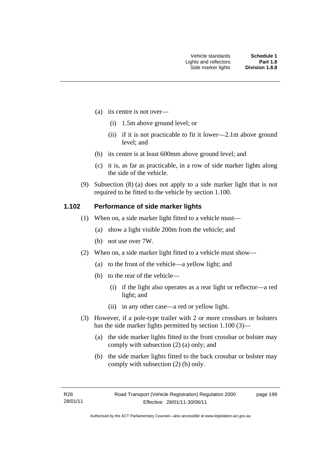- (a) its centre is not over—
	- (i) 1.5m above ground level; or
	- (ii) if it is not practicable to fit it lower—2.1m above ground level; and
- (b) its centre is at least 600mm above ground level; and
- (c) it is, as far as practicable, in a row of side marker lights along the side of the vehicle.
- (9) Subsection (8) (a) does not apply to a side marker light that is not required to be fitted to the vehicle by section 1.100.

#### **1.102 Performance of side marker lights**

- (1) When on, a side marker light fitted to a vehicle must—
	- (a) show a light visible 200m from the vehicle; and
	- (b) not use over 7W.
- (2) When on, a side marker light fitted to a vehicle must show—
	- (a) to the front of the vehicle—a yellow light; and
	- (b) to the rear of the vehicle—
		- (i) if the light also operates as a rear light or reflector—a red light; and
		- (ii) in any other case—a red or yellow light.
- (3) However, if a pole-type trailer with 2 or more crossbars or bolsters has the side marker lights permitted by section 1.100 (3)—
	- (a) the side marker lights fitted to the front crossbar or bolster may comply with subsection (2) (a) only; and
	- (b) the side marker lights fitted to the back crossbar or bolster may comply with subsection (2) (b) only.

page 199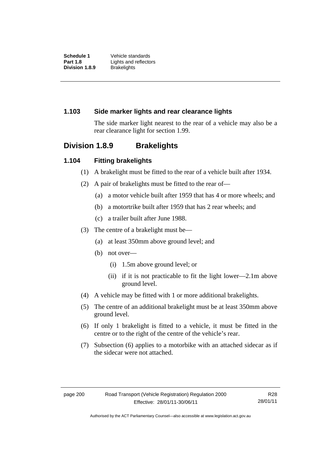### **1.103 Side marker lights and rear clearance lights**

The side marker light nearest to the rear of a vehicle may also be a rear clearance light for section 1.99.

# **Division 1.8.9 Brakelights**

#### **1.104 Fitting brakelights**

- (1) A brakelight must be fitted to the rear of a vehicle built after 1934.
- (2) A pair of brakelights must be fitted to the rear of—
	- (a) a motor vehicle built after 1959 that has 4 or more wheels; and
	- (b) a motortrike built after 1959 that has 2 rear wheels; and
	- (c) a trailer built after June 1988.
- (3) The centre of a brakelight must be—
	- (a) at least 350mm above ground level; and
	- (b) not over—
		- (i) 1.5m above ground level; or
		- (ii) if it is not practicable to fit the light lower—2.1m above ground level.
- (4) A vehicle may be fitted with 1 or more additional brakelights.
- (5) The centre of an additional brakelight must be at least 350mm above ground level.
- (6) If only 1 brakelight is fitted to a vehicle, it must be fitted in the centre or to the right of the centre of the vehicle's rear.
- (7) Subsection (6) applies to a motorbike with an attached sidecar as if the sidecar were not attached.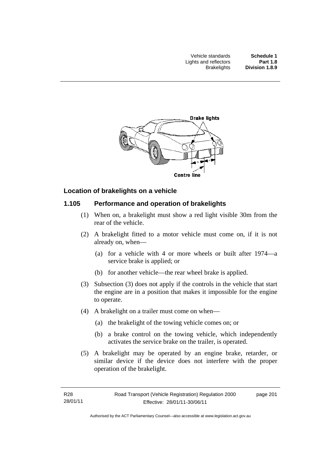

### **Location of brakelights on a vehicle**

### **1.105 Performance and operation of brakelights**

- (1) When on, a brakelight must show a red light visible 30m from the rear of the vehicle.
- (2) A brakelight fitted to a motor vehicle must come on, if it is not already on, when—
	- (a) for a vehicle with 4 or more wheels or built after 1974—a service brake is applied; or
	- (b) for another vehicle—the rear wheel brake is applied.
- (3) Subsection (3) does not apply if the controls in the vehicle that start the engine are in a position that makes it impossible for the engine to operate.
- (4) A brakelight on a trailer must come on when—
	- (a) the brakelight of the towing vehicle comes on; or
	- (b) a brake control on the towing vehicle, which independently activates the service brake on the trailer, is operated.
- (5) A brakelight may be operated by an engine brake, retarder, or similar device if the device does not interfere with the proper operation of the brakelight.

page 201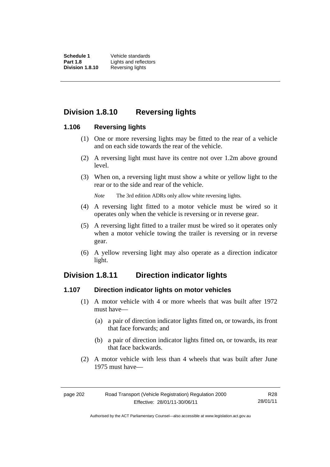**Schedule 1** Vehicle standards **Part 1.8** Lights and reflectors<br>**Division 1.8.10** Reversing lights **Reversing lights** 

# **Division 1.8.10 Reversing lights**

#### **1.106 Reversing lights**

- (1) One or more reversing lights may be fitted to the rear of a vehicle and on each side towards the rear of the vehicle.
- (2) A reversing light must have its centre not over 1.2m above ground level.
- (3) When on, a reversing light must show a white or yellow light to the rear or to the side and rear of the vehicle.

*Note* The 3rd edition ADRs only allow white reversing lights.

- (4) A reversing light fitted to a motor vehicle must be wired so it operates only when the vehicle is reversing or in reverse gear.
- (5) A reversing light fitted to a trailer must be wired so it operates only when a motor vehicle towing the trailer is reversing or in reverse gear.
- (6) A yellow reversing light may also operate as a direction indicator light.

## **Division 1.8.11 Direction indicator lights**

#### **1.107 Direction indicator lights on motor vehicles**

- (1) A motor vehicle with 4 or more wheels that was built after 1972 must have—
	- (a) a pair of direction indicator lights fitted on, or towards, its front that face forwards; and
	- (b) a pair of direction indicator lights fitted on, or towards, its rear that face backwards.
- (2) A motor vehicle with less than 4 wheels that was built after June 1975 must have—

Authorised by the ACT Parliamentary Counsel—also accessible at www.legislation.act.gov.au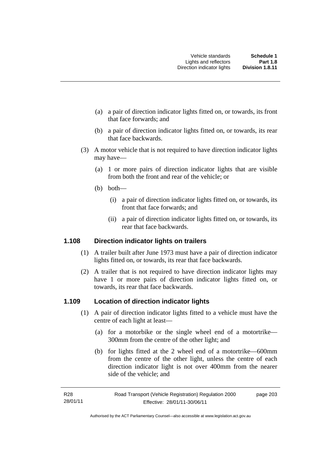- (a) a pair of direction indicator lights fitted on, or towards, its front that face forwards; and
- (b) a pair of direction indicator lights fitted on, or towards, its rear that face backwards.
- (3) A motor vehicle that is not required to have direction indicator lights may have—
	- (a) 1 or more pairs of direction indicator lights that are visible from both the front and rear of the vehicle; or
	- (b) both—
		- (i) a pair of direction indicator lights fitted on, or towards, its front that face forwards; and
		- (ii) a pair of direction indicator lights fitted on, or towards, its rear that face backwards.

#### **1.108 Direction indicator lights on trailers**

- (1) A trailer built after June 1973 must have a pair of direction indicator lights fitted on, or towards, its rear that face backwards.
- (2) A trailer that is not required to have direction indicator lights may have 1 or more pairs of direction indicator lights fitted on, or towards, its rear that face backwards.

#### **1.109 Location of direction indicator lights**

- (1) A pair of direction indicator lights fitted to a vehicle must have the centre of each light at least—
	- (a) for a motorbike or the single wheel end of a motortrike— 300mm from the centre of the other light; and
	- (b) for lights fitted at the 2 wheel end of a motortrike—600mm from the centre of the other light, unless the centre of each direction indicator light is not over 400mm from the nearer side of the vehicle; and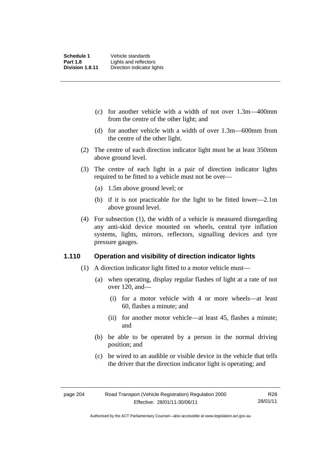- (c) for another vehicle with a width of not over 1.3m—400mm from the centre of the other light; and
- (d) for another vehicle with a width of over 1.3m—600mm from the centre of the other light.
- (2) The centre of each direction indicator light must be at least 350mm above ground level.
- (3) The centre of each light in a pair of direction indicator lights required to be fitted to a vehicle must not be over—
	- (a) 1.5m above ground level; or
	- (b) if it is not practicable for the light to be fitted lower—2.1m above ground level.
- (4) For subsection (1), the width of a vehicle is measured disregarding any anti-skid device mounted on wheels, central tyre inflation systems, lights, mirrors, reflectors, signalling devices and tyre pressure gauges.

#### **1.110 Operation and visibility of direction indicator lights**

- (1) A direction indicator light fitted to a motor vehicle must—
	- (a) when operating, display regular flashes of light at a rate of not over 120, and—
		- (i) for a motor vehicle with 4 or more wheels—at least 60, flashes a minute; and
		- (ii) for another motor vehicle—at least 45, flashes a minute; and
	- (b) be able to be operated by a person in the normal driving position; and
	- (c) be wired to an audible or visible device in the vehicle that tells the driver that the direction indicator light is operating; and

Authorised by the ACT Parliamentary Counsel—also accessible at www.legislation.act.gov.au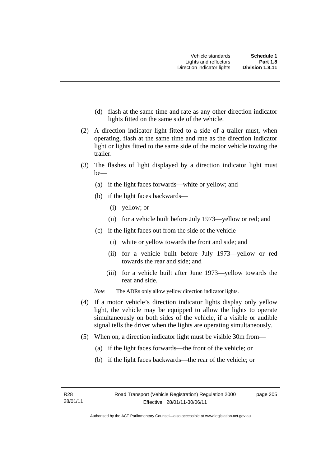- (d) flash at the same time and rate as any other direction indicator lights fitted on the same side of the vehicle.
- (2) A direction indicator light fitted to a side of a trailer must, when operating, flash at the same time and rate as the direction indicator light or lights fitted to the same side of the motor vehicle towing the trailer.
- (3) The flashes of light displayed by a direction indicator light must be—
	- (a) if the light faces forwards—white or yellow; and
	- (b) if the light faces backwards—
		- (i) yellow; or
		- (ii) for a vehicle built before July 1973—yellow or red; and
	- (c) if the light faces out from the side of the vehicle—
		- (i) white or yellow towards the front and side; and
		- (ii) for a vehicle built before July 1973—yellow or red towards the rear and side; and
		- (iii) for a vehicle built after June 1973—yellow towards the rear and side.
	- *Note* The ADRs only allow yellow direction indicator lights.
- (4) If a motor vehicle's direction indicator lights display only yellow light, the vehicle may be equipped to allow the lights to operate simultaneously on both sides of the vehicle, if a visible or audible signal tells the driver when the lights are operating simultaneously.
- (5) When on, a direction indicator light must be visible 30m from—
	- (a) if the light faces forwards—the front of the vehicle; or
	- (b) if the light faces backwards—the rear of the vehicle; or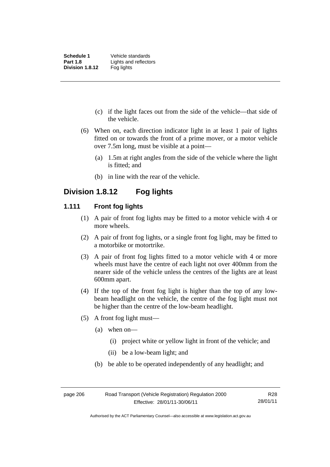- (c) if the light faces out from the side of the vehicle—that side of the vehicle.
- (6) When on, each direction indicator light in at least 1 pair of lights fitted on or towards the front of a prime mover, or a motor vehicle over 7.5m long, must be visible at a point—
	- (a) 1.5m at right angles from the side of the vehicle where the light is fitted; and
	- (b) in line with the rear of the vehicle.

# **Division 1.8.12 Fog lights**

#### **1.111 Front fog lights**

- (1) A pair of front fog lights may be fitted to a motor vehicle with 4 or more wheels.
- (2) A pair of front fog lights, or a single front fog light, may be fitted to a motorbike or motortrike.
- (3) A pair of front fog lights fitted to a motor vehicle with 4 or more wheels must have the centre of each light not over 400mm from the nearer side of the vehicle unless the centres of the lights are at least 600mm apart.
- (4) If the top of the front fog light is higher than the top of any lowbeam headlight on the vehicle, the centre of the fog light must not be higher than the centre of the low-beam headlight.
- (5) A front fog light must—
	- (a) when on—
		- (i) project white or yellow light in front of the vehicle; and
		- (ii) be a low-beam light; and
	- (b) be able to be operated independently of any headlight; and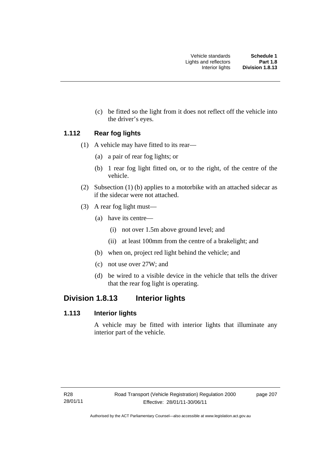(c) be fitted so the light from it does not reflect off the vehicle into the driver's eyes.

#### **1.112 Rear fog lights**

- (1) A vehicle may have fitted to its rear—
	- (a) a pair of rear fog lights; or
	- (b) 1 rear fog light fitted on, or to the right, of the centre of the vehicle.
- (2) Subsection (1) (b) applies to a motorbike with an attached sidecar as if the sidecar were not attached.
- (3) A rear fog light must—
	- (a) have its centre—
		- (i) not over 1.5m above ground level; and
		- (ii) at least 100mm from the centre of a brakelight; and
	- (b) when on, project red light behind the vehicle; and
	- (c) not use over 27W; and
	- (d) be wired to a visible device in the vehicle that tells the driver that the rear fog light is operating.

# **Division 1.8.13 Interior lights**

### **1.113 Interior lights**

A vehicle may be fitted with interior lights that illuminate any interior part of the vehicle.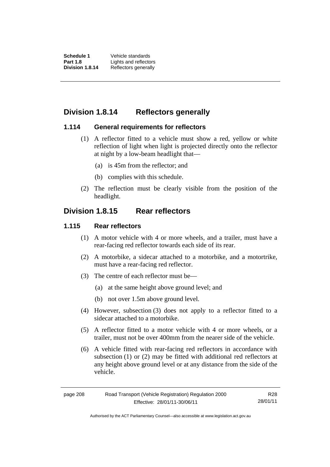**Schedule 1** Vehicle standards **Part 1.8** Lights and reflectors<br>**Division 1.8.14** Reflectors generally **Reflectors generally** 

# **Division 1.8.14 Reflectors generally**

#### **1.114 General requirements for reflectors**

- (1) A reflector fitted to a vehicle must show a red, yellow or white reflection of light when light is projected directly onto the reflector at night by a low-beam headlight that—
	- (a) is 45m from the reflector; and
	- (b) complies with this schedule.
- (2) The reflection must be clearly visible from the position of the headlight.

# **Division 1.8.15 Rear reflectors**

#### **1.115 Rear reflectors**

- (1) A motor vehicle with 4 or more wheels, and a trailer, must have a rear-facing red reflector towards each side of its rear.
- (2) A motorbike, a sidecar attached to a motorbike, and a motortrike, must have a rear-facing red reflector.
- (3) The centre of each reflector must be—
	- (a) at the same height above ground level; and
	- (b) not over 1.5m above ground level.
- (4) However, subsection (3) does not apply to a reflector fitted to a sidecar attached to a motorbike.
- (5) A reflector fitted to a motor vehicle with 4 or more wheels, or a trailer, must not be over 400mm from the nearer side of the vehicle.
- (6) A vehicle fitted with rear-facing red reflectors in accordance with subsection (1) or (2) may be fitted with additional red reflectors at any height above ground level or at any distance from the side of the vehicle.

| page 208 | R28                          |          |
|----------|------------------------------|----------|
|          | Effective: 28/01/11-30/06/11 | 28/01/11 |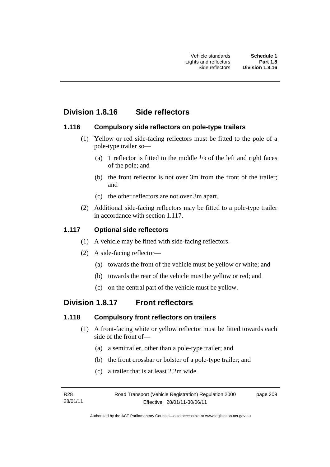# **Division 1.8.16 Side reflectors**

### **1.116 Compulsory side reflectors on pole-type trailers**

- (1) Yellow or red side-facing reflectors must be fitted to the pole of a pole-type trailer so—
	- (a) 1 reflector is fitted to the middle  $\frac{1}{3}$  of the left and right faces of the pole; and
	- (b) the front reflector is not over 3m from the front of the trailer; and
	- (c) the other reflectors are not over 3m apart.
- (2) Additional side-facing reflectors may be fitted to a pole-type trailer in accordance with section 1.117.

# **1.117 Optional side reflectors**

- (1) A vehicle may be fitted with side-facing reflectors.
- (2) A side-facing reflector—
	- (a) towards the front of the vehicle must be yellow or white; and
	- (b) towards the rear of the vehicle must be yellow or red; and
	- (c) on the central part of the vehicle must be yellow.

# **Division 1.8.17 Front reflectors**

## **1.118 Compulsory front reflectors on trailers**

- (1) A front-facing white or yellow reflector must be fitted towards each side of the front of—
	- (a) a semitrailer, other than a pole-type trailer; and
	- (b) the front crossbar or bolster of a pole-type trailer; and
	- (c) a trailer that is at least 2.2m wide.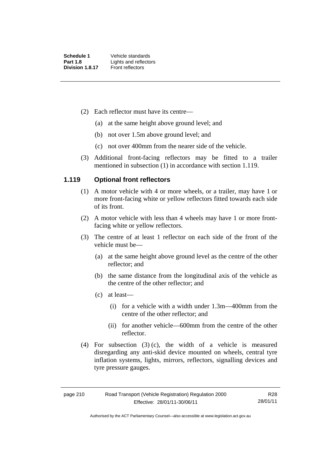- (2) Each reflector must have its centre—
	- (a) at the same height above ground level; and
	- (b) not over 1.5m above ground level; and
	- (c) not over 400mm from the nearer side of the vehicle.
- (3) Additional front-facing reflectors may be fitted to a trailer mentioned in subsection (1) in accordance with section 1.119.

#### **1.119 Optional front reflectors**

- (1) A motor vehicle with 4 or more wheels, or a trailer, may have 1 or more front-facing white or yellow reflectors fitted towards each side of its front.
- (2) A motor vehicle with less than 4 wheels may have 1 or more frontfacing white or yellow reflectors.
- (3) The centre of at least 1 reflector on each side of the front of the vehicle must be—
	- (a) at the same height above ground level as the centre of the other reflector; and
	- (b) the same distance from the longitudinal axis of the vehicle as the centre of the other reflector; and
	- (c) at least—
		- (i) for a vehicle with a width under 1.3m—400mm from the centre of the other reflector; and
		- (ii) for another vehicle—600mm from the centre of the other reflector.
- (4) For subsection (3) (c), the width of a vehicle is measured disregarding any anti-skid device mounted on wheels, central tyre inflation systems, lights, mirrors, reflectors, signalling devices and tyre pressure gauges.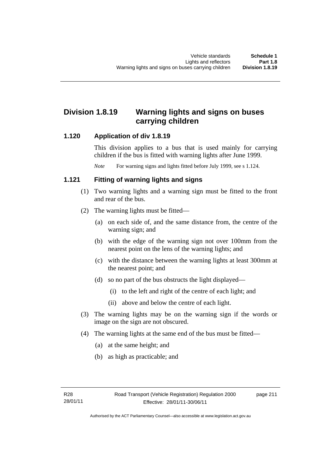# **Division 1.8.19 Warning lights and signs on buses carrying children**

### **1.120 Application of div 1.8.19**

This division applies to a bus that is used mainly for carrying children if the bus is fitted with warning lights after June 1999.

*Note* For warning signs and lights fitted before July 1999, see s 1.124.

### **1.121 Fitting of warning lights and signs**

- (1) Two warning lights and a warning sign must be fitted to the front and rear of the bus.
- (2) The warning lights must be fitted—
	- (a) on each side of, and the same distance from, the centre of the warning sign; and
	- (b) with the edge of the warning sign not over 100mm from the nearest point on the lens of the warning lights; and
	- (c) with the distance between the warning lights at least 300mm at the nearest point; and
	- (d) so no part of the bus obstructs the light displayed—
		- (i) to the left and right of the centre of each light; and
		- (ii) above and below the centre of each light.
- (3) The warning lights may be on the warning sign if the words or image on the sign are not obscured.
- (4) The warning lights at the same end of the bus must be fitted—
	- (a) at the same height; and
	- (b) as high as practicable; and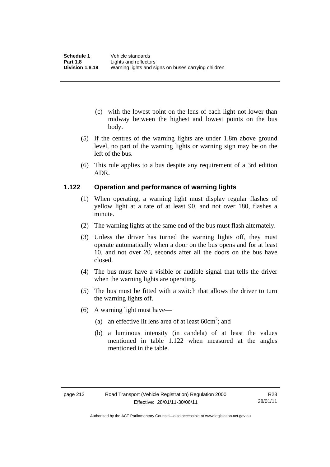- (c) with the lowest point on the lens of each light not lower than midway between the highest and lowest points on the bus body.
- (5) If the centres of the warning lights are under 1.8m above ground level, no part of the warning lights or warning sign may be on the left of the bus.
- (6) This rule applies to a bus despite any requirement of a 3rd edition ADR.

### **1.122 Operation and performance of warning lights**

- (1) When operating, a warning light must display regular flashes of yellow light at a rate of at least 90, and not over 180, flashes a minute.
- (2) The warning lights at the same end of the bus must flash alternately.
- (3) Unless the driver has turned the warning lights off, they must operate automatically when a door on the bus opens and for at least 10, and not over 20, seconds after all the doors on the bus have closed.
- (4) The bus must have a visible or audible signal that tells the driver when the warning lights are operating.
- (5) The bus must be fitted with a switch that allows the driver to turn the warning lights off.
- (6) A warning light must have—
- (a) an effective lit lens area of at least  $60 \text{cm}^2$ ; and
	- (b) a luminous intensity (in candela) of at least the values mentioned in table 1.122 when measured at the angles mentioned in the table.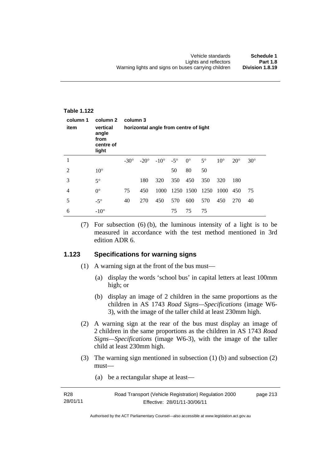| <b>Table 1.122</b> |                                                             |                                                   |             |               |            |             |           |              |              |            |
|--------------------|-------------------------------------------------------------|---------------------------------------------------|-------------|---------------|------------|-------------|-----------|--------------|--------------|------------|
| column 1<br>item   | column 2<br>vertical<br>angle<br>from<br>centre of<br>light | column 3<br>horizontal angle from centre of light |             |               |            |             |           |              |              |            |
| 1                  |                                                             | $-30^\circ$                                       | $-20^\circ$ | $-10^{\circ}$ | $-5^\circ$ | $0^{\circ}$ | $5^\circ$ | $10^{\circ}$ | $20^{\circ}$ | $30^\circ$ |
| 2                  | $10^{\circ}$                                                |                                                   |             |               | 50         | 80          | 50        |              |              |            |
| 3                  | $5^\circ$                                                   |                                                   | 180         | 320           | 350        | 450         | 350       | 320          | 180          |            |
| $\overline{4}$     | $0^{\circ}$                                                 | 75                                                | 450         | 1000          | 1250       | 1500        | 1250      | 1000         | 450          | 75         |
| 5                  | $-5^\circ$                                                  | 40                                                | 270         | 450           | 570        | 600         | 570       | 450          | 270          | 40         |
| 6                  | $-10^\circ$                                                 |                                                   |             |               | 75         | 75          | 75        |              |              |            |

 (7) For subsection (6) (b), the luminous intensity of a light is to be measured in accordance with the test method mentioned in 3rd edition ADR 6.

### **1.123 Specifications for warning signs**

- (1) A warning sign at the front of the bus must—
	- (a) display the words 'school bus' in capital letters at least 100mm high; or
	- (b) display an image of 2 children in the same proportions as the children in AS 1743 *Road Signs—Specifications* (image W6- 3), with the image of the taller child at least 230mm high.
- (2) A warning sign at the rear of the bus must display an image of 2 children in the same proportions as the children in AS 1743 *Road Signs—Specifications* (image W6-3), with the image of the taller child at least 230mm high.
- (3) The warning sign mentioned in subsection (1) (b) and subsection (2) must—
	- (a) be a rectangular shape at least—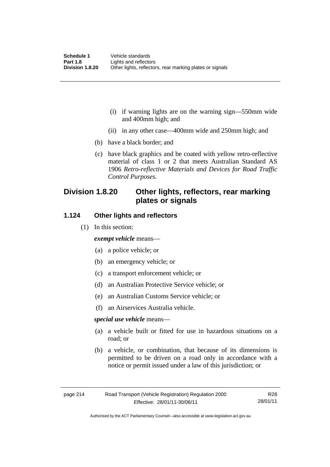- (i) if warning lights are on the warning sign—550mm wide and 400mm high; and
- (ii) in any other case—400mm wide and 250mm high; and
- (b) have a black border; and
- (c) have black graphics and be coated with yellow retro-reflective material of class 1 or 2 that meets Australian Standard AS 1906 *Retro-reflective Materials and Devices for Road Traffic Control Purposes*.

# **Division 1.8.20 Other lights, reflectors, rear marking plates or signals**

#### **1.124 Other lights and reflectors**

(1) In this section:

#### *exempt vehicle* means—

- (a) a police vehicle; or
- (b) an emergency vehicle; or
- (c) a transport enforcement vehicle; or
- (d) an Australian Protective Service vehicle; or
- (e) an Australian Customs Service vehicle; or
- (f) an Airservices Australia vehicle.

#### *special use vehicle* means—

- (a) a vehicle built or fitted for use in hazardous situations on a road; or
- (b) a vehicle, or combination, that because of its dimensions is permitted to be driven on a road only in accordance with a notice or permit issued under a law of this jurisdiction; or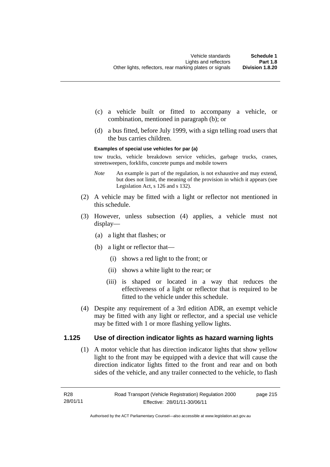- (c) a vehicle built or fitted to accompany a vehicle, or combination, mentioned in paragraph (b); or
- (d) a bus fitted, before July 1999, with a sign telling road users that the bus carries children.

#### **Examples of special use vehicles for par (a)**

tow trucks, vehicle breakdown service vehicles, garbage trucks, cranes, streetsweepers, forklifts, concrete pumps and mobile towers

- *Note* An example is part of the regulation, is not exhaustive and may extend, but does not limit, the meaning of the provision in which it appears (see Legislation Act, s 126 and s 132).
- (2) A vehicle may be fitted with a light or reflector not mentioned in this schedule.
- (3) However, unless subsection (4) applies, a vehicle must not display—
	- (a) a light that flashes; or
	- (b) a light or reflector that—
		- (i) shows a red light to the front; or
		- (ii) shows a white light to the rear; or
		- (iii) is shaped or located in a way that reduces the effectiveness of a light or reflector that is required to be fitted to the vehicle under this schedule.
- (4) Despite any requirement of a 3rd edition ADR, an exempt vehicle may be fitted with any light or reflector, and a special use vehicle may be fitted with 1 or more flashing yellow lights.

#### **1.125 Use of direction indicator lights as hazard warning lights**

 (1) A motor vehicle that has direction indicator lights that show yellow light to the front may be equipped with a device that will cause the direction indicator lights fitted to the front and rear and on both sides of the vehicle, and any trailer connected to the vehicle, to flash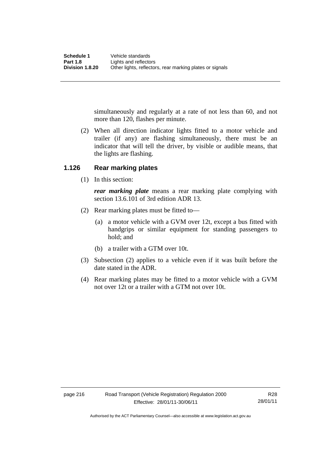simultaneously and regularly at a rate of not less than 60, and not more than 120, flashes per minute.

 (2) When all direction indicator lights fitted to a motor vehicle and trailer (if any) are flashing simultaneously, there must be an indicator that will tell the driver, by visible or audible means, that the lights are flashing.

### **1.126 Rear marking plates**

(1) In this section:

*rear marking plate* means a rear marking plate complying with section 13.6.101 of 3rd edition ADR 13.

- (2) Rear marking plates must be fitted to—
	- (a) a motor vehicle with a GVM over 12t, except a bus fitted with handgrips or similar equipment for standing passengers to hold; and
	- (b) a trailer with a GTM over 10t.
- (3) Subsection (2) applies to a vehicle even if it was built before the date stated in the ADR.
- (4) Rear marking plates may be fitted to a motor vehicle with a GVM not over 12t or a trailer with a GTM not over 10t.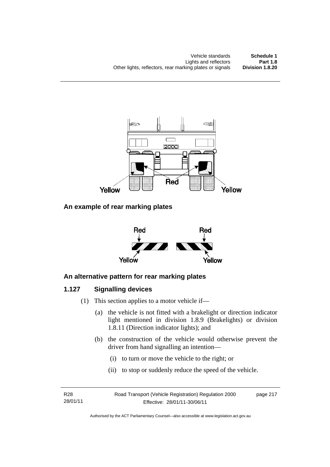

## **An example of rear marking plates**



# **An alternative pattern for rear marking plates**

## **1.127 Signalling devices**

- (1) This section applies to a motor vehicle if—
	- (a) the vehicle is not fitted with a brakelight or direction indicator light mentioned in division 1.8.9 (Brakelights) or division 1.8.11 (Direction indicator lights); and
	- (b) the construction of the vehicle would otherwise prevent the driver from hand signalling an intention—
		- (i) to turn or move the vehicle to the right; or
		- (ii) to stop or suddenly reduce the speed of the vehicle.

R28 28/01/11 Road Transport (Vehicle Registration) Regulation 2000 Effective: 28/01/11-30/06/11

page 217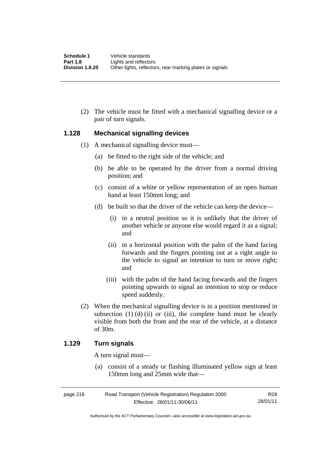(2) The vehicle must be fitted with a mechanical signalling device or a pair of turn signals.

#### **1.128 Mechanical signalling devices**

- (1) A mechanical signalling device must—
	- (a) be fitted to the right side of the vehicle; and
	- (b) be able to be operated by the driver from a normal driving position; and
	- (c) consist of a white or yellow representation of an open human hand at least 150mm long; and
	- (d) be built so that the driver of the vehicle can keep the device—
		- (i) in a neutral position so it is unlikely that the driver of another vehicle or anyone else would regard it as a signal; and
		- (ii) in a horizontal position with the palm of the hand facing forwards and the fingers pointing out at a right angle to the vehicle to signal an intention to turn or move right; and
		- (iii) with the palm of the hand facing forwards and the fingers pointing upwards to signal an intention to stop or reduce speed suddenly.
- (2) When the mechanical signalling device is in a position mentioned in subsection  $(1)$   $(d)$   $(ii)$  or  $(iii)$ , the complete hand must be clearly visible from both the front and the rear of the vehicle, at a distance of 30m.

#### **1.129 Turn signals**

A turn signal must—

 (a) consist of a steady or flashing illuminated yellow sign at least 150mm long and 25mm wide that—

| page 218 | R28                          |          |
|----------|------------------------------|----------|
|          | Effective: 28/01/11-30/06/11 | 28/01/11 |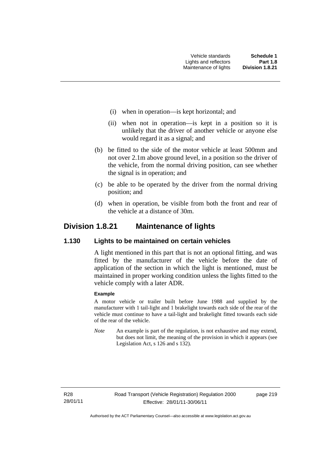- (i) when in operation—is kept horizontal; and
- (ii) when not in operation—is kept in a position so it is unlikely that the driver of another vehicle or anyone else would regard it as a signal; and
- (b) be fitted to the side of the motor vehicle at least 500mm and not over 2.1m above ground level, in a position so the driver of the vehicle, from the normal driving position, can see whether the signal is in operation; and
- (c) be able to be operated by the driver from the normal driving position; and
- (d) when in operation, be visible from both the front and rear of the vehicle at a distance of 30m.

# **Division 1.8.21 Maintenance of lights**

#### **1.130 Lights to be maintained on certain vehicles**

A light mentioned in this part that is not an optional fitting, and was fitted by the manufacturer of the vehicle before the date of application of the section in which the light is mentioned, must be maintained in proper working condition unless the lights fitted to the vehicle comply with a later ADR.

#### **Example**

A motor vehicle or trailer built before June 1988 and supplied by the manufacturer with 1 tail-light and 1 brakelight towards each side of the rear of the vehicle must continue to have a tail-light and brakelight fitted towards each side of the rear of the vehicle.

*Note* An example is part of the regulation, is not exhaustive and may extend, but does not limit, the meaning of the provision in which it appears (see Legislation Act, s 126 and s 132).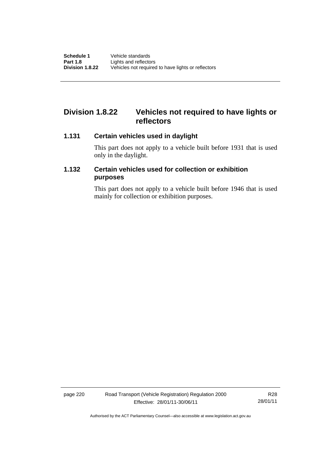# **Division 1.8.22 Vehicles not required to have lights or reflectors**

#### **1.131 Certain vehicles used in daylight**

This part does not apply to a vehicle built before 1931 that is used only in the daylight.

## **1.132 Certain vehicles used for collection or exhibition purposes**

This part does not apply to a vehicle built before 1946 that is used mainly for collection or exhibition purposes.

page 220 Road Transport (Vehicle Registration) Regulation 2000 Effective: 28/01/11-30/06/11

R28 28/01/11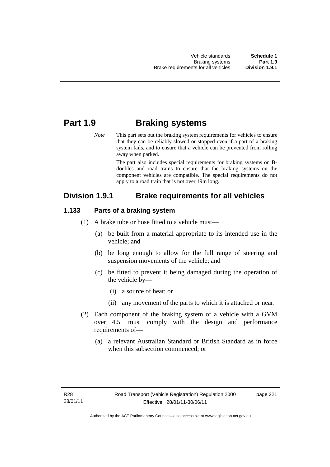# **Part 1.9 Braking systems**

*Note* This part sets out the braking system requirements for vehicles to ensure that they can be reliably slowed or stopped even if a part of a braking system fails, and to ensure that a vehicle can be prevented from rolling away when parked.

> The part also includes special requirements for braking systems on Bdoubles and road trains to ensure that the braking systems on the component vehicles are compatible. The special requirements do not apply to a road train that is not over 19m long.

# **Division 1.9.1 Brake requirements for all vehicles**

### **1.133 Parts of a braking system**

- (1) A brake tube or hose fitted to a vehicle must—
	- (a) be built from a material appropriate to its intended use in the vehicle; and
	- (b) be long enough to allow for the full range of steering and suspension movements of the vehicle; and
	- (c) be fitted to prevent it being damaged during the operation of the vehicle by—
		- (i) a source of heat; or
		- (ii) any movement of the parts to which it is attached or near.
- (2) Each component of the braking system of a vehicle with a GVM over 4.5t must comply with the design and performance requirements of—
	- (a) a relevant Australian Standard or British Standard as in force when this subsection commenced; or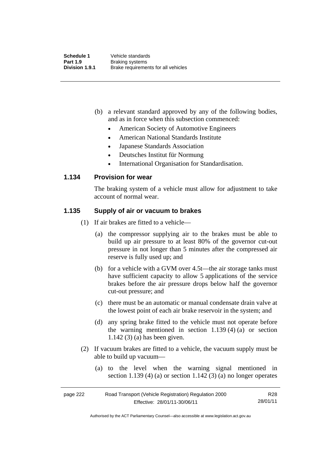- (b) a relevant standard approved by any of the following bodies, and as in force when this subsection commenced:
	- American Society of Automotive Engineers
	- American National Standards Institute
	- Japanese Standards Association
	- Deutsches Institut für Normung
	- International Organisation for Standardisation.

#### **1.134 Provision for wear**

The braking system of a vehicle must allow for adjustment to take account of normal wear.

#### **1.135 Supply of air or vacuum to brakes**

(1) If air brakes are fitted to a vehicle—

- (a) the compressor supplying air to the brakes must be able to build up air pressure to at least 80% of the governor cut-out pressure in not longer than 5 minutes after the compressed air reserve is fully used up; and
- (b) for a vehicle with a GVM over 4.5t—the air storage tanks must have sufficient capacity to allow 5 applications of the service brakes before the air pressure drops below half the governor cut-out pressure; and
- (c) there must be an automatic or manual condensate drain valve at the lowest point of each air brake reservoir in the system; and
- (d) any spring brake fitted to the vehicle must not operate before the warning mentioned in section  $1.139(4)(a)$  or section 1.142 (3) (a) has been given.
- (2) If vacuum brakes are fitted to a vehicle, the vacuum supply must be able to build up vacuum—
	- (a) to the level when the warning signal mentioned in section 1.139 (4) (a) or section 1.142 (3) (a) no longer operates

| page 222 | R28                          |          |
|----------|------------------------------|----------|
|          | Effective: 28/01/11-30/06/11 | 28/01/11 |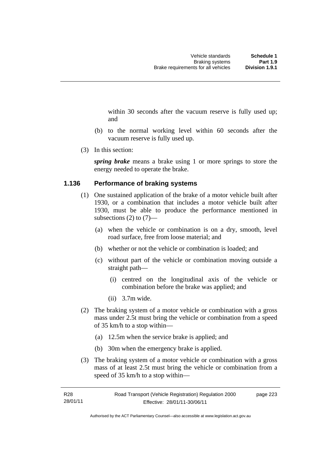within 30 seconds after the vacuum reserve is fully used up; and

- (b) to the normal working level within 60 seconds after the vacuum reserve is fully used up.
- (3) In this section:

*spring brake* means a brake using 1 or more springs to store the energy needed to operate the brake.

#### **1.136 Performance of braking systems**

- (1) One sustained application of the brake of a motor vehicle built after 1930, or a combination that includes a motor vehicle built after 1930, must be able to produce the performance mentioned in subsections  $(2)$  to  $(7)$ —
	- (a) when the vehicle or combination is on a dry, smooth, level road surface, free from loose material; and
	- (b) whether or not the vehicle or combination is loaded; and
	- (c) without part of the vehicle or combination moving outside a straight path—
		- (i) centred on the longitudinal axis of the vehicle or combination before the brake was applied; and
		- (ii) 3.7m wide.
- (2) The braking system of a motor vehicle or combination with a gross mass under 2.5t must bring the vehicle or combination from a speed of 35 km/h to a stop within—
	- (a) 12.5m when the service brake is applied; and
	- (b) 30m when the emergency brake is applied.
- (3) The braking system of a motor vehicle or combination with a gross mass of at least 2.5t must bring the vehicle or combination from a speed of 35 km/h to a stop within—

Authorised by the ACT Parliamentary Counsel—also accessible at www.legislation.act.gov.au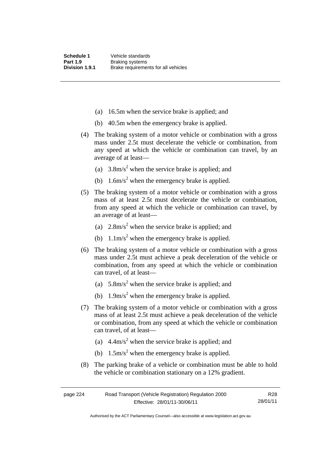- (a) 16.5m when the service brake is applied; and
- (b) 40.5m when the emergency brake is applied.
- (4) The braking system of a motor vehicle or combination with a gross mass under 2.5t must decelerate the vehicle or combination, from any speed at which the vehicle or combination can travel, by an average of at least—
- (a)  $3.8 \text{m/s}^2$  when the service brake is applied; and
- (b)  $1.6 \text{m/s}^2$  when the emergency brake is applied.
	- (5) The braking system of a motor vehicle or combination with a gross mass of at least 2.5t must decelerate the vehicle or combination, from any speed at which the vehicle or combination can travel, by an average of at least—
- (a)  $2.8 \text{m/s}^2$  when the service brake is applied; and
- (b)  $1.1 \text{m/s}^2$  when the emergency brake is applied.
	- (6) The braking system of a motor vehicle or combination with a gross mass under 2.5t must achieve a peak deceleration of the vehicle or combination, from any speed at which the vehicle or combination can travel, of at least—
- (a)  $5.8 \text{m/s}^2$  when the service brake is applied; and
- (b)  $1.9 \text{m/s}^2$  when the emergency brake is applied.
	- (7) The braking system of a motor vehicle or combination with a gross mass of at least 2.5t must achieve a peak deceleration of the vehicle or combination, from any speed at which the vehicle or combination can travel, of at least—
- (a)  $4.4 \text{m/s}^2$  when the service brake is applied; and
- (b)  $1.5 \text{m/s}^2$  when the emergency brake is applied.
	- (8) The parking brake of a vehicle or combination must be able to hold the vehicle or combination stationary on a 12% gradient.

| page 224 | Road Transport (Vehicle Registration) Regulation 2000 |          |  |  |  |
|----------|-------------------------------------------------------|----------|--|--|--|
|          | Effective: 28/01/11-30/06/11                          | 28/01/11 |  |  |  |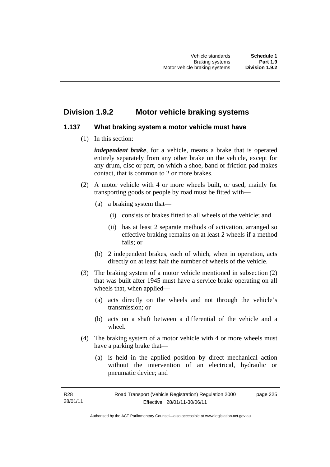# **Division 1.9.2 Motor vehicle braking systems**

### **1.137 What braking system a motor vehicle must have**

(1) In this section:

*independent brake*, for a vehicle, means a brake that is operated entirely separately from any other brake on the vehicle, except for any drum, disc or part, on which a shoe, band or friction pad makes contact, that is common to 2 or more brakes.

- (2) A motor vehicle with 4 or more wheels built, or used, mainly for transporting goods or people by road must be fitted with—
	- (a) a braking system that—
		- (i) consists of brakes fitted to all wheels of the vehicle; and
		- (ii) has at least 2 separate methods of activation, arranged so effective braking remains on at least 2 wheels if a method fails; or
	- (b) 2 independent brakes, each of which, when in operation, acts directly on at least half the number of wheels of the vehicle.
- (3) The braking system of a motor vehicle mentioned in subsection (2) that was built after 1945 must have a service brake operating on all wheels that, when applied—
	- (a) acts directly on the wheels and not through the vehicle's transmission; or
	- (b) acts on a shaft between a differential of the vehicle and a wheel.
- (4) The braking system of a motor vehicle with 4 or more wheels must have a parking brake that—
	- (a) is held in the applied position by direct mechanical action without the intervention of an electrical, hydraulic or pneumatic device; and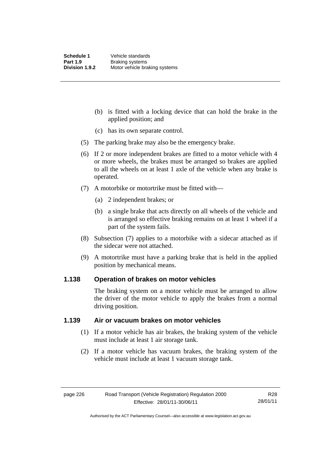- (b) is fitted with a locking device that can hold the brake in the applied position; and
- (c) has its own separate control.
- (5) The parking brake may also be the emergency brake.
- (6) If 2 or more independent brakes are fitted to a motor vehicle with 4 or more wheels, the brakes must be arranged so brakes are applied to all the wheels on at least 1 axle of the vehicle when any brake is operated.
- (7) A motorbike or motortrike must be fitted with—
	- (a) 2 independent brakes; or
	- (b) a single brake that acts directly on all wheels of the vehicle and is arranged so effective braking remains on at least 1 wheel if a part of the system fails.
- (8) Subsection (7) applies to a motorbike with a sidecar attached as if the sidecar were not attached.
- (9) A motortrike must have a parking brake that is held in the applied position by mechanical means.

#### **1.138 Operation of brakes on motor vehicles**

The braking system on a motor vehicle must be arranged to allow the driver of the motor vehicle to apply the brakes from a normal driving position.

#### **1.139 Air or vacuum brakes on motor vehicles**

- (1) If a motor vehicle has air brakes, the braking system of the vehicle must include at least 1 air storage tank.
- (2) If a motor vehicle has vacuum brakes, the braking system of the vehicle must include at least 1 vacuum storage tank.

Authorised by the ACT Parliamentary Counsel—also accessible at www.legislation.act.gov.au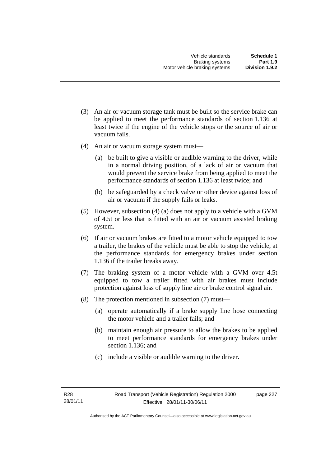- (3) An air or vacuum storage tank must be built so the service brake can be applied to meet the performance standards of section 1.136 at least twice if the engine of the vehicle stops or the source of air or vacuum fails.
- (4) An air or vacuum storage system must—
	- (a) be built to give a visible or audible warning to the driver, while in a normal driving position, of a lack of air or vacuum that would prevent the service brake from being applied to meet the performance standards of section 1.136 at least twice; and
	- (b) be safeguarded by a check valve or other device against loss of air or vacuum if the supply fails or leaks.
- (5) However, subsection (4) (a) does not apply to a vehicle with a GVM of 4.5t or less that is fitted with an air or vacuum assisted braking system.
- (6) If air or vacuum brakes are fitted to a motor vehicle equipped to tow a trailer, the brakes of the vehicle must be able to stop the vehicle, at the performance standards for emergency brakes under section 1.136 if the trailer breaks away.
- (7) The braking system of a motor vehicle with a GVM over 4.5t equipped to tow a trailer fitted with air brakes must include protection against loss of supply line air or brake control signal air.
- (8) The protection mentioned in subsection (7) must—
	- (a) operate automatically if a brake supply line hose connecting the motor vehicle and a trailer fails; and
	- (b) maintain enough air pressure to allow the brakes to be applied to meet performance standards for emergency brakes under section 1.136; and
	- (c) include a visible or audible warning to the driver.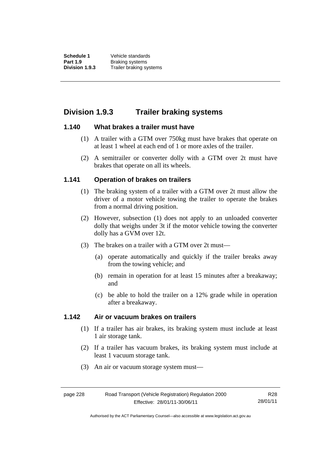**Schedule 1** Vehicle standards **Part 1.9 Braking systems**<br>**Division 1.9.3** Trailer braking sy **Division 1.9.3** Trailer braking systems

# **Division 1.9.3 Trailer braking systems**

#### **1.140 What brakes a trailer must have**

- (1) A trailer with a GTM over 750kg must have brakes that operate on at least 1 wheel at each end of 1 or more axles of the trailer.
- (2) A semitrailer or converter dolly with a GTM over 2t must have brakes that operate on all its wheels.

### **1.141 Operation of brakes on trailers**

- (1) The braking system of a trailer with a GTM over 2t must allow the driver of a motor vehicle towing the trailer to operate the brakes from a normal driving position.
- (2) However, subsection (1) does not apply to an unloaded converter dolly that weighs under 3t if the motor vehicle towing the converter dolly has a GVM over 12t.
- (3) The brakes on a trailer with a GTM over 2t must—
	- (a) operate automatically and quickly if the trailer breaks away from the towing vehicle; and
	- (b) remain in operation for at least 15 minutes after a breakaway; and
	- (c) be able to hold the trailer on a 12% grade while in operation after a breakaway.

#### **1.142 Air or vacuum brakes on trailers**

- (1) If a trailer has air brakes, its braking system must include at least 1 air storage tank.
- (2) If a trailer has vacuum brakes, its braking system must include at least 1 vacuum storage tank.
- (3) An air or vacuum storage system must—

Authorised by the ACT Parliamentary Counsel—also accessible at www.legislation.act.gov.au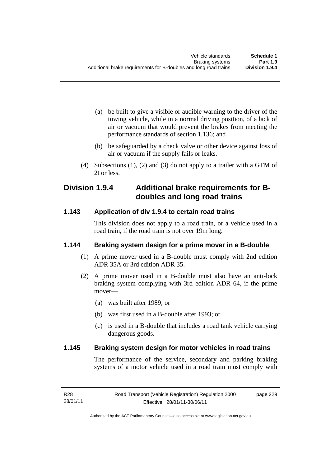- (a) be built to give a visible or audible warning to the driver of the towing vehicle, while in a normal driving position, of a lack of air or vacuum that would prevent the brakes from meeting the performance standards of section 1.136; and
- (b) be safeguarded by a check valve or other device against loss of air or vacuum if the supply fails or leaks.
- (4) Subsections (1), (2) and (3) do not apply to a trailer with a GTM of 2t or less.

# **Division 1.9.4 Additional brake requirements for Bdoubles and long road trains**

## **1.143 Application of div 1.9.4 to certain road trains**

This division does not apply to a road train, or a vehicle used in a road train, if the road train is not over 19m long.

## **1.144 Braking system design for a prime mover in a B-double**

- (1) A prime mover used in a B-double must comply with 2nd edition ADR 35A or 3rd edition ADR 35.
- (2) A prime mover used in a B-double must also have an anti-lock braking system complying with 3rd edition ADR 64, if the prime mover—
	- (a) was built after 1989; or
	- (b) was first used in a B-double after 1993; or
	- (c) is used in a B-double that includes a road tank vehicle carrying dangerous goods.

### **1.145 Braking system design for motor vehicles in road trains**

The performance of the service, secondary and parking braking systems of a motor vehicle used in a road train must comply with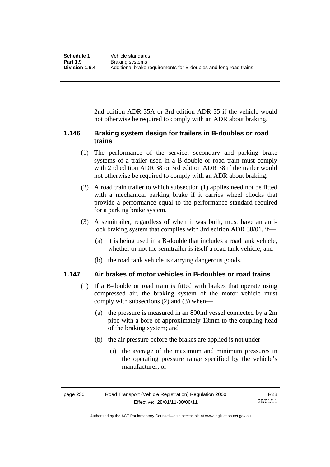2nd edition ADR 35A or 3rd edition ADR 35 if the vehicle would not otherwise be required to comply with an ADR about braking.

#### **1.146 Braking system design for trailers in B-doubles or road trains**

- (1) The performance of the service, secondary and parking brake systems of a trailer used in a B-double or road train must comply with 2nd edition ADR 38 or 3rd edition ADR 38 if the trailer would not otherwise be required to comply with an ADR about braking.
- (2) A road train trailer to which subsection (1) applies need not be fitted with a mechanical parking brake if it carries wheel chocks that provide a performance equal to the performance standard required for a parking brake system.
- (3) A semitrailer, regardless of when it was built, must have an antilock braking system that complies with 3rd edition ADR 38/01, if—
	- (a) it is being used in a B-double that includes a road tank vehicle, whether or not the semitrailer is itself a road tank vehicle; and
	- (b) the road tank vehicle is carrying dangerous goods.

#### **1.147 Air brakes of motor vehicles in B-doubles or road trains**

- (1) If a B-double or road train is fitted with brakes that operate using compressed air, the braking system of the motor vehicle must comply with subsections (2) and (3) when—
	- (a) the pressure is measured in an 800ml vessel connected by a 2m pipe with a bore of approximately 13mm to the coupling head of the braking system; and
	- (b) the air pressure before the brakes are applied is not under—
		- (i) the average of the maximum and minimum pressures in the operating pressure range specified by the vehicle's manufacturer; or

page 230 Road Transport (Vehicle Registration) Regulation 2000 Effective: 28/01/11-30/06/11 R28 28/01/11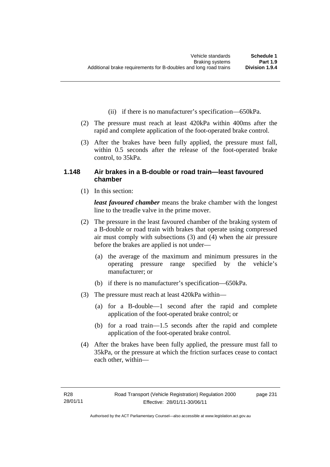- (ii) if there is no manufacturer's specification—650kPa.
- (2) The pressure must reach at least 420kPa within 400ms after the rapid and complete application of the foot-operated brake control.
- (3) After the brakes have been fully applied, the pressure must fall, within 0.5 seconds after the release of the foot-operated brake control, to 35kPa.

#### **1.148 Air brakes in a B-double or road train—least favoured chamber**

(1) In this section:

*least favoured chamber* means the brake chamber with the longest line to the treadle valve in the prime mover.

- (2) The pressure in the least favoured chamber of the braking system of a B-double or road train with brakes that operate using compressed air must comply with subsections (3) and (4) when the air pressure before the brakes are applied is not under—
	- (a) the average of the maximum and minimum pressures in the operating pressure range specified by the vehicle's manufacturer; or
	- (b) if there is no manufacturer's specification—650kPa.
- (3) The pressure must reach at least 420kPa within—
	- (a) for a B-double—1 second after the rapid and complete application of the foot-operated brake control; or
	- (b) for a road train—1.5 seconds after the rapid and complete application of the foot-operated brake control.
- (4) After the brakes have been fully applied, the pressure must fall to 35kPa, or the pressure at which the friction surfaces cease to contact each other, within—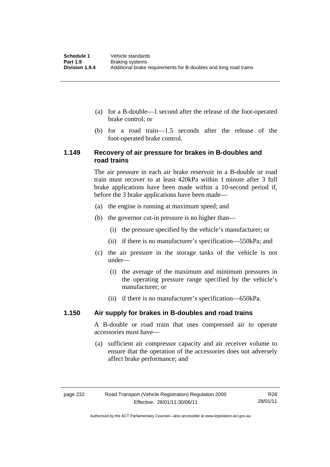- (a) for a B-double—1 second after the release of the foot-operated brake control; or
- (b) for a road train—1.5 seconds after the release of the foot-operated brake control.

#### **1.149 Recovery of air pressure for brakes in B-doubles and road trains**

The air pressure in each air brake reservoir in a B-double or road train must recover to at least 420kPa within 1 minute after 3 full brake applications have been made within a 10-second period if, before the 3 brake applications have been made—

- (a) the engine is running at maximum speed; and
- (b) the governor cut-in pressure is no higher than—
	- (i) the pressure specified by the vehicle's manufacturer; or
	- (ii) if there is no manufacturer's specification—550kPa; and
- (c) the air pressure in the storage tanks of the vehicle is not under—
	- (i) the average of the maximum and minimum pressures in the operating pressure range specified by the vehicle's manufacturer; or
	- (ii) if there is no manufacturer's specification—650kPa.

#### **1.150 Air supply for brakes in B-doubles and road trains**

A B-double or road train that uses compressed air to operate accessories must have—

 (a) sufficient air compressor capacity and air receiver volume to ensure that the operation of the accessories does not adversely affect brake performance; and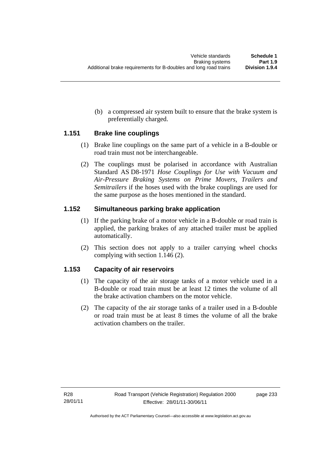(b) a compressed air system built to ensure that the brake system is preferentially charged.

#### **1.151 Brake line couplings**

- (1) Brake line couplings on the same part of a vehicle in a B-double or road train must not be interchangeable.
- (2) The couplings must be polarised in accordance with Australian Standard AS D8-1971 *Hose Couplings for Use with Vacuum and Air-Pressure Braking Systems on Prime Movers, Trailers and Semitrailers* if the hoses used with the brake couplings are used for the same purpose as the hoses mentioned in the standard.

#### **1.152 Simultaneous parking brake application**

- (1) If the parking brake of a motor vehicle in a B-double or road train is applied, the parking brakes of any attached trailer must be applied automatically.
- (2) This section does not apply to a trailer carrying wheel chocks complying with section 1.146 (2).

### **1.153 Capacity of air reservoirs**

- (1) The capacity of the air storage tanks of a motor vehicle used in a B-double or road train must be at least 12 times the volume of all the brake activation chambers on the motor vehicle.
- (2) The capacity of the air storage tanks of a trailer used in a B-double or road train must be at least 8 times the volume of all the brake activation chambers on the trailer.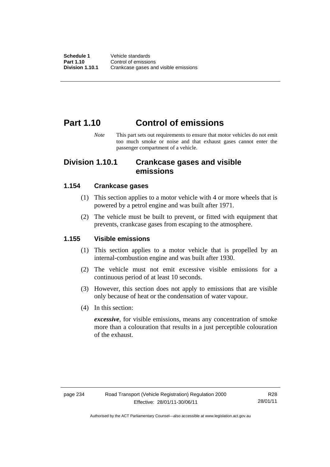## **Part 1.10 Control of emissions**

*Note* This part sets out requirements to ensure that motor vehicles do not emit too much smoke or noise and that exhaust gases cannot enter the passenger compartment of a vehicle.

### **Division 1.10.1 Crankcase gases and visible emissions**

#### **1.154 Crankcase gases**

- (1) This section applies to a motor vehicle with 4 or more wheels that is powered by a petrol engine and was built after 1971.
- (2) The vehicle must be built to prevent, or fitted with equipment that prevents, crankcase gases from escaping to the atmosphere.

#### **1.155 Visible emissions**

- (1) This section applies to a motor vehicle that is propelled by an internal-combustion engine and was built after 1930.
- (2) The vehicle must not emit excessive visible emissions for a continuous period of at least 10 seconds.
- (3) However, this section does not apply to emissions that are visible only because of heat or the condensation of water vapour.
- (4) In this section:

*excessive*, for visible emissions, means any concentration of smoke more than a colouration that results in a just perceptible colouration of the exhaust.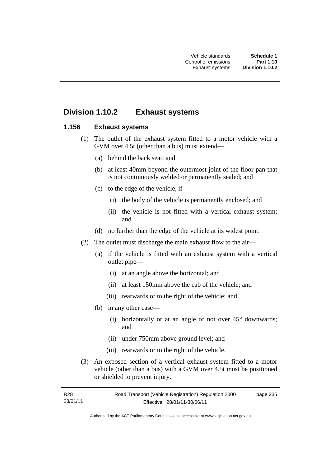## **Division 1.10.2 Exhaust systems**

#### **1.156 Exhaust systems**

- (1) The outlet of the exhaust system fitted to a motor vehicle with a GVM over 4.5t (other than a bus) must extend—
	- (a) behind the back seat; and
	- (b) at least 40mm beyond the outermost joint of the floor pan that is not continuously welded or permanently sealed; and
	- (c) to the edge of the vehicle, if—
		- (i) the body of the vehicle is permanently enclosed; and
		- (ii) the vehicle is not fitted with a vertical exhaust system; and
	- (d) no further than the edge of the vehicle at its widest point.
- (2) The outlet must discharge the main exhaust flow to the air—
	- (a) if the vehicle is fitted with an exhaust system with a vertical outlet pipe—
		- (i) at an angle above the horizontal; and
		- (ii) at least 150mm above the cab of the vehicle; and
		- (iii) rearwards or to the right of the vehicle; and
	- (b) in any other case—
		- (i) horizontally or at an angle of not over  $45^{\circ}$  downwards; and
		- (ii) under 750mm above ground level; and
		- (iii) rearwards or to the right of the vehicle.
- (3) An exposed section of a vertical exhaust system fitted to a motor vehicle (other than a bus) with a GVM over 4.5t must be positioned or shielded to prevent injury.

R28 28/01/11 Road Transport (Vehicle Registration) Regulation 2000 Effective: 28/01/11-30/06/11 page 235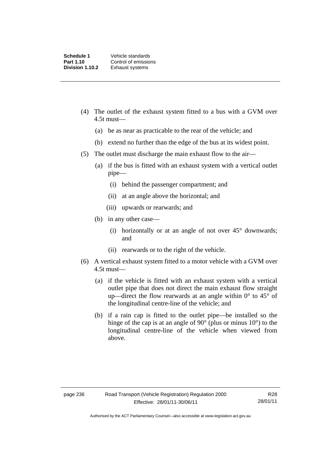- (4) The outlet of the exhaust system fitted to a bus with a GVM over 4.5t must—
	- (a) be as near as practicable to the rear of the vehicle; and
	- (b) extend no further than the edge of the bus at its widest point.
- (5) The outlet must discharge the main exhaust flow to the air—
	- (a) if the bus is fitted with an exhaust system with a vertical outlet pipe—
		- (i) behind the passenger compartment; and
		- (ii) at an angle above the horizontal; and
		- (iii) upwards or rearwards; and
	- (b) in any other case—
		- (i) horizontally or at an angle of not over  $45^{\circ}$  downwards; and
		- (ii) rearwards or to the right of the vehicle.
- (6) A vertical exhaust system fitted to a motor vehicle with a GVM over 4.5t must—
	- (a) if the vehicle is fitted with an exhaust system with a vertical outlet pipe that does not direct the main exhaust flow straight up—direct the flow rearwards at an angle within  $0^{\circ}$  to 45 $^{\circ}$  of the longitudinal centre-line of the vehicle; and
	- (b) if a rain cap is fitted to the outlet pipe—be installed so the hinge of the cap is at an angle of 90° (plus or minus 10°) to the longitudinal centre-line of the vehicle when viewed from above.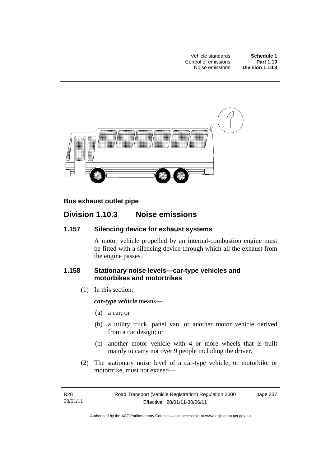Vehicle standards **Schedule 1 Control of emissions Part 1.10**<br>Noise emissions **Division 1.10.3** Noise emissions



#### **Bus exhaust outlet pipe**

### **Division 1.10.3 Noise emissions**

#### **1.157 Silencing device for exhaust systems**

A motor vehicle propelled by an internal-combustion engine must be fitted with a silencing device through which all the exhaust from the engine passes.

#### **1.158 Stationary noise levels—car-type vehicles and motorbikes and motortrikes**

(1) In this section:

*car-type vehicle* means—

- (a) a car; or
- (b) a utility truck, panel van, or another motor vehicle derived from a car design; or
- (c) another motor vehicle with 4 or more wheels that is built mainly to carry not over 9 people including the driver.
- (2) The stationary noise level of a car-type vehicle, or motorbike or motortrike, must not exceed—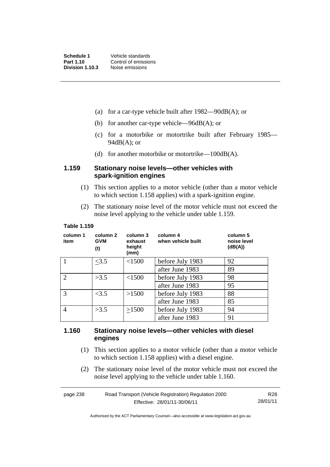- (a) for a car-type vehicle built after  $1982 90 \text{dB}(A)$ ; or
- (b) for another car-type vehicle—96dB(A); or
- (c) for a motorbike or motortrike built after February 1985—  $94dB(A)$ ; or
- (d) for another motorbike or motortrike— $100dB(A)$ .

#### **1.159 Stationary noise levels—other vehicles with spark-ignition engines**

- (1) This section applies to a motor vehicle (other than a motor vehicle to which section 1.158 applies) with a spark-ignition engine.
- (2) The stationary noise level of the motor vehicle must not exceed the noise level applying to the vehicle under table 1.159.

#### **Table 1.159**

| column 1<br>item            | column 2<br><b>GVM</b><br>(t) | column 3<br>exhaust<br>height<br>(mm) | column 4<br>when vehicle built | column 5<br>noise level<br>(dB(A)) |
|-----------------------------|-------------------------------|---------------------------------------|--------------------------------|------------------------------------|
|                             | <3.5                          | < 1500                                | before July 1983               | 92                                 |
|                             |                               |                                       | after June 1983                | 89                                 |
| $\mathcal{D}_{\mathcal{L}}$ | >3.5                          | <1500                                 | before July 1983               | 98                                 |
|                             |                               |                                       | after June 1983                | 95                                 |
| 3                           | <3.5                          | >1500                                 | before July 1983               | 88                                 |
|                             |                               |                                       | after June 1983                | 85                                 |
| 4                           | >3.5                          | >1500                                 | before July 1983               | 94                                 |
|                             |                               |                                       | after June 1983                | 91                                 |

#### **1.160 Stationary noise levels—other vehicles with diesel engines**

- (1) This section applies to a motor vehicle (other than a motor vehicle to which section 1.158 applies) with a diesel engine.
- (2) The stationary noise level of the motor vehicle must not exceed the noise level applying to the vehicle under table 1.160.

| page 238 | Road Transport (Vehicle Registration) Regulation 2000 | R28      |
|----------|-------------------------------------------------------|----------|
|          | Effective: 28/01/11-30/06/11                          | 28/01/11 |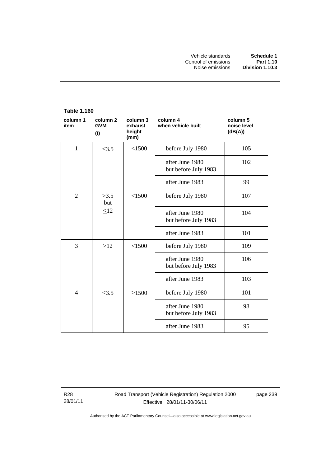#### **Table 1.160 column 1 item column 2 GVM (t) column 3 exhaust height (mm) column 4 when vehicle built column 5 noise level (dB(A))**  1  $\leq$  3.5  $\leq$  1500 before July 1980 105 after June 1980 but before July 1983 102 after June 1983 (1998) 2 |  $>3.5$ but  $\lt 1500$  before July 1980 107  $\leq$ 12 | after June 1980 but before July 1983 104 after June 1983 101  $3 \mid$  >12  $\mid$  <1500 before July 1980 109 after June 1980 but before July 1983 106 after June 1983 103 4  $\leq$ 3.5  $\geq$ 1500 before July 1980 101 after June 1980 but before July 1983 98 after June 1983 (1958)

R28 28/01/11 Road Transport (Vehicle Registration) Regulation 2000 Effective: 28/01/11-30/06/11

page 239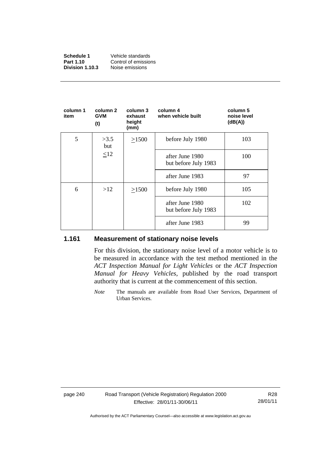| Schedule 1      | Vehicle standards    |
|-----------------|----------------------|
| Part 1.10       | Control of emissions |
| Division 1.10.3 | Noise emissions      |

| column 1<br>item | column 2<br><b>GVM</b><br>(t) | column 3<br>exhaust<br>height<br>(mm) | column 4<br>when vehicle built          | column 5<br>noise level<br>(dB(A)) |
|------------------|-------------------------------|---------------------------------------|-----------------------------------------|------------------------------------|
| 5                | >3.5<br>but                   | >1500                                 | before July 1980                        | 103                                |
|                  | <12                           |                                       | after June 1980<br>but before July 1983 | 100                                |
|                  |                               |                                       | after June 1983                         | 97                                 |
| 6                | >12                           | >1500                                 | before July 1980                        | 105                                |
|                  |                               |                                       | after June 1980<br>but before July 1983 | 102                                |
|                  |                               |                                       | after June 1983                         | 99                                 |

#### **1.161 Measurement of stationary noise levels**

For this division, the stationary noise level of a motor vehicle is to be measured in accordance with the test method mentioned in the *ACT Inspection Manual for Light Vehicles* or the *ACT Inspection Manual for Heavy Vehicles*, published by the road transport authority that is current at the commencement of this section.

*Note* The manuals are available from Road User Services, Department of Urban Services.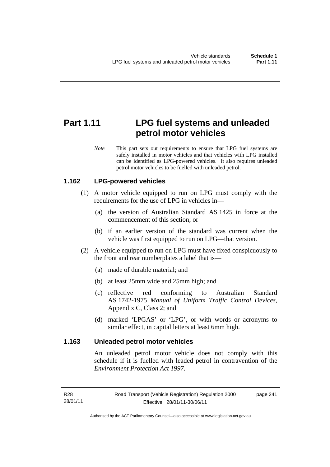## **Part 1.11 LPG fuel systems and unleaded petrol motor vehicles**

*Note* This part sets out requirements to ensure that LPG fuel systems are safely installed in motor vehicles and that vehicles with LPG installed can be identified as LPG-powered vehicles. It also requires unleaded petrol motor vehicles to be fuelled with unleaded petrol.

#### **1.162 LPG-powered vehicles**

- (1) A motor vehicle equipped to run on LPG must comply with the requirements for the use of LPG in vehicles in—
	- (a) the version of Australian Standard AS 1425 in force at the commencement of this section; or
	- (b) if an earlier version of the standard was current when the vehicle was first equipped to run on LPG—that version.
- (2) A vehicle equipped to run on LPG must have fixed conspicuously to the front and rear numberplates a label that is—
	- (a) made of durable material; and
	- (b) at least 25mm wide and 25mm high; and
	- (c) reflective red conforming to Australian Standard AS 1742-1975 *Manual of Uniform Traffic Control Devices*, Appendix C, Class 2; and
	- (d) marked 'LPGAS' or 'LPG', or with words or acronyms to similar effect, in capital letters at least 6mm high.

#### **1.163 Unleaded petrol motor vehicles**

An unleaded petrol motor vehicle does not comply with this schedule if it is fuelled with leaded petrol in contravention of the *Environment Protection Act 1997*.

page 241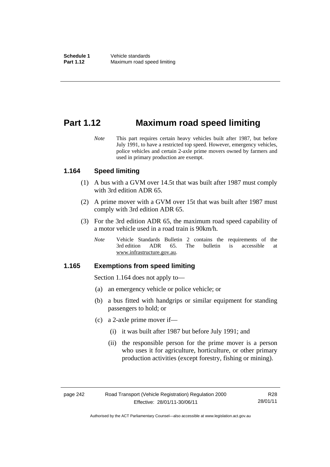## **Part 1.12 Maximum road speed limiting**

*Note* This part requires certain heavy vehicles built after 1987, but before July 1991, to have a restricted top speed. However, emergency vehicles, police vehicles and certain 2-axle prime movers owned by farmers and used in primary production are exempt.

#### **1.164 Speed limiting**

- (1) A bus with a GVM over 14.5t that was built after 1987 must comply with 3rd edition ADR 65.
- (2) A prime mover with a GVM over 15t that was built after 1987 must comply with 3rd edition ADR 65.
- (3) For the 3rd edition ADR 65, the maximum road speed capability of a motor vehicle used in a road train is 90km/h.
	- *Note* Vehicle Standards Bulletin 2 contains the requirements of the 3rd edition ADR 65. The bulletin is accessible at ADR 65. The bulletin is accessible at www.infrastructure.gov.au.

#### **1.165 Exemptions from speed limiting**

Section 1.164 does not apply to—

- (a) an emergency vehicle or police vehicle; or
- (b) a bus fitted with handgrips or similar equipment for standing passengers to hold; or
- (c) a 2-axle prime mover if—
	- (i) it was built after 1987 but before July 1991; and
	- (ii) the responsible person for the prime mover is a person who uses it for agriculture, horticulture, or other primary production activities (except forestry, fishing or mining).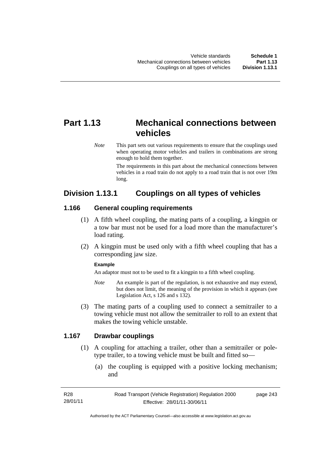## **Part 1.13 Mechanical connections between vehicles**

*Note* This part sets out various requirements to ensure that the couplings used when operating motor vehicles and trailers in combinations are strong enough to hold them together.

> The requirements in this part about the mechanical connections between vehicles in a road train do not apply to a road train that is not over 19m long.

## **Division 1.13.1 Couplings on all types of vehicles**

#### **1.166 General coupling requirements**

- (1) A fifth wheel coupling, the mating parts of a coupling, a kingpin or a tow bar must not be used for a load more than the manufacturer's load rating.
- (2) A kingpin must be used only with a fifth wheel coupling that has a corresponding jaw size.

#### **Example**

An adaptor must not to be used to fit a kingpin to a fifth wheel coupling.

- *Note* An example is part of the regulation, is not exhaustive and may extend, but does not limit, the meaning of the provision in which it appears (see Legislation Act, s 126 and s 132).
- (3) The mating parts of a coupling used to connect a semitrailer to a towing vehicle must not allow the semitrailer to roll to an extent that makes the towing vehicle unstable.

#### **1.167 Drawbar couplings**

- (1) A coupling for attaching a trailer, other than a semitrailer or poletype trailer, to a towing vehicle must be built and fitted so—
	- (a) the coupling is equipped with a positive locking mechanism; and

| R28      | Road Transport (Vehicle Registration) Regulation 2000 | page 243 |
|----------|-------------------------------------------------------|----------|
| 28/01/11 | Effective: 28/01/11-30/06/11                          |          |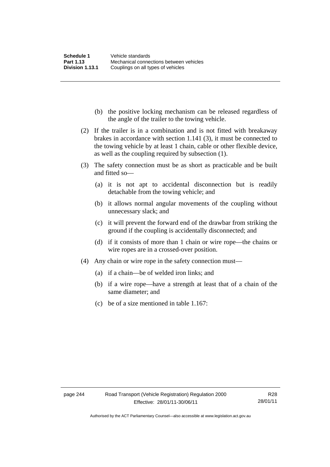- (b) the positive locking mechanism can be released regardless of the angle of the trailer to the towing vehicle.
- (2) If the trailer is in a combination and is not fitted with breakaway brakes in accordance with section 1.141 (3), it must be connected to the towing vehicle by at least 1 chain, cable or other flexible device, as well as the coupling required by subsection (1).
- (3) The safety connection must be as short as practicable and be built and fitted so—
	- (a) it is not apt to accidental disconnection but is readily detachable from the towing vehicle; and
	- (b) it allows normal angular movements of the coupling without unnecessary slack; and
	- (c) it will prevent the forward end of the drawbar from striking the ground if the coupling is accidentally disconnected; and
	- (d) if it consists of more than 1 chain or wire rope—the chains or wire ropes are in a crossed-over position.
- (4) Any chain or wire rope in the safety connection must—
	- (a) if a chain—be of welded iron links; and
	- (b) if a wire rope—have a strength at least that of a chain of the same diameter; and
	- (c) be of a size mentioned in table 1.167: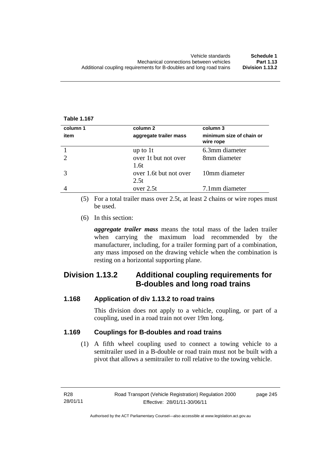#### **Table 1.167**

| column 1 | column 2                       | column 3                              |
|----------|--------------------------------|---------------------------------------|
| item     | aggregate trailer mass         | minimum size of chain or<br>wire rope |
|          | up to $1t$                     | 6.3mm diameter                        |
|          | over 1t but not over<br>1.6t   | 8mm diameter                          |
|          | over 1.6t but not over<br>2.5t | 10mm diameter                         |
|          | over 2.5t                      | 7.1mm diameter                        |

 (5) For a total trailer mass over 2.5t, at least 2 chains or wire ropes must be used.

(6) In this section:

*aggregate trailer mass* means the total mass of the laden trailer when carrying the maximum load recommended by the manufacturer, including, for a trailer forming part of a combination, any mass imposed on the drawing vehicle when the combination is resting on a horizontal supporting plane.

## **Division 1.13.2 Additional coupling requirements for B-doubles and long road trains**

#### **1.168 Application of div 1.13.2 to road trains**

This division does not apply to a vehicle, coupling, or part of a coupling, used in a road train not over 19m long.

#### **1.169 Couplings for B-doubles and road trains**

(1) A fifth wheel coupling used to connect a towing vehicle to a semitrailer used in a B-double or road train must not be built with a pivot that allows a semitrailer to roll relative to the towing vehicle.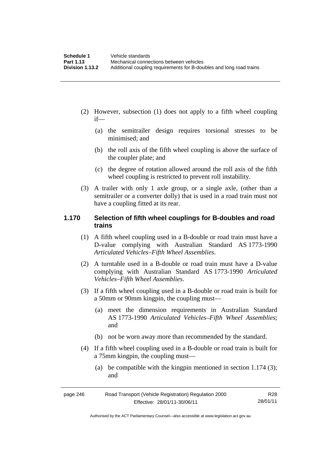- (2) However, subsection (1) does not apply to a fifth wheel coupling if—
	- (a) the semitrailer design requires torsional stresses to be minimised; and
	- (b) the roll axis of the fifth wheel coupling is above the surface of the coupler plate; and
	- (c) the degree of rotation allowed around the roll axis of the fifth wheel coupling is restricted to prevent roll instability.
- (3) A trailer with only 1 axle group, or a single axle, (other than a semitrailer or a converter dolly) that is used in a road train must not have a coupling fitted at its rear.

#### **1.170 Selection of fifth wheel couplings for B-doubles and road trains**

- (1) A fifth wheel coupling used in a B-double or road train must have a D-value complying with Australian Standard AS 1773-1990 *Articulated Vehicles–Fifth Wheel Assemblies*.
- (2) A turntable used in a B-double or road train must have a D-value complying with Australian Standard AS 1773-1990 *Articulated Vehicles–Fifth Wheel Assemblies*.
- (3) If a fifth wheel coupling used in a B-double or road train is built for a 50mm or 90mm kingpin, the coupling must—
	- (a) meet the dimension requirements in Australian Standard AS 1773-1990 *Articulated Vehicles–Fifth Wheel Assemblies*; and
	- (b) not be worn away more than recommended by the standard.
- (4) If a fifth wheel coupling used in a B-double or road train is built for a 75mm kingpin, the coupling must—
	- (a) be compatible with the kingpin mentioned in section 1.174 (3); and

| page 246 | Road Transport (Vehicle Registration) Regulation 2000 | R28      |
|----------|-------------------------------------------------------|----------|
|          | Effective: 28/01/11-30/06/11                          | 28/01/11 |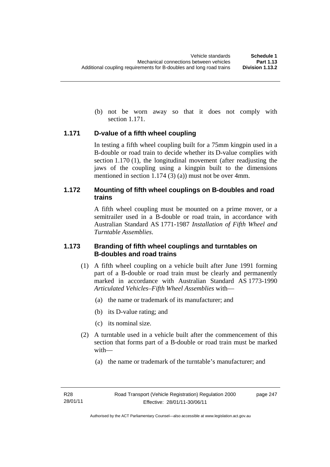(b) not be worn away so that it does not comply with section 1.171.

#### **1.171 D-value of a fifth wheel coupling**

In testing a fifth wheel coupling built for a 75mm kingpin used in a B-double or road train to decide whether its D-value complies with section 1.170 (1), the longitudinal movement (after readjusting the jaws of the coupling using a kingpin built to the dimensions mentioned in section 1.174 (3) (a)) must not be over 4mm.

#### **1.172 Mounting of fifth wheel couplings on B-doubles and road trains**

A fifth wheel coupling must be mounted on a prime mover, or a semitrailer used in a B-double or road train, in accordance with Australian Standard AS 1771-1987 *Installation of Fifth Wheel and Turntable Assemblies*.

#### **1.173 Branding of fifth wheel couplings and turntables on B-doubles and road trains**

- (1) A fifth wheel coupling on a vehicle built after June 1991 forming part of a B-double or road train must be clearly and permanently marked in accordance with Australian Standard AS 1773-1990 *Articulated Vehicles–Fifth Wheel Assemblies* with—
	- (a) the name or trademark of its manufacturer; and
	- (b) its D-value rating; and
	- (c) its nominal size.
- (2) A turntable used in a vehicle built after the commencement of this section that forms part of a B-double or road train must be marked with—
	- (a) the name or trademark of the turntable's manufacturer; and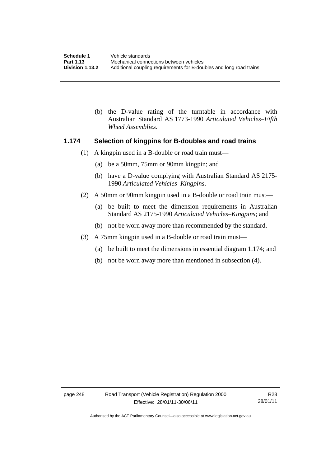(b) the D-value rating of the turntable in accordance with Australian Standard AS 1773-1990 *Articulated Vehicles–Fifth Wheel Assemblies*.

#### **1.174 Selection of kingpins for B-doubles and road trains**

- (1) A kingpin used in a B-double or road train must—
	- (a) be a 50mm, 75mm or 90mm kingpin; and
	- (b) have a D-value complying with Australian Standard AS 2175- 1990 *Articulated Vehicles–Kingpins*.
- (2) A 50mm or 90mm kingpin used in a B-double or road train must—
	- (a) be built to meet the dimension requirements in Australian Standard AS 2175-1990 *Articulated Vehicles–Kingpins*; and
	- (b) not be worn away more than recommended by the standard.
- (3) A 75mm kingpin used in a B-double or road train must—
	- (a) be built to meet the dimensions in essential diagram 1.174; and
	- (b) not be worn away more than mentioned in subsection (4).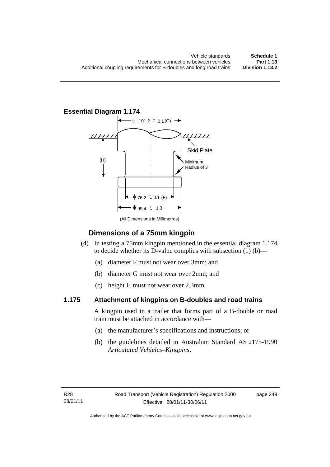**Essential Diagram 1.174** 



(All Dimensions in Millimetres)

### **Dimensions of a 75mm kingpin**

- (4) In testing a 75mm kingpin mentioned in the essential diagram 1.174 to decide whether its D-value complies with subsection (1) (b)—
	- (a) diameter F must not wear over 3mm; and
	- (b) diameter G must not wear over 2mm; and
	- (c) height H must not wear over 2.3mm.

### **1.175 Attachment of kingpins on B-doubles and road trains**

A kingpin used in a trailer that forms part of a B-double or road train must be attached in accordance with—

- (a) the manufacturer's specifications and instructions; or
- (b) the guidelines detailed in Australian Standard AS 2175-1990 *Articulated Vehicles–Kingpins*.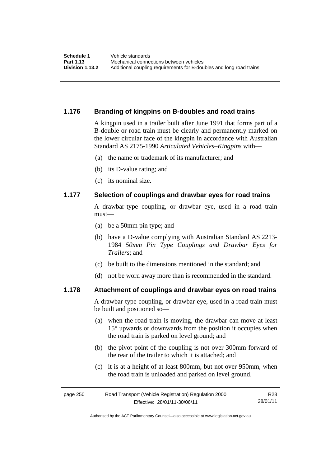#### **1.176 Branding of kingpins on B-doubles and road trains**

A kingpin used in a trailer built after June 1991 that forms part of a B-double or road train must be clearly and permanently marked on the lower circular face of the kingpin in accordance with Australian Standard AS 2175-1990 *Articulated Vehicles–Kingpins* with—

- (a) the name or trademark of its manufacturer; and
- (b) its D-value rating; and
- (c) its nominal size.

#### **1.177 Selection of couplings and drawbar eyes for road trains**

A drawbar-type coupling, or drawbar eye, used in a road train must—

- (a) be a 50mm pin type; and
- (b) have a D-value complying with Australian Standard AS 2213- 1984 *50mm Pin Type Couplings and Drawbar Eyes for Trailers*; and
- (c) be built to the dimensions mentioned in the standard; and
- (d) not be worn away more than is recommended in the standard.

#### **1.178 Attachment of couplings and drawbar eyes on road trains**

A drawbar-type coupling, or drawbar eye, used in a road train must be built and positioned so—

- (a) when the road train is moving, the drawbar can move at least 15° upwards or downwards from the position it occupies when the road train is parked on level ground; and
- (b) the pivot point of the coupling is not over 300mm forward of the rear of the trailer to which it is attached; and
- (c) it is at a height of at least 800mm, but not over 950mm, when the road train is unloaded and parked on level ground.

| page 250 | Road Transport (Vehicle Registration) Regulation 2000 | R28      |
|----------|-------------------------------------------------------|----------|
|          | Effective: 28/01/11-30/06/11                          | 28/01/11 |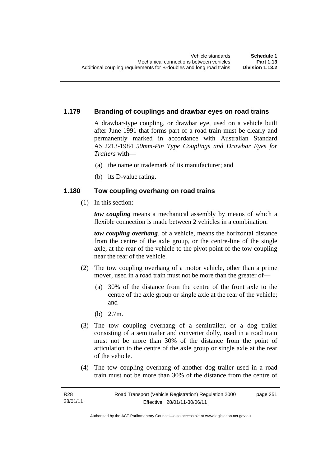#### **1.179 Branding of couplings and drawbar eyes on road trains**

A drawbar-type coupling, or drawbar eye, used on a vehicle built after June 1991 that forms part of a road train must be clearly and permanently marked in accordance with Australian Standard AS 2213-1984 *50mm-Pin Type Couplings and Drawbar Eyes for Trailers* with—

- (a) the name or trademark of its manufacturer; and
- (b) its D-value rating.

#### **1.180 Tow coupling overhang on road trains**

(1) In this section:

*tow coupling* means a mechanical assembly by means of which a flexible connection is made between 2 vehicles in a combination.

*tow coupling overhang*, of a vehicle, means the horizontal distance from the centre of the axle group, or the centre-line of the single axle, at the rear of the vehicle to the pivot point of the tow coupling near the rear of the vehicle.

- (2) The tow coupling overhang of a motor vehicle, other than a prime mover, used in a road train must not be more than the greater of—
	- (a) 30% of the distance from the centre of the front axle to the centre of the axle group or single axle at the rear of the vehicle; and
	- (b) 2.7m.
- (3) The tow coupling overhang of a semitrailer, or a dog trailer consisting of a semitrailer and converter dolly, used in a road train must not be more than 30% of the distance from the point of articulation to the centre of the axle group or single axle at the rear of the vehicle.
- (4) The tow coupling overhang of another dog trailer used in a road train must not be more than 30% of the distance from the centre of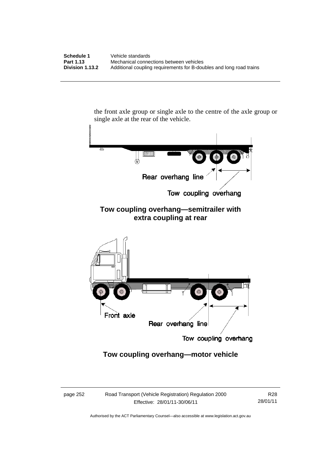the front axle group or single axle to the centre of the axle group or single axle at the rear of the vehicle.



### **Tow coupling overhang—motor vehicle**

page 252 Road Transport (Vehicle Registration) Regulation 2000 Effective: 28/01/11-30/06/11

R28 28/01/11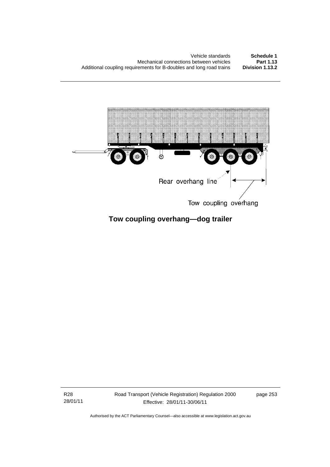

## **Tow coupling overhang—dog trailer**

R28 28/01/11 Road Transport (Vehicle Registration) Regulation 2000 Effective: 28/01/11-30/06/11

page 253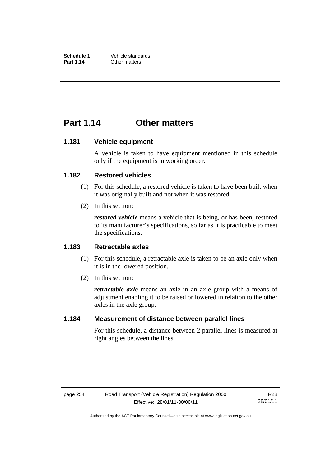## **Part 1.14 Other matters**

#### **1.181 Vehicle equipment**

A vehicle is taken to have equipment mentioned in this schedule only if the equipment is in working order.

#### **1.182 Restored vehicles**

- (1) For this schedule, a restored vehicle is taken to have been built when it was originally built and not when it was restored.
- (2) In this section:

*restored vehicle* means a vehicle that is being, or has been, restored to its manufacturer's specifications, so far as it is practicable to meet the specifications.

#### **1.183 Retractable axles**

- (1) For this schedule, a retractable axle is taken to be an axle only when it is in the lowered position.
- (2) In this section:

*retractable axle* means an axle in an axle group with a means of adjustment enabling it to be raised or lowered in relation to the other axles in the axle group.

#### **1.184 Measurement of distance between parallel lines**

For this schedule, a distance between 2 parallel lines is measured at right angles between the lines.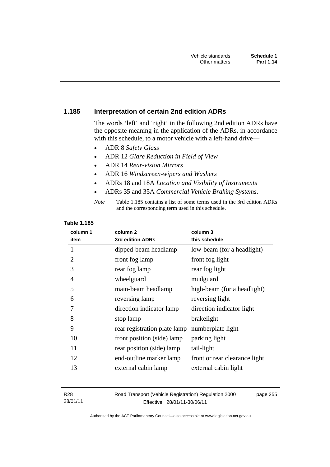#### **1.185 Interpretation of certain 2nd edition ADRs**

The words 'left' and 'right' in the following 2nd edition ADRs have the opposite meaning in the application of the ADRs, in accordance with this schedule, to a motor vehicle with a left-hand drive—

- ADR 8 *Safety Glass*
- ADR 12 *Glare Reduction in Field of View*
- ADR 14 *Rear-vision Mirrors*
- ADR 16 *Windscreen-wipers and Washers*
- ADRs 18 and 18A *Location and Visibility of Instruments*
- ADRs 35 and 35A *Commercial Vehicle Braking Systems*.

#### **Table 1.185**

| column 1<br>item | column <sub>2</sub><br>3rd edition ADRs | column 3<br>this schedule     |
|------------------|-----------------------------------------|-------------------------------|
| 1                | dipped-beam headlamp                    | low-beam (for a headlight)    |
| 2                | front fog lamp                          | front fog light               |
| 3                | rear fog lamp                           | rear fog light                |
| 4                | wheelguard                              | mudguard                      |
| 5                | main-beam headlamp                      | high-beam (for a headlight)   |
| 6                | reversing lamp                          | reversing light               |
| 7                | direction indicator lamp                | direction indicator light     |
| 8                | stop lamp                               | brakelight                    |
| 9                | rear registration plate lamp            | numberplate light             |
| 10               | front position (side) lamp              | parking light                 |
| 11               | rear position (side) lamp               | tail-light                    |
| 12               | end-outline marker lamp                 | front or rear clearance light |
| 13               | external cabin lamp                     | external cabin light          |

R28 28/01/11 Road Transport (Vehicle Registration) Regulation 2000 Effective: 28/01/11-30/06/11 page 255

*Note* Table 1.185 contains a list of some terms used in the 3rd edition ADRs and the corresponding term used in this schedule.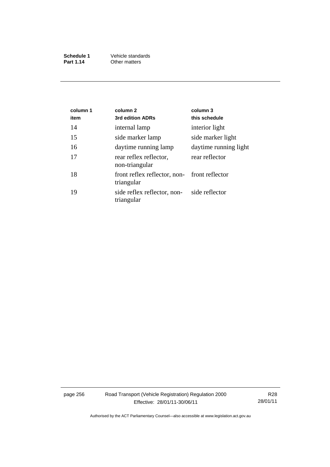| Schedule 1 | Vehicle standards |
|------------|-------------------|
| Part 1.14  | Other matters     |

| column 1<br>item | column <sub>2</sub><br>3rd edition ADRs                       | column 3<br>this schedule |
|------------------|---------------------------------------------------------------|---------------------------|
| 14               | internal lamp                                                 | interior light            |
| 15               | side marker lamp                                              | side marker light         |
| 16               | daytime running lamp                                          | daytime running light     |
| 17               | rear reflex reflector,<br>non-triangular                      | rear reflector            |
| 18               | front reflex reflector, non-<br>front reflector<br>triangular |                           |
| 19               | side reflex reflector, non-<br>triangular                     | side reflector            |

page 256 Road Transport (Vehicle Registration) Regulation 2000 Effective: 28/01/11-30/06/11

R28 28/01/11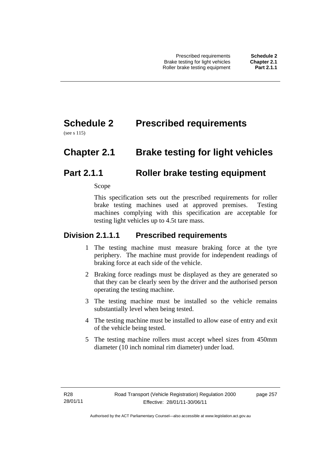# **Schedule 2 Prescribed requirements**

(see s 115)

# **Chapter 2.1 Brake testing for light vehicles**

## **Part 2.1.1 Roller brake testing equipment**

Scope

This specification sets out the prescribed requirements for roller brake testing machines used at approved premises. Testing machines complying with this specification are acceptable for testing light vehicles up to 4.5t tare mass.

### **Division 2.1.1.1 Prescribed requirements**

- 1 The testing machine must measure braking force at the tyre periphery. The machine must provide for independent readings of braking force at each side of the vehicle.
- 2 Braking force readings must be displayed as they are generated so that they can be clearly seen by the driver and the authorised person operating the testing machine.
- 3 The testing machine must be installed so the vehicle remains substantially level when being tested.
- 4 The testing machine must be installed to allow ease of entry and exit of the vehicle being tested.
- 5 The testing machine rollers must accept wheel sizes from 450mm diameter (10 inch nominal rim diameter) under load.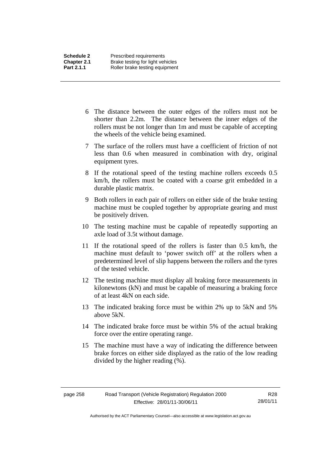- 6 The distance between the outer edges of the rollers must not be shorter than 2.2m. The distance between the inner edges of the rollers must be not longer than 1m and must be capable of accepting the wheels of the vehicle being examined.
- 7 The surface of the rollers must have a coefficient of friction of not less than 0.6 when measured in combination with dry, original equipment tyres.
- 8 If the rotational speed of the testing machine rollers exceeds 0.5 km/h, the rollers must be coated with a coarse grit embedded in a durable plastic matrix.
- 9 Both rollers in each pair of rollers on either side of the brake testing machine must be coupled together by appropriate gearing and must be positively driven.
- 10 The testing machine must be capable of repeatedly supporting an axle load of 3.5t without damage.
- 11 If the rotational speed of the rollers is faster than 0.5 km/h, the machine must default to 'power switch off' at the rollers when a predetermined level of slip happens between the rollers and the tyres of the tested vehicle.
- 12 The testing machine must display all braking force measurements in kilonewtons (kN) and must be capable of measuring a braking force of at least 4kN on each side.
- 13 The indicated braking force must be within 2% up to 5kN and 5% above 5kN.
- 14 The indicated brake force must be within 5% of the actual braking force over the entire operating range.
- 15 The machine must have a way of indicating the difference between brake forces on either side displayed as the ratio of the low reading divided by the higher reading (%).

Authorised by the ACT Parliamentary Counsel—also accessible at www.legislation.act.gov.au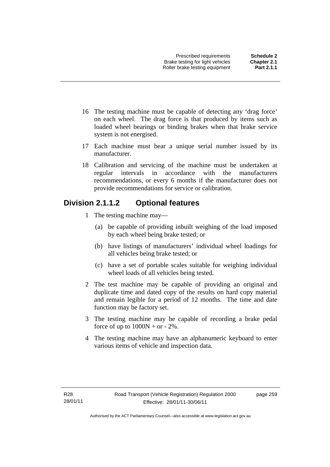- 16 The testing machine must be capable of detecting any 'drag force' on each wheel. The drag force is that produced by items such as loaded wheel bearings or binding brakes when that brake service system is not energised.
- 17 Each machine must bear a unique serial number issued by its manufacturer.
- 18 Calibration and servicing of the machine must be undertaken at regular intervals in accordance with the manufacturers recommendations, or every 6 months if the manufacturer does not provide recommendations for service or calibration.

## **Division 2.1.1.2 Optional features**

- 1 The testing machine may—
	- (a) be capable of providing inbuilt weighing of the load imposed by each wheel being brake tested; or
	- (b) have listings of manufacturers' individual wheel loadings for all vehicles being brake tested; or
	- (c) have a set of portable scales suitable for weighing individual wheel loads of all vehicles being tested.
- 2 The test machine may be capable of providing an original and duplicate time and dated copy of the results on hard copy material and remain legible for a period of 12 months. The time and date function may be factory set.
- 3 The testing machine may be capable of recording a brake pedal force of up to  $1000N + or - 2\%$ .
- 4 The testing machine may have an alphanumeric keyboard to enter various items of vehicle and inspection data.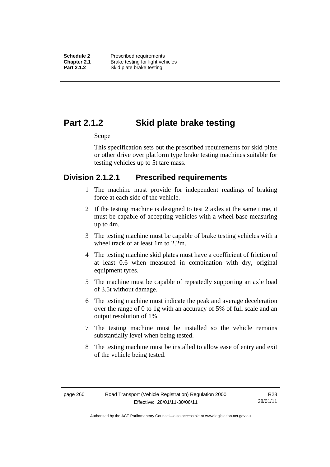**Schedule 2** Prescribed requirements **Chapter 2.1** Brake testing for light vehicles<br>**Part 2.1.2** Skid plate brake testing **Skid plate brake testing** 

## **Part 2.1.2 Skid plate brake testing**

#### Scope

This specification sets out the prescribed requirements for skid plate or other drive over platform type brake testing machines suitable for testing vehicles up to 5t tare mass.

### **Division 2.1.2.1 Prescribed requirements**

- 1 The machine must provide for independent readings of braking force at each side of the vehicle.
- 2 If the testing machine is designed to test 2 axles at the same time, it must be capable of accepting vehicles with a wheel base measuring up to 4m.
- 3 The testing machine must be capable of brake testing vehicles with a wheel track of at least 1m to 2.2m.
- 4 The testing machine skid plates must have a coefficient of friction of at least 0.6 when measured in combination with dry, original equipment tyres.
- 5 The machine must be capable of repeatedly supporting an axle load of 3.5t without damage.
- 6 The testing machine must indicate the peak and average deceleration over the range of 0 to 1g with an accuracy of 5% of full scale and an output resolution of 1%.
- 7 The testing machine must be installed so the vehicle remains substantially level when being tested.
- 8 The testing machine must be installed to allow ease of entry and exit of the vehicle being tested.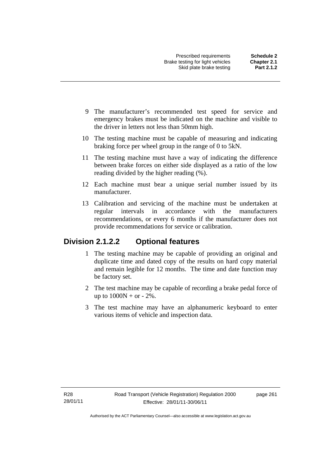- 9 The manufacturer's recommended test speed for service and emergency brakes must be indicated on the machine and visible to the driver in letters not less than 50mm high.
- 10 The testing machine must be capable of measuring and indicating braking force per wheel group in the range of 0 to 5kN.
- 11 The testing machine must have a way of indicating the difference between brake forces on either side displayed as a ratio of the low reading divided by the higher reading (%).
- 12 Each machine must bear a unique serial number issued by its manufacturer.
- 13 Calibration and servicing of the machine must be undertaken at regular intervals in accordance with the manufacturers recommendations, or every 6 months if the manufacturer does not provide recommendations for service or calibration.

## **Division 2.1.2.2 Optional features**

- 1 The testing machine may be capable of providing an original and duplicate time and dated copy of the results on hard copy material and remain legible for 12 months. The time and date function may be factory set.
- 2 The test machine may be capable of recording a brake pedal force of up to  $1000N + or - 2\%$ .
- 3 The test machine may have an alphanumeric keyboard to enter various items of vehicle and inspection data.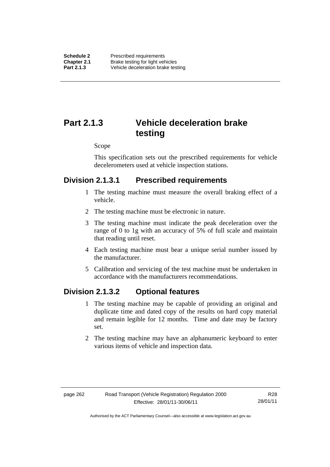# **Part 2.1.3 Vehicle deceleration brake testing**

#### Scope

This specification sets out the prescribed requirements for vehicle decelerometers used at vehicle inspection stations.

### **Division 2.1.3.1 Prescribed requirements**

- 1 The testing machine must measure the overall braking effect of a vehicle.
- 2 The testing machine must be electronic in nature.
- 3 The testing machine must indicate the peak deceleration over the range of 0 to 1g with an accuracy of 5% of full scale and maintain that reading until reset.
- 4 Each testing machine must bear a unique serial number issued by the manufacturer.
- 5 Calibration and servicing of the test machine must be undertaken in accordance with the manufacturers recommendations.

### **Division 2.1.3.2 Optional features**

- 1 The testing machine may be capable of providing an original and duplicate time and dated copy of the results on hard copy material and remain legible for 12 months. Time and date may be factory set.
- 2 The testing machine may have an alphanumeric keyboard to enter various items of vehicle and inspection data.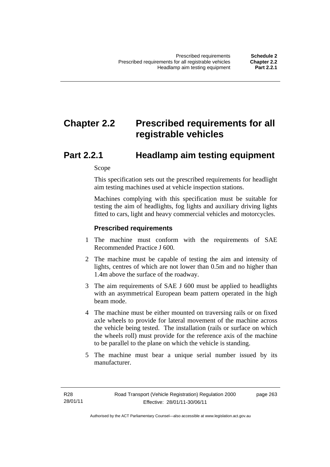# **Chapter 2.2 Prescribed requirements for all registrable vehicles**

## **Part 2.2.1 Headlamp aim testing equipment**

Scope

This specification sets out the prescribed requirements for headlight aim testing machines used at vehicle inspection stations.

Machines complying with this specification must be suitable for testing the aim of headlights, fog lights and auxiliary driving lights fitted to cars, light and heavy commercial vehicles and motorcycles.

#### **Prescribed requirements**

- 1 The machine must conform with the requirements of SAE Recommended Practice J 600.
- 2 The machine must be capable of testing the aim and intensity of lights, centres of which are not lower than 0.5m and no higher than 1.4m above the surface of the roadway.
- 3 The aim requirements of SAE J 600 must be applied to headlights with an asymmetrical European beam pattern operated in the high beam mode.
- 4 The machine must be either mounted on traversing rails or on fixed axle wheels to provide for lateral movement of the machine across the vehicle being tested. The installation (rails or surface on which the wheels roll) must provide for the reference axis of the machine to be parallel to the plane on which the vehicle is standing.
- 5 The machine must bear a unique serial number issued by its manufacturer.

page 263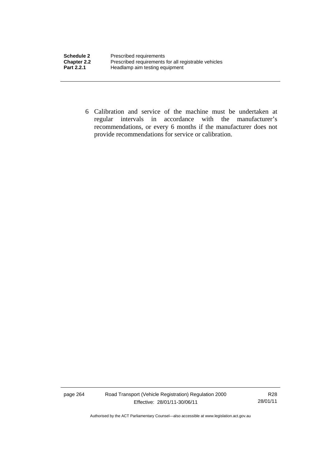| <b>Schedule 2</b>  | Prescribed requirements                              |
|--------------------|------------------------------------------------------|
| <b>Chapter 2.2</b> | Prescribed requirements for all registrable vehicles |
| Part 2.2.1         | Headlamp aim testing equipment                       |

 6 Calibration and service of the machine must be undertaken at regular intervals in accordance with the manufacturer's recommendations, or every 6 months if the manufacturer does not provide recommendations for service or calibration.

page 264 Road Transport (Vehicle Registration) Regulation 2000 Effective: 28/01/11-30/06/11

R28 28/01/11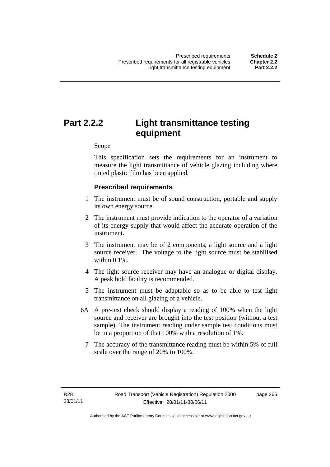# **Part 2.2.2 Light transmittance testing equipment**

Scope

This specification sets the requirements for an instrument to measure the light transmittance of vehicle glazing including where tinted plastic film has been applied.

#### **Prescribed requirements**

- 1 The instrument must be of sound construction, portable and supply its own energy source.
- 2 The instrument must provide indication to the operator of a variation of its energy supply that would affect the accurate operation of the instrument.
- 3 The instrument may be of 2 components, a light source and a light source receiver. The voltage to the light source must be stabilised within 0.1%.
- 4 The light source receiver may have an analogue or digital display. A peak hold facility is recommended.
- 5 The instrument must be adaptable so as to be able to test light transmittance on all glazing of a vehicle.
- 6A A pre-test check should display a reading of 100% when the light source and receiver are brought into the test position (without a test sample). The instrument reading under sample test conditions must be in a proportion of that 100% with a resolution of 1%.
	- 7 The accuracy of the transmittance reading must be within 5% of full scale over the range of 20% to 100%.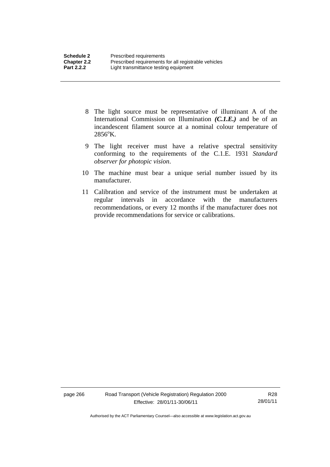- 8 The light source must be representative of illuminant A of the International Commission on Illumination *(C.1.E.)* and be of an incandescent filament source at a nominal colour temperature of  $2856^{\circ}$ K.
- 9 The light receiver must have a relative spectral sensitivity conforming to the requirements of the C.1.E. 1931 *Standard observer for photopic vision*.
- 10 The machine must bear a unique serial number issued by its manufacturer.
- 11 Calibration and service of the instrument must be undertaken at regular intervals in accordance with the manufacturers recommendations, or every 12 months if the manufacturer does not provide recommendations for service or calibrations.

page 266 Road Transport (Vehicle Registration) Regulation 2000 Effective: 28/01/11-30/06/11

R28 28/01/11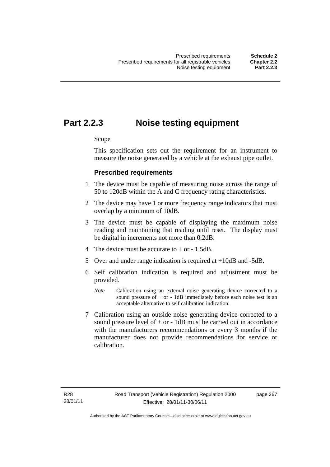## **Part 2.2.3 Noise testing equipment**

Scope

This specification sets out the requirement for an instrument to measure the noise generated by a vehicle at the exhaust pipe outlet.

#### **Prescribed requirements**

- 1 The device must be capable of measuring noise across the range of 50 to 120dB within the A and C frequency rating characteristics.
- 2 The device may have 1 or more frequency range indicators that must overlap by a minimum of 10dB.
- 3 The device must be capable of displaying the maximum noise reading and maintaining that reading until reset. The display must be digital in increments not more than 0.2dB.
- 4 The device must be accurate to  $+$  or  $-1.5dB$ .
- 5 Over and under range indication is required at +10dB and -5dB.
- 6 Self calibration indication is required and adjustment must be provided.
	- *Note* Calibration using an external noise generating device corrected to a sound pressure of  $+$  or  $-$  1dB immediately before each noise test is an acceptable alternative to self calibration indication.
- 7 Calibration using an outside noise generating device corrected to a sound pressure level of  $+$  or  $-$  1dB must be carried out in accordance with the manufacturers recommendations or every 3 months if the manufacturer does not provide recommendations for service or calibration.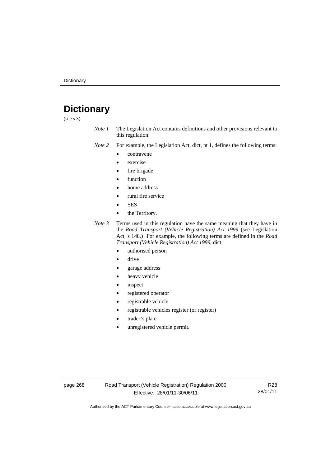# **Dictionary**

(see s 3)

*Note 1* The Legislation Act contains definitions and other provisions relevant to this regulation.

*Note 2* For example, the Legislation Act, dict, pt 1, defines the following terms:

- contravene
- exercise
- fire brigade
- function
- home address
- rural fire service
- SES
- the Territory.

*Note 3* Terms used in this regulation have the same meaning that they have in the *Road Transport (Vehicle Registration) Act 1999* (see Legislation Act, s 148.) For example, the following terms are defined in the *Road Transport (Vehicle Registration) Act 1999*, dict:

- authorised person
- drive
- garage address
- heavy vehicle
- inspect
- registered operator
- registrable vehicle
- registrable vehicles register (or register)
- trader's plate
- unregistered vehicle permit.

page 268 Road Transport (Vehicle Registration) Regulation 2000 Effective: 28/01/11-30/06/11

R28 28/01/11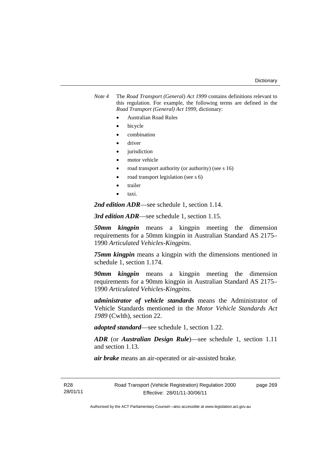*Note 4* The *Road Transport (General) Act 1999* contains definitions relevant to this regulation. For example, the following terms are defined in the *Road Transport (General) Act 1999*, dictionary:

- Australian Road Rules
- bicycle
- combination
- driver
- jurisdiction
- motor vehicle
- road transport authority (or authority) (see s 16)
- road transport legislation (see s 6)
- trailer
- taxi.

*2nd edition ADR*—see schedule 1, section 1.14.

*3rd edition ADR*—see schedule 1, section 1.15.

*50mm kingpin* means a kingpin meeting the dimension requirements for a 50mm kingpin in Australian Standard AS 2175– 1990 *Articulated Vehicles-Kingpins*.

*75mm kingpin* means a kingpin with the dimensions mentioned in schedule 1, section 1.174.

*90mm kingpin* means a kingpin meeting the dimension requirements for a 90mm kingpin in Australian Standard AS 2175– 1990 *Articulated Vehicles-Kingpins*.

*administrator of vehicle standards* means the Administrator of Vehicle Standards mentioned in the *Motor Vehicle Standards Act 1989* (Cwlth), section 22.

*adopted standard*—see schedule 1, section 1.22.

*ADR* (or *Australian Design Rule*)—see schedule 1, section 1.11 and section 1.13.

*air brake* means an air-operated or air-assisted brake.

R28 28/01/11 page 269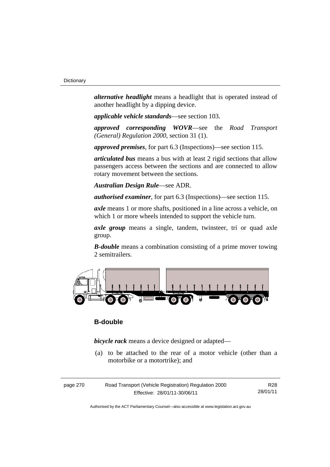*alternative headlight* means a headlight that is operated instead of another headlight by a dipping device.

*applicable vehicle standards*—see section 103.

*approved corresponding WOVR*—see the *Road Transport (General) Regulation 2000*, section 31 (1).

*approved premises*, for part 6.3 (Inspections)—see section 115.

*articulated bus* means a bus with at least 2 rigid sections that allow passengers access between the sections and are connected to allow rotary movement between the sections.

*Australian Design Rule*—see ADR.

*authorised examiner*, for part 6.3 (Inspections)—see section 115.

*axle* means 1 or more shafts, positioned in a line across a vehicle, on which 1 or more wheels intended to support the vehicle turn.

axle group means a single, tandem, twinsteer, tri or quad axle group.

*B-double* means a combination consisting of a prime mover towing 2 semitrailers.



# **B-double**

*bicycle rack* means a device designed or adapted—

 (a) to be attached to the rear of a motor vehicle (other than a motorbike or a motortrike); and

| page 270 | Road Transport (Vehicle Registration) Regulation 2000 | R28      |
|----------|-------------------------------------------------------|----------|
|          | Effective: 28/01/11-30/06/11                          | 28/01/11 |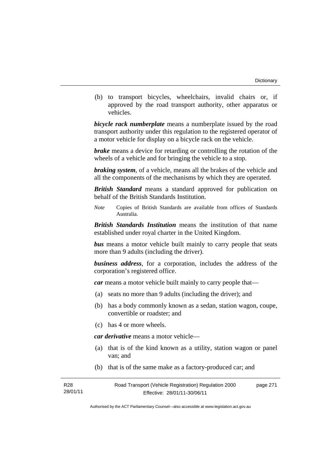(b) to transport bicycles, wheelchairs, invalid chairs or, if approved by the road transport authority, other apparatus or vehicles.

*bicycle rack numberplate* means a numberplate issued by the road transport authority under this regulation to the registered operator of a motor vehicle for display on a bicycle rack on the vehicle.

*brake* means a device for retarding or controlling the rotation of the wheels of a vehicle and for bringing the vehicle to a stop.

*braking system*, of a vehicle, means all the brakes of the vehicle and all the components of the mechanisms by which they are operated.

*British Standard* means a standard approved for publication on behalf of the British Standards Institution.

*Note* Copies of British Standards are available from offices of Standards Australia.

*British Standards Institution* means the institution of that name established under royal charter in the United Kingdom.

*bus* means a motor vehicle built mainly to carry people that seats more than 9 adults (including the driver).

*business address*, for a corporation, includes the address of the corporation's registered office.

*car* means a motor vehicle built mainly to carry people that—

- (a) seats no more than 9 adults (including the driver); and
- (b) has a body commonly known as a sedan, station wagon, coupe, convertible or roadster; and
- (c) has 4 or more wheels.

*car derivative* means a motor vehicle—

- (a) that is of the kind known as a utility, station wagon or panel van; and
- (b) that is of the same make as a factory-produced car; and

| R28      | Road Transport (Vehicle Registration) Regulation 2000 | page 271 |
|----------|-------------------------------------------------------|----------|
| 28/01/11 | Effective: 28/01/11-30/06/11                          |          |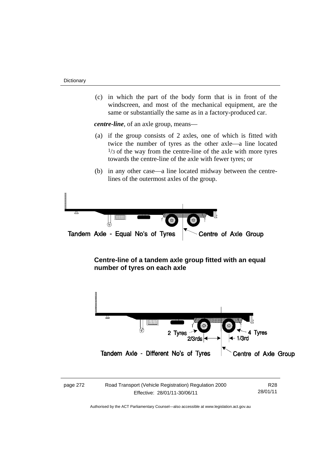(c) in which the part of the body form that is in front of the windscreen, and most of the mechanical equipment, are the same or substantially the same as in a factory-produced car.

*centre-line*, of an axle group, means—

- (a) if the group consists of 2 axles, one of which is fitted with twice the number of tyres as the other axle—a line located  $1/3$  of the way from the centre-line of the axle with more tyres towards the centre-line of the axle with fewer tyres; or
- (b) in any other case—a line located midway between the centrelines of the outermost axles of the group.







| page 272 | Road Transport (Vehicle Registration) Regulation 2000 | R <sub>28</sub> |
|----------|-------------------------------------------------------|-----------------|
|          | Effective: 28/01/11-30/06/11                          | 28/01/11        |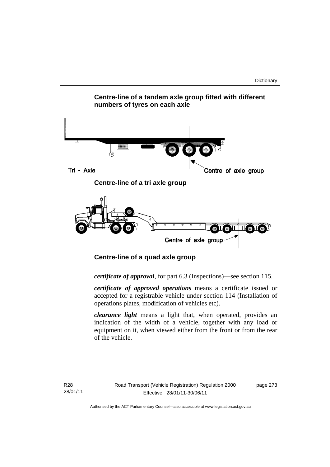

 **Centre-line of a quad axle group** 

*certificate of approval*, for part 6.3 (Inspections)—see section 115.

*certificate of approved operations* means a certificate issued or accepted for a registrable vehicle under section 114 (Installation of operations plates, modification of vehicles etc).

*clearance light* means a light that, when operated, provides an indication of the width of a vehicle, together with any load or equipment on it, when viewed either from the front or from the rear of the vehicle.

R28 28/01/11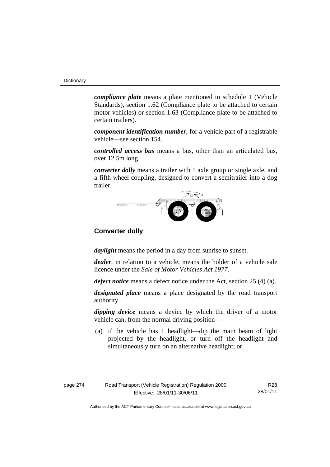*compliance plate* means a plate mentioned in schedule 1 (Vehicle Standards), section 1.62 (Compliance plate to be attached to certain motor vehicles) or section 1.63 (Compliance plate to be attached to certain trailers).

*component identification number*, for a vehicle part of a registrable vehicle—see section 154.

*controlled access bus* means a bus, other than an articulated bus, over 12.5m long.

*converter dolly* means a trailer with 1 axle group or single axle, and a fifth wheel coupling, designed to convert a semitrailer into a dog trailer.



# **Converter dolly**

*daylight* means the period in a day from sunrise to sunset.

*dealer*, in relation to a vehicle, means the holder of a vehicle sale licence under the *Sale of Motor Vehicles Act 1977*.

*defect notice* means a defect notice under the Act, section 25 (4) (a).

*designated place* means a place designated by the road transport authority.

*dipping device* means a device by which the driver of a motor vehicle can, from the normal driving position—

 (a) if the vehicle has 1 headlight—dip the main beam of light projected by the headlight, or turn off the headlight and simultaneously turn on an alternative headlight; or

| page 274 | Road Transport (Vehicle Registration) Regulation 2000 | R28      |
|----------|-------------------------------------------------------|----------|
|          | Effective: 28/01/11-30/06/11                          | 28/01/11 |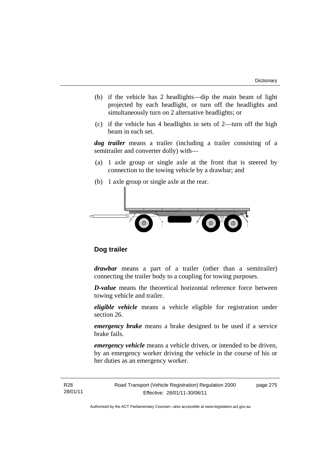- (b) if the vehicle has 2 headlights—dip the main beam of light projected by each headlight, or turn off the headlights and simultaneously turn on 2 alternative headlights; or
- (c) if the vehicle has 4 headlights in sets of 2—turn off the high beam in each set.

*dog trailer* means a trailer (including a trailer consisting of a semitrailer and converter dolly) with—

- (a) 1 axle group or single axle at the front that is steered by connection to the towing vehicle by a drawbar; and
- (b) 1 axle group or single axle at the rear.



# **Dog trailer**

*drawbar* means a part of a trailer (other than a semitrailer) connecting the trailer body to a coupling for towing purposes.

*D-value* means the theoretical horizontal reference force between towing vehicle and trailer.

*eligible vehicle* means a vehicle eligible for registration under section 26.

*emergency brake* means a brake designed to be used if a service brake fails.

*emergency vehicle* means a vehicle driven, or intended to be driven, by an emergency worker driving the vehicle in the course of his or her duties as an emergency worker.

Road Transport (Vehicle Registration) Regulation 2000 Effective: 28/01/11-30/06/11

page 275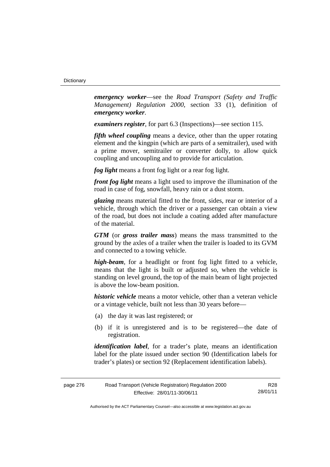*emergency worker*—see the *Road Transport (Safety and Traffic Management) Regulation 2000*, section 33 (1), definition of *emergency worker*.

*examiners register*, for part 6.3 (Inspections)—see section 115.

*fifth wheel coupling* means a device, other than the upper rotating element and the kingpin (which are parts of a semitrailer), used with a prime mover, semitrailer or converter dolly, to allow quick coupling and uncoupling and to provide for articulation.

*fog light* means a front fog light or a rear fog light.

*front fog light* means a light used to improve the illumination of the road in case of fog, snowfall, heavy rain or a dust storm.

*glazing* means material fitted to the front, sides, rear or interior of a vehicle, through which the driver or a passenger can obtain a view of the road, but does not include a coating added after manufacture of the material.

*GTM* (or *gross trailer mass*) means the mass transmitted to the ground by the axles of a trailer when the trailer is loaded to its GVM and connected to a towing vehicle.

*high-beam*, for a headlight or front fog light fitted to a vehicle, means that the light is built or adjusted so, when the vehicle is standing on level ground, the top of the main beam of light projected is above the low-beam position.

*historic vehicle* means a motor vehicle, other than a veteran vehicle or a vintage vehicle, built not less than 30 years before—

- (a) the day it was last registered; or
- (b) if it is unregistered and is to be registered—the date of registration.

*identification label*, for a trader's plate, means an identification label for the plate issued under section 90 (Identification labels for trader's plates) or section 92 (Replacement identification labels).

| page 276 | Road Transport (Vehicle Registration) Regulation 2000 | R28      |
|----------|-------------------------------------------------------|----------|
|          | Effective: 28/01/11-30/06/11                          | 28/01/11 |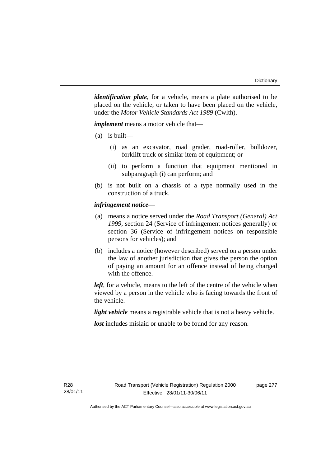*identification plate*, for a vehicle, means a plate authorised to be placed on the vehicle, or taken to have been placed on the vehicle, under the *Motor Vehicle Standards Act 1989* (Cwlth).

*implement* means a motor vehicle that—

- (a) is built—
	- (i) as an excavator, road grader, road-roller, bulldozer, forklift truck or similar item of equipment; or
	- (ii) to perform a function that equipment mentioned in subparagraph (i) can perform; and
- (b) is not built on a chassis of a type normally used in the construction of a truck.

# *infringement notice*—

- (a) means a notice served under the *Road Transport (General) Act 1999*, section 24 (Service of infringement notices generally) or section 36 (Service of infringement notices on responsible persons for vehicles); and
- (b) includes a notice (however described) served on a person under the law of another jurisdiction that gives the person the option of paying an amount for an offence instead of being charged with the offence.

*left*, for a vehicle, means to the left of the centre of the vehicle when viewed by a person in the vehicle who is facing towards the front of the vehicle.

*light vehicle* means a registrable vehicle that is not a heavy vehicle.

*lost* includes mislaid or unable to be found for any reason.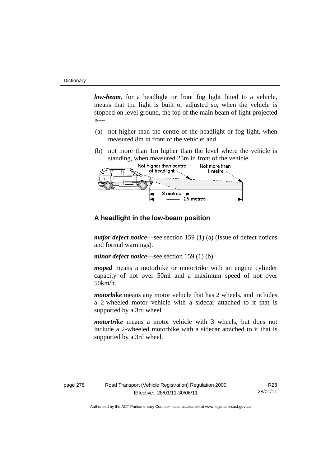*low-beam*, for a headlight or front fog light fitted to a vehicle, means that the light is built or adjusted so, when the vehicle is stopped on level ground, the top of the main beam of light projected is—

- (a) not higher than the centre of the headlight or fog light, when measured 8m in front of the vehicle; and
- (b) not more than 1m higher than the level where the vehicle is standing, when measured 25m in front of the vehicle.



# **A headlight in the low-beam position**

*major defect notice*—see section 159 (1) (a) (Issue of defect notices and formal warnings).

*minor defect notice*—see section 159 (1) (b).

*moped* means a motorbike or motortrike with an engine cylinder capacity of not over 50ml and a maximum speed of not over 50km/h.

*motorbike* means any motor vehicle that has 2 wheels, and includes a 2-wheeled motor vehicle with a sidecar attached to it that is supported by a 3rd wheel.

*motortrike* means a motor vehicle with 3 wheels, but does not include a 2-wheeled motorbike with a sidecar attached to it that is supported by a 3rd wheel.

| page 278 | Road Transport (Vehicle Registration) Regulation 2000 | R28      |
|----------|-------------------------------------------------------|----------|
|          | Effective: 28/01/11-30/06/11                          | 28/01/11 |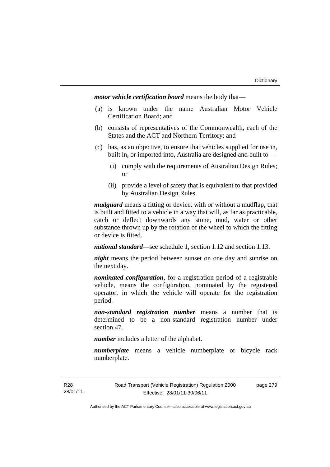*motor vehicle certification board* means the body that—

- (a) is known under the name Australian Motor Vehicle Certification Board; and
- (b) consists of representatives of the Commonwealth, each of the States and the ACT and Northern Territory; and
- (c) has, as an objective, to ensure that vehicles supplied for use in, built in, or imported into, Australia are designed and built to—
	- (i) comply with the requirements of Australian Design Rules; or
	- (ii) provide a level of safety that is equivalent to that provided by Australian Design Rules.

*mudguard* means a fitting or device, with or without a mudflap, that is built and fitted to a vehicle in a way that will, as far as practicable, catch or deflect downwards any stone, mud, water or other substance thrown up by the rotation of the wheel to which the fitting or device is fitted.

*national standard*—see schedule 1, section 1.12 and section 1.13.

*night* means the period between sunset on one day and sunrise on the next day.

*nominated configuration*, for a registration period of a registrable vehicle, means the configuration, nominated by the registered operator, in which the vehicle will operate for the registration period.

*non-standard registration number* means a number that is determined to be a non-standard registration number under section 47.

*number* includes a letter of the alphabet.

*numberplate* means a vehicle numberplate or bicycle rack numberplate.

page 279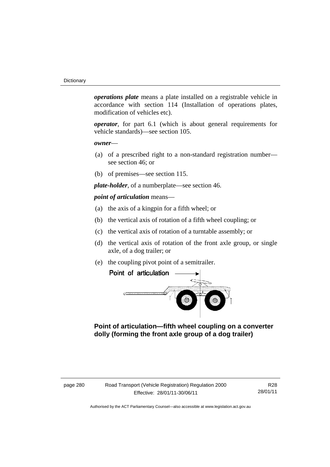*operations plate* means a plate installed on a registrable vehicle in accordance with section 114 (Installation of operations plates, modification of vehicles etc).

*operator*, for part 6.1 (which is about general requirements for vehicle standards)—see section 105.

*owner*—

- (a) of a prescribed right to a non-standard registration number see section 46; or
- (b) of premises—see section 115.

*plate-holder*, of a numberplate—see section 46.

*point of articulation* means—

- (a) the axis of a kingpin for a fifth wheel; or
- (b) the vertical axis of rotation of a fifth wheel coupling; or
- (c) the vertical axis of rotation of a turntable assembly; or
- (d) the vertical axis of rotation of the front axle group, or single axle, of a dog trailer; or
- (e) the coupling pivot point of a semitrailer.



 **Point of articulation—fifth wheel coupling on a converter dolly (forming the front axle group of a dog trailer)** 

R28 28/01/11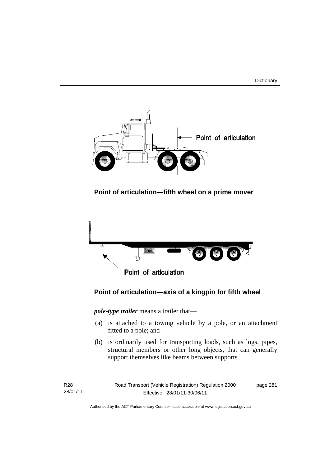



 **Point of articulation—fifth wheel on a prime mover** 



# **Point of articulation—axis of a kingpin for fifth wheel**

*pole-type trailer* means a trailer that—

- (a) is attached to a towing vehicle by a pole, or an attachment fitted to a pole; and
- (b) is ordinarily used for transporting loads, such as logs, pipes, structural members or other long objects, that can generally support themselves like beams between supports.

R28 28/01/11 Road Transport (Vehicle Registration) Regulation 2000 Effective: 28/01/11-30/06/11

page 281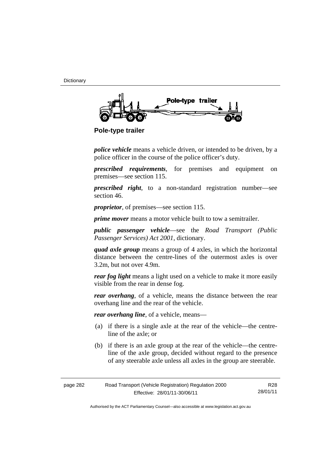**Dictionary** 



 **Pole-type trailer** 

*police vehicle* means a vehicle driven, or intended to be driven, by a police officer in the course of the police officer's duty.

*prescribed requirements*, for premises and equipment on premises—see section 115.

*prescribed right*, to a non-standard registration number—see section 46.

*proprietor*, of premises—see section 115.

*prime mover* means a motor vehicle built to tow a semitrailer.

*public passenger vehicle*—see the *Road Transport (Public Passenger Services) Act 2001*, dictionary.

*quad axle group* means a group of 4 axles, in which the horizontal distance between the centre-lines of the outermost axles is over 3.2m, but not over 4.9m.

*rear fog light* means a light used on a vehicle to make it more easily visible from the rear in dense fog.

*rear overhang*, of a vehicle, means the distance between the rear overhang line and the rear of the vehicle.

*rear overhang line*, of a vehicle, means—

- (a) if there is a single axle at the rear of the vehicle—the centreline of the axle; or
- (b) if there is an axle group at the rear of the vehicle—the centreline of the axle group, decided without regard to the presence of any steerable axle unless all axles in the group are steerable.

| page 282 | Road Transport (Vehicle Registration) Regulation 2000 | R28      |
|----------|-------------------------------------------------------|----------|
|          | Effective: 28/01/11-30/06/11                          | 28/01/11 |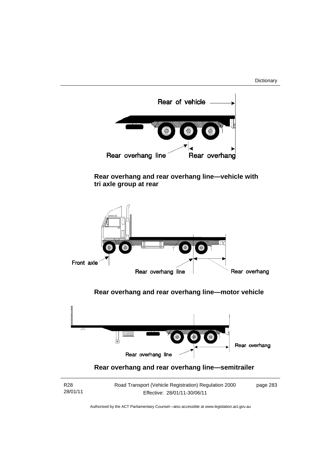**Dictionary** 



 **Rear overhang and rear overhang line—vehicle with tri axle group at rear** 



 **Rear overhang and rear overhang line—motor vehicle** 



| R28      | Road Transport (Vehicle Registration) Regulation 2000 | page 283 |
|----------|-------------------------------------------------------|----------|
| 28/01/11 | Effective: 28/01/11-30/06/11                          |          |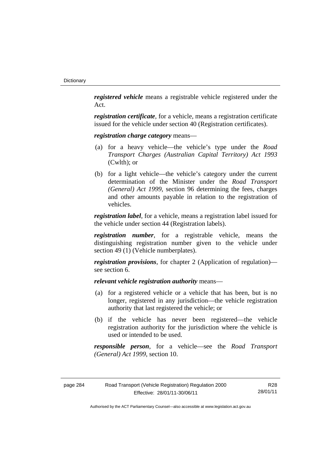*registered vehicle* means a registrable vehicle registered under the Act.

*registration certificate*, for a vehicle, means a registration certificate issued for the vehicle under section 40 (Registration certificates).

*registration charge category* means—

- (a) for a heavy vehicle—the vehicle's type under the *Road Transport Charges (Australian Capital Territory) Act 1993*  (Cwlth); or
- (b) for a light vehicle—the vehicle's category under the current determination of the Minister under the *Road Transport (General) Act 1999*, section 96 determining the fees, charges and other amounts payable in relation to the registration of vehicles.

*registration label*, for a vehicle, means a registration label issued for the vehicle under section 44 (Registration labels).

*registration number*, for a registrable vehicle, means the distinguishing registration number given to the vehicle under section 49 (1) (Vehicle numberplates).

*registration provisions*, for chapter 2 (Application of regulation) see section 6.

*relevant vehicle registration authority* means—

- (a) for a registered vehicle or a vehicle that has been, but is no longer, registered in any jurisdiction—the vehicle registration authority that last registered the vehicle; or
- (b) if the vehicle has never been registered—the vehicle registration authority for the jurisdiction where the vehicle is used or intended to be used.

*responsible person*, for a vehicle—see the *Road Transport (General) Act 1999*, section 10.

| page 284 | Road Transport (Vehicle Registration) Regulation 2000 | R28      |
|----------|-------------------------------------------------------|----------|
|          | Effective: 28/01/11-30/06/11                          | 28/01/11 |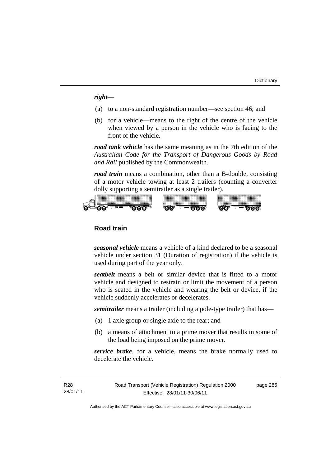*right*—

- (a) to a non-standard registration number—see section 46; and
- (b) for a vehicle—means to the right of the centre of the vehicle when viewed by a person in the vehicle who is facing to the front of the vehicle.

*road tank vehicle* has the same meaning as in the 7th edition of the *Australian Code for the Transport of Dangerous Goods by Road and Rail* published by the Commonwealth.

*road train* means a combination, other than a B-double, consisting of a motor vehicle towing at least 2 trailers (counting a converter dolly supporting a semitrailer as a single trailer).



# **Road train**

*seasonal vehicle* means a vehicle of a kind declared to be a seasonal vehicle under section 31 (Duration of registration) if the vehicle is used during part of the year only.

*seatbelt* means a belt or similar device that is fitted to a motor vehicle and designed to restrain or limit the movement of a person who is seated in the vehicle and wearing the belt or device, if the vehicle suddenly accelerates or decelerates.

*semitrailer* means a trailer (including a pole-type trailer) that has—

- (a) 1 axle group or single axle to the rear; and
- (b) a means of attachment to a prime mover that results in some of the load being imposed on the prime mover.

*service brake*, for a vehicle, means the brake normally used to decelerate the vehicle.

R28 28/01/11 Road Transport (Vehicle Registration) Regulation 2000 Effective: 28/01/11-30/06/11

page 285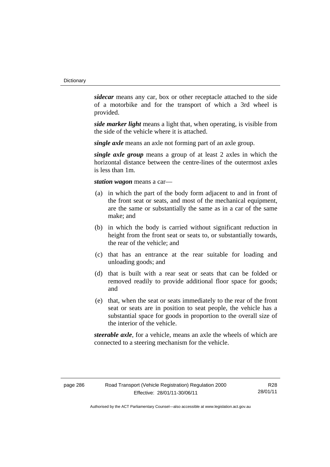*sidecar* means any car, box or other receptacle attached to the side of a motorbike and for the transport of which a 3rd wheel is provided.

*side marker light* means a light that, when operating, is visible from the side of the vehicle where it is attached.

*single axle* means an axle not forming part of an axle group.

*single axle group* means a group of at least 2 axles in which the horizontal distance between the centre-lines of the outermost axles is less than 1m.

*station wagon* means a car—

- (a) in which the part of the body form adjacent to and in front of the front seat or seats, and most of the mechanical equipment, are the same or substantially the same as in a car of the same make; and
- (b) in which the body is carried without significant reduction in height from the front seat or seats to, or substantially towards, the rear of the vehicle; and
- (c) that has an entrance at the rear suitable for loading and unloading goods; and
- (d) that is built with a rear seat or seats that can be folded or removed readily to provide additional floor space for goods; and
- (e) that, when the seat or seats immediately to the rear of the front seat or seats are in position to seat people, the vehicle has a substantial space for goods in proportion to the overall size of the interior of the vehicle.

*steerable axle*, for a vehicle, means an axle the wheels of which are connected to a steering mechanism for the vehicle.

R28 28/01/11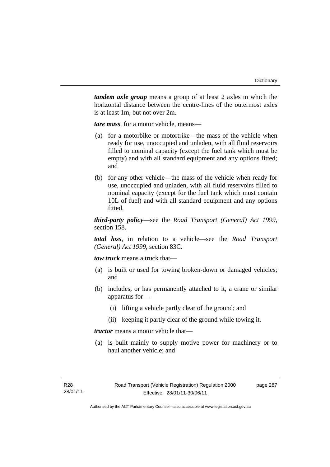*tandem axle group* means a group of at least 2 axles in which the horizontal distance between the centre-lines of the outermost axles is at least 1m, but not over 2m.

*tare mass*, for a motor vehicle, means—

- (a) for a motorbike or motortrike—the mass of the vehicle when ready for use, unoccupied and unladen, with all fluid reservoirs filled to nominal capacity (except the fuel tank which must be empty) and with all standard equipment and any options fitted; and
- (b) for any other vehicle—the mass of the vehicle when ready for use, unoccupied and unladen, with all fluid reservoirs filled to nominal capacity (except for the fuel tank which must contain 10L of fuel) and with all standard equipment and any options fitted.

*third-party policy*—see the *Road Transport (General) Act 1999*, section 158.

*total loss*, in relation to a vehicle—see the *Road Transport (General) Act 1999*, section 83C.

*tow truck* means a truck that—

- (a) is built or used for towing broken-down or damaged vehicles; and
- (b) includes, or has permanently attached to it, a crane or similar apparatus for—
	- (i) lifting a vehicle partly clear of the ground; and
	- (ii) keeping it partly clear of the ground while towing it.

*tractor* means a motor vehicle that—

 (a) is built mainly to supply motive power for machinery or to haul another vehicle; and

page 287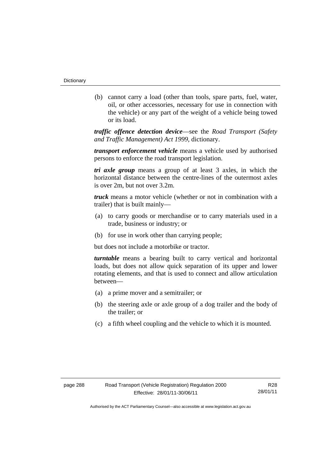(b) cannot carry a load (other than tools, spare parts, fuel, water, oil, or other accessories, necessary for use in connection with the vehicle) or any part of the weight of a vehicle being towed or its load.

*traffic offence detection device*—see the *Road Transport (Safety and Traffic Management) Act 1999*, dictionary.

*transport enforcement vehicle* means a vehicle used by authorised persons to enforce the road transport legislation.

*tri axle group* means a group of at least 3 axles, in which the horizontal distance between the centre-lines of the outermost axles is over 2m, but not over 3.2m.

*truck* means a motor vehicle (whether or not in combination with a trailer) that is built mainly—

- (a) to carry goods or merchandise or to carry materials used in a trade, business or industry; or
- (b) for use in work other than carrying people;

but does not include a motorbike or tractor.

*turntable* means a bearing built to carry vertical and horizontal loads, but does not allow quick separation of its upper and lower rotating elements, and that is used to connect and allow articulation between—

- (a) a prime mover and a semitrailer; or
- (b) the steering axle or axle group of a dog trailer and the body of the trailer; or
- (c) a fifth wheel coupling and the vehicle to which it is mounted.

R28 28/01/11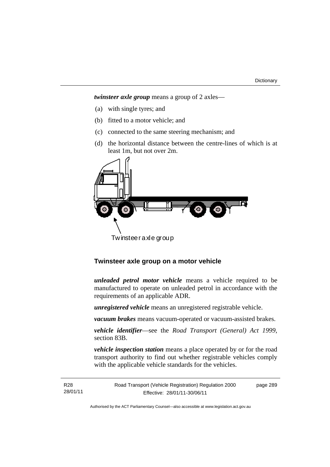page 289

*twinsteer axle group* means a group of 2 axles—

- (a) with single tyres; and
- (b) fitted to a motor vehicle; and
- (c) connected to the same steering mechanism; and
- (d) the horizontal distance between the centre-lines of which is at least 1m, but not over 2m.



Twinsteer axle group

# **Twinsteer axle group on a motor vehicle**

*unleaded petrol motor vehicle* means a vehicle required to be manufactured to operate on unleaded petrol in accordance with the requirements of an applicable ADR.

*unregistered vehicle* means an unregistered registrable vehicle.

*vacuum brakes* means vacuum-operated or vacuum-assisted brakes.

*vehicle identifier*—see the *Road Transport (General) Act 1999*, section 83B.

*vehicle inspection station* means a place operated by or for the road transport authority to find out whether registrable vehicles comply with the applicable vehicle standards for the vehicles.

R28 28/01/11 Road Transport (Vehicle Registration) Regulation 2000 Effective: 28/01/11-30/06/11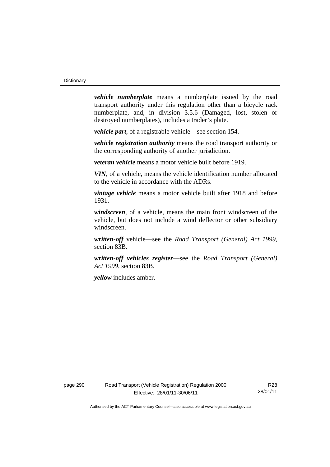*vehicle numberplate* means a numberplate issued by the road transport authority under this regulation other than a bicycle rack numberplate, and, in division 3.5.6 (Damaged, lost, stolen or destroyed numberplates), includes a trader's plate.

*vehicle part*, of a registrable vehicle—see section 154.

*vehicle registration authority* means the road transport authority or the corresponding authority of another jurisdiction.

*veteran vehicle* means a motor vehicle built before 1919.

*VIN*, of a vehicle, means the vehicle identification number allocated to the vehicle in accordance with the ADRs.

*vintage vehicle* means a motor vehicle built after 1918 and before 1931.

*windscreen*, of a vehicle, means the main front windscreen of the vehicle, but does not include a wind deflector or other subsidiary windscreen.

*written-off* vehicle—see the *Road Transport (General) Act 1999*, section 83B.

*written-off vehicles register*—see the *Road Transport (General) Act 1999*, section 83B.

*yellow* includes amber.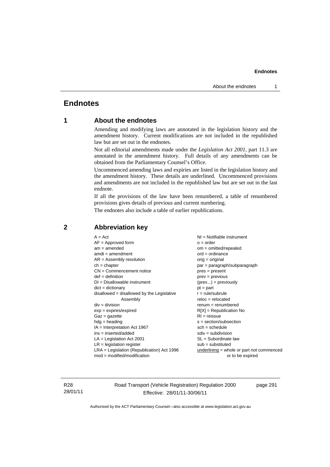# **Endnotes**

# **1 About the endnotes**

Amending and modifying laws are annotated in the legislation history and the amendment history. Current modifications are not included in the republished law but are set out in the endnotes.

Not all editorial amendments made under the *Legislation Act 2001*, part 11.3 are annotated in the amendment history. Full details of any amendments can be obtained from the Parliamentary Counsel's Office.

Uncommenced amending laws and expiries are listed in the legislation history and the amendment history. These details are underlined. Uncommenced provisions and amendments are not included in the republished law but are set out in the last endnote.

If all the provisions of the law have been renumbered, a table of renumbered provisions gives details of previous and current numbering.

The endnotes also include a table of earlier republications.

| $A = Act$<br>$AF =$ Approved form<br>$am = amended$<br>$amdt = amendment$<br>$AR = Assembly$ resolution<br>$ch = chapter$<br>$CN =$ Commencement notice<br>$def = definition$<br>$DI = Disallowable instrument$<br>$dict = dictionary$<br>$disallowed = disallowed by the Legislative$<br>Assembly<br>$div =$ division<br>$exp = expires/expired$<br>$Gaz = gazette$<br>$h dq =$ heading<br>IA = Interpretation Act 1967<br>$ins = inserted/added$<br>$LA =$ Legislation Act 2001<br>$LR =$ legislation register<br>$LRA =$ Legislation (Republication) Act 1996 | NI = Notifiable instrument<br>$o = order$<br>$om = omitted/repealed$<br>$ord = ordinance$<br>orig = original<br>par = paragraph/subparagraph<br>$pres = present$<br>$prev = previous$<br>$(\text{prev}) = \text{previously}$<br>$pt = part$<br>$r = rule/subrule$<br>$reloc = relocated$<br>$renum = renumbered$<br>$R[X]$ = Republication No<br>$RI = reissue$<br>$s = section/subsection$<br>$sch = schedule$<br>$sdiv = subdivision$<br>$SL = Subordinate$ law<br>$sub =$ substituted<br>underlining = whole or part not commenced |
|------------------------------------------------------------------------------------------------------------------------------------------------------------------------------------------------------------------------------------------------------------------------------------------------------------------------------------------------------------------------------------------------------------------------------------------------------------------------------------------------------------------------------------------------------------------|---------------------------------------------------------------------------------------------------------------------------------------------------------------------------------------------------------------------------------------------------------------------------------------------------------------------------------------------------------------------------------------------------------------------------------------------------------------------------------------------------------------------------------------|
| $mod = modified/modification$                                                                                                                                                                                                                                                                                                                                                                                                                                                                                                                                    | or to be expired                                                                                                                                                                                                                                                                                                                                                                                                                                                                                                                      |
|                                                                                                                                                                                                                                                                                                                                                                                                                                                                                                                                                                  |                                                                                                                                                                                                                                                                                                                                                                                                                                                                                                                                       |

# **2 Abbreviation key**

R28 28/01/11 Road Transport (Vehicle Registration) Regulation 2000 Effective: 28/01/11-30/06/11

page 291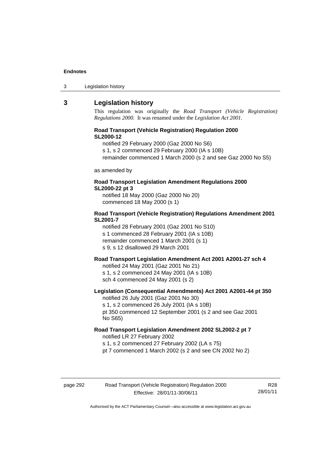| 3 | Legislation history |  |
|---|---------------------|--|
|   |                     |  |

## **3 Legislation history**

This regulation was originally the *Road Transport (Vehicle Registration) Regulations 2000*. It was renamed under the *Legislation Act 2001*.

### **Road Transport (Vehicle Registration) Regulation 2000 SL2000-12**

notified 29 February 2000 (Gaz 2000 No S6)

s 1, s 2 commenced 29 February 2000 (IA s 10B)

remainder commenced 1 March 2000 (s 2 and see Gaz 2000 No S5)

as amended by

### **Road Transport Legislation Amendment Regulations 2000 SL2000-22 pt 3**

notified 18 May 2000 (Gaz 2000 No 20) commenced 18 May 2000 (s 1)

### **Road Transport (Vehicle Registration) Regulations Amendment 2001 SL2001-7**

notified 28 February 2001 (Gaz 2001 No S10) s 1 commenced 28 February 2001 (IA s 10B) remainder commenced 1 March 2001 (s 1) s 9, s 12 disallowed 29 March 2001

# **Road Transport Legislation Amendment Act 2001 A2001-27 sch 4**

notified 24 May 2001 (Gaz 2001 No 21) s 1, s 2 commenced 24 May 2001 (IA s 10B) sch 4 commenced 24 May 2001 (s 2)

### **Legislation (Consequential Amendments) Act 2001 A2001-44 pt 350**  notified 26 July 2001 (Gaz 2001 No 30)

s 1, s 2 commenced 26 July 2001 (IA s 10B) pt 350 commenced 12 September 2001 (s 2 and see Gaz 2001 No S65)

# **Road Transport Legislation Amendment 2002 SL2002-2 pt 7**  notified LR 27 February 2002

s 1, s 2 commenced 27 February 2002 (LA s 75)

pt 7 commenced 1 March 2002 (s 2 and see CN 2002 No 2)

# page 292 Road Transport (Vehicle Registration) Regulation 2000 Effective: 28/01/11-30/06/11

R28 28/01/11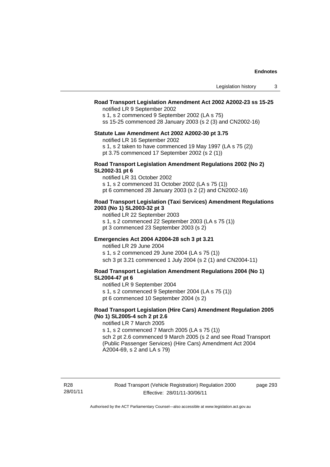## **Road Transport Legislation Amendment Act 2002 A2002-23 ss 15-25**

notified LR 9 September 2002

s 1, s 2 commenced 9 September 2002 (LA s 75)

ss 15-25 commenced 28 January 2003 (s 2 (3) and CN2002-16)

#### **Statute Law Amendment Act 2002 A2002-30 pt 3.75**

notified LR 16 September 2002

- s 1, s 2 taken to have commenced 19 May 1997 (LA s 75 (2))
- pt 3.75 commenced 17 September 2002 (s 2 (1))

#### **Road Transport Legislation Amendment Regulations 2002 (No 2) SL2002-31 pt 6**

notified LR 31 October 2002

s 1, s 2 commenced 31 October 2002 (LA s 75 (1))

pt 6 commenced 28 January 2003 (s 2 (2) and CN2002-16)

#### **Road Transport Legislation (Taxi Services) Amendment Regulations 2003 (No 1) SL2003-32 pt 3**

notified LR 22 September 2003 s 1, s 2 commenced 22 September 2003 (LA s 75 (1))

pt 3 commenced 23 September 2003 (s 2)

### **Emergencies Act 2004 A2004-28 sch 3 pt 3.21**

notified LR 29 June 2004 s 1, s 2 commenced 29 June 2004 (LA s 75 (1)) sch 3 pt 3.21 commenced 1 July 2004 (s 2 (1) and CN2004-11)

#### **Road Transport Legislation Amendment Regulations 2004 (No 1) SL2004-47 pt 6**

notified LR 9 September 2004

s 1, s 2 commenced 9 September 2004 (LA s 75 (1))

pt 6 commenced 10 September 2004 (s 2)

### **Road Transport Legislation (Hire Cars) Amendment Regulation 2005 (No 1) SL2005-4 sch 2 pt 2.6**

notified LR 7 March 2005

s 1, s 2 commenced 7 March 2005 (LA s 75 (1)) sch 2 pt 2.6 commenced 9 March 2005 (s 2 and see Road Transport (Public Passenger Services) (Hire Cars) Amendment Act 2004 A2004-69, s 2 and LA s 79)

Road Transport (Vehicle Registration) Regulation 2000 Effective: 28/01/11-30/06/11

page 293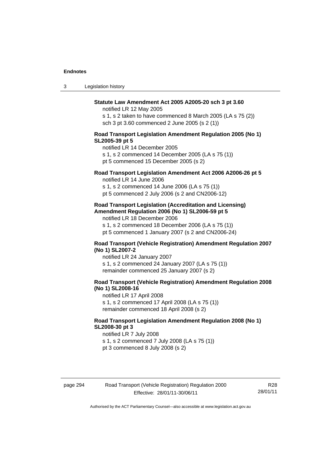| 3 | Legislation history |  |
|---|---------------------|--|
|---|---------------------|--|

## **Statute Law Amendment Act 2005 A2005-20 sch 3 pt 3.60**

notified LR 12 May 2005

s 1, s 2 taken to have commenced 8 March 2005 (LA s 75 (2)) sch 3 pt 3.60 commenced 2 June 2005 (s 2 (1))

#### **Road Transport Legislation Amendment Regulation 2005 (No 1) SL2005-39 pt 5**

notified LR 14 December 2005

s 1, s 2 commenced 14 December 2005 (LA s 75 (1))

pt 5 commenced 15 December 2005 (s 2)

# **Road Transport Legislation Amendment Act 2006 A2006-26 pt 5**

notified LR 14 June 2006

s 1, s 2 commenced 14 June 2006 (LA s 75 (1)) pt 5 commenced 2 July 2006 (s 2 and CN2006-12)

#### **Road Transport Legislation (Accreditation and Licensing) Amendment Regulation 2006 (No 1) SL2006-59 pt 5**

notified LR 18 December 2006

s 1, s 2 commenced 18 December 2006 (LA s 75 (1))

pt 5 commenced 1 January 2007 (s 2 and CN2006-24)

### **Road Transport (Vehicle Registration) Amendment Regulation 2007 (No 1) SL2007-2**

notified LR 24 January 2007 s 1, s 2 commenced 24 January 2007 (LA s 75 (1)) remainder commenced 25 January 2007 (s 2)

#### **Road Transport (Vehicle Registration) Amendment Regulation 2008 (No 1) SL2008-16**

notified LR 17 April 2008 s 1, s 2 commenced 17 April 2008 (LA s 75 (1)) remainder commenced 18 April 2008 (s 2)

### **Road Transport Legislation Amendment Regulation 2008 (No 1) SL2008-30 pt 3**

notified LR 7 July 2008 s 1, s 2 commenced 7 July 2008 (LA s 75 (1)) pt 3 commenced 8 July 2008 (s 2)

R28 28/01/11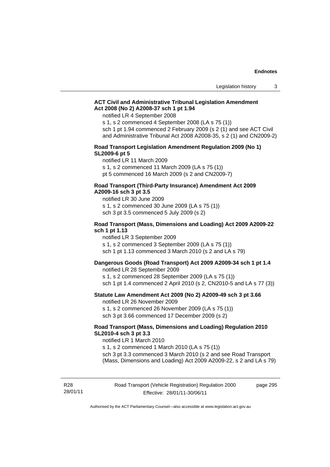## **ACT Civil and Administrative Tribunal Legislation Amendment Act 2008 (No 2) A2008-37 sch 1 pt 1.94**

notified LR 4 September 2008

s 1, s 2 commenced 4 September 2008 (LA s 75 (1))

sch 1 pt 1.94 commenced 2 February 2009 (s 2 (1) and see ACT Civil and Administrative Tribunal Act 2008 A2008-35, s 2 (1) and CN2009-2)

#### **Road Transport Legislation Amendment Regulation 2009 (No 1) SL2009-6 pt 5**

notified LR 11 March 2009

s 1, s 2 commenced 11 March 2009 (LA s 75 (1))

pt 5 commenced 16 March 2009 (s 2 and CN2009-7)

#### **Road Transport (Third-Party Insurance) Amendment Act 2009 A2009-16 sch 3 pt 3.5**

notified LR 30 June 2009

s 1, s 2 commenced 30 June 2009 (LA s 75 (1))

sch 3 pt 3.5 commenced 5 July 2009 (s 2)

#### **Road Transport (Mass, Dimensions and Loading) Act 2009 A2009-22 sch 1 pt 1.13**

notified LR 3 September 2009 s 1, s 2 commenced 3 September 2009 (LA s 75 (1)) sch 1 pt 1.13 commenced 3 March 2010 (s 2 and LA s 79)

#### **Dangerous Goods (Road Transport) Act 2009 A2009-34 sch 1 pt 1.4**

notified LR 28 September 2009

s 1, s 2 commenced 28 September 2009 (LA s 75 (1))

sch 1 pt 1.4 commenced 2 April 2010 (s 2, CN2010-5 and LA s 77 (3))

## **Statute Law Amendment Act 2009 (No 2) A2009-49 sch 3 pt 3.66**

notified LR 26 November 2009

s 1, s 2 commenced 26 November 2009 (LA s 75 (1))

sch 3 pt 3.66 commenced 17 December 2009 (s 2)

# **Road Transport (Mass, Dimensions and Loading) Regulation 2010 SL2010-4 sch 3 pt 3.3**

notified LR 1 March 2010

s 1, s 2 commenced 1 March 2010 (LA s 75 (1)) sch 3 pt 3.3 commenced 3 March 2010 (s 2 and see Road Transport (Mass, Dimensions and Loading) Act 2009 A2009-22, s 2 and LA s 79)

R28 28/01/11 Road Transport (Vehicle Registration) Regulation 2000 Effective: 28/01/11-30/06/11

page 295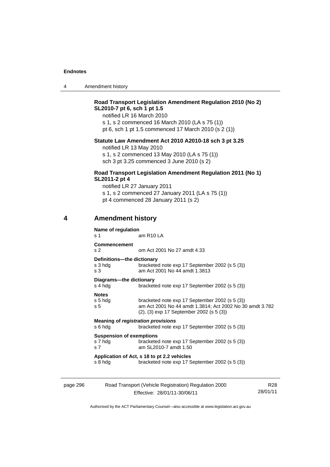| 4 | Amendment history |
|---|-------------------|
|---|-------------------|

# **Road Transport Legislation Amendment Regulation 2010 (No 2) SL2010-7 pt 6, sch 1 pt 1.5**

notified LR 16 March 2010 s 1, s 2 commenced 16 March 2010 (LA s 75 (1)) pt 6, sch 1 pt 1.5 commenced 17 March 2010 (s 2 (1))

# **Statute Law Amendment Act 2010 A2010-18 sch 3 pt 3.25**

notified LR 13 May 2010 s 1, s 2 commenced 13 May 2010 (LA s 75 (1)) sch 3 pt 3.25 commenced 3 June 2010 (s 2)

### **Road Transport Legislation Amendment Regulation 2011 (No 1) SL2011-2 pt 4**

notified LR 27 January 2011 s 1, s 2 commenced 27 January 2011 (LA s 75 (1)) pt 4 commenced 28 January 2011 (s 2)

# **4 Amendment history**

| Name of regulation<br>s 1                                    | am R <sub>10</sub> LA                                                                                                                                  |
|--------------------------------------------------------------|--------------------------------------------------------------------------------------------------------------------------------------------------------|
| Commencement<br>s <sub>2</sub>                               | om Act 2001 No 27 amdt 4.33                                                                                                                            |
| Definitions---the dictionary<br>s 3 hdg<br>s 3               | bracketed note exp 17 September 2002 (s 5 (3))<br>am Act 2001 No 44 amdt 1,3813                                                                        |
| Diagrams---the dictionary<br>s 4 hdg                         | bracketed note exp 17 September 2002 (s 5 (3))                                                                                                         |
| <b>Notes</b><br>s 5 hdg<br>s <sub>5</sub>                    | bracketed note exp 17 September 2002 (s 5 (3))<br>am Act 2001 No 44 amdt 1.3814; Act 2002 No 30 amdt 3.782<br>(2), (3) exp 17 September 2002 (s 5 (3)) |
| Meaning of registration provisions<br>s 6 hdg                | bracketed note exp 17 September 2002 (s 5 (3))                                                                                                         |
| <b>Suspension of exemptions</b><br>s 7 hdg<br>s <sub>7</sub> | bracketed note exp 17 September 2002 (s 5 (3))<br>am SL2010-7 amdt 1.50                                                                                |
| s 8 hdg                                                      | Application of Act, s 18 to pt 2.2 vehicles<br>bracketed note exp 17 September 2002 (s 5 (3))                                                          |
|                                                              |                                                                                                                                                        |

| page 296 | Road Transport (Vehicle Registration) Regulation 2000 | R28      |
|----------|-------------------------------------------------------|----------|
|          | Effective: 28/01/11-30/06/11                          | 28/01/11 |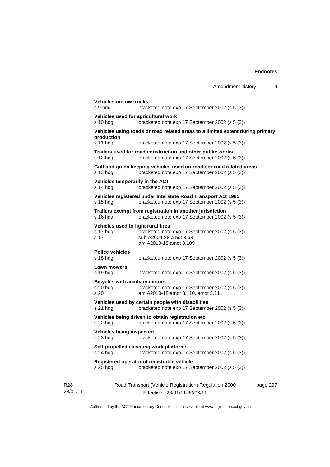|                             | <b>Vehicles on tow trucks</b><br>s 9 hdg                    | bracketed note exp 17 September 2002 (s 5 (3))                                                                                  |          |
|-----------------------------|-------------------------------------------------------------|---------------------------------------------------------------------------------------------------------------------------------|----------|
|                             | Vehicles used for agricultural work<br>s 10 hdg             | bracketed note exp 17 September 2002 (s 5 (3))                                                                                  |          |
|                             | production<br>s 11 hdg                                      | Vehicles using roads or road related areas to a limited extent during primary<br>bracketed note exp 17 September 2002 (s 5 (3)) |          |
|                             | s 12 $hdg$                                                  | Trailers used for road construction and other public works<br>bracketed note exp 17 September 2002 (s 5 (3))                    |          |
|                             | s 13 hdg                                                    | Golf and green keeping vehicles used on roads or road related areas<br>bracketed note exp 17 September 2002 (s 5 (3))           |          |
|                             | Vehicles temporarily in the ACT<br>s 14 hdg                 | bracketed note exp 17 September 2002 (s 5 (3))                                                                                  |          |
|                             | $s$ 15 hdg                                                  | Vehicles registered under Interstate Road Transport Act 1985<br>bracketed note exp 17 September 2002 (s 5 (3))                  |          |
|                             | $s$ 16 hdg                                                  | Trailers exempt from registration in another jurisdiction<br>bracketed note exp 17 September 2002 (s 5 (3))                     |          |
|                             | Vehicles used to fight rural fires<br>s 17 hdg<br>s 17      | bracketed note exp 17 September 2002 (s 5 (3))<br>sub A2004-28 amdt 3.63<br>am A2010-18 amdt 3.109                              |          |
|                             | <b>Police vehicles</b><br>$s$ 18 hdg                        | bracketed note exp 17 September 2002 (s 5 (3))                                                                                  |          |
|                             | Lawn mowers<br>$s$ 19 hdg                                   | bracketed note exp 17 September 2002 (s 5 (3))                                                                                  |          |
|                             | <b>Bicycles with auxiliary motors</b><br>$s$ 20 hdg<br>s 20 | bracketed note exp 17 September 2002 (s 5 (3))<br>am A2010-18 amdt 3.110, amdt 3.111                                            |          |
|                             | $s21$ hdg                                                   | Vehicles used by certain people with disabilities<br>bracketed note exp 17 September 2002 (s 5 (3))                             |          |
|                             | s $22$ hdg                                                  | Vehicles being driven to obtain registration etc<br>bracketed note exp 17 September 2002 (s 5 (3))                              |          |
|                             | Vehicles being inspected<br>s 23 hdg                        | bracketed note exp 17 September 2002 (s 5 (3))                                                                                  |          |
|                             | $s$ 24 hdg                                                  | Self-propelled elevating work platforms<br>bracketed note exp 17 September 2002 (s 5 (3))                                       |          |
|                             | s 25 hdg                                                    | Registered operator of registrable vehicle<br>bracketed note exp 17 September 2002 (s 5 (3))                                    |          |
| R <sub>28</sub><br>28/01/11 |                                                             | Road Transport (Vehicle Registration) Regulation 2000<br>Effective: 28/01/11-30/06/11                                           | page 297 |

Authorised by the ACT Parliamentary Counsel—also accessible at www.legislation.act.gov.au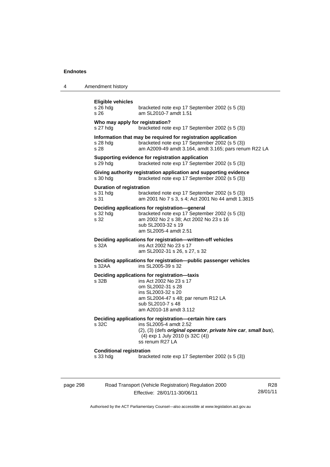page 298

4 Amendment history

| <b>Eligible vehicles</b><br>$s$ 26 hdg<br>s 26      | bracketed note exp 17 September 2002 (s 5 (3))<br>am SL2010-7 amdt 1.51                                                                                                                                     |                 |
|-----------------------------------------------------|-------------------------------------------------------------------------------------------------------------------------------------------------------------------------------------------------------------|-----------------|
| Who may apply for registration?<br>s 27 hdg         | bracketed note exp 17 September 2002 (s 5 (3))                                                                                                                                                              |                 |
| $s$ 28 hdg<br>s 28                                  | Information that may be required for registration application<br>bracketed note exp 17 September 2002 (s 5 (3))<br>am A2009-49 amdt 3.164, amdt 3.165; pars renum R22 LA                                    |                 |
| s 29 hdg                                            | Supporting evidence for registration application<br>bracketed note exp 17 September 2002 (s 5 (3))                                                                                                          |                 |
| s 30 hdg                                            | Giving authority registration application and supporting evidence<br>bracketed note exp 17 September 2002 (s 5 (3))                                                                                         |                 |
| <b>Duration of registration</b><br>s 31 hdg<br>s 31 | bracketed note exp 17 September 2002 (s 5 (3))<br>am 2001 No 7 s 3, s 4; Act 2001 No 44 amdt 1.3815                                                                                                         |                 |
| s 32 hdg<br>s 32                                    | Deciding applications for registration-general<br>bracketed note exp 17 September 2002 (s 5 (3))<br>am 2002 No 2 s 38; Act 2002 No 23 s 16<br>sub SL2003-32 s 19<br>am SL2005-4 amdt 2.51                   |                 |
| s 32A                                               | Deciding applications for registration-written-off vehicles<br>ins Act 2002 No 23 s 17<br>am SL2002-31 s 26, s 27, s 32                                                                                     |                 |
| s 32AA                                              | Deciding applications for registration--public passenger vehicles<br>ins SL2005-39 s 32                                                                                                                     |                 |
| s 32B                                               | Deciding applications for registration-taxis<br>ins Act 2002 No 23 s 17<br>om SL2002-31 s 28<br>ins SL2003-32 s 20<br>am SL2004-47 s 48; par renum R12 LA<br>sub SL2010-7 s 48<br>am A2010-18 amdt 3.112    |                 |
| s 32C                                               | Deciding applications for registration-certain hire cars<br>ins SL2005-4 amdt 2.52<br>(2), (3) (defs original operator, private hire car, small bus),<br>(4) exp 1 July 2010 (s 32C (4))<br>ss renum R27 LA |                 |
| <b>Conditional registration</b><br>s 33 hdg         | bracketed note exp 17 September 2002 (s 5 (3))                                                                                                                                                              |                 |
|                                                     | Road Transport (Vehicle Registration) Regulation 2000<br>Effective: 28/01/11-30/06/11                                                                                                                       | R28<br>28/01/11 |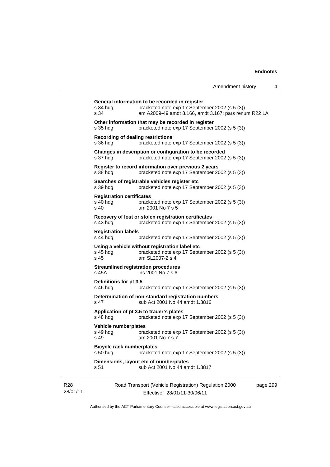| s 51                                                   | sub Act 2001 No 44 amdt 1.3817                                                                                      |  |
|--------------------------------------------------------|---------------------------------------------------------------------------------------------------------------------|--|
| <b>Bicycle rack numberplates</b><br>s 50 hdg           | bracketed note exp 17 September 2002 (s 5 (3))<br>Dimensions, layout etc of numberplates                            |  |
| Vehicle numberplates<br>s 49 hdg<br>s 49               | bracketed note exp 17 September 2002 (s 5 (3))<br>am 2001 No 7 s 7                                                  |  |
| s 48 hda                                               | Application of pt 3.5 to trader's plates<br>bracketed note exp 17 September 2002 (s 5 (3))                          |  |
| s 47                                                   | Determination of non-standard registration numbers<br>sub Act 2001 No 44 amdt 1.3816                                |  |
| Definitions for pt 3.5<br>$s$ 46 hdg                   | bracketed note exp 17 September 2002 (s 5 (3))                                                                      |  |
| s 45A                                                  | <b>Streamlined registration procedures</b><br>ins 2001 No 7 s 6                                                     |  |
| s 45 hda<br>s 45                                       | Using a vehicle without registration label etc<br>bracketed note exp 17 September 2002 (s 5 (3))<br>am SL2007-2 s 4 |  |
| <b>Registration labels</b><br>$s$ 44 hdg               | bracketed note exp 17 September 2002 (s 5 (3))                                                                      |  |
| s 43 hdg                                               | Recovery of lost or stolen registration certificates<br>bracketed note exp 17 September 2002 (s 5 (3))              |  |
| <b>Registration certificates</b><br>$s$ 40 hdg<br>s 40 | bracketed note exp 17 September 2002 (s 5 (3))<br>am 2001 No 7 s 5                                                  |  |
| s 39 hdg                                               | Searches of registrable vehicles register etc<br>bracketed note exp 17 September 2002 (s 5 (3))                     |  |
| s 38 hda                                               | Register to record information over previous 2 years<br>bracketed note exp 17 September 2002 (s 5 (3))              |  |
| s 37 hdg                                               | Changes in description or configuration to be recorded<br>bracketed note exp 17 September 2002 (s 5 (3))            |  |
| <b>Recording of dealing restrictions</b><br>s 36 hdg   | bracketed note exp 17 September 2002 (s 5 (3))                                                                      |  |
| s 35 hdg                                               | Other information that may be recorded in register<br>bracketed note exp 17 September 2002 (s 5 (3))                |  |
| s 34 hda<br>s 34                                       | bracketed note exp 17 September 2002 (s 5 (3))<br>am A2009-49 amdt 3.166, amdt 3.167; pars renum R22 LA             |  |

Authorised by the ACT Parliamentary Counsel—also accessible at www.legislation.act.gov.au

Effective: 28/01/11-30/06/11

R28 28/01/11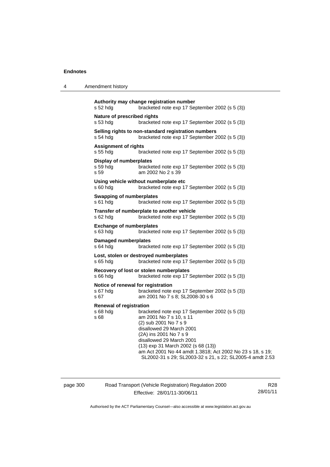| Amendment history |
|-------------------|
|                   |

```
Authority may change registration number 
s 52 hdg bracketed note exp 17 September 2002 (s 5 (3)) 
Nature of prescribed rights 
s 53 hdg bracketed note exp 17 September 2002 (s 5 (3)) 
Selling rights to non-standard registration numbers 
s 54 hdg bracketed note exp 17 September 2002 (s 5 (3)) 
Assignment of rights 
s 55 hdg bracketed note exp 17 September 2002 (s 5 (3)) 
Display of numberplates 
s 59 hdg bracketed note exp 17 September 2002 (s 5 (3)) 
s 59 am 2002 No 2 s 39 
Using vehicle without numberplate etc 
s 60 hdg bracketed note exp 17 September 2002 (s 5 (3)) 
Swapping of numberplates 
s 61 hdg bracketed note exp 17 September 2002 (s 5 (3)) 
Transfer of numberplate to another vehicle 
s 62 hdg bracketed note exp 17 September 2002 (s 5 (3)) 
Exchange of numberplates 
s 63 hdg bracketed note exp 17 September 2002 (s 5 (3)) 
Damaged numberplates 
s 64 hdg bracketed note exp 17 September 2002 (s 5 (3)) 
Lost, stolen or destroyed numberplates 
s 65 hdg bracketed note exp 17 September 2002 (s 5 (3)) 
Recovery of lost or stolen numberplates 
s 66 hdg bracketed note exp 17 September 2002 (s 5 (3)) 
Notice of renewal for registration
s 67 hdg bracketed note exp 17 September 2002 (s 5 (3)) 
s 67 am 2001 No 7 s 8; SL2008-30 s 6 
Renewal of registration 
s 68 hdg bracketed note exp 17 September 2002 (s 5 (3)) 
s 68 am 2001 No 7 s 10, s 11 
                  (2) sub 2001 No 7 s 9 
                  disallowed 29 March 2001 
                  (2A) ins 2001 No 7 s 9 
                  disallowed 29 March 2001 
                  (13) exp 31 March 2002 (s 68 (13)) 
                  am Act 2001 No 44 amdt 1.3818; Act 2002 No 23 s 18, s 19; 
                  SL2002-31 s 29; SL2003-32 s 21, s 22; SL2005-4 amdt 2.53
```

| page 300 |  |  |
|----------|--|--|
|          |  |  |

Road Transport (Vehicle Registration) Regulation 2000 Effective: 28/01/11-30/06/11

R28 28/01/11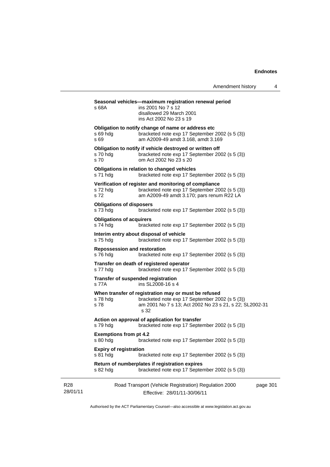|                                                     | Amendment history                                                                                                                                                         | 4        |
|-----------------------------------------------------|---------------------------------------------------------------------------------------------------------------------------------------------------------------------------|----------|
| s 68A                                               | Seasonal vehicles-maximum registration renewal period<br>ins 2001 No 7 s 12<br>disallowed 29 March 2001<br>ins Act 2002 No 23 s 19                                        |          |
| s 69 hdg<br>s 69                                    | Obligation to notify change of name or address etc<br>bracketed note exp 17 September 2002 (s 5 (3))<br>am A2009-49 amdt 3.168, amdt 3.169                                |          |
| s 70 hdg<br>s 70                                    | Obligation to notify if vehicle destroyed or written off<br>bracketed note exp 17 September 2002 (s 5 (3))<br>om Act 2002 No 23 s 20                                      |          |
| s 71 hdg                                            | Obligations in relation to changed vehicles<br>bracketed note exp 17 September 2002 (s 5 (3))                                                                             |          |
| s 72 hdg<br>s 72                                    | Verification of register and monitoring of compliance<br>bracketed note exp 17 September 2002 (s 5 (3))<br>am A2009-49 amdt 3.170; pars renum R22 LA                      |          |
| <b>Obligations of disposers</b><br>s 73 hdg         | bracketed note exp 17 September 2002 (s 5 (3))                                                                                                                            |          |
| <b>Obligations of acquirers</b><br>s 74 hdg         | bracketed note exp 17 September 2002 (s 5 (3))                                                                                                                            |          |
| Interim entry about disposal of vehicle<br>s 75 hdg | bracketed note exp 17 September 2002 (s 5 (3))                                                                                                                            |          |
| <b>Repossession and restoration</b><br>s 76 hdg     | bracketed note exp 17 September 2002 (s 5 (3))                                                                                                                            |          |
| s 77 hdg                                            | Transfer on death of registered operator<br>bracketed note exp 17 September 2002 (s 5 (3))                                                                                |          |
| Transfer of suspended registration<br>s 77A         | ins SL2008-16 s 4                                                                                                                                                         |          |
| s 78 hdg<br>s 78                                    | When transfer of registration may or must be refused<br>bracketed note exp 17 September 2002 (s 5 (3))<br>am 2001 No 7 s 13; Act 2002 No 23 s 21, s 22; SL2002-31<br>s 32 |          |
| s 79 hdg                                            | Action on approval of application for transfer<br>bracketed note exp 17 September 2002 (s 5 (3))                                                                          |          |
| <b>Exemptions from pt 4.2</b><br>s 80 hdg           | bracketed note exp 17 September 2002 (s 5 (3))                                                                                                                            |          |
| <b>Expiry of registration</b><br>s 81 hdg           | bracketed note exp 17 September 2002 (s 5 (3))                                                                                                                            |          |
| s 82 hdg                                            | Return of numberplates if registration expires<br>bracketed note exp 17 September 2002 (s 5 (3))                                                                          |          |
|                                                     | Road Transport (Vehicle Registration) Regulation 2000<br>Effective: 28/01/11-30/06/11                                                                                     | page 301 |

Authorised by the ACT Parliamentary Counsel—also accessible at www.legislation.act.gov.au

R28 28/01/11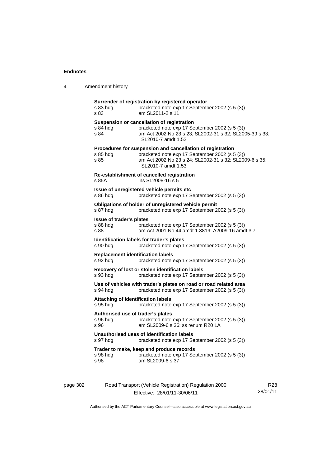| 4 | Amendment history |
|---|-------------------|
|---|-------------------|

| s 83 hdg<br>s 83                                      | Surrender of registration by registered operator<br>bracketed note exp 17 September 2002 (s 5 (3))<br>am SL2011-2 s 11                                                                       |
|-------------------------------------------------------|----------------------------------------------------------------------------------------------------------------------------------------------------------------------------------------------|
| s 84 hdg<br>s 84                                      | Suspension or cancellation of registration<br>bracketed note exp 17 September 2002 (s 5 (3))<br>am Act 2002 No 23 s 23; SL2002-31 s 32; SL2005-39 s 33;<br>SL2010-7 amdt 1.52                |
| s 85 hdg<br>s 85                                      | Procedures for suspension and cancellation of registration<br>bracketed note exp 17 September 2002 (s 5 (3))<br>am Act 2002 No 23 s 24; SL2002-31 s 32; SL2009-6 s 35;<br>SL2010-7 amdt 1.53 |
| s 85A                                                 | Re-establishment of cancelled registration<br>ins SL2008-16 s 5                                                                                                                              |
| s 86 hdg                                              | Issue of unregistered vehicle permits etc<br>bracketed note exp 17 September 2002 (s 5 (3))                                                                                                  |
| s 87 hdg                                              | Obligations of holder of unregistered vehicle permit<br>bracketed note exp 17 September 2002 (s 5 (3))                                                                                       |
| Issue of trader's plates<br>s 88 hdg<br>s 88          | bracketed note exp 17 September 2002 (s 5 (3))<br>am Act 2001 No 44 amdt 1.3819; A2009-16 amdt 3.7                                                                                           |
| s 90 hdg                                              | Identification labels for trader's plates<br>bracketed note exp 17 September 2002 (s 5 (3))                                                                                                  |
| <b>Replacement identification labels</b><br>s 92 hdg  | bracketed note exp 17 September 2002 (s 5 (3))                                                                                                                                               |
| s 93 hdg                                              | Recovery of lost or stolen identification labels<br>bracketed note exp 17 September 2002 (s 5 (3))                                                                                           |
| s 94 hdg                                              | Use of vehicles with trader's plates on road or road related area<br>bracketed note exp 17 September 2002 (s 5 (3))                                                                          |
| <b>Attaching of identification labels</b><br>s 95 hdg | bracketed note exp 17 September 2002 (s 5 (3))                                                                                                                                               |
| Authorised use of trader's plates<br>s 96 hdg<br>s 96 | bracketed note exp 17 September 2002 (s 5 (3))<br>am SL2009-6 s 36; ss renum R20 LA                                                                                                          |
| s 97 hdg                                              | Unauthorised uses of identification labels<br>bracketed note exp 17 September 2002 (s 5 (3))                                                                                                 |
| s 98 hdg<br>s 98                                      | Trader to make, keep and produce records<br>bracketed note exp 17 September 2002 (s 5 (3))<br>am SL2009-6 s 37                                                                               |
|                                                       |                                                                                                                                                                                              |

| page 302 | Road Transport (Vehicle Registration) Regulation 2000 | R28      |
|----------|-------------------------------------------------------|----------|
|          | Effective: 28/01/11-30/06/11                          | 28/01/11 |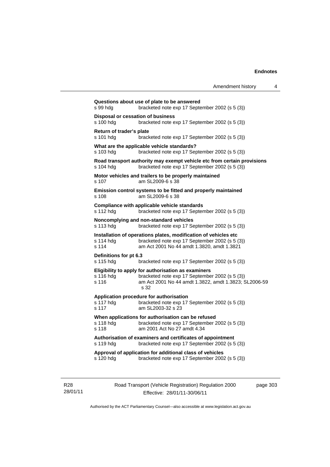| s 99 hdg                              | bracketed note exp 17 September 2002 (s 5 (3))                                                                                                                         |
|---------------------------------------|------------------------------------------------------------------------------------------------------------------------------------------------------------------------|
| s 100 hdg                             | Disposal or cessation of business<br>bracketed note exp 17 September 2002 (s 5 (3))                                                                                    |
| Return of trader's plate<br>s 101 hdg | bracketed note exp 17 September 2002 (s 5 (3))                                                                                                                         |
| s 103 hdg                             | What are the applicable vehicle standards?<br>bracketed note exp 17 September 2002 (s 5 (3))                                                                           |
| s 104 hdg                             | Road transport authority may exempt vehicle etc from certain provisions<br>bracketed note exp 17 September 2002 (s 5 (3))                                              |
| s 107                                 | Motor vehicles and trailers to be properly maintained<br>am SL2009-6 s 38                                                                                              |
| s 108                                 | Emission control systems to be fitted and properly maintained<br>am SL2009-6 s 38                                                                                      |
| s 112 hdg                             | Compliance with applicable vehicle standards<br>bracketed note exp 17 September 2002 (s 5 (3))                                                                         |
| s 113 hdg                             | Noncomplying and non-standard vehicles<br>bracketed note exp 17 September 2002 (s 5 (3))                                                                               |
| s 114 hdg<br>s 114                    | Installation of operations plates, modification of vehicles etc<br>bracketed note exp 17 September 2002 (s 5 (3))<br>am Act 2001 No 44 amdt 1.3820, amdt 1.3821        |
| Definitions for pt 6.3<br>s 115 hdg   | bracketed note exp 17 September 2002 (s 5 (3))                                                                                                                         |
| s 116 hdg<br>s 116                    | Eligibility to apply for authorisation as examiners<br>bracketed note exp 17 September 2002 (s 5 (3))<br>am Act 2001 No 44 amdt 1.3822, amdt 1.3823; SL2006-59<br>s 32 |
| s 117 hdg<br>s 117                    | Application procedure for authorisation<br>bracketed note exp 17 September 2002 (s 5 (3))<br>am SL2003-32 s 23                                                         |
| s 118 hdg<br>s 118                    | When applications for authorisation can be refused<br>bracketed note exp 17 September 2002 (s 5 (3))<br>am 2001 Act No 27 amdt 4.34                                    |
| s 119 hdg                             | Authorisation of examiners and certificates of appointment<br>bracketed note exp 17 September 2002 (s 5 (3))                                                           |
| s 120 hdg                             | Approval of application for additional class of vehicles<br>bracketed note exp 17 September 2002 (s 5 (3))                                                             |

R28 28/01/11 Road Transport (Vehicle Registration) Regulation 2000 Effective: 28/01/11-30/06/11

page 303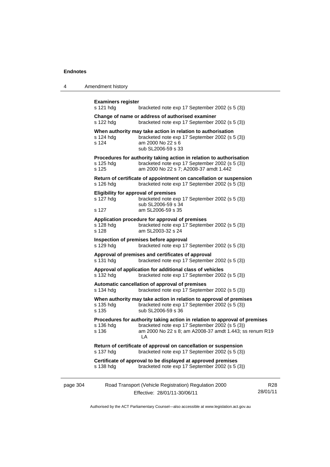| 4 | Amendment history |
|---|-------------------|
|---|-------------------|

|          | <b>Examiners register</b><br>s 121 hdg                                                                                                      | bracketed note exp 17 September 2002 (s 5 (3))                                                                                                                                                |                        |  |  |
|----------|---------------------------------------------------------------------------------------------------------------------------------------------|-----------------------------------------------------------------------------------------------------------------------------------------------------------------------------------------------|------------------------|--|--|
|          | s 122 hdg                                                                                                                                   | Change of name or address of authorised examiner<br>bracketed note exp 17 September 2002 (s 5 (3))                                                                                            |                        |  |  |
|          | s 124 hdg<br>s 124                                                                                                                          | When authority may take action in relation to authorisation<br>bracketed note exp 17 September 2002 (s 5 (3))<br>am 2000 No 22 s 6<br>sub SL2006-59 s 33                                      |                        |  |  |
|          | s 125 hdg<br>s 125                                                                                                                          | Procedures for authority taking action in relation to authorisation<br>bracketed note exp 17 September 2002 (s 5 (3))<br>am 2000 No 22 s 7; A2008-37 amdt 1.442                               |                        |  |  |
|          | s 126 hdg                                                                                                                                   | Return of certificate of appointment on cancellation or suspension<br>bracketed note exp 17 September 2002 (s 5 (3))                                                                          |                        |  |  |
|          | s 127 hdg<br>s 127                                                                                                                          | <b>Eligibility for approval of premises</b><br>bracketed note exp 17 September 2002 (s 5 (3))<br>sub SL2006-59 s 34<br>am SL2006-59 s 35                                                      |                        |  |  |
|          | Application procedure for approval of premises<br>s 128 hdg<br>bracketed note exp 17 September 2002 (s 5 (3))<br>s 128<br>am SL2003-32 s 24 |                                                                                                                                                                                               |                        |  |  |
|          | s 129 hdg                                                                                                                                   | Inspection of premises before approval<br>bracketed note exp 17 September 2002 (s 5 (3))                                                                                                      |                        |  |  |
|          | Approval of premises and certificates of approval<br>s 131 hdg<br>bracketed note exp 17 September 2002 (s 5 (3))                            |                                                                                                                                                                                               |                        |  |  |
|          | Approval of application for additional class of vehicles<br>s 132 hdg<br>bracketed note exp 17 September 2002 (s 5 (3))                     |                                                                                                                                                                                               |                        |  |  |
|          | Automatic cancellation of approval of premises<br>s 134 hdg<br>bracketed note exp 17 September 2002 (s 5 (3))                               |                                                                                                                                                                                               |                        |  |  |
|          | s 135 hdg<br>s 135                                                                                                                          | When authority may take action in relation to approval of premises<br>bracketed note exp 17 September 2002 (s 5 (3))<br>sub SL2006-59 s 36                                                    |                        |  |  |
|          | s 136 hdg<br>s 136                                                                                                                          | Procedures for authority taking action in relation to approval of premises<br>bracketed note exp 17 September 2002 (s 5 (3))<br>am 2000 No 22 s 8; am A2008-37 amdt 1.443; ss renum R19<br>LA |                        |  |  |
|          | Return of certificate of approval on cancellation or suspension<br>s 137 hdg<br>bracketed note exp 17 September 2002 (s 5 (3))              |                                                                                                                                                                                               |                        |  |  |
|          | s 138 hdg                                                                                                                                   | Certificate of approval to be displayed at approved premises<br>bracketed note exp 17 September 2002 (s 5 (3))                                                                                |                        |  |  |
| page 304 |                                                                                                                                             | Road Transport (Vehicle Registration) Regulation 2000<br>Effective: 28/01/11-30/06/11                                                                                                         | <b>R28</b><br>28/01/11 |  |  |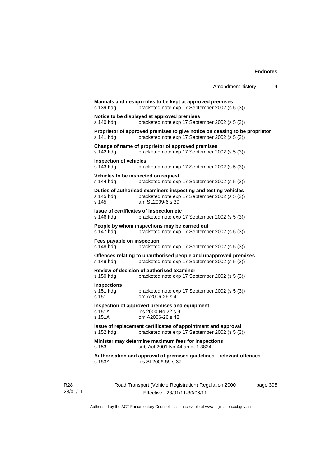|                                                                                                                           |                                                                                                                                      | Amendment history | 4 |  |  |
|---------------------------------------------------------------------------------------------------------------------------|--------------------------------------------------------------------------------------------------------------------------------------|-------------------|---|--|--|
| Manuals and design rules to be kept at approved premises<br>bracketed note exp 17 September 2002 (s 5 (3))<br>s 139 hdg   |                                                                                                                                      |                   |   |  |  |
| s 140 hdg                                                                                                                 | Notice to be displayed at approved premises<br>bracketed note exp 17 September 2002 (s 5 (3))                                        |                   |   |  |  |
| s 141 hdg                                                                                                                 | Proprietor of approved premises to give notice on ceasing to be proprietor<br>bracketed note exp 17 September 2002 (s 5 (3))         |                   |   |  |  |
| s 142 hdg                                                                                                                 | Change of name of proprietor of approved premises<br>bracketed note exp 17 September 2002 (s 5 (3))                                  |                   |   |  |  |
| <b>Inspection of vehicles</b><br>s 143 hdg                                                                                | bracketed note exp 17 September 2002 (s 5 (3))                                                                                       |                   |   |  |  |
| Vehicles to be inspected on request<br>s 144 hdg                                                                          | bracketed note exp 17 September 2002 (s 5 (3))                                                                                       |                   |   |  |  |
| s 145 hdg<br>s 145                                                                                                        | Duties of authorised examiners inspecting and testing vehicles<br>bracketed note exp 17 September 2002 (s 5 (3))<br>am SL2009-6 s 39 |                   |   |  |  |
| Issue of certificates of inspection etc<br>s 146 hdg                                                                      | bracketed note exp 17 September 2002 (s 5 (3))                                                                                       |                   |   |  |  |
| s 147 hdg                                                                                                                 | People by whom inspections may be carried out<br>bracketed note exp 17 September 2002 (s 5 (3))                                      |                   |   |  |  |
| Fees payable on inspection<br>s 148 hdg                                                                                   | bracketed note exp 17 September 2002 (s 5 (3))                                                                                       |                   |   |  |  |
| s 149 hdg                                                                                                                 | Offences relating to unauthorised people and unapproved premises<br>bracketed note exp 17 September 2002 (s 5 (3))                   |                   |   |  |  |
| Review of decision of authorised examiner<br>bracketed note exp 17 September 2002 (s 5 (3))<br>s 150 hdg                  |                                                                                                                                      |                   |   |  |  |
| <b>Inspections</b><br>s 151 hdg<br>s 151                                                                                  | bracketed note exp 17 September 2002 (s 5 (3))<br>om A2006-26 s 41                                                                   |                   |   |  |  |
| s 151A<br>s 151A                                                                                                          | Inspection of approved premises and equipment<br>ins 2000 No 22 s 9<br>om A2006-26 s 42                                              |                   |   |  |  |
| Issue of replacement certificates of appointment and approval<br>s 152 hdg bracketed note exp 17 September 2002 (s 5 (3)) |                                                                                                                                      |                   |   |  |  |
| Minister may determine maximum fees for inspections<br>sub Act 2001 No 44 amdt 1.3824<br>s 153                            |                                                                                                                                      |                   |   |  |  |
| s 153A                                                                                                                    | Authorisation and approval of premises guidelines-relevant offences<br>ins SL2006-59 s 37                                            |                   |   |  |  |
|                                                                                                                           |                                                                                                                                      |                   |   |  |  |

R28 28/01/11 Road Transport (Vehicle Registration) Regulation 2000 Effective: 28/01/11-30/06/11

page 305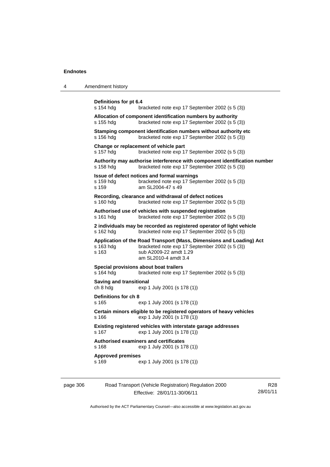| 4 | Amendment history                                                                                                                                                                              |  |  |  |
|---|------------------------------------------------------------------------------------------------------------------------------------------------------------------------------------------------|--|--|--|
|   | Definitions for pt 6.4<br>s 154 hdg<br>bracketed note exp 17 September 2002 (s 5 (3))                                                                                                          |  |  |  |
|   | Allocation of component identification numbers by authority<br>bracketed note exp 17 September 2002 (s 5 (3))<br>s 155 hdg                                                                     |  |  |  |
|   | Stamping component identification numbers without authority etc<br>s 156 hdg<br>bracketed note exp 17 September 2002 (s 5 (3))                                                                 |  |  |  |
|   | Change or replacement of vehicle part<br>s 157 hdg<br>bracketed note exp 17 September 2002 (s 5 (3))                                                                                           |  |  |  |
|   | Authority may authorise interference with component identification number<br>s 158 hdg<br>bracketed note exp 17 September 2002 (s 5 (3))                                                       |  |  |  |
|   | Issue of defect notices and formal warnings<br>bracketed note exp 17 September 2002 (s 5 (3))<br>s 159 hdg<br>s 159<br>am SL2004-47 s 49                                                       |  |  |  |
|   | Recording, clearance and withdrawal of defect notices<br>bracketed note exp 17 September 2002 (s 5 (3))<br>s 160 hdg                                                                           |  |  |  |
|   | Authorised use of vehicles with suspended registration<br>bracketed note exp 17 September 2002 (s 5 (3))<br>s 161 hdg                                                                          |  |  |  |
|   | 2 individuals may be recorded as registered operator of light vehicle<br>s 162 hdg<br>bracketed note exp 17 September 2002 (s 5 (3))                                                           |  |  |  |
|   | Application of the Road Transport (Mass, Dimensions and Loading) Act<br>bracketed note exp 17 September 2002 (s 5 (3))<br>s 163 hdg<br>sub A2009-22 amdt 1.29<br>s 163<br>am SL2010-4 amdt 3.4 |  |  |  |
|   | Special provisions about boat trailers<br>s 164 hdg<br>bracketed note exp 17 September 2002 (s 5 (3))                                                                                          |  |  |  |
|   | <b>Saving and transitional</b><br>ch 8 hdg<br>exp 1 July 2001 (s 178 (1))                                                                                                                      |  |  |  |
|   | Definitions for ch 8<br>s 165<br>exp 1 July 2001 (s 178 (1))                                                                                                                                   |  |  |  |
|   | Certain minors eligible to be registered operators of heavy vehicles<br>s 166<br>exp 1 July 2001 (s 178 (1))                                                                                   |  |  |  |
|   | Existing registered vehicles with interstate garage addresses<br>s 167 exp 1 July 2001 (s 178 (1))                                                                                             |  |  |  |
|   | <b>Authorised examiners and certificates</b><br>exp 1 July 2001 (s 178 (1))<br>s 168                                                                                                           |  |  |  |
|   | <b>Approved premises</b><br>s 169<br>exp 1 July 2001 (s 178 (1))                                                                                                                               |  |  |  |
|   |                                                                                                                                                                                                |  |  |  |

| page 306 | Road Transport (Vehicle Registration) Regulation 2000 | R28      |
|----------|-------------------------------------------------------|----------|
|          | Effective: 28/01/11-30/06/11                          | 28/01/11 |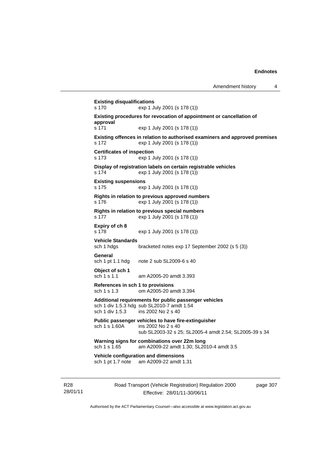**Existing disqualifications**  s 170 exp 1 July 2001 (s 178 (1)) **Existing procedures for revocation of appointment or cancellation of approval**  s 171 exp 1 July 2001 (s 178 (1)) **Existing offences in relation to authorised examiners and approved premises**  s 172 exp 1 July 2001 (s 178 (1)) **Certificates of inspection**  s 173 exp 1 July 2001 (s 178 (1)) **Display of registration labels on certain registrable vehicles**  s 174 exp 1 July 2001 (s 178 (1)) **Existing suspensions**  s 175 exp 1 July 2001 (s 178 (1)) **Rights in relation to previous approved numbers**  s 176 exp 1 July 2001 (s 178 (1)) **Rights in relation to previous special numbers**  s 177 exp 1 July 2001 (s 178 (1)) **Expiry of ch 8**  s 178 exp 1 July 2001 (s 178 (1)) **Vehicle Standards**  bracketed notes exp 17 September 2002 (s 5 (3)) **General**  sch 1 pt 1.1 hdg note 2 sub SL2009-6 s 40 **Object of sch 1** sch 1 s 1.1 am A2005-20 amdt 3.393 **References in sch 1 to provisions**  sch 1 s 1.3 om A2005-20 amdt 3.394 **Additional requirements for public passenger vehicles**  sch 1 div 1.5.3 hdg sub SL2010-7 amdt 1.54 sch 1 div 1.5.3 ins 2002 No 2 s 40 **Public passenger vehicles to have fire-extinguisher**  sch 1 s 1.60A ins 2002 No 2 s 40 sub SL2003-32 s 25; SL2005-4 amdt 2.54; SL2005-39 s 34 **Warning signs for combinations over 22m long**  sch 1 s 1.65 am A2009-22 amdt 1.30; SL2010-4 amdt 3.5 **Vehicle configuration and dimensions**  sch 1 pt 1.7 note am A2009-22 amdt 1.31

R28 28/01/11 Road Transport (Vehicle Registration) Regulation 2000 Effective: 28/01/11-30/06/11

page 307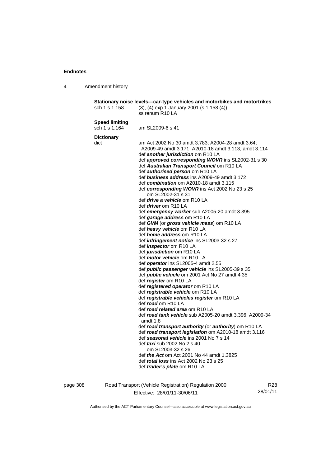4 Amendment history

**Stationary noise levels—car-type vehicles and motorbikes and motortrikes**  sch 1 s 1.158 (3), (4) exp 1 January 2001 (s 1.158 (4)) ss renum R10 LA **Speed limiting**  sch 1 s 1.164 am SL2009-6 s 41 **Dictionary**  dict am Act 2002 No 30 amdt 3.783; A2004-28 amdt 3.64; A2009-49 amdt 3.171; A2010-18 amdt 3.113, amdt 3.114 def *another jurisdiction* om R10 LA def *approved corresponding WOVR* ins SL2002-31 s 30 def *Australian Transport Council* om R10 LA def *authorised person* om R10 LA def *business address* ins A2009-49 amdt 3.172 def *combination* om A2010-18 amdt 3.115 def *corresponding WOVR* ins Act 2002 No 23 s 25 om SL2002-31 s 31 def *drive a vehicle* om R10 LA def *driver* om R10 LA def *emergency worker* sub A2005-20 amdt 3.395 def *garage address* om R10 LA def *GVM* (or *gross vehicle mass*) om R10 LA def *heavy vehicle* om R10 LA def *home address* om R10 LA def *infringement notice* ins SL2003-32 s 27 def *inspector* om R10 LA def *jurisdiction* om R10 LA def *motor vehicle* om R10 LA def *operator* ins SL2005-4 amdt 2.55 def *public passenger vehicle* ins SL2005-39 s 35 def *public vehicle* om 2001 Act No 27 amdt 4.35 def *register* om R10 LA def *registered operator* om R10 LA def *registrable vehicle* om R10 LA def *registrable vehicles register* om R10 LA def *road* om R10 LA def *road related area* om R10 LA def *road tank vehicle* sub A2005-20 amdt 3.396; A2009-34 amdt 1.8 def *road transport authority* (or *authority*) om R10 LA def *road transport legislation* om A2010-18 amdt 3.116 def *seasonal vehicle* ins 2001 No 7 s 14 def *taxi* sub 2002 No 2 s 40 om SL2003-32 s 26 def *the Act* om Act 2001 No 44 amdt 1.3825 def *total loss* ins Act 2002 No 23 s 25 def *trader's plate* om R10 LA

page 308 Road Transport (Vehicle Registration) Regulation 2000 Effective: 28/01/11-30/06/11

R28 28/01/11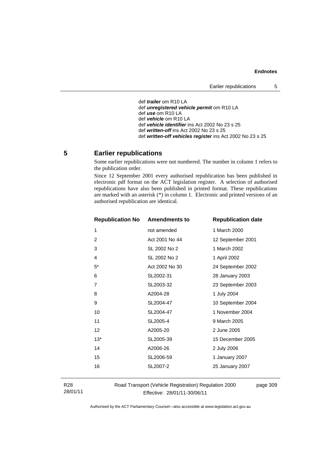```
 def trailer om R10 LA 
def unregistered vehicle permit om R10 LA 
def use om R10 LA 
def vehicle om R10 LA 
def vehicle identifier ins Act 2002 No 23 s 25 
def written-off ins Act 2002 No 23 s 25 
def written-off vehicles register ins Act 2002 No 23 s 25
```
# **5 Earlier republications**

Some earlier republications were not numbered. The number in column 1 refers to the publication order.

Since 12 September 2001 every authorised republication has been published in electronic pdf format on the ACT legislation register. A selection of authorised republications have also been published in printed format. These republications are marked with an asterisk (\*) in column 1. Electronic and printed versions of an authorised republication are identical.

| <b>Republication No</b> | <b>Amendments to</b> | <b>Republication date</b> |
|-------------------------|----------------------|---------------------------|
| 1                       | not amended          | 1 March 2000              |
| $\overline{2}$          | Act 2001 No 44       | 12 September 2001         |
| 3                       | SL 2002 No 2         | 1 March 2002              |
| $\overline{4}$          | SL 2002 No 2         | 1 April 2002              |
| $5^*$                   | Act 2002 No 30       | 24 September 2002         |
| 6                       | SL2002-31            | 28 January 2003           |
| 7                       | SL2003-32            | 23 September 2003         |
| 8                       | A2004-28             | 1 July 2004               |
| 9                       | SL2004-47            | 10 September 2004         |
| 10                      | SL2004-47            | 1 November 2004           |
| 11                      | SL2005-4             | 9 March 2005              |
| 12                      | A2005-20             | 2 June 2005               |
| $13*$                   | SL2005-39            | 15 December 2005          |
| 14                      | A2006-26             | 2 July 2006               |
| 15                      | SL2006-59            | 1 January 2007            |
| 16                      | SL2007-2             | 25 January 2007           |
|                         |                      |                           |

R28 28/01/11 Road Transport (Vehicle Registration) Regulation 2000 Effective: 28/01/11-30/06/11

page 309